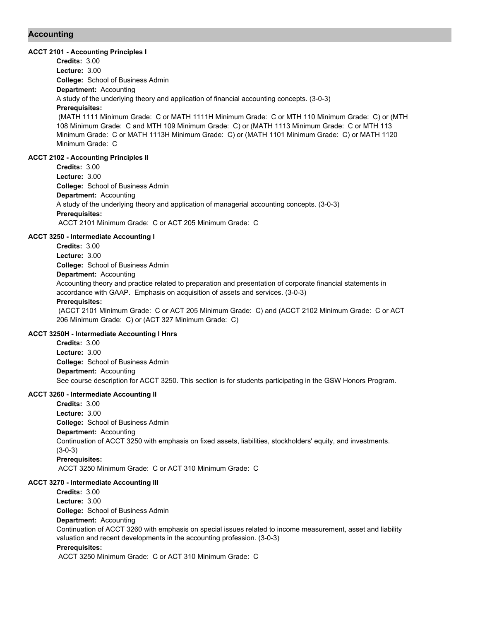# **Accounting**

### **ACCT 2101 - Accounting Principles I**

**College:** School of Business Admin **Department:** Accounting **Credits:** 3.00 **Lecture:** 3.00 A study of the underlying theory and application of financial accounting concepts. (3-0-3) **Prerequisites:**  (MATH 1111 Minimum Grade: C or MATH 1111H Minimum Grade: C or MTH 110 Minimum Grade: C) or (MTH 108 Minimum Grade: C and MTH 109 Minimum Grade: C) or (MATH 1113 Minimum Grade: C or MTH 113

Minimum Grade: C or MATH 1113H Minimum Grade: C) or (MATH 1101 Minimum Grade: C) or MATH 1120 Minimum Grade: C

# **ACCT 2102 - Accounting Principles II**

**College:** School of Business Admin **Department:** Accounting **Credits:** 3.00 **Lecture:** 3.00 A study of the underlying theory and application of managerial accounting concepts. (3-0-3) **Prerequisites:**  ACCT 2101 Minimum Grade: C or ACT 205 Minimum Grade: C

## **ACCT 3250 - Intermediate Accounting I**

**College:** School of Business Admin **Department:** Accounting **Credits:** 3.00 **Lecture:** 3.00 Accounting theory and practice related to preparation and presentation of corporate financial statements in accordance with GAAP. Emphasis on acquisition of assets and services. (3-0-3) **Prerequisites:**  (ACCT 2101 Minimum Grade: C or ACT 205 Minimum Grade: C) and (ACCT 2102 Minimum Grade: C or ACT 206 Minimum Grade: C) or (ACT 327 Minimum Grade: C)

# **ACCT 3250H - Intermediate Accounting I Hnrs**

**College:** School of Business Admin **Department:** Accounting **Credits:** 3.00 **Lecture:** 3.00 See course description for ACCT 3250. This section is for students participating in the GSW Honors Program.

#### **ACCT 3260 - Intermediate Accounting II**

**College:** School of Business Admin **Department:** Accounting **Credits:** 3.00 **Lecture:** 3.00 Continuation of ACCT 3250 with emphasis on fixed assets, liabilities, stockholders' equity, and investments. (3-0-3) **Prerequisites:**  ACCT 3250 Minimum Grade: C or ACT 310 Minimum Grade: C

#### **ACCT 3270 - Intermediate Accounting III**

**College:** School of Business Admin **Department:** Accounting **Credits:** 3.00 **Lecture:** 3.00 Continuation of ACCT 3260 with emphasis on special issues related to income measurement, asset and liability valuation and recent developments in the accounting profession. (3-0-3) **Prerequisites:**  ACCT 3250 Minimum Grade: C or ACT 310 Minimum Grade: C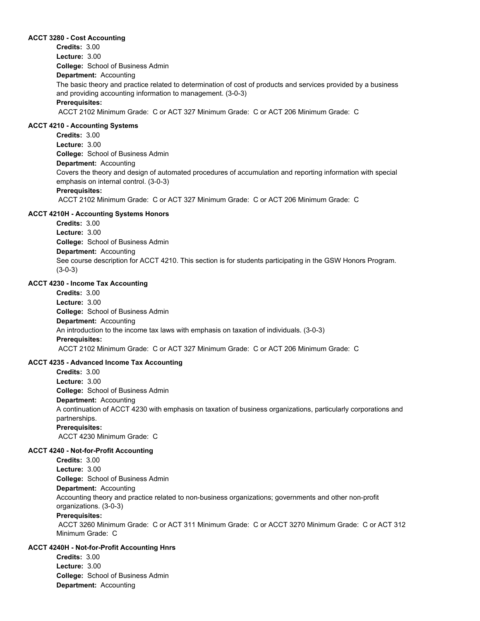#### **ACCT 3280 - Cost Accounting**

**College:** School of Business Admin **Department:** Accounting **Credits:** 3.00 **Lecture:** 3.00 The basic theory and practice related to determination of cost of products and services provided by a business and providing accounting information to management. (3-0-3) **Prerequisites:**  ACCT 2102 Minimum Grade: C or ACT 327 Minimum Grade: C or ACT 206 Minimum Grade: C

#### **ACCT 4210 - Accounting Systems**

**College:** School of Business Admin **Department:** Accounting **Credits:** 3.00 **Lecture:** 3.00 Covers the theory and design of automated procedures of accumulation and reporting information with special emphasis on internal control. (3-0-3) **Prerequisites:**  ACCT 2102 Minimum Grade: C or ACT 327 Minimum Grade: C or ACT 206 Minimum Grade: C

#### **ACCT 4210H - Accounting Systems Honors**

**College:** School of Business Admin **Department:** Accounting **Credits:** 3.00 **Lecture:** 3.00 See course description for ACCT 4210. This section is for students participating in the GSW Honors Program. (3-0-3)

# **ACCT 4230 - Income Tax Accounting**

**College:** School of Business Admin **Department:** Accounting **Credits:** 3.00 **Lecture:** 3.00 An introduction to the income tax laws with emphasis on taxation of individuals. (3-0-3) **Prerequisites:**  ACCT 2102 Minimum Grade: C or ACT 327 Minimum Grade: C or ACT 206 Minimum Grade: C

# **ACCT 4235 - Advanced Income Tax Accounting**

**College:** School of Business Admin **Department:** Accounting **Credits:** 3.00 **Lecture:** 3.00 A continuation of ACCT 4230 with emphasis on taxation of business organizations, particularly corporations and partnerships. **Prerequisites:**  ACCT 4230 Minimum Grade: C

#### **ACCT 4240 - Not-for-Profit Accounting**

**College:** School of Business Admin **Department:** Accounting **Credits:** 3.00 **Lecture:** 3.00 Accounting theory and practice related to non-business organizations; governments and other non-profit organizations. (3-0-3)

# **Prerequisites:**

 ACCT 3260 Minimum Grade: C or ACT 311 Minimum Grade: C or ACCT 3270 Minimum Grade: C or ACT 312 Minimum Grade: C

# **ACCT 4240H - Not-for-Profit Accounting Hnrs**

**College:** School of Business Admin **Department:** Accounting **Credits:** 3.00 **Lecture:** 3.00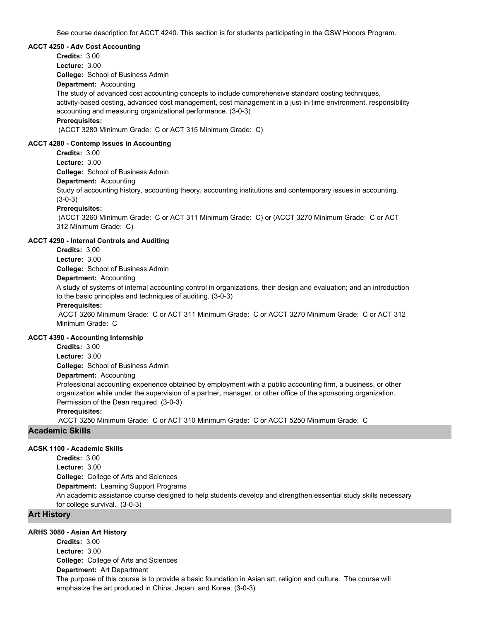See course description for ACCT 4240. This section is for students participating in the GSW Honors Program.

#### **ACCT 4250 - Adv Cost Accounting**

**College:** School of Business Admin **Department:** Accounting **Credits:** 3.00 **Lecture:** 3.00 The study of advanced cost accounting concepts to include comprehensive standard costing techniques, activity-based costing, advanced cost management, cost management in a just-in-time environment, responsibility accounting and measuring organizational performance. (3-0-3)

# **Prerequisites:**

(ACCT 3280 Minimum Grade: C or ACT 315 Minimum Grade: C)

# **ACCT 4280 - Contemp Issues in Accounting**

**Credits:** 3.00 **Lecture:** 3.00

**College:** School of Business Admin

# **Department:** Accounting

Study of accounting history, accounting theory, accounting institutions and contemporary issues in accounting. (3-0-3)

#### **Prerequisites:**

 (ACCT 3260 Minimum Grade: C or ACT 311 Minimum Grade: C) or (ACCT 3270 Minimum Grade: C or ACT 312 Minimum Grade: C)

# **ACCT 4290 - Internal Controls and Auditing**

- **Credits:** 3.00
- **Lecture:** 3.00

**College:** School of Business Admin

**Department:** Accounting

A study of systems of internal accounting control in organizations, their design and evaluation; and an introduction to the basic principles and techniques of auditing. (3-0-3)

#### **Prerequisites:**

 ACCT 3260 Minimum Grade: C or ACT 311 Minimum Grade: C or ACCT 3270 Minimum Grade: C or ACT 312 Minimum Grade: C

#### **ACCT 4390 - Accounting Internship**

**Credits:** 3.00

**Lecture:** 3.00

**College:** School of Business Admin

#### **Department:** Accounting

Professional accounting experience obtained by employment with a public accounting firm, a business, or other organization while under the supervision of a partner, manager, or other office of the sponsoring organization. Permission of the Dean required. (3-0-3)

#### **Prerequisites:**

ACCT 3250 Minimum Grade: C or ACT 310 Minimum Grade: C or ACCT 5250 Minimum Grade: C

# **Academic Skills**

# **ACSK 1100 - Academic Skills**

**College:** College of Arts and Sciences **Department:** Learning Support Programs **Credits:** 3.00 **Lecture:** 3.00 An academic assistance course designed to help students develop and strengthen essential study skills necessary for college survival. (3-0-3)

# **Art History**

### **ARHS 3080 - Asian Art History**

**College:** College of Arts and Sciences **Department:** Art Department **Credits:** 3.00 **Lecture:** 3.00 The purpose of this course is to provide a basic foundation in Asian art, religion and culture. The course will emphasize the art produced in China, Japan, and Korea. (3-0-3)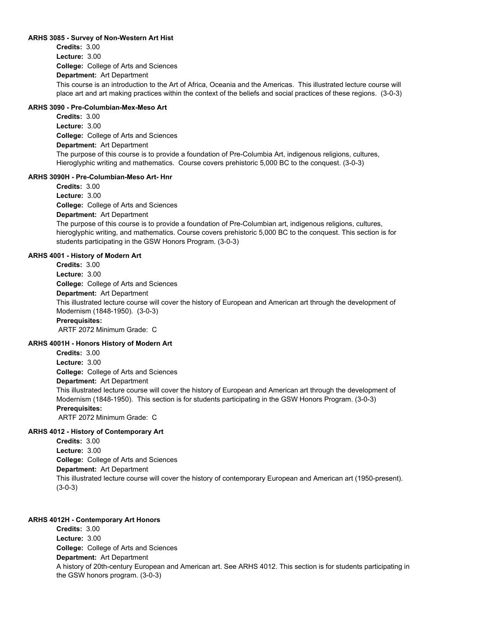#### **ARHS 3085 - Survey of Non-Western Art Hist**

**College:** College of Arts and Sciences **Department:** Art Department **Credits:** 3.00 **Lecture:** 3.00 This course is an introduction to the Art of Africa, Oceania and the Americas. This illustrated lecture course will place art and art making practices within the context of the beliefs and social practices of these regions. (3-0-3)

# **ARHS 3090 - Pre-Columbian-Mex-Meso Art**

**College:** College of Arts and Sciences **Department:** Art Department **Credits:** 3.00 **Lecture:** 3.00 The purpose of this course is to provide a foundation of Pre-Columbia Art, indigenous religions, cultures, Hieroglyphic writing and mathematics. Course covers prehistoric 5,000 BC to the conquest. (3-0-3)

# **ARHS 3090H - Pre-Columbian-Meso Art- Hnr**

**College:** College of Arts and Sciences **Department:** Art Department **Credits:** 3.00 **Lecture:** 3.00

The purpose of this course is to provide a foundation of Pre-Columbian art, indigenous religions, cultures, hieroglyphic writing, and mathematics. Course covers prehistoric 5,000 BC to the conquest. This section is for students participating in the GSW Honors Program. (3-0-3)

# **ARHS 4001 - History of Modern Art**

**College:** College of Arts and Sciences **Department:** Art Department **Credits:** 3.00 **Lecture:** 3.00 This illustrated lecture course will cover the history of European and American art through the development of Modernism (1848-1950). (3-0-3)

# **Prerequisites:**

ARTF 2072 Minimum Grade: C

# **ARHS 4001H - Honors History of Modern Art**

**College:** College of Arts and Sciences **Credits:** 3.00 **Lecture:** 3.00

**Department:** Art Department

This illustrated lecture course will cover the history of European and American art through the development of Modernism (1848-1950). This section is for students participating in the GSW Honors Program. (3-0-3) **Prerequisites:** 

ARTF 2072 Minimum Grade: C

# **ARHS 4012 - History of Contemporary Art**

**College:** College of Arts and Sciences **Department:** Art Department **Credits:** 3.00 **Lecture:** 3.00 This illustrated lecture course will cover the history of contemporary European and American art (1950-present). (3-0-3)

# **ARHS 4012H - Contemporary Art Honors**

**College:** College of Arts and Sciences **Department:** Art Department **Credits:** 3.00 **Lecture:** 3.00 A history of 20th-century European and American art. See ARHS 4012. This section is for students participating in the GSW honors program. (3-0-3)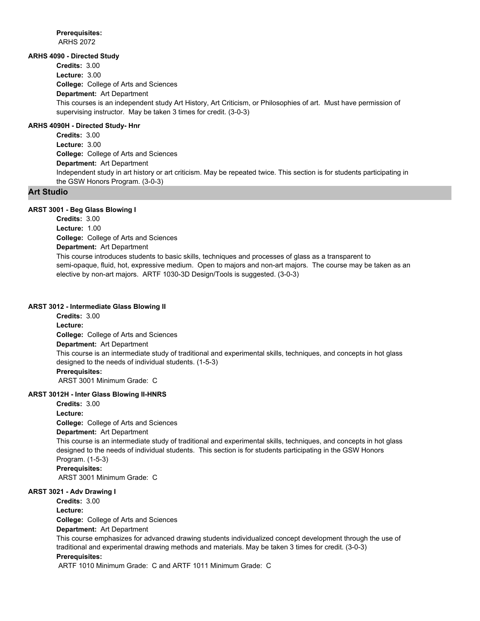**Prerequisites:**  ARHS 2072

# **ARHS 4090 - Directed Study**

**College:** College of Arts and Sciences **Department:** Art Department **Credits:** 3.00 **Lecture:** 3.00 This courses is an independent study Art History, Art Criticism, or Philosophies of art. Must have permission of supervising instructor. May be taken 3 times for credit. (3-0-3)

# **ARHS 4090H - Directed Study- Hnr**

**College:** College of Arts and Sciences **Department:** Art Department **Credits:** 3.00 **Lecture:** 3.00 Independent study in art history or art criticism. May be repeated twice. This section is for students participating in the GSW Honors Program. (3-0-3)

# **Art Studio**

# **ARST 3001 - Beg Glass Blowing I**

**College:** College of Arts and Sciences **Department:** Art Department **Credits:** 3.00 **Lecture:** 1.00 This course introduces students to basic skills, techniques and processes of glass as a transparent to semi-opaque, fluid, hot, expressive medium. Open to majors and non-art majors. The course may be taken as an elective by non-art majors. ARTF 1030-3D Design/Tools is suggested. (3-0-3)

#### **ARST 3012 - Intermediate Glass Blowing II**

**College:** College of Arts and Sciences **Department:** Art Department **Credits:** 3.00 **Lecture:** This course is an intermediate study of traditional and experimental skills, techniques, and concepts in hot glass designed to the needs of individual students. (1-5-3) **Prerequisites:**  ARST 3001 Minimum Grade: C

# **ARST 3012H - Inter Glass Blowing II-HNRS**

**College:** College of Arts and Sciences **Department:** Art Department **Credits:** 3.00 **Lecture:** This course is an intermediate study of traditional and experimental skills, techniques, and concepts in hot glass designed to the needs of individual students. This section is for students participating in the GSW Honors Program. (1-5-3) **Prerequisites:**  ARST 3001 Minimum Grade: C

# **ARST 3021 - Adv Drawing I**

**Credits:** 3.00 **Lecture:**

**College:** College of Arts and Sciences

**Department:** Art Department

This course emphasizes for advanced drawing students individualized concept development through the use of traditional and experimental drawing methods and materials. May be taken 3 times for credit. (3-0-3) **Prerequisites:** 

ARTF 1010 Minimum Grade: C and ARTF 1011 Minimum Grade: C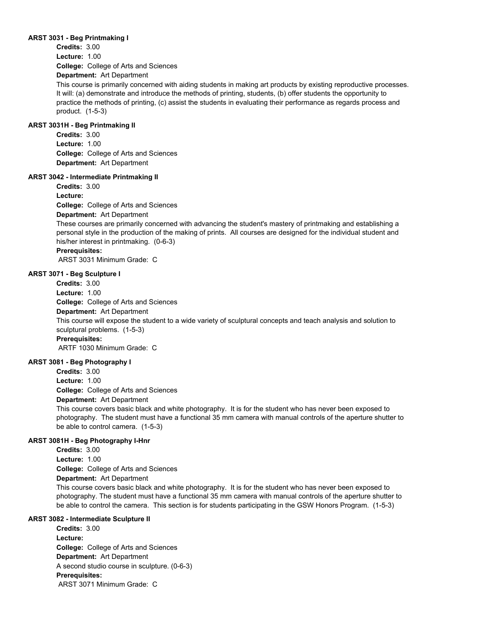#### **ARST 3031 - Beg Printmaking I**

**College:** College of Arts and Sciences **Credits:** 3.00 **Lecture:** 1.00

**Department:** Art Department

This course is primarily concerned with aiding students in making art products by existing reproductive processes. It will: (a) demonstrate and introduce the methods of printing, students, (b) offer students the opportunity to practice the methods of printing, (c) assist the students in evaluating their performance as regards process and product. (1-5-3)

# **ARST 3031H - Beg Printmaking II**

**College:** College of Arts and Sciences **Department:** Art Department **Credits:** 3.00 **Lecture:** 1.00

#### **ARST 3042 - Intermediate Printmaking II**

**College:** College of Arts and Sciences **Department:** Art Department **Credits:** 3.00 **Lecture:**

These courses are primarily concerned with advancing the student's mastery of printmaking and establishing a personal style in the production of the making of prints. All courses are designed for the individual student and his/her interest in printmaking. (0-6-3)

# **Prerequisites:**

ARST 3031 Minimum Grade: C

#### **ARST 3071 - Beg Sculpture I**

**College:** College of Arts and Sciences **Department:** Art Department **Credits:** 3.00 **Lecture:** 1.00 This course will expose the student to a wide variety of sculptural concepts and teach analysis and solution to sculptural problems. (1-5-3) **Prerequisites:**  ARTF 1030 Minimum Grade: C

#### **ARST 3081 - Beg Photography I**

**College:** College of Arts and Sciences **Department:** Art Department **Credits:** 3.00 **Lecture:** 1.00

This course covers basic black and white photography. It is for the student who has never been exposed to photography. The student must have a functional 35 mm camera with manual controls of the aperture shutter to be able to control camera. (1-5-3)

#### **ARST 3081H - Beg Photography I-Hnr**

**College:** College of Arts and Sciences **Department:** Art Department **Credits:** 3.00 **Lecture:** 1.00

This course covers basic black and white photography. It is for the student who has never been exposed to photography. The student must have a functional 35 mm camera with manual controls of the aperture shutter to be able to control the camera. This section is for students participating in the GSW Honors Program. (1-5-3)

# **ARST 3082 - Intermediate Sculpture II**

**College:** College of Arts and Sciences **Department:** Art Department **Credits:** 3.00 **Lecture:** A second studio course in sculpture. (0-6-3) **Prerequisites:**  ARST 3071 Minimum Grade: C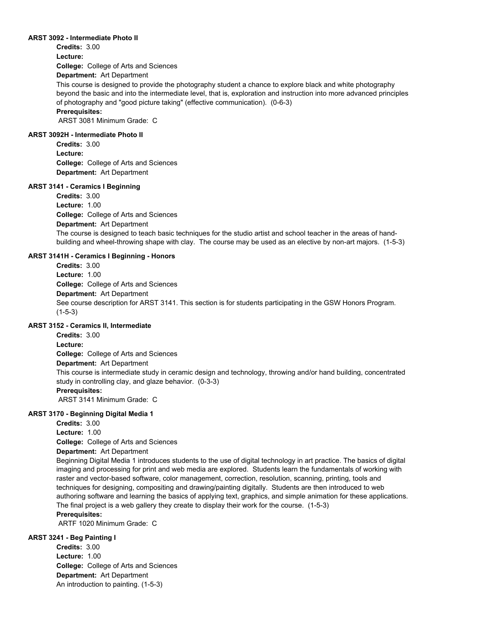#### **ARST 3092 - Intermediate Photo II**

**Credits:** 3.00 **Lecture:**

**College:** College of Arts and Sciences

**Department:** Art Department

This course is designed to provide the photography student a chance to explore black and white photography beyond the basic and into the intermediate level, that is, exploration and instruction into more advanced principles of photography and "good picture taking" (effective communication). (0-6-3)

# **Prerequisites:**

ARST 3081 Minimum Grade: C

## **ARST 3092H - Intermediate Photo II**

**College:** College of Arts and Sciences **Department:** Art Department **Credits:** 3.00 **Lecture:**

# **ARST 3141 - Ceramics I Beginning**

**College:** College of Arts and Sciences **Department:** Art Department **Credits:** 3.00 **Lecture:** 1.00 The course is designed to teach basic techniques for the studio artist and school teacher in the areas of handbuilding and wheel-throwing shape with clay. The course may be used as an elective by non-art majors. (1-5-3)

# **ARST 3141H - Ceramics I Beginning - Honors**

**College:** College of Arts and Sciences **Department:** Art Department **Credits:** 3.00 **Lecture:** 1.00 See course description for ARST 3141. This section is for students participating in the GSW Honors Program. (1-5-3)

# **ARST 3152 - Ceramics II, Intermediate**

**College:** College of Arts and Sciences **Department:** Art Department **Credits:** 3.00 **Lecture:** This course is intermediate study in ceramic design and technology, throwing and/or hand building, concentrated study in controlling clay, and glaze behavior. (0-3-3) **Prerequisites:**  ARST 3141 Minimum Grade: C

# **ARST 3170 - Beginning Digital Media 1**

**Credits:** 3.00

**Lecture:** 1.00

**College:** College of Arts and Sciences

# **Department:** Art Department

Beginning Digital Media 1 introduces students to the use of digital technology in art practice. The basics of digital imaging and processing for print and web media are explored. Students learn the fundamentals of working with raster and vector-based software, color management, correction, resolution, scanning, printing, tools and techniques for designing, compositing and drawing/painting digitally. Students are then introduced to web authoring software and learning the basics of applying text, graphics, and simple animation for these applications. The final project is a web gallery they create to display their work for the course. (1-5-3)

# **Prerequisites:**

ARTF 1020 Minimum Grade: C

# **ARST 3241 - Beg Painting I**

**College:** College of Arts and Sciences **Department:** Art Department **Credits:** 3.00 **Lecture:** 1.00 An introduction to painting. (1-5-3)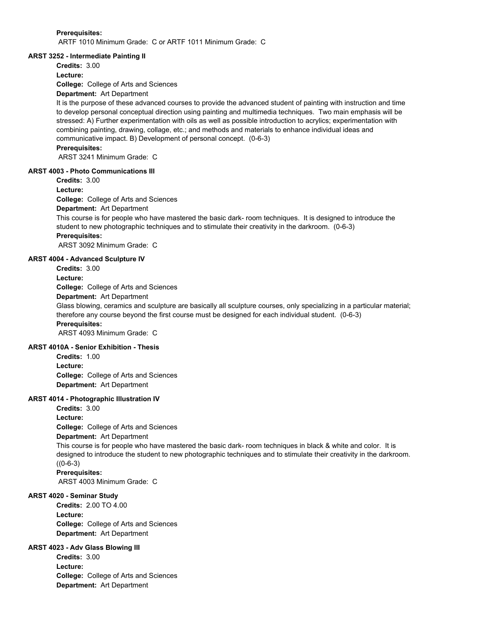#### **Prerequisites:**

ARTF 1010 Minimum Grade: C or ARTF 1011 Minimum Grade: C

#### **ARST 3252 - Intermediate Painting II**

**Credits:** 3.00

**Lecture:**

**College:** College of Arts and Sciences

# **Department:** Art Department

It is the purpose of these advanced courses to provide the advanced student of painting with instruction and time to develop personal conceptual direction using painting and multimedia techniques. Two main emphasis will be stressed: A) Further experimentation with oils as well as possible introduction to acrylics; experimentation with combining painting, drawing, collage, etc.; and methods and materials to enhance individual ideas and communicative impact. B) Development of personal concept. (0-6-3)

# **Prerequisites:**

ARST 3241 Minimum Grade: C

#### **ARST 4003 - Photo Communications III**

**Credits:** 3.00

**Lecture:**

**College:** College of Arts and Sciences

**Department:** Art Department

This course is for people who have mastered the basic dark- room techniques. It is designed to introduce the student to new photographic techniques and to stimulate their creativity in the darkroom. (0-6-3) **Prerequisites:** 

ARST 3092 Minimum Grade: C

# **ARST 4004 - Advanced Sculpture IV**

**Credits:** 3.00 **Lecture:**

**College:** College of Arts and Sciences

**Department:** Art Department

Glass blowing, ceramics and sculpture are basically all sculpture courses, only specializing in a particular material; therefore any course beyond the first course must be designed for each individual student. (0-6-3) **Prerequisites:** 

ARST 4093 Minimum Grade: C

# **ARST 4010A - Senior Exhibition - Thesis**

**College:** College of Arts and Sciences **Department:** Art Department **Credits:** 1.00 **Lecture:**

#### **ARST 4014 - Photographic Illustration IV**

**Credits:** 3.00 **Lecture:**

**College:** College of Arts and Sciences

# **Department:** Art Department

This course is for people who have mastered the basic dark- room techniques in black & white and color. It is designed to introduce the student to new photographic techniques and to stimulate their creativity in the darkroom.  $((0-6-3))$ 

#### **Prerequisites:**

ARST 4003 Minimum Grade: C

# **ARST 4020 - Seminar Study**

**College:** College of Arts and Sciences **Department:** Art Department **Credits:** 2.00 TO 4.00 **Lecture:**

# **ARST 4023 - Adv Glass Blowing III**

**College:** College of Arts and Sciences **Department:** Art Department **Credits:** 3.00 **Lecture:**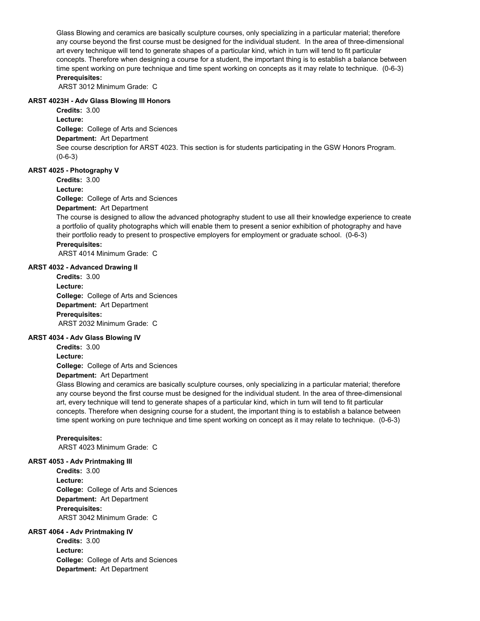Glass Blowing and ceramics are basically sculpture courses, only specializing in a particular material; therefore any course beyond the first course must be designed for the individual student. In the area of three-dimensional art every technique will tend to generate shapes of a particular kind, which in turn will tend to fit particular concepts. Therefore when designing a course for a student, the important thing is to establish a balance between time spent working on pure technique and time spent working on concepts as it may relate to technique. (0-6-3) **Prerequisites:** 

ARST 3012 Minimum Grade: C

# **ARST 4023H - Adv Glass Blowing III Honors**

**College:** College of Arts and Sciences **Department:** Art Department **Credits:** 3.00 **Lecture:** See course description for ARST 4023. This section is for students participating in the GSW Honors Program. (0-6-3)

## **ARST 4025 - Photography V**

**Credits:** 3.00

**Lecture:**

**College:** College of Arts and Sciences

**Department:** Art Department

The course is designed to allow the advanced photography student to use all their knowledge experience to create a portfolio of quality photographs which will enable them to present a senior exhibition of photography and have their portfolio ready to present to prospective employers for employment or graduate school. (0-6-3) **Prerequisites:** 

ARST 4014 Minimum Grade: C

# **ARST 4032 - Advanced Drawing II**

**College:** College of Arts and Sciences **Department:** Art Department **Credits:** 3.00 **Lecture: Prerequisites:**  ARST 2032 Minimum Grade: C

#### **ARST 4034 - Adv Glass Blowing IV**

**College:** College of Arts and Sciences **Credits:** 3.00 **Lecture:**

**Department:** Art Department

Glass Blowing and ceramics are basically sculpture courses, only specializing in a particular material; therefore any course beyond the first course must be designed for the individual student. In the area of three-dimensional art, every technique will tend to generate shapes of a particular kind, which in turn will tend to fit particular concepts. Therefore when designing course for a student, the important thing is to establish a balance between time spent working on pure technique and time spent working on concept as it may relate to technique. (0-6-3)

#### **Prerequisites:**

ARST 4023 Minimum Grade: C

#### **ARST 4053 - Adv Printmaking III**

**College:** College of Arts and Sciences **Department:** Art Department **Credits:** 3.00 **Lecture: Prerequisites:**  ARST 3042 Minimum Grade: C

#### **ARST 4064 - Adv Printmaking IV**

**College:** College of Arts and Sciences **Department:** Art Department **Credits:** 3.00 **Lecture:**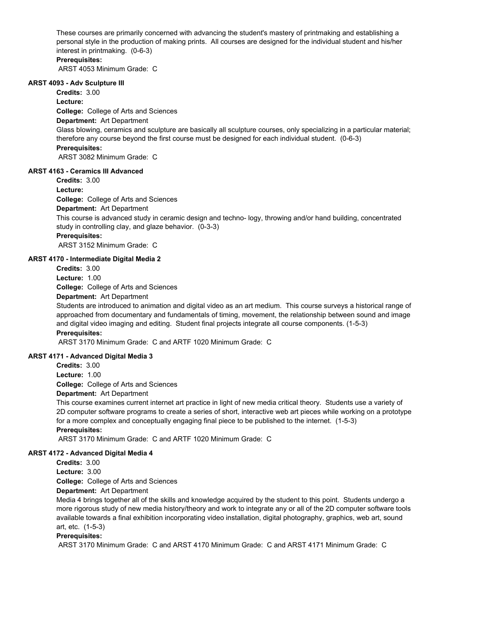These courses are primarily concerned with advancing the student's mastery of printmaking and establishing a personal style in the production of making prints. All courses are designed for the individual student and his/her interest in printmaking. (0-6-3)

# **Prerequisites:**

ARST 4053 Minimum Grade: C

#### **ARST 4093 - Adv Sculpture III**

**Credits:** 3.00

#### **Lecture:**

**College:** College of Arts and Sciences

# **Department:** Art Department

Glass blowing, ceramics and sculpture are basically all sculpture courses, only specializing in a particular material; therefore any course beyond the first course must be designed for each individual student. (0-6-3)

# **Prerequisites:**

ARST 3082 Minimum Grade: C

#### **ARST 4163 - Ceramics III Advanced**

**Credits:** 3.00

**Lecture:**

**College:** College of Arts and Sciences

#### **Department:** Art Department

This course is advanced study in ceramic design and techno- logy, throwing and/or hand building, concentrated study in controlling clay, and glaze behavior. (0-3-3)

#### **Prerequisites:**

ARST 3152 Minimum Grade: C

#### **ARST 4170 - Intermediate Digital Media 2**

**Credits:** 3.00

**Lecture:** 1.00

**College:** College of Arts and Sciences

**Department:** Art Department

Students are introduced to animation and digital video as an art medium. This course surveys a historical range of approached from documentary and fundamentals of timing, movement, the relationship between sound and image and digital video imaging and editing. Student final projects integrate all course components. (1-5-3) **Prerequisites:** 

ARST 3170 Minimum Grade: C and ARTF 1020 Minimum Grade: C

#### **ARST 4171 - Advanced Digital Media 3**

**Credits:** 3.00

**Lecture:** 1.00

**College:** College of Arts and Sciences

#### **Department:** Art Department

This course examines current internet art practice in light of new media critical theory. Students use a variety of 2D computer software programs to create a series of short, interactive web art pieces while working on a prototype for a more complex and conceptually engaging final piece to be published to the internet. (1-5-3) **Prerequisites:** 

ARST 3170 Minimum Grade: C and ARTF 1020 Minimum Grade: C

#### **ARST 4172 - Advanced Digital Media 4**

**Credits:** 3.00

**Lecture:** 3.00

**College:** College of Arts and Sciences

**Department:** Art Department

Media 4 brings together all of the skills and knowledge acquired by the student to this point. Students undergo a more rigorous study of new media history/theory and work to integrate any or all of the 2D computer software tools available towards a final exhibition incorporating video installation, digital photography, graphics, web art, sound art, etc. (1-5-3)

# **Prerequisites:**

ARST 3170 Minimum Grade: C and ARST 4170 Minimum Grade: C and ARST 4171 Minimum Grade: C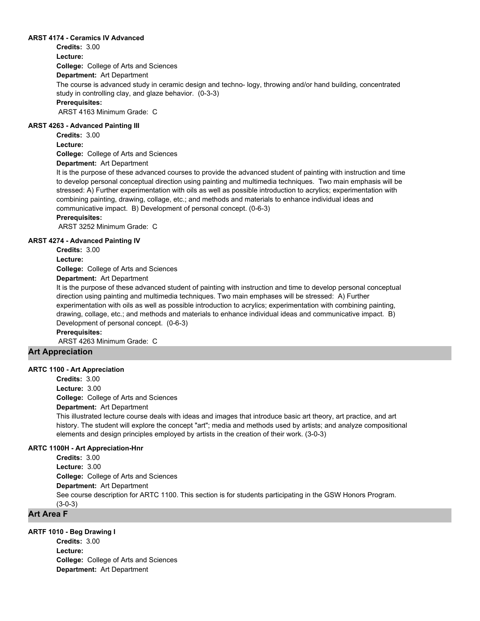### **ARST 4174 - Ceramics IV Advanced**

**College:** College of Arts and Sciences **Department:** Art Department **Credits:** 3.00 **Lecture:** The course is advanced study in ceramic design and techno- logy, throwing and/or hand building, concentrated study in controlling clay, and glaze behavior. (0-3-3) **Prerequisites:**  ARST 4163 Minimum Grade: C

#### **ARST 4263 - Advanced Painting III**

**Credits:** 3.00

**Lecture:**

**College:** College of Arts and Sciences

**Department:** Art Department

It is the purpose of these advanced courses to provide the advanced student of painting with instruction and time to develop personal conceptual direction using painting and multimedia techniques. Two main emphasis will be stressed: A) Further experimentation with oils as well as possible introduction to acrylics; experimentation with combining painting, drawing, collage, etc.; and methods and materials to enhance individual ideas and communicative impact. B) Development of personal concept. (0-6-3)

# **Prerequisites:**

ARST 3252 Minimum Grade: C

#### **ARST 4274 - Advanced Painting IV**

**Credits:** 3.00

**Lecture:**

**College:** College of Arts and Sciences

**Department:** Art Department

It is the purpose of these advanced student of painting with instruction and time to develop personal conceptual direction using painting and multimedia techniques. Two main emphases will be stressed: A) Further experimentation with oils as well as possible introduction to acrylics; experimentation with combining painting, drawing, collage, etc.; and methods and materials to enhance individual ideas and communicative impact. B) Development of personal concept. (0-6-3)

**Prerequisites:** 

ARST 4263 Minimum Grade: C

# **Art Appreciation**

#### **ARTC 1100 - Art Appreciation**

**College:** College of Arts and Sciences **Credits:** 3.00 **Lecture:** 3.00

**Department:** Art Department

This illustrated lecture course deals with ideas and images that introduce basic art theory, art practice, and art history. The student will explore the concept "art"; media and methods used by artists; and analyze compositional elements and design principles employed by artists in the creation of their work. (3-0-3)

#### **ARTC 1100H - Art Appreciation-Hnr**

**College:** College of Arts and Sciences **Department:** Art Department **Credits:** 3.00 **Lecture:** 3.00 See course description for ARTC 1100. This section is for students participating in the GSW Honors Program. (3-0-3)

# **Art Area F**

### **ARTF 1010 - Beg Drawing I**

**College:** College of Arts and Sciences **Department:** Art Department **Credits:** 3.00 **Lecture:**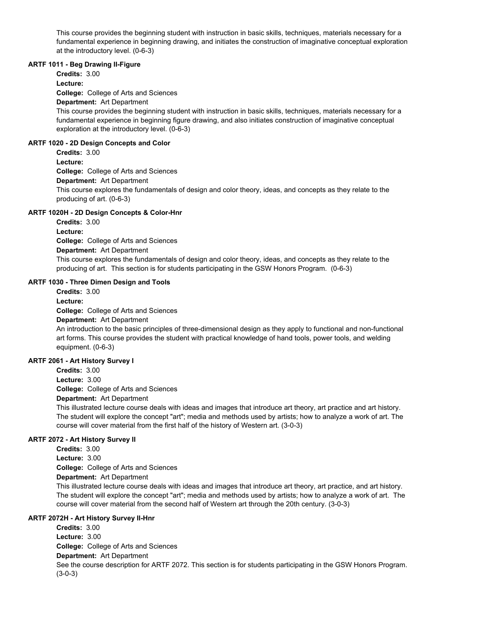This course provides the beginning student with instruction in basic skills, techniques, materials necessary for a fundamental experience in beginning drawing, and initiates the construction of imaginative conceptual exploration at the introductory level. (0-6-3)

# **ARTF 1011 - Beg Drawing II-Figure**

**Credits:** 3.00

**Lecture:**

**College:** College of Arts and Sciences

**Department:** Art Department

This course provides the beginning student with instruction in basic skills, techniques, materials necessary for a fundamental experience in beginning figure drawing, and also initiates construction of imaginative conceptual exploration at the introductory level. (0-6-3)

# **ARTF 1020 - 2D Design Concepts and Color**

**Credits:** 3.00

**Lecture:**

**College:** College of Arts and Sciences

**Department:** Art Department

This course explores the fundamentals of design and color theory, ideas, and concepts as they relate to the producing of art. (0-6-3)

# **ARTF 1020H - 2D Design Concepts & Color-Hnr**

**College:** College of Arts and Sciences **Department:** Art Department **Credits:** 3.00 **Lecture:** This course explores the fundamentals of design and color theory, ideas, and concepts as they relate to the producing of art. This section is for students participating in the GSW Honors Program. (0-6-3)

# **ARTF 1030 - Three Dimen Design and Tools**

**College:** College of Arts and Sciences **Department:** Art Department **Credits:** 3.00 **Lecture:**

An introduction to the basic principles of three-dimensional design as they apply to functional and non-functional art forms. This course provides the student with practical knowledge of hand tools, power tools, and welding equipment. (0-6-3)

# **ARTF 2061 - Art History Survey I**

**College:** College of Arts and Sciences **Department:** Art Department **Credits:** 3.00 **Lecture:** 3.00

This illustrated lecture course deals with ideas and images that introduce art theory, art practice and art history. The student will explore the concept "art"; media and methods used by artists; how to analyze a work of art. The course will cover material from the first half of the history of Western art. (3-0-3)

# **ARTF 2072 - Art History Survey II**

**College:** College of Arts and Sciences **Department:** Art Department **Credits:** 3.00 **Lecture:** 3.00 This illustrated lecture course deals with ideas and images that introduce art theory, art practice, and art history. The student will explore the concept "art"; media and methods used by artists; how to analyze a work of art. The course will cover material from the second half of Western art through the 20th century. (3-0-3)

# **ARTF 2072H - Art History Survey II-Hnr**

**College:** College of Arts and Sciences **Department:** Art Department **Credits:** 3.00 **Lecture:** 3.00 See the course description for ARTF 2072. This section is for students participating in the GSW Honors Program. (3-0-3)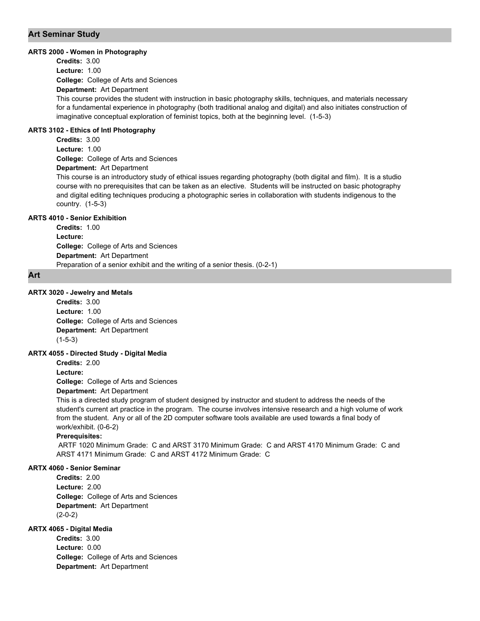# **Art Seminar Study**

#### **ARTS 2000 - Women in Photography**

**College:** College of Arts and Sciences **Department:** Art Department **Credits:** 3.00 **Lecture:** 1.00

This course provides the student with instruction in basic photography skills, techniques, and materials necessary for a fundamental experience in photography (both traditional analog and digital) and also initiates construction of imaginative conceptual exploration of feminist topics, both at the beginning level. (1-5-3)

# **ARTS 3102 - Ethics of Intl Photography**

**College:** College of Arts and Sciences **Department:** Art Department **Credits:** 3.00 **Lecture:** 1.00

This course is an introductory study of ethical issues regarding photography (both digital and film). It is a studio course with no prerequisites that can be taken as an elective. Students will be instructed on basic photography and digital editing techniques producing a photographic series in collaboration with students indigenous to the country. (1-5-3)

# **ARTS 4010 - Senior Exhibition**

**College:** College of Arts and Sciences **Department:** Art Department **Credits:** 1.00 **Lecture:** Preparation of a senior exhibit and the writing of a senior thesis. (0-2-1)

#### **Art**

#### **ARTX 3020 - Jewelry and Metals**

**College:** College of Arts and Sciences **Department:** Art Department **Credits:** 3.00 **Lecture:** 1.00 (1-5-3)

#### **ARTX 4055 - Directed Study - Digital Media**

**Credits:** 2.00 **Lecture:**

**College:** College of Arts and Sciences

# **Department:** Art Department

This is a directed study program of student designed by instructor and student to address the needs of the student's current art practice in the program. The course involves intensive research and a high volume of work from the student. Any or all of the 2D computer software tools available are used towards a final body of work/exhibit. (0-6-2)

#### **Prerequisites:**

 ARTF 1020 Minimum Grade: C and ARST 3170 Minimum Grade: C and ARST 4170 Minimum Grade: C and ARST 4171 Minimum Grade: C and ARST 4172 Minimum Grade: C

# **ARTX 4060 - Senior Seminar**

**College:** College of Arts and Sciences **Department:** Art Department **Credits:** 2.00 **Lecture:** 2.00 (2-0-2)

# **ARTX 4065 - Digital Media**

**College:** College of Arts and Sciences **Department:** Art Department **Credits:** 3.00 **Lecture:** 0.00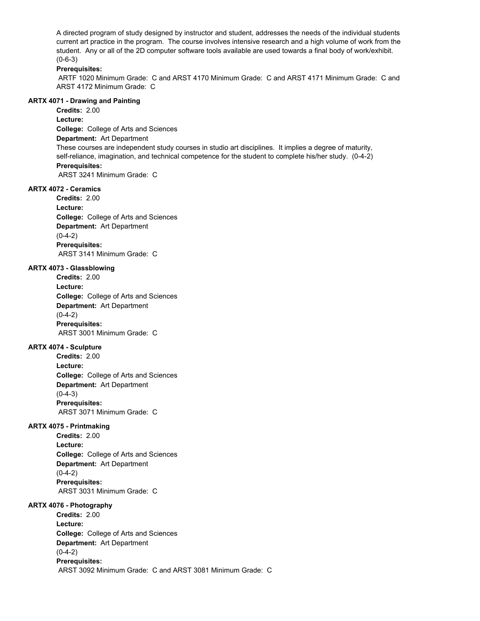A directed program of study designed by instructor and student, addresses the needs of the individual students current art practice in the program. The course involves intensive research and a high volume of work from the student. Any or all of the 2D computer software tools available are used towards a final body of work/exhibit.  $(0-6-3)$ 

# **Prerequisites:**

 ARTF 1020 Minimum Grade: C and ARST 4170 Minimum Grade: C and ARST 4171 Minimum Grade: C and ARST 4172 Minimum Grade: C

#### **ARTX 4071 - Drawing and Painting**

**College:** College of Arts and Sciences **Credits:** 2.00 **Lecture:**

**Department:** Art Department

These courses are independent study courses in studio art disciplines. It implies a degree of maturity, self-reliance, imagination, and technical competence for the student to complete his/her study. (0-4-2) **Prerequisites:** 

ARST 3241 Minimum Grade: C

#### **ARTX 4072 - Ceramics**

**College:** College of Arts and Sciences **Department:** Art Department **Credits:** 2.00 **Lecture:**  $(0-4-2)$ **Prerequisites:**  ARST 3141 Minimum Grade: C

# **ARTX 4073 - Glassblowing**

**College:** College of Arts and Sciences **Department:** Art Department **Credits:** 2.00 **Lecture:**  $(0-4-2)$ **Prerequisites:**  ARST 3001 Minimum Grade: C

#### **ARTX 4074 - Sculpture**

**College:** College of Arts and Sciences **Department:** Art Department **Credits:** 2.00 **Lecture:**  $(0-4-3)$ **Prerequisites:**  ARST 3071 Minimum Grade: C

#### **ARTX 4075 - Printmaking**

**College:** College of Arts and Sciences **Department:** Art Department **Credits:** 2.00 **Lecture:**  $(0-4-2)$ **Prerequisites:**  ARST 3031 Minimum Grade: C

#### **ARTX 4076 - Photography**

**College:** College of Arts and Sciences **Department:** Art Department **Credits:** 2.00 **Lecture:**  $(0-4-2)$ **Prerequisites:**  ARST 3092 Minimum Grade: C and ARST 3081 Minimum Grade: C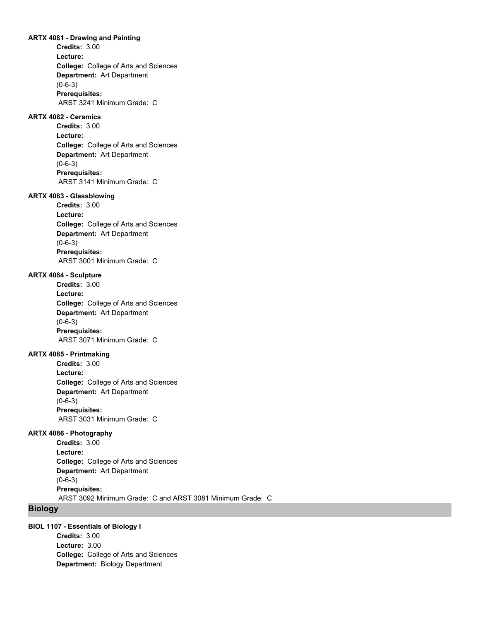#### **ARTX 4081 - Drawing and Painting**

**College:** College of Arts and Sciences **Department:** Art Department **Credits:** 3.00 **Lecture:** (0-6-3) **Prerequisites:**  ARST 3241 Minimum Grade: C

# **ARTX 4082 - Ceramics**

**College:** College of Arts and Sciences **Department:** Art Department **Credits:** 3.00 **Lecture:** (0-6-3) **Prerequisites:**  ARST 3141 Minimum Grade: C

#### **ARTX 4083 - Glassblowing**

**College:** College of Arts and Sciences **Department:** Art Department **Credits:** 3.00 **Lecture:** (0-6-3) **Prerequisites:**  ARST 3001 Minimum Grade: C

#### **ARTX 4084 - Sculpture**

**College:** College of Arts and Sciences **Department:** Art Department **Credits:** 3.00 **Lecture:** (0-6-3) **Prerequisites:**  ARST 3071 Minimum Grade: C

# **ARTX 4085 - Printmaking**

**College:** College of Arts and Sciences **Department:** Art Department **Credits:** 3.00 **Lecture:** (0-6-3) **Prerequisites:**  ARST 3031 Minimum Grade: C

# **ARTX 4086 - Photography**

**College:** College of Arts and Sciences **Department:** Art Department **Credits:** 3.00 **Lecture:** (0-6-3) **Prerequisites:**  ARST 3092 Minimum Grade: C and ARST 3081 Minimum Grade: C

# **Biology**

# **BIOL 1107 - Essentials of Biology I**

**College:** College of Arts and Sciences **Department:** Biology Department **Credits:** 3.00 **Lecture:** 3.00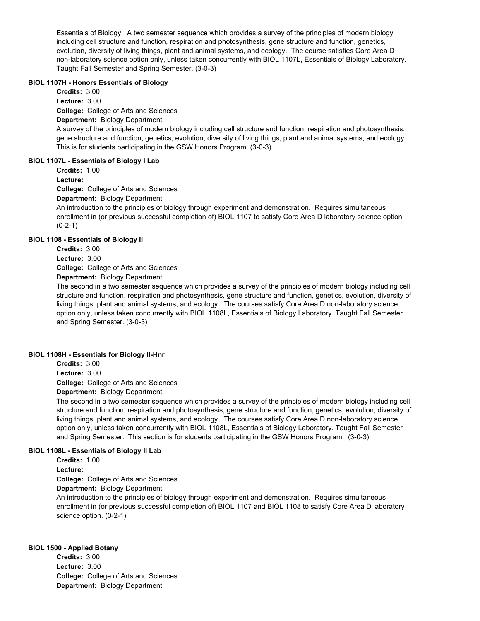Essentials of Biology. A two semester sequence which provides a survey of the principles of modern biology including cell structure and function, respiration and photosynthesis, gene structure and function, genetics, evolution, diversity of living things, plant and animal systems, and ecology. The course satisfies Core Area D non-laboratory science option only, unless taken concurrently with BIOL 1107L, Essentials of Biology Laboratory. Taught Fall Semester and Spring Semester. (3-0-3)

# **BIOL 1107H - Honors Essentials of Biology**

**College:** College of Arts and Sciences **Credits:** 3.00 **Lecture:** 3.00

# **Department:** Biology Department

A survey of the principles of modern biology including cell structure and function, respiration and photosynthesis, gene structure and function, genetics, evolution, diversity of living things, plant and animal systems, and ecology. This is for students participating in the GSW Honors Program. (3-0-3)

# **BIOL 1107L - Essentials of Biology I Lab**

**Credits:** 1.00

**Lecture:**

**College:** College of Arts and Sciences

**Department:** Biology Department

An introduction to the principles of biology through experiment and demonstration. Requires simultaneous enrollment in (or previous successful completion of) BIOL 1107 to satisfy Core Area D laboratory science option.  $(0-2-1)$ 

# **BIOL 1108 - Essentials of Biology II**

**Credits:** 3.00 **Lecture:** 3.00

**College:** College of Arts and Sciences

**Department:** Biology Department

The second in a two semester sequence which provides a survey of the principles of modern biology including cell structure and function, respiration and photosynthesis, gene structure and function, genetics, evolution, diversity of living things, plant and animal systems, and ecology. The courses satisfy Core Area D non-laboratory science option only, unless taken concurrently with BIOL 1108L, Essentials of Biology Laboratory. Taught Fall Semester and Spring Semester. (3-0-3)

# **BIOL 1108H - Essentials for Biology II-Hnr**

**College:** College of Arts and Sciences **Department:** Biology Department **Credits:** 3.00 **Lecture:** 3.00

The second in a two semester sequence which provides a survey of the principles of modern biology including cell structure and function, respiration and photosynthesis, gene structure and function, genetics, evolution, diversity of living things, plant and animal systems, and ecology. The courses satisfy Core Area D non-laboratory science option only, unless taken concurrently with BIOL 1108L, Essentials of Biology Laboratory. Taught Fall Semester and Spring Semester. This section is for students participating in the GSW Honors Program. (3-0-3)

# **BIOL 1108L - Essentials of Biology II Lab**

**Credits:** 1.00

**Lecture:**

**College:** College of Arts and Sciences

**Department:** Biology Department

An introduction to the principles of biology through experiment and demonstration. Requires simultaneous enrollment in (or previous successful completion of) BIOL 1107 and BIOL 1108 to satisfy Core Area D laboratory science option. (0-2-1)

# **BIOL 1500 - Applied Botany**

**College:** College of Arts and Sciences **Department:** Biology Department **Credits:** 3.00 **Lecture:** 3.00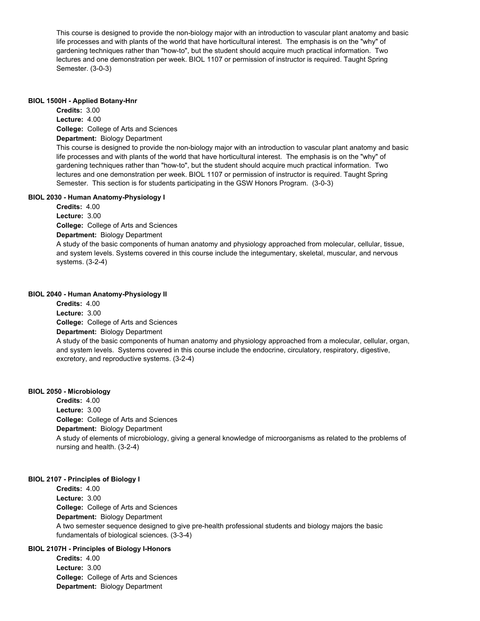This course is designed to provide the non-biology major with an introduction to vascular plant anatomy and basic life processes and with plants of the world that have horticultural interest. The emphasis is on the "why" of gardening techniques rather than "how-to", but the student should acquire much practical information. Two lectures and one demonstration per week. BIOL 1107 or permission of instructor is required. Taught Spring Semester. (3-0-3)

#### **BIOL 1500H - Applied Botany-Hnr**

**College:** College of Arts and Sciences **Department:** Biology Department **Credits:** 3.00 **Lecture:** 4.00 This course is designed to provide the non-biology major with an introduction to vascular plant anatomy and basic life processes and with plants of the world that have horticultural interest. The emphasis is on the "why" of gardening techniques rather than "how-to", but the student should acquire much practical information. Two lectures and one demonstration per week. BIOL 1107 or permission of instructor is required. Taught Spring Semester. This section is for students participating in the GSW Honors Program. (3-0-3)

# **BIOL 2030 - Human Anatomy-Physiology I**

**College:** College of Arts and Sciences **Department:** Biology Department **Credits:** 4.00 **Lecture:** 3.00 A study of the basic components of human anatomy and physiology approached from molecular, cellular, tissue, and system levels. Systems covered in this course include the integumentary, skeletal, muscular, and nervous systems. (3-2-4)

# **BIOL 2040 - Human Anatomy-Physiology II**

**College:** College of Arts and Sciences **Department:** Biology Department **Credits:** 4.00 **Lecture:** 3.00 A study of the basic components of human anatomy and physiology approached from a molecular, cellular, organ, and system levels. Systems covered in this course include the endocrine, circulatory, respiratory, digestive, excretory, and reproductive systems. (3-2-4)

# **BIOL 2050 - Microbiology**

**College:** College of Arts and Sciences **Department:** Biology Department **Credits:** 4.00 **Lecture:** 3.00 A study of elements of microbiology, giving a general knowledge of microorganisms as related to the problems of nursing and health. (3-2-4)

# **BIOL 2107 - Principles of Biology I**

**College:** College of Arts and Sciences **Department:** Biology Department **Credits:** 4.00 **Lecture:** 3.00 A two semester sequence designed to give pre-health professional students and biology majors the basic fundamentals of biological sciences. (3-3-4)

# **BIOL 2107H - Principles of Biology I-Honors**

**College:** College of Arts and Sciences **Department:** Biology Department **Credits:** 4.00 **Lecture:** 3.00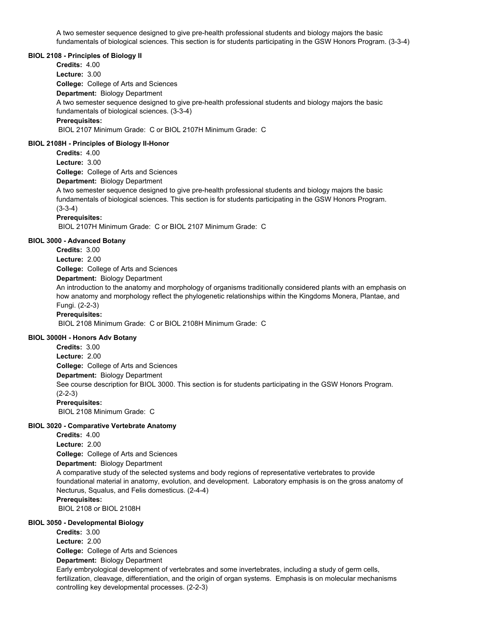A two semester sequence designed to give pre-health professional students and biology majors the basic fundamentals of biological sciences. This section is for students participating in the GSW Honors Program. (3-3-4)

#### **BIOL 2108 - Principles of Biology II**

**College:** College of Arts and Sciences **Department:** Biology Department **Credits:** 4.00 **Lecture:** 3.00 A two semester sequence designed to give pre-health professional students and biology majors the basic fundamentals of biological sciences. (3-3-4) **Prerequisites:**  BIOL 2107 Minimum Grade: C or BIOL 2107H Minimum Grade: C

#### **BIOL 2108H - Principles of Biology II-Honor**

**Credits:** 4.00 **Lecture:** 3.00

**College:** College of Arts and Sciences

**Department:** Biology Department

A two semester sequence designed to give pre-health professional students and biology majors the basic fundamentals of biological sciences. This section is for students participating in the GSW Honors Program. (3-3-4)

# **Prerequisites:**

BIOL 2107H Minimum Grade: C or BIOL 2107 Minimum Grade: C

#### **BIOL 3000 - Advanced Botany**

**College:** College of Arts and Sciences **Credits:** 3.00 **Lecture:** 2.00

**Department:** Biology Department

An introduction to the anatomy and morphology of organisms traditionally considered plants with an emphasis on how anatomy and morphology reflect the phylogenetic relationships within the Kingdoms Monera, Plantae, and Fungi. (2-2-3)

## **Prerequisites:**

BIOL 2108 Minimum Grade: C or BIOL 2108H Minimum Grade: C

#### **BIOL 3000H - Honors Adv Botany**

**College:** College of Arts and Sciences **Department:** Biology Department **Credits:** 3.00 **Lecture:** 2.00 See course description for BIOL 3000. This section is for students participating in the GSW Honors Program. (2-2-3) **Prerequisites:**  BIOL 2108 Minimum Grade: C

# **BIOL 3020 - Comparative Vertebrate Anatomy**

**College:** College of Arts and Sciences **Department:** Biology Department **Credits:** 4.00 **Lecture:** 2.00 A comparative study of the selected systems and body regions of representative vertebrates to provide foundational material in anatomy, evolution, and development. Laboratory emphasis is on the gross anatomy of Necturus, Squalus, and Felis domesticus. (2-4-4) **Prerequisites:**  BIOL 2108 or BIOL 2108H

# **BIOL 3050 - Developmental Biology College:** College of Arts and Sciences **Department:** Biology Department **Credits:** 3.00 **Lecture:** 2.00 Early embryological development of vertebrates and some invertebrates, including a study of germ cells, fertilization, cleavage, differentiation, and the origin of organ systems. Emphasis is on molecular mechanisms controlling key developmental processes. (2-2-3)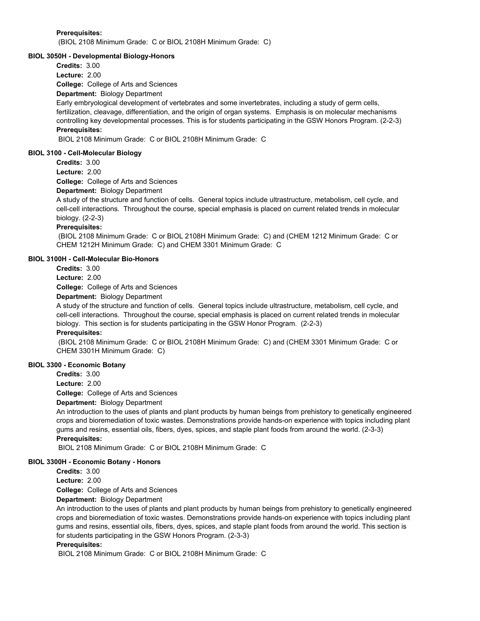**Prerequisites:** 

(BIOL 2108 Minimum Grade: C or BIOL 2108H Minimum Grade: C)

# **BIOL 3050H - Developmental Biology-Honors**

**Credits:** 3.00

**Lecture:** 2.00

**College:** College of Arts and Sciences

**Department:** Biology Department

Early embryological development of vertebrates and some invertebrates, including a study of germ cells, fertilization, cleavage, differentiation, and the origin of organ systems. Emphasis is on molecular mechanisms controlling key developmental processes. This is for students participating in the GSW Honors Program. (2-2-3) **Prerequisites:** 

BIOL 2108 Minimum Grade: C or BIOL 2108H Minimum Grade: C

### **BIOL 3100 - Cell-Molecular Biology**

**Credits:** 3.00

**Lecture:** 2.00

**College:** College of Arts and Sciences

**Department:** Biology Department

A study of the structure and function of cells. General topics include ultrastructure, metabolism, cell cycle, and cell-cell interactions. Throughout the course, special emphasis is placed on current related trends in molecular biology. (2-2-3)

#### **Prerequisites:**

 (BIOL 2108 Minimum Grade: C or BIOL 2108H Minimum Grade: C) and (CHEM 1212 Minimum Grade: C or CHEM 1212H Minimum Grade: C) and CHEM 3301 Minimum Grade: C

# **BIOL 3100H - Cell-Molecular Bio-Honors**

**Credits:** 3.00

**Lecture:** 2.00

**College:** College of Arts and Sciences

**Department:** Biology Department

A study of the structure and function of cells. General topics include ultrastructure, metabolism, cell cycle, and cell-cell interactions. Throughout the course, special emphasis is placed on current related trends in molecular biology. This section is for students participating in the GSW Honor Program. (2-2-3)

# **Prerequisites:**

 (BIOL 2108 Minimum Grade: C or BIOL 2108H Minimum Grade: C) and (CHEM 3301 Minimum Grade: C or CHEM 3301H Minimum Grade: C)

# **BIOL 3300 - Economic Botany**

**Credits:** 3.00

**Lecture:** 2.00

**College:** College of Arts and Sciences

**Department:** Biology Department

An introduction to the uses of plants and plant products by human beings from prehistory to genetically engineered crops and bioremediation of toxic wastes. Demonstrations provide hands-on experience with topics including plant gums and resins, essential oils, fibers, dyes, spices, and staple plant foods from around the world. (2-3-3) **Prerequisites:** 

BIOL 2108 Minimum Grade: C or BIOL 2108H Minimum Grade: C

# **BIOL 3300H - Economic Botany - Honors**

**Credits:** 3.00

**Lecture:** 2.00

**College:** College of Arts and Sciences

**Department:** Biology Department

An introduction to the uses of plants and plant products by human beings from prehistory to genetically engineered crops and bioremediation of toxic wastes. Demonstrations provide hands-on experience with topics including plant gums and resins, essential oils, fibers, dyes, spices, and staple plant foods from around the world. This section is for students participating in the GSW Honors Program. (2-3-3)

# **Prerequisites:**

BIOL 2108 Minimum Grade: C or BIOL 2108H Minimum Grade: C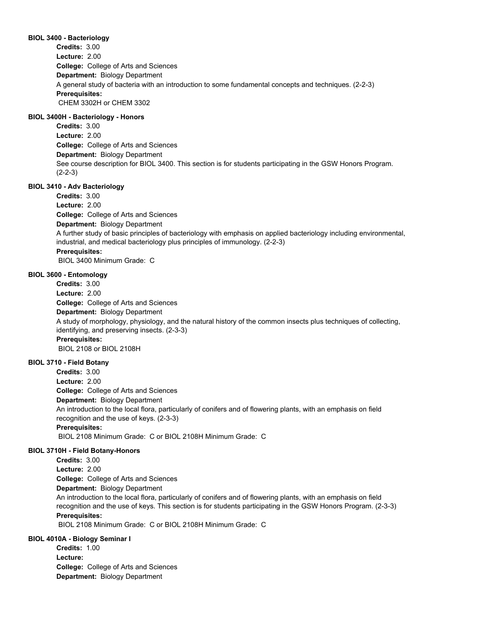## **BIOL 3400 - Bacteriology**

**College:** College of Arts and Sciences **Department:** Biology Department **Credits:** 3.00 **Lecture:** 2.00 A general study of bacteria with an introduction to some fundamental concepts and techniques. (2-2-3) **Prerequisites:**  CHEM 3302H or CHEM 3302

# **BIOL 3400H - Bacteriology - Honors**

**College:** College of Arts and Sciences **Department:** Biology Department **Credits:** 3.00 **Lecture:** 2.00 See course description for BIOL 3400. This section is for students participating in the GSW Honors Program. (2-2-3)

# **BIOL 3410 - Adv Bacteriology**

**College:** College of Arts and Sciences **Department:** Biology Department **Credits:** 3.00 **Lecture:** 2.00 A further study of basic principles of bacteriology with emphasis on applied bacteriology including environmental, industrial, and medical bacteriology plus principles of immunology. (2-2-3) **Prerequisites:**  BIOL 3400 Minimum Grade: C

#### **BIOL 3600 - Entomology**

**College:** College of Arts and Sciences **Department:** Biology Department **Credits:** 3.00 **Lecture:** 2.00 A study of morphology, physiology, and the natural history of the common insects plus techniques of collecting, identifying, and preserving insects. (2-3-3) **Prerequisites:**  BIOL 2108 or BIOL 2108H

#### **BIOL 3710 - Field Botany**

**College:** College of Arts and Sciences **Department:** Biology Department **Credits:** 3.00 **Lecture:** 2.00 An introduction to the local flora, particularly of conifers and of flowering plants, with an emphasis on field recognition and the use of keys. (2-3-3) **Prerequisites:**  BIOL 2108 Minimum Grade: C or BIOL 2108H Minimum Grade: C

#### **BIOL 3710H - Field Botany-Honors**

**College:** College of Arts and Sciences **Department:** Biology Department **Credits:** 3.00 **Lecture:** 2.00 An introduction to the local flora, particularly of conifers and of flowering plants, with an emphasis on field recognition and the use of keys. This section is for students participating in the GSW Honors Program. (2-3-3) **Prerequisites:** 

BIOL 2108 Minimum Grade: C or BIOL 2108H Minimum Grade: C

# **BIOL 4010A - Biology Seminar I**

**College:** College of Arts and Sciences **Department:** Biology Department **Credits:** 1.00 **Lecture:**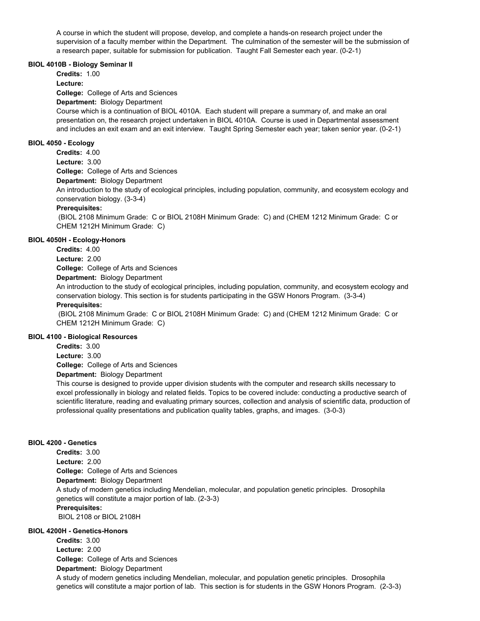A course in which the student will propose, develop, and complete a hands-on research project under the supervision of a faculty member within the Department. The culmination of the semester will be the submission of a research paper, suitable for submission for publication. Taught Fall Semester each year. (0-2-1)

#### **BIOL 4010B - Biology Seminar II**

**Credits:** 1.00

**Lecture:**

**College:** College of Arts and Sciences

**Department:** Biology Department

Course which is a continuation of BIOL 4010A. Each student will prepare a summary of, and make an oral presentation on, the research project undertaken in BIOL 4010A. Course is used in Departmental assessment and includes an exit exam and an exit interview. Taught Spring Semester each year; taken senior year. (0-2-1)

# **BIOL 4050 - Ecology**

**College:** College of Arts and Sciences **Credits:** 4.00 **Lecture:** 3.00

**Department:** Biology Department

An introduction to the study of ecological principles, including population, community, and ecosystem ecology and conservation biology. (3-3-4)

# **Prerequisites:**

 (BIOL 2108 Minimum Grade: C or BIOL 2108H Minimum Grade: C) and (CHEM 1212 Minimum Grade: C or CHEM 1212H Minimum Grade: C)

# **BIOL 4050H - Ecology-Honors**

**Credits:** 4.00

**Lecture:** 2.00

**College:** College of Arts and Sciences

**Department:** Biology Department

An introduction to the study of ecological principles, including population, community, and ecosystem ecology and conservation biology. This section is for students participating in the GSW Honors Program. (3-3-4)

# **Prerequisites:**

 (BIOL 2108 Minimum Grade: C or BIOL 2108H Minimum Grade: C) and (CHEM 1212 Minimum Grade: C or CHEM 1212H Minimum Grade: C)

# **BIOL 4100 - Biological Resources**

**Credits:** 3.00

**Lecture:** 3.00

**College:** College of Arts and Sciences

**Department:** Biology Department

This course is designed to provide upper division students with the computer and research skills necessary to excel professionally in biology and related fields. Topics to be covered include: conducting a productive search of scientific literature, reading and evaluating primary sources, collection and analysis of scientific data, production of professional quality presentations and publication quality tables, graphs, and images. (3-0-3)

# **BIOL 4200 - Genetics**

**College:** College of Arts and Sciences **Department:** Biology Department **Credits:** 3.00 **Lecture:** 2.00 A study of modern genetics including Mendelian, molecular, and population genetic principles. Drosophila genetics will constitute a major portion of lab. (2-3-3) **Prerequisites:**  BIOL 2108 or BIOL 2108H

# **BIOL 4200H - Genetics-Honors**

**College:** College of Arts and Sciences **Department:** Biology Department **Credits:** 3.00 **Lecture:** 2.00 A study of modern genetics including Mendelian, molecular, and population genetic principles. Drosophila genetics will constitute a major portion of lab. This section is for students in the GSW Honors Program. (2-3-3)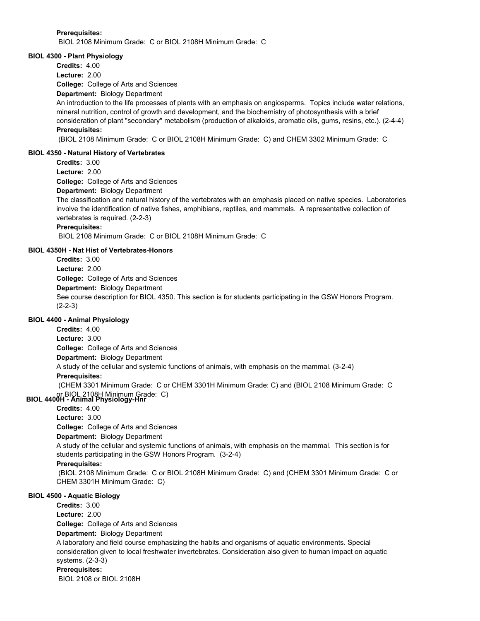### **Prerequisites:**

BIOL 2108 Minimum Grade: C or BIOL 2108H Minimum Grade: C

### **BIOL 4300 - Plant Physiology**

**Credits:** 4.00

**Lecture:** 2.00

**College:** College of Arts and Sciences

**Department:** Biology Department

An introduction to the life processes of plants with an emphasis on angiosperms. Topics include water relations, mineral nutrition, control of growth and development, and the biochemistry of photosynthesis with a brief consideration of plant "secondary" metabolism (production of alkaloids, aromatic oils, gums, resins, etc.). (2-4-4) **Prerequisites:** 

(BIOL 2108 Minimum Grade: C or BIOL 2108H Minimum Grade: C) and CHEM 3302 Minimum Grade: C

## **BIOL 4350 - Natural History of Vertebrates**

**Credits:** 3.00

**Lecture:** 2.00

**College:** College of Arts and Sciences

**Department:** Biology Department

The classification and natural history of the vertebrates with an emphasis placed on native species. Laboratories involve the identification of native fishes, amphibians, reptiles, and mammals. A representative collection of vertebrates is required. (2-2-3)

# **Prerequisites:**

BIOL 2108 Minimum Grade: C or BIOL 2108H Minimum Grade: C

# **BIOL 4350H - Nat Hist of Vertebrates-Honors**

**College:** College of Arts and Sciences **Department:** Biology Department **Credits:** 3.00 **Lecture:** 2.00 See course description for BIOL 4350. This section is for students participating in the GSW Honors Program. (2-2-3)

# **BIOL 4400 - Animal Physiology**

**College:** College of Arts and Sciences **Department:** Biology Department **Credits:** 4.00 **Lecture:** 3.00 A study of the cellular and systemic functions of animals, with emphasis on the mammal. (3-2-4) **Prerequisites:**  (CHEM 3301 Minimum Grade: C or CHEM 3301H Minimum Grade: C) and (BIOL 2108 Minimum Grade: C

# or BIOL 2108H Minimum Grade: C) **BIOL 4400H - Animal Physiology-Hnr**

**Credits:** 4.00

**Lecture:** 3.00

**College:** College of Arts and Sciences

**Department:** Biology Department

A study of the cellular and systemic functions of animals, with emphasis on the mammal. This section is for students participating in the GSW Honors Program. (3-2-4)

# **Prerequisites:**

 (BIOL 2108 Minimum Grade: C or BIOL 2108H Minimum Grade: C) and (CHEM 3301 Minimum Grade: C or CHEM 3301H Minimum Grade: C)

# **BIOL 4500 - Aquatic Biology**

**College:** College of Arts and Sciences **Department:** Biology Department **Credits:** 3.00 **Lecture:** 2.00 A laboratory and field course emphasizing the habits and organisms of aquatic environments. Special consideration given to local freshwater invertebrates. Consideration also given to human impact on aquatic systems. (2-3-3) **Prerequisites:**  BIOL 2108 or BIOL 2108H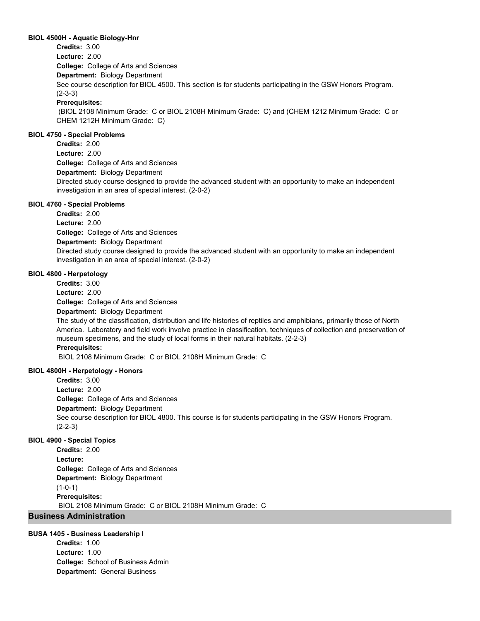#### **BIOL 4500H - Aquatic Biology-Hnr**

**College:** College of Arts and Sciences **Department:** Biology Department **Credits:** 3.00 **Lecture:** 2.00 See course description for BIOL 4500. This section is for students participating in the GSW Honors Program. (2-3-3) **Prerequisites:** 

 (BIOL 2108 Minimum Grade: C or BIOL 2108H Minimum Grade: C) and (CHEM 1212 Minimum Grade: C or CHEM 1212H Minimum Grade: C)

## **BIOL 4750 - Special Problems**

**College:** College of Arts and Sciences **Department:** Biology Department **Credits:** 2.00 **Lecture:** 2.00 Directed study course designed to provide the advanced student with an opportunity to make an independent investigation in an area of special interest. (2-0-2)

#### **BIOL 4760 - Special Problems**

**College:** College of Arts and Sciences **Department:** Biology Department **Credits:** 2.00 **Lecture:** 2.00 Directed study course designed to provide the advanced student with an opportunity to make an independent investigation in an area of special interest. (2-0-2)

#### **BIOL 4800 - Herpetology**

**College:** College of Arts and Sciences **Department:** Biology Department **Credits:** 3.00 **Lecture:** 2.00

The study of the classification, distribution and life histories of reptiles and amphibians, primarily those of North America. Laboratory and field work involve practice in classification, techniques of collection and preservation of museum specimens, and the study of local forms in their natural habitats. (2-2-3) **Prerequisites:** 

BIOL 2108 Minimum Grade: C or BIOL 2108H Minimum Grade: C

# **BIOL 4800H - Herpetology - Honors**

**College:** College of Arts and Sciences **Department:** Biology Department **Credits:** 3.00 **Lecture:** 2.00 See course description for BIOL 4800. This course is for students participating in the GSW Honors Program. (2-2-3)

#### **BIOL 4900 - Special Topics**

**College:** College of Arts and Sciences **Department:** Biology Department **Credits:** 2.00 **Lecture:**  $(1-0-1)$ **Prerequisites:**  BIOL 2108 Minimum Grade: C or BIOL 2108H Minimum Grade: C

# **Business Administration**

# **BUSA 1405 - Business Leadership I**

**College:** School of Business Admin **Department:** General Business **Credits:** 1.00 **Lecture:** 1.00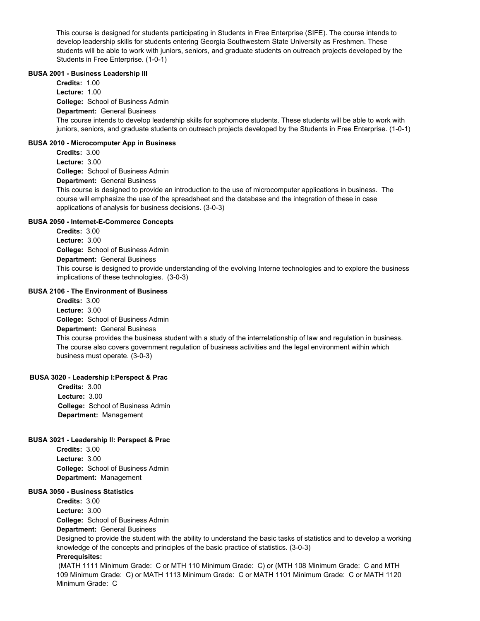This course is designed for students participating in Students in Free Enterprise (SIFE). The course intends to develop leadership skills for students entering Georgia Southwestern State University as Freshmen. These students will be able to work with juniors, seniors, and graduate students on outreach projects developed by the Students in Free Enterprise. (1-0-1)

#### **BUSA 2001 - Business Leadership III**

**College:** School of Business Admin **Department:** General Business **Credits:** 1.00 **Lecture:** 1.00 The course intends to develop leadership skills for sophomore students. These students will be able to work with juniors, seniors, and graduate students on outreach projects developed by the Students in Free Enterprise. (1-0-1) **BUSA 2010 - Microcomputer App in Business College:** School of Business Admin **Department:** General Business **Credits:** 3.00 **Lecture:** 3.00

This course is designed to provide an introduction to the use of microcomputer applications in business. The course will emphasize the use of the spreadsheet and the database and the integration of these in case applications of analysis for business decisions. (3-0-3)

# **BUSA 2050 - Internet-E-Commerce Concepts**

**College:** School of Business Admin **Department:** General Business **Credits:** 3.00 **Lecture:** 3.00 This course is designed to provide understanding of the evolving Interne technologies and to explore the business implications of these technologies. (3-0-3)

#### **BUSA 2106 - The Environment of Business**

**College:** School of Business Admin **Department:** General Business **Credits:** 3.00 **Lecture:** 3.00 This course provides the business student with a study of the interrelationship of law and regulation in business. The course also covers government regulation of business activities and the legal environment within which business must operate. (3-0-3)

# **BUSA 3020 - Leadership l:Perspect & Prac**

**College:** School of Business Admin **Department:** Management **Credits:** 3.00 **Lecture:** 3.00

#### **BUSA 3021 - Leadership ll: Perspect & Prac**

**College:** School of Business Admin **Department:** Management **Credits:** 3.00 **Lecture:** 3.00

# **BUSA 3050 - Business Statistics**

**College:** School of Business Admin **Credits:** 3.00 **Lecture:** 3.00

**Department:** General Business

Designed to provide the student with the ability to understand the basic tasks of statistics and to develop a working knowledge of the concepts and principles of the basic practice of statistics. (3-0-3)

# **Prerequisites:**

 (MATH 1111 Minimum Grade: C or MTH 110 Minimum Grade: C) or (MTH 108 Minimum Grade: C and MTH 109 Minimum Grade: C) or MATH 1113 Minimum Grade: C or MATH 1101 Minimum Grade: C or MATH 1120 Minimum Grade: C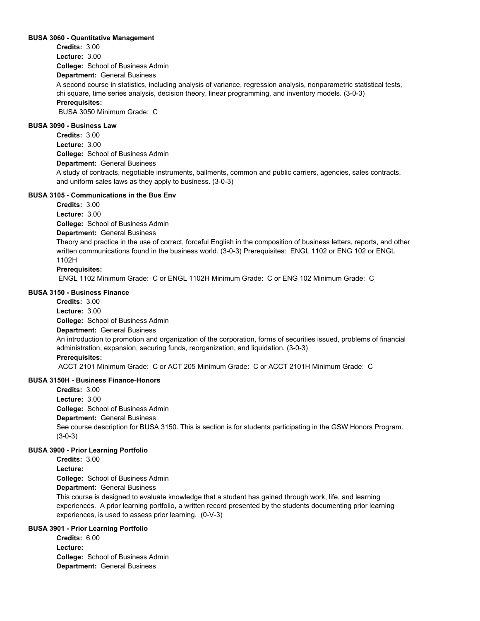#### **BUSA 3060 - Quantitative Management**

**College:** School of Business Admin **Department:** General Business **Credits:** 3.00 **Lecture:** 3.00 A second course in statistics, including analysis of variance, regression analysis, nonparametric statistical tests, chi square, time series analysis, decision theory, linear programming, and inventory models. (3-0-3) **Prerequisites:**  BUSA 3050 Minimum Grade: C

# **BUSA 3090 - Business Law**

**College:** School of Business Admin **Department:** General Business **Credits:** 3.00 **Lecture:** 3.00 A study of contracts, negotiable instruments, bailments, common and public carriers, agencies, sales contracts, and uniform sales laws as they apply to business. (3-0-3)

# **BUSA 3105 - Communications in the Bus Env**

**Credits:** 3.00

**Lecture:** 3.00

**College:** School of Business Admin

# **Department:** General Business

Theory and practice in the use of correct, forceful English in the composition of business letters, reports, and other written communications found in the business world. (3-0-3) Prerequisites: ENGL 1102 or ENG 102 or ENGL 1102H

# **Prerequisites:**

ENGL 1102 Minimum Grade: C or ENGL 1102H Minimum Grade: C or ENG 102 Minimum Grade: C

#### **BUSA 3150 - Business Finance**

**Credits:** 3.00

**Lecture:** 3.00

**College:** School of Business Admin

# **Department:** General Business

An introduction to promotion and organization of the corporation, forms of securities issued, problems of financial administration, expansion, securing funds, reorganization, and liquidation. (3-0-3)

# **Prerequisites:**

ACCT 2101 Minimum Grade: C or ACT 205 Minimum Grade: C or ACCT 2101H Minimum Grade: C

# **BUSA 3150H - Business Finance-Honors**

**College:** School of Business Admin **Department:** General Business **Credits:** 3.00 **Lecture:** 3.00 See course description for BUSA 3150. This is section is for students participating in the GSW Honors Program. (3-0-3)

# **BUSA 3900 - Prior Learning Portfolio**

**College:** School of Business Admin **Credits:** 3.00 **Lecture:**

**Department:** General Business

This course is designed to evaluate knowledge that a student has gained through work, life, and learning experiences. A prior learning portfolio, a written record presented by the students documenting prior learning experiences, is used to assess prior learning. (0-V-3)

# **BUSA 3901 - Prior Learning Portfolio**

**College:** School of Business Admin **Department:** General Business **Credits:** 6.00 **Lecture:**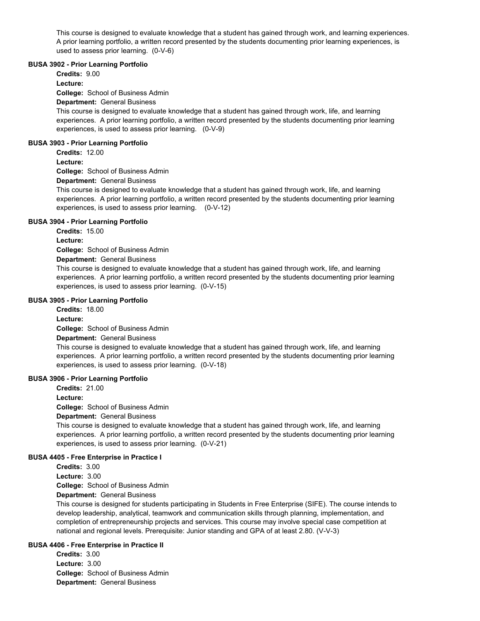This course is designed to evaluate knowledge that a student has gained through work, and learning experiences. A prior learning portfolio, a written record presented by the students documenting prior learning experiences, is used to assess prior learning. (0-V-6)

#### **BUSA 3902 - Prior Learning Portfolio**

**Credits:** 9.00

**Lecture:**

**College:** School of Business Admin

**Department:** General Business

This course is designed to evaluate knowledge that a student has gained through work, life, and learning experiences. A prior learning portfolio, a written record presented by the students documenting prior learning experiences, is used to assess prior learning. (0-V-9)

#### **BUSA 3903 - Prior Learning Portfolio**

**Credits:** 12.00

#### **Lecture:**

**College:** School of Business Admin

**Department:** General Business

This course is designed to evaluate knowledge that a student has gained through work, life, and learning experiences. A prior learning portfolio, a written record presented by the students documenting prior learning experiences, is used to assess prior learning. (0-V-12)

#### **BUSA 3904 - Prior Learning Portfolio**

**Credits:** 15.00

**Lecture:**

**College:** School of Business Admin

**Department:** General Business

This course is designed to evaluate knowledge that a student has gained through work, life, and learning experiences. A prior learning portfolio, a written record presented by the students documenting prior learning experiences, is used to assess prior learning. (0-V-15)

#### **BUSA 3905 - Prior Learning Portfolio**

**Credits:** 18.00

**Lecture:**

**College:** School of Business Admin

**Department:** General Business

This course is designed to evaluate knowledge that a student has gained through work, life, and learning experiences. A prior learning portfolio, a written record presented by the students documenting prior learning experiences, is used to assess prior learning. (0-V-18)

#### **BUSA 3906 - Prior Learning Portfolio**

**Credits:** 21.00

**Lecture:**

**College:** School of Business Admin

**Department:** General Business

This course is designed to evaluate knowledge that a student has gained through work, life, and learning experiences. A prior learning portfolio, a written record presented by the students documenting prior learning experiences, is used to assess prior learning. (0-V-21)

# **BUSA 4405 - Free Enterprise in Practice I**

**Credits:** 3.00 **Lecture:** 3.00

**College:** School of Business Admin

**Department:** General Business

This course is designed for students participating in Students in Free Enterprise (SIFE). The course intends to develop leadership, analytical, teamwork and communication skills through planning, implementation, and completion of entrepreneurship projects and services. This course may involve special case competition at national and regional levels. Prerequisite: Junior standing and GPA of at least 2.80. (V-V-3)

# **BUSA 4406 - Free Enterprise in Practice II**

**College:** School of Business Admin **Department:** General Business **Credits:** 3.00 **Lecture:** 3.00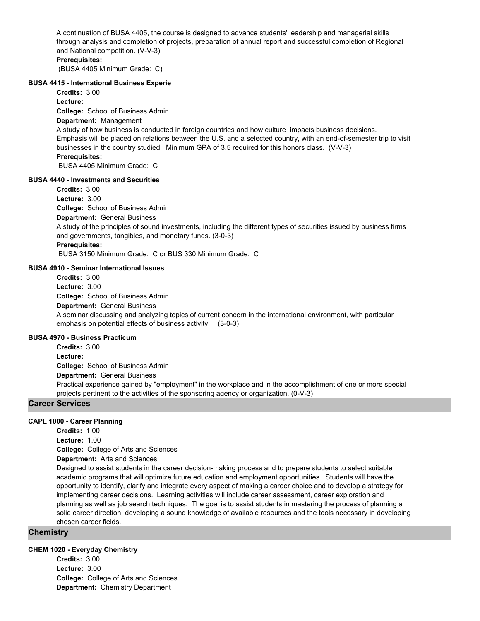A continuation of BUSA 4405, the course is designed to advance students' leadership and managerial skills through analysis and completion of projects, preparation of annual report and successful completion of Regional and National competition. (V-V-3)

# **Prerequisites:**

(BUSA 4405 Minimum Grade: C)

#### **BUSA 4415 - International Business Experie**

**Credits:** 3.00

**Lecture:**

**College:** School of Business Admin

# **Department:** Management

A study of how business is conducted in foreign countries and how culture impacts business decisions. Emphasis will be placed on relations between the U.S. and a selected country, with an end-of-semester trip to visit businesses in the country studied. Minimum GPA of 3.5 required for this honors class. (V-V-3) **Prerequisites:** 

BUSA 4405 Minimum Grade: C

#### **BUSA 4440 - Investments and Securities**

**Credits:** 3.00

**Lecture:** 3.00

**College:** School of Business Admin

#### **Department:** General Business

A study of the principles of sound investments, including the different types of securities issued by business firms and governments, tangibles, and monetary funds. (3-0-3)

#### **Prerequisites:**

BUSA 3150 Minimum Grade: C or BUS 330 Minimum Grade: C

# **BUSA 4910 - Seminar International Issues**

**College:** School of Business Admin **Department:** General Business **Credits:** 3.00 **Lecture:** 3.00 A seminar discussing and analyzing topics of current concern in the international environment, with particular emphasis on potential effects of business activity. (3-0-3)

# **BUSA 4970 - Business Practicum**

**College:** School of Business Admin **Credits:** 3.00 **Lecture:**

**Department:** General Business

Practical experience gained by "employment" in the workplace and in the accomplishment of one or more special projects pertinent to the activities of the sponsoring agency or organization. (0-V-3)

#### **Career Services**

#### **CAPL 1000 - Career Planning**

**Credits:** 1.00

**Lecture:** 1.00

**College:** College of Arts and Sciences

**Department:** Arts and Sciences

Designed to assist students in the career decision-making process and to prepare students to select suitable academic programs that will optimize future education and employment opportunities. Students will have the opportunity to identify, clarify and integrate every aspect of making a career choice and to develop a strategy for implementing career decisions. Learning activities will include career assessment, career exploration and planning as well as job search techniques. The goal is to assist students in mastering the process of planning a solid career direction, developing a sound knowledge of available resources and the tools necessary in developing chosen career fields.

# **Chemistry**

#### **CHEM 1020 - Everyday Chemistry**

**College:** College of Arts and Sciences **Department:** Chemistry Department **Credits:** 3.00 **Lecture:** 3.00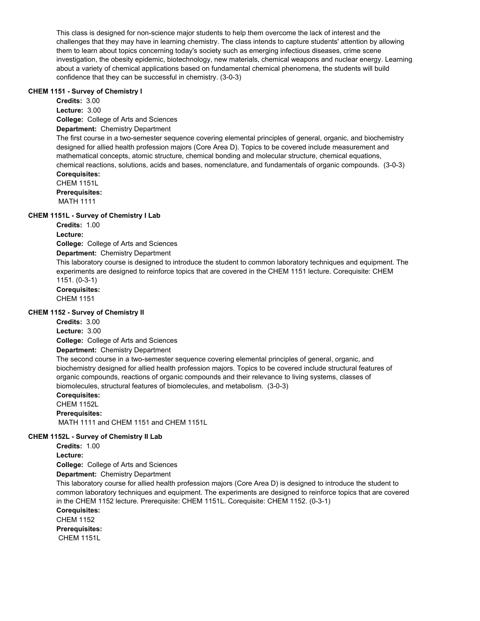This class is designed for non-science major students to help them overcome the lack of interest and the challenges that they may have in learning chemistry. The class intends to capture students' attention by allowing them to learn about topics concerning today's society such as emerging infectious diseases, crime scene investigation, the obesity epidemic, biotechnology, new materials, chemical weapons and nuclear energy. Learning about a variety of chemical applications based on fundamental chemical phenomena, the students will build confidence that they can be successful in chemistry. (3-0-3)

# **CHEM 1151 - Survey of Chemistry I**

**College:** College of Arts and Sciences **Department:** Chemistry Department **Credits:** 3.00 **Lecture:** 3.00 The first course in a two-semester sequence covering elemental principles of general, organic, and biochemistry designed for allied health profession majors (Core Area D). Topics to be covered include measurement and mathematical concepts, atomic structure, chemical bonding and molecular structure, chemical equations, chemical reactions, solutions, acids and bases, nomenclature, and fundamentals of organic compounds. (3-0-3) **Corequisites:**  CHEM 1151L **Prerequisites:**  MATH 1111 **CHEM 1151L - Survey of Chemistry I Lab College:** College of Arts and Sciences **Department:** Chemistry Department **Credits:** 1.00 **Lecture:** This laboratory course is designed to introduce the student to common laboratory techniques and equipment. The experiments are designed to reinforce topics that are covered in the CHEM 1151 lecture. Corequisite: CHEM 1151. (0-3-1) **Corequisites:** 

CHEM 1151

# **CHEM 1152 - Survey of Chemistry II**

**Credits:** 3.00 **Lecture:** 3.00

**College:** College of Arts and Sciences

**Department:** Chemistry Department

The second course in a two-semester sequence covering elemental principles of general, organic, and biochemistry designed for allied health profession majors. Topics to be covered include structural features of organic compounds, reactions of organic compounds and their relevance to living systems, classes of biomolecules, structural features of biomolecules, and metabolism. (3-0-3)

**Corequisites:** 

CHEM 1152L **Prerequisites:**  MATH 1111 and CHEM 1151 and CHEM 1151L

# **CHEM 1152L - Survey of Chemistry II Lab**

**Credits:** 1.00

**Lecture:**

**College:** College of Arts and Sciences

**Department:** Chemistry Department

This laboratory course for allied health profession majors (Core Area D) is designed to introduce the student to common laboratory techniques and equipment. The experiments are designed to reinforce topics that are covered in the CHEM 1152 lecture. Prerequisite: CHEM 1151L. Corequisite: CHEM 1152. (0-3-1)

**Corequisites:** 

CHEM 1152 **Prerequisites:**  CHEM 1151L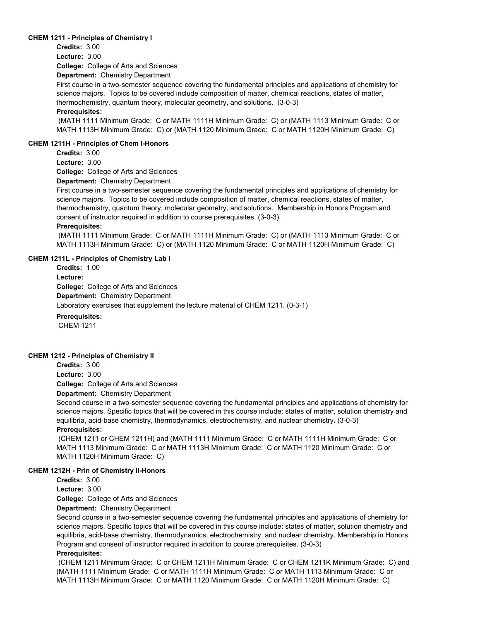#### **CHEM 1211 - Principles of Chemistry I**

**Credits:** 3.00

**Lecture:** 3.00

**College:** College of Arts and Sciences

**Department:** Chemistry Department

First course in a two-semester sequence covering the fundamental principles and applications of chemistry for science majors. Topics to be covered include composition of matter, chemical reactions, states of matter, thermochemistry, quantum theory, molecular geometry, and solutions. (3-0-3)

## **Prerequisites:**

 (MATH 1111 Minimum Grade: C or MATH 1111H Minimum Grade: C) or (MATH 1113 Minimum Grade: C or MATH 1113H Minimum Grade: C) or (MATH 1120 Minimum Grade: C or MATH 1120H Minimum Grade: C)

#### **CHEM 1211H - Principles of Chem I-Honors**

**Credits:** 3.00

**Lecture:** 3.00

**College:** College of Arts and Sciences

**Department:** Chemistry Department

First course in a two-semester sequence covering the fundamental principles and applications of chemistry for science majors. Topics to be covered include composition of matter, chemical reactions, states of matter, thermochemistry, quantum theory, molecular geometry, and solutions. Membership in Honors Program and consent of instructor required in addition to course prerequisites. (3-0-3)

#### **Prerequisites:**

 (MATH 1111 Minimum Grade: C or MATH 1111H Minimum Grade: C) or (MATH 1113 Minimum Grade: C or MATH 1113H Minimum Grade: C) or (MATH 1120 Minimum Grade: C or MATH 1120H Minimum Grade: C)

# **CHEM 1211L - Principles of Chemistry Lab I**

**College:** College of Arts and Sciences **Department:** Chemistry Department **Credits:** 1.00 **Lecture:** Laboratory exercises that supplement the lecture material of CHEM 1211. (0-3-1) **Prerequisites:** 

CHEM 1211

# **CHEM 1212 - Principles of Chemistry II**

**Credits:** 3.00

**Lecture:** 3.00

**College:** College of Arts and Sciences

**Department:** Chemistry Department

Second course in a two-semester sequence covering the fundamental principles and applications of chemistry for science majors. Specific topics that will be covered in this course include: states of matter, solution chemistry and equilibria, acid-base chemistry, thermodynamics, electrochemistry, and nuclear chemistry. (3-0-3) **Prerequisites:** 

 (CHEM 1211 or CHEM 1211H) and (MATH 1111 Minimum Grade: C or MATH 1111H Minimum Grade: C or MATH 1113 Minimum Grade: C or MATH 1113H Minimum Grade: C or MATH 1120 Minimum Grade: C or MATH 1120H Minimum Grade: C)

#### **CHEM 1212H - Prin of Chemistry II-Honors**

**Credits:** 3.00

**Lecture:** 3.00

**College:** College of Arts and Sciences

**Department:** Chemistry Department

Second course in a two-semester sequence covering the fundamental principles and applications of chemistry for science majors. Specific topics that will be covered in this course include: states of matter, solution chemistry and equilibria, acid-base chemistry, thermodynamics, electrochemistry, and nuclear chemistry. Membership in Honors Program and consent of instructor required in addition to course prerequisites. (3-0-3)

# **Prerequisites:**

 (CHEM 1211 Minimum Grade: C or CHEM 1211H Minimum Grade: C or CHEM 1211K Minimum Grade: C) and (MATH 1111 Minimum Grade: C or MATH 1111H Minimum Grade: C or MATH 1113 Minimum Grade: C or MATH 1113H Minimum Grade: C or MATH 1120 Minimum Grade: C or MATH 1120H Minimum Grade: C)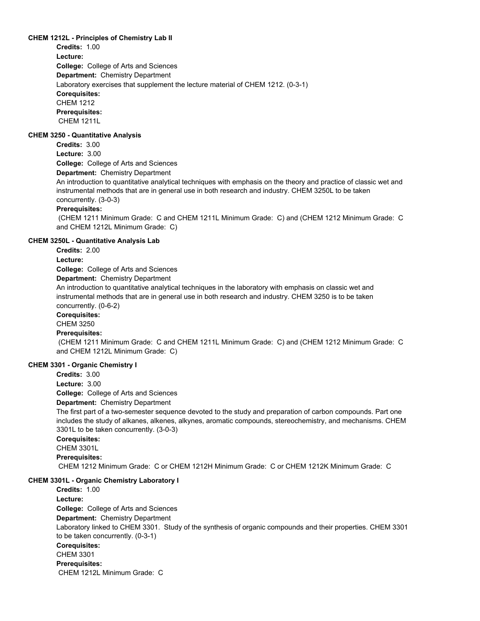# **CHEM 1212L - Principles of Chemistry Lab II**

**Credits:** 1.00

**College:** College of Arts and Sciences **Department:** Chemistry Department **Lecture:** Laboratory exercises that supplement the lecture material of CHEM 1212. (0-3-1) **Corequisites:**  CHEM 1212 **Prerequisites:**  CHEM 1211L

# **CHEM 3250 - Quantitative Analysis**

**College:** College of Arts and Sciences **Department:** Chemistry Department **Credits:** 3.00 **Lecture:** 3.00

An introduction to quantitative analytical techniques with emphasis on the theory and practice of classic wet and instrumental methods that are in general use in both research and industry. CHEM 3250L to be taken concurrently. (3-0-3)

# **Prerequisites:**

 (CHEM 1211 Minimum Grade: C and CHEM 1211L Minimum Grade: C) and (CHEM 1212 Minimum Grade: C and CHEM 1212L Minimum Grade: C)

#### **CHEM 3250L - Quantitative Analysis Lab**

**Credits:** 2.00

# **Lecture:**

**College:** College of Arts and Sciences

**Department:** Chemistry Department

An introduction to quantitative analytical techniques in the laboratory with emphasis on classic wet and instrumental methods that are in general use in both research and industry. CHEM 3250 is to be taken concurrently. (0-6-2)

# **Corequisites:**

CHEM 3250

# **Prerequisites:**

 (CHEM 1211 Minimum Grade: C and CHEM 1211L Minimum Grade: C) and (CHEM 1212 Minimum Grade: C and CHEM 1212L Minimum Grade: C)

# **CHEM 3301 - Organic Chemistry I**

**College:** College of Arts and Sciences **Credits:** 3.00 **Lecture:** 3.00

**Department:** Chemistry Department

The first part of a two-semester sequence devoted to the study and preparation of carbon compounds. Part one includes the study of alkanes, alkenes, alkynes, aromatic compounds, stereochemistry, and mechanisms. CHEM 3301L to be taken concurrently. (3-0-3)

**Corequisites:** 

CHEM 3301L

**Prerequisites:** 

CHEM 1212 Minimum Grade: C or CHEM 1212H Minimum Grade: C or CHEM 1212K Minimum Grade: C

# **CHEM 3301L - Organic Chemistry Laboratory I**

**College:** College of Arts and Sciences **Department:** Chemistry Department **Credits:** 1.00 **Lecture:** Laboratory linked to CHEM 3301. Study of the synthesis of organic compounds and their properties. CHEM 3301 to be taken concurrently. (0-3-1) **Corequisites:**  CHEM 3301 **Prerequisites:**  CHEM 1212L Minimum Grade: C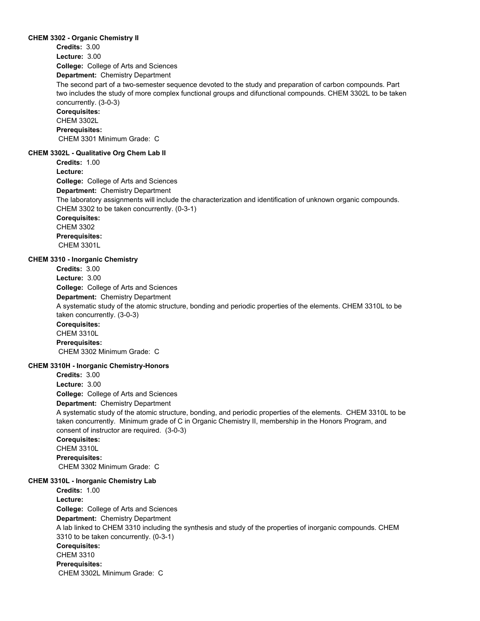#### **CHEM 3302 - Organic Chemistry II**

**College:** College of Arts and Sciences **Department:** Chemistry Department **Credits:** 3.00 **Lecture:** 3.00 The second part of a two-semester sequence devoted to the study and preparation of carbon compounds. Part two includes the study of more complex functional groups and difunctional compounds. CHEM 3302L to be taken concurrently. (3-0-3) **Corequisites:**  CHEM 3302L **Prerequisites:**  CHEM 3301 Minimum Grade: C **CHEM 3302L - Qualitative Org Chem Lab II College:** College of Arts and Sciences **Department:** Chemistry Department **Credits:** 1.00 **Lecture:** The laboratory assignments will include the characterization and identification of unknown organic compounds. CHEM 3302 to be taken concurrently. (0-3-1) **Corequisites:**  CHEM 3302 **Prerequisites:**  CHEM 3301L **CHEM 3310 - Inorganic Chemistry College:** College of Arts and Sciences **Department:** Chemistry Department **Credits:** 3.00 **Lecture:** 3.00 A systematic study of the atomic structure, bonding and periodic properties of the elements. CHEM 3310L to be taken concurrently. (3-0-3) **Corequisites:**  CHEM 3310L **Prerequisites:**  CHEM 3302 Minimum Grade: C

#### **CHEM 3310H - Inorganic Chemistry-Honors**

**College:** College of Arts and Sciences **Department:** Chemistry Department **Credits:** 3.00 **Lecture:** 3.00 A systematic study of the atomic structure, bonding, and periodic properties of the elements. CHEM 3310L to be taken concurrently. Minimum grade of C in Organic Chemistry II, membership in the Honors Program, and consent of instructor are required. (3-0-3) **Corequisites:**  CHEM 3310L **Prerequisites:**  CHEM 3302 Minimum Grade: C

# **CHEM 3310L - Inorganic Chemistry Lab**

**College:** College of Arts and Sciences **Department:** Chemistry Department **Credits:** 1.00 **Lecture:** A lab linked to CHEM 3310 including the synthesis and study of the properties of inorganic compounds. CHEM 3310 to be taken concurrently. (0-3-1) **Corequisites:**  CHEM 3310 **Prerequisites:**  CHEM 3302L Minimum Grade: C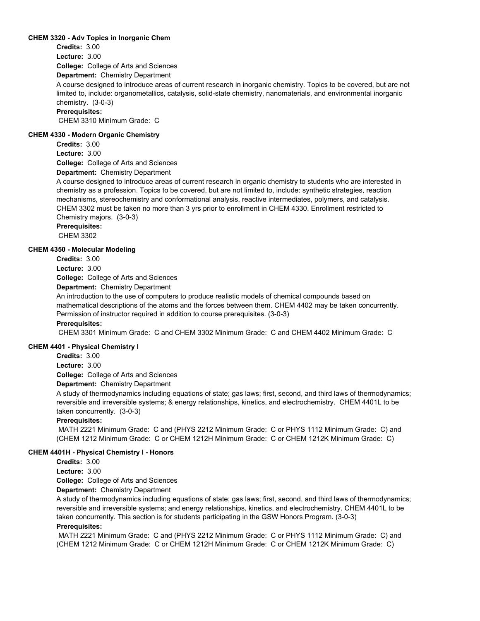# **CHEM 3320 - Adv Topics in Inorganic Chem**

**Credits:** 3.00

**Lecture:** 3.00

**College:** College of Arts and Sciences

**Department:** Chemistry Department

A course designed to introduce areas of current research in inorganic chemistry. Topics to be covered, but are not limited to, include: organometallics, catalysis, solid-state chemistry, nanomaterials, and environmental inorganic chemistry. (3-0-3)

#### **Prerequisites:**

CHEM 3310 Minimum Grade: C

## **CHEM 4330 - Modern Organic Chemistry**

**Credits:** 3.00

**Lecture:** 3.00

**College:** College of Arts and Sciences

**Department:** Chemistry Department

A course designed to introduce areas of current research in organic chemistry to students who are interested in chemistry as a profession. Topics to be covered, but are not limited to, include: synthetic strategies, reaction mechanisms, stereochemistry and conformational analysis, reactive intermediates, polymers, and catalysis. CHEM 3302 must be taken no more than 3 yrs prior to enrollment in CHEM 4330. Enrollment restricted to Chemistry majors. (3-0-3)

**Prerequisites:** 

CHEM 3302

# **CHEM 4350 - Molecular Modeling**

**Credits:** 3.00

**Lecture:** 3.00

**College:** College of Arts and Sciences

**Department:** Chemistry Department

An introduction to the use of computers to produce realistic models of chemical compounds based on mathematical descriptions of the atoms and the forces between them. CHEM 4402 may be taken concurrently. Permission of instructor required in addition to course prerequisites. (3-0-3) **Prerequisites:** 

CHEM 3301 Minimum Grade: C and CHEM 3302 Minimum Grade: C and CHEM 4402 Minimum Grade: C

#### **CHEM 4401 - Physical Chemistry I**

**Credits:** 3.00 **Lecture:** 3.00

**College:** College of Arts and Sciences

# **Department:** Chemistry Department

A study of thermodynamics including equations of state; gas laws; first, second, and third laws of thermodynamics; reversible and irreversible systems; & energy relationships, kinetics, and electrochemistry. CHEM 4401L to be taken concurrently. (3-0-3)

#### **Prerequisites:**

 MATH 2221 Minimum Grade: C and (PHYS 2212 Minimum Grade: C or PHYS 1112 Minimum Grade: C) and (CHEM 1212 Minimum Grade: C or CHEM 1212H Minimum Grade: C or CHEM 1212K Minimum Grade: C)

#### **CHEM 4401H - Physical Chemistry I - Honors**

**Credits:** 3.00

**Lecture:** 3.00

**College:** College of Arts and Sciences

**Department:** Chemistry Department

A study of thermodynamics including equations of state; gas laws; first, second, and third laws of thermodynamics; reversible and irreversible systems; and energy relationships, kinetics, and electrochemistry. CHEM 4401L to be taken concurrently. This section is for students participating in the GSW Honors Program. (3-0-3)

# **Prerequisites:**

 MATH 2221 Minimum Grade: C and (PHYS 2212 Minimum Grade: C or PHYS 1112 Minimum Grade: C) and (CHEM 1212 Minimum Grade: C or CHEM 1212H Minimum Grade: C or CHEM 1212K Minimum Grade: C)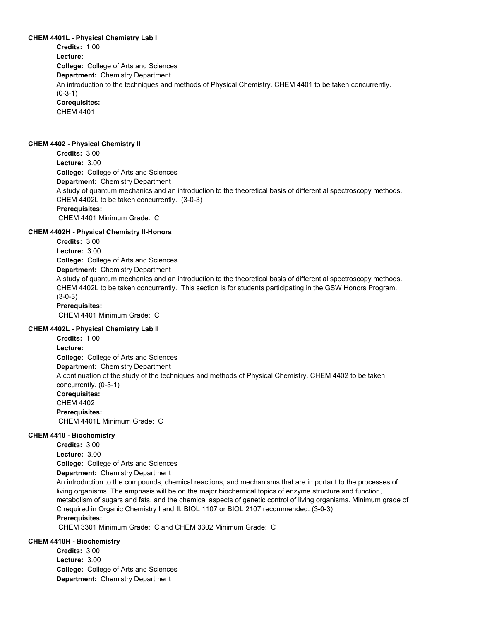**CHEM 4401L - Physical Chemistry Lab I College:** College of Arts and Sciences **Department:** Chemistry Department **Credits:** 1.00 **Lecture:** An introduction to the techniques and methods of Physical Chemistry. CHEM 4401 to be taken concurrently. (0-3-1) **Corequisites:**  CHEM 4401

#### **CHEM 4402 - Physical Chemistry II**

**College:** College of Arts and Sciences **Department:** Chemistry Department **Credits:** 3.00 **Lecture:** 3.00 A study of quantum mechanics and an introduction to the theoretical basis of differential spectroscopy methods. CHEM 4402L to be taken concurrently. (3-0-3) **Prerequisites:**  CHEM 4401 Minimum Grade: C

**CHEM 4402H - Physical Chemistry II-Honors College:** College of Arts and Sciences **Department:** Chemistry Department **Credits:** 3.00 **Lecture:** 3.00 A study of quantum mechanics and an introduction to the theoretical basis of differential spectroscopy methods. CHEM 4402L to be taken concurrently. This section is for students participating in the GSW Honors Program. (3-0-3) **Prerequisites:**  CHEM 4401 Minimum Grade: C **CHEM 4402L - Physical Chemistry Lab II College:** College of Arts and Sciences **Department:** Chemistry Department **Credits:** 1.00 **Lecture:** A continuation of the study of the techniques and methods of Physical Chemistry. CHEM 4402 to be taken concurrently. (0-3-1) **Corequisites:**  CHEM 4402 **Prerequisites:** 

CHEM 4401L Minimum Grade: C

## **CHEM 4410 - Biochemistry**

**College:** College of Arts and Sciences **Department:** Chemistry Department **Credits:** 3.00 **Lecture:** 3.00 An introduction to the compounds, chemical reactions, and mechanisms that are important to the processes of living organisms. The emphasis will be on the major biochemical topics of enzyme structure and function, metabolism of sugars and fats, and the chemical aspects of genetic control of living organisms. Minimum grade of C required in Organic Chemistry I and II. BIOL 1107 or BIOL 2107 recommended. (3-0-3) **Prerequisites:** 

CHEM 3301 Minimum Grade: C and CHEM 3302 Minimum Grade: C

# **CHEM 4410H - Biochemistry**

**College:** College of Arts and Sciences **Department:** Chemistry Department **Credits:** 3.00 **Lecture:** 3.00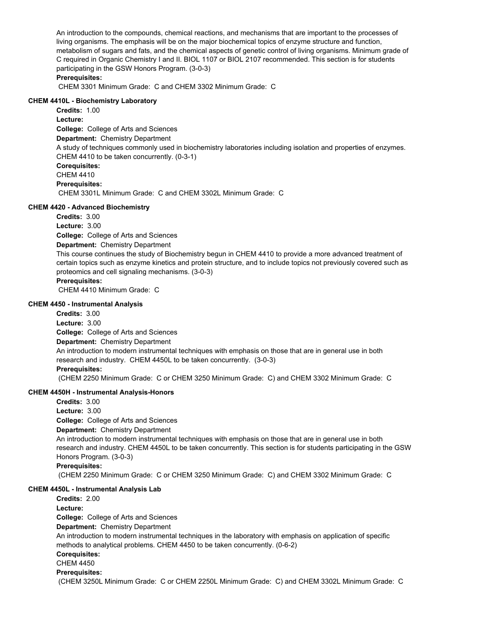An introduction to the compounds, chemical reactions, and mechanisms that are important to the processes of living organisms. The emphasis will be on the major biochemical topics of enzyme structure and function, metabolism of sugars and fats, and the chemical aspects of genetic control of living organisms. Minimum grade of C required in Organic Chemistry I and II. BIOL 1107 or BIOL 2107 recommended. This section is for students participating in the GSW Honors Program. (3-0-3) **Prerequisites:** 

CHEM 3301 Minimum Grade: C and CHEM 3302 Minimum Grade: C

# **CHEM 4410L - Biochemistry Laboratory**

**College:** College of Arts and Sciences **Department:** Chemistry Department **Credits:** 1.00 **Lecture:** A study of techniques commonly used in biochemistry laboratories including isolation and properties of enzymes. CHEM 4410 to be taken concurrently. (0-3-1) **Corequisites:**  CHEM 4410 **Prerequisites:**  CHEM 3301L Minimum Grade: C and CHEM 3302L Minimum Grade: C

### **CHEM 4420 - Advanced Biochemistry**

**College:** College of Arts and Sciences **Department:** Chemistry Department **Credits:** 3.00 **Lecture:** 3.00 This course continues the study of Biochemistry begun in CHEM 4410 to provide a more advanced treatment of certain topics such as enzyme kinetics and protein structure, and to include topics not previously covered such as proteomics and cell signaling mechanisms. (3-0-3) **Prerequisites:** 

CHEM 4410 Minimum Grade: C

#### **CHEM 4450 - Instrumental Analysis**

**College:** College of Arts and Sciences **Department:** Chemistry Department **Credits:** 3.00 **Lecture:** 3.00 An introduction to modern instrumental techniques with emphasis on those that are in general use in both research and industry. CHEM 4450L to be taken concurrently. (3-0-3) **Prerequisites:** 

(CHEM 2250 Minimum Grade: C or CHEM 3250 Minimum Grade: C) and CHEM 3302 Minimum Grade: C

# **CHEM 4450H - Instrumental Analysis-Honors**

**College:** College of Arts and Sciences **Department:** Chemistry Department **Credits:** 3.00 **Lecture:** 3.00 An introduction to modern instrumental techniques with emphasis on those that are in general use in both research and industry. CHEM 4450L to be taken concurrently. This section is for students participating in the GSW Honors Program. (3-0-3) **Prerequisites:**  (CHEM 2250 Minimum Grade: C or CHEM 3250 Minimum Grade: C) and CHEM 3302 Minimum Grade: C

# **CHEM 4450L - Instrumental Analysis Lab**

**College:** College of Arts and Sciences **Department:** Chemistry Department **Credits:** 2.00 **Lecture:** An introduction to modern instrumental techniques in the laboratory with emphasis on application of specific methods to analytical problems. CHEM 4450 to be taken concurrently. (0-6-2) **Corequisites:**  CHEM 4450 **Prerequisites:**  (CHEM 3250L Minimum Grade: C or CHEM 2250L Minimum Grade: C) and CHEM 3302L Minimum Grade: C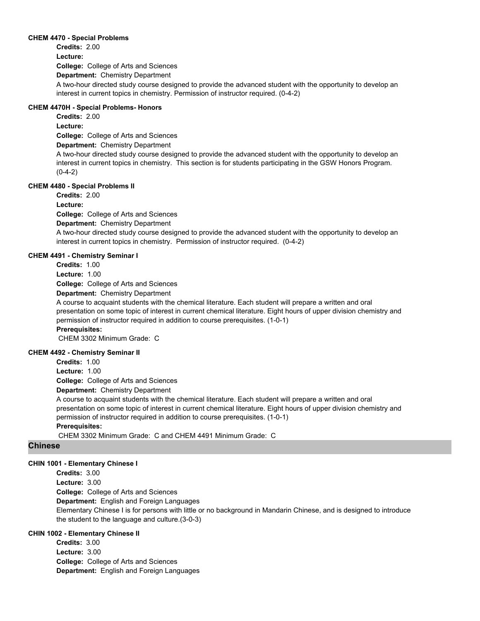#### **CHEM 4470 - Special Problems**

**College:** College of Arts and Sciences **Department:** Chemistry Department **Credits:** 2.00 **Lecture:** A two-hour directed study course designed to provide the advanced student with the opportunity to develop an interest in current topics in chemistry. Permission of instructor required. (0-4-2)

# **CHEM 4470H - Special Problems- Honors**

**College:** College of Arts and Sciences **Department:** Chemistry Department **Credits:** 2.00 **Lecture:** A two-hour directed study course designed to provide the advanced student with the opportunity to develop an interest in current topics in chemistry. This section is for students participating in the GSW Honors Program.  $(0-4-2)$ 

# **CHEM 4480 - Special Problems II**

**Credits:** 2.00

**Lecture:**

**College:** College of Arts and Sciences

**Department:** Chemistry Department

A two-hour directed study course designed to provide the advanced student with the opportunity to develop an interest in current topics in chemistry. Permission of instructor required. (0-4-2)

## **CHEM 4491 - Chemistry Seminar I**

**Credits:** 1.00

**Lecture:** 1.00

**College:** College of Arts and Sciences

**Department:** Chemistry Department

A course to acquaint students with the chemical literature. Each student will prepare a written and oral presentation on some topic of interest in current chemical literature. Eight hours of upper division chemistry and permission of instructor required in addition to course prerequisites. (1-0-1)

# **Prerequisites:**

CHEM 3302 Minimum Grade: C

# **CHEM 4492 - Chemistry Seminar II**

**College:** College of Arts and Sciences **Department:** Chemistry Department **Credits:** 1.00 **Lecture:** 1.00 A course to acquaint students with the chemical literature. Each student will prepare a written and oral presentation on some topic of interest in current chemical literature. Eight hours of upper division chemistry and permission of instructor required in addition to course prerequisites. (1-0-1) **Prerequisites:**  CHEM 3302 Minimum Grade: C and CHEM 4491 Minimum Grade: C

# **Chinese**

# **CHIN 1001 - Elementary Chinese I**

**College:** College of Arts and Sciences **Department:** English and Foreign Languages **Credits:** 3.00 **Lecture:** 3.00 Elementary Chinese I is for persons with little or no background in Mandarin Chinese, and is designed to introduce the student to the language and culture.(3-0-3)

# **CHIN 1002 - Elementary Chinese II**

**College:** College of Arts and Sciences **Department:** English and Foreign Languages **Credits:** 3.00 **Lecture:** 3.00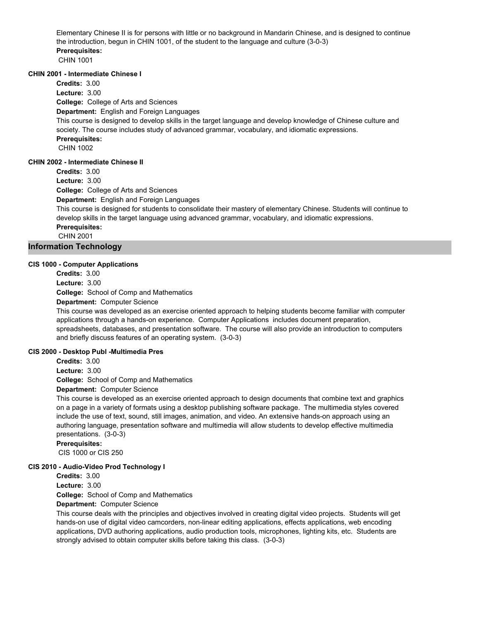Elementary Chinese II is for persons with little or no background in Mandarin Chinese, and is designed to continue the introduction, begun in CHIN 1001, of the student to the language and culture (3-0-3) **Prerequisites:**  CHIN 1001

# **CHIN 2001 - Intermediate Chinese I**

**College:** College of Arts and Sciences **Department:** English and Foreign Languages **Credits:** 3.00 **Lecture:** 3.00 This course is designed to develop skills in the target language and develop knowledge of Chinese culture and society. The course includes study of advanced grammar, vocabulary, and idiomatic expressions. **Prerequisites:**  CHIN 1002 **CHIN 2002 - Intermediate Chinese II**

**Credits:** 3.00

**Lecture:** 3.00

**College:** College of Arts and Sciences

**Department:** English and Foreign Languages

This course is designed for students to consolidate their mastery of elementary Chinese. Students will continue to develop skills in the target language using advanced grammar, vocabulary, and idiomatic expressions. **Prerequisites:** 

CHIN 2001

# **Information Technology**

# **CIS 1000 - Computer Applications**

**Credits:** 3.00 **Lecture:** 3.00

**College:** School of Comp and Mathematics

**Department:** Computer Science

This course was developed as an exercise oriented approach to helping students become familiar with computer applications through a hands-on experience. Computer Applications includes document preparation, spreadsheets, databases, and presentation software. The course will also provide an introduction to computers and briefly discuss features of an operating system. (3-0-3)

# **CIS 2000 - Desktop Publ -Multimedia Pres**

**Credits:** 3.00 **Lecture:** 3.00

**College:** School of Comp and Mathematics

**Department:** Computer Science

This course is developed as an exercise oriented approach to design documents that combine text and graphics on a page in a variety of formats using a desktop publishing software package. The multimedia styles covered include the use of text, sound, still images, animation, and video. An extensive hands-on approach using an authoring language, presentation software and multimedia will allow students to develop effective multimedia presentations. (3-0-3)

**Prerequisites:** 

CIS 1000 or CIS 250

# **CIS 2010 - Audio-Video Prod Technology I**

**Credits:** 3.00

**Lecture:** 3.00

**College:** School of Comp and Mathematics

**Department:** Computer Science

This course deals with the principles and objectives involved in creating digital video projects. Students will get hands-on use of digital video camcorders, non-linear editing applications, effects applications, web encoding applications, DVD authoring applications, audio production tools, microphones, lighting kits, etc. Students are strongly advised to obtain computer skills before taking this class. (3-0-3)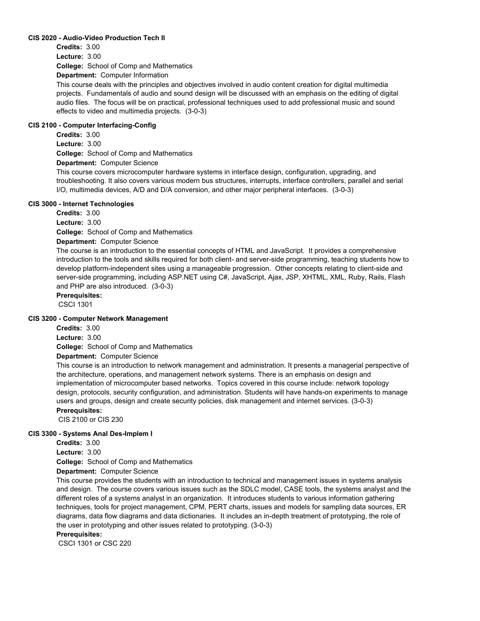### **CIS 2020 - Audio-Video Production Tech II**

**College:** School of Comp and Mathematics **Credits:** 3.00 **Lecture:** 3.00

**Department:** Computer Information

This course deals with the principles and objectives involved in audio content creation for digital multimedia projects. Fundamentals of audio and sound design will be discussed with an emphasis on the editing of digital audio files. The focus will be on practical, professional techniques used to add professional music and sound effects to video and multimedia projects. (3-0-3)

### **CIS 2100 - Computer Interfacing-Config**

**College:** School of Comp and Mathematics **Department:** Computer Science **Credits:** 3.00 **Lecture:** 3.00

This course covers microcomputer hardware systems in interface design, configuration, upgrading, and troubleshooting. It also covers various modern bus structures, interrupts, interface controllers, parallel and serial I/O, multimedia devices, A/D and D/A conversion, and other major peripheral interfaces. (3-0-3)

#### **CIS 3000 - Internet Technologies**

**Credits:** 3.00

**Lecture:** 3.00

**College:** School of Comp and Mathematics

**Department:** Computer Science

The course is an introduction to the essential concepts of HTML and JavaScript. It provides a comprehensive introduction to the tools and skills required for both client- and server-side programming, teaching students how to develop platform-independent sites using a manageable progression. Other concepts relating to client-side and server-side programming, including ASP.NET using C#, JavaScript, Ajax, JSP, XHTML, XML, Ruby, Rails, Flash and PHP are also introduced. (3-0-3)

#### **Prerequisites:**

CSCI 1301

#### **CIS 3200 - Computer Network Management**

**Credits:** 3.00

**Lecture:** 3.00

**College:** School of Comp and Mathematics

**Department:** Computer Science

This course is an introduction to network management and administration. It presents a managerial perspective of the architecture, operations, and management network systems. There is an emphasis on design and implementation of microcomputer based networks. Topics covered in this course include: network topology design, protocols, security configuration, and administration. Students will have hands-on experiments to manage users and groups, design and create security policies, disk management and internet services. (3-0-3) **Prerequisites:** 

CIS 2100 or CIS 230

### **CIS 3300 - Systems Anal Des-Implem I**

**Credits:** 3.00

**Lecture:** 3.00

**College:** School of Comp and Mathematics

**Department:** Computer Science

This course provides the students with an introduction to technical and management issues in systems analysis and design. The course covers various issues such as the SDLC model, CASE tools, the systems analyst and the different roles of a systems analyst in an organization. It introduces students to various information gathering techniques, tools for project management, CPM, PERT charts, issues and models for sampling data sources, ER diagrams, data flow diagrams and data dictionaries. It includes an in-depth treatment of prototyping, the role of the user in prototyping and other issues related to prototyping. (3-0-3)

### **Prerequisites:**

CSCI 1301 or CSC 220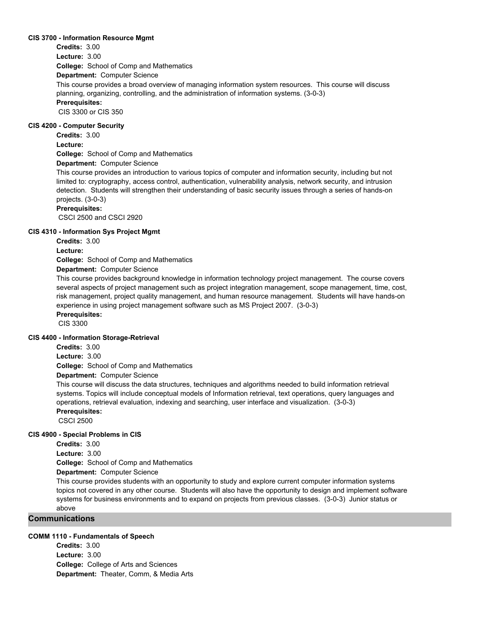#### **CIS 3700 - Information Resource Mgmt**

**College:** School of Comp and Mathematics **Department:** Computer Science **Credits:** 3.00 **Lecture:** 3.00 This course provides a broad overview of managing information system resources. This course will discuss planning, organizing, controlling, and the administration of information systems. (3-0-3) **Prerequisites:**  CIS 3300 or CIS 350

#### **CIS 4200 - Computer Security**

**Credits:** 3.00

**Lecture:**

**College:** School of Comp and Mathematics

**Department:** Computer Science

This course provides an introduction to various topics of computer and information security, including but not limited to: cryptography, access control, authentication, vulnerability analysis, network security, and intrusion detection. Students will strengthen their understanding of basic security issues through a series of hands-on projects. (3-0-3)

#### **Prerequisites:**

CSCI 2500 and CSCI 2920

#### **CIS 4310 - Information Sys Project Mgmt**

**Credits:** 3.00

**Lecture:**

**College:** School of Comp and Mathematics

### **Department:** Computer Science

This course provides background knowledge in information technology project management. The course covers several aspects of project management such as project integration management, scope management, time, cost, risk management, project quality management, and human resource management. Students will have hands-on experience in using project management software such as MS Project 2007. (3-0-3)

**Prerequisites:** 

CIS 3300

#### **CIS 4400 - Information Storage-Retrieval**

**Credits:** 3.00

**Lecture:** 3.00

**College:** School of Comp and Mathematics

**Department:** Computer Science

This course will discuss the data structures, techniques and algorithms needed to build information retrieval systems. Topics will include conceptual models of Information retrieval, text operations, query languages and operations, retrieval evaluation, indexing and searching, user interface and visualization. (3-0-3)

#### **Prerequisites:**

CSCI 2500

#### **CIS 4900 - Special Problems in CIS**

**Credits:** 3.00

**Lecture:** 3.00

**College:** School of Comp and Mathematics

**Department:** Computer Science

This course provides students with an opportunity to study and explore current computer information systems topics not covered in any other course. Students will also have the opportunity to design and implement software systems for business environments and to expand on projects from previous classes. (3-0-3) Junior status or above

### **Communications**

#### **COMM 1110 - Fundamentals of Speech**

**College:** College of Arts and Sciences **Department:** Theater, Comm, & Media Arts **Credits:** 3.00 **Lecture:** 3.00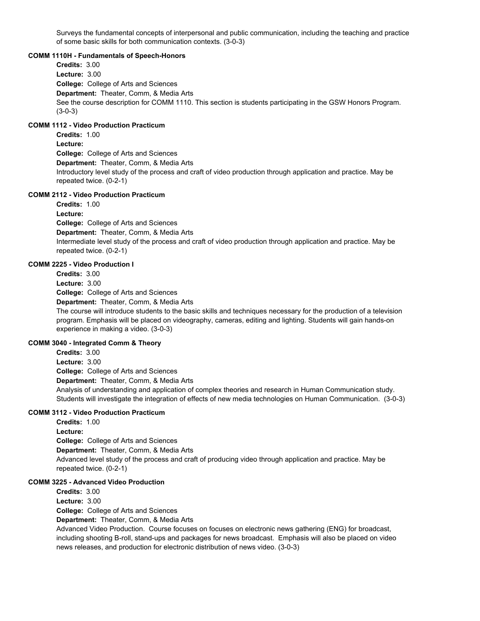Surveys the fundamental concepts of interpersonal and public communication, including the teaching and practice of some basic skills for both communication contexts. (3-0-3)

#### **COMM 1110H - Fundamentals of Speech-Honors**

**College:** College of Arts and Sciences **Department:** Theater, Comm, & Media Arts **Credits:** 3.00 **Lecture:** 3.00 See the course description for COMM 1110. This section is students participating in the GSW Honors Program. (3-0-3)

### **COMM 1112 - Video Production Practicum**

**College:** College of Arts and Sciences **Department:** Theater, Comm, & Media Arts **Credits:** 1.00 **Lecture:** Introductory level study of the process and craft of video production through application and practice. May be repeated twice. (0-2-1)

### **COMM 2112 - Video Production Practicum**

**Credits:** 1.00 **Lecture:**

**College:** College of Arts and Sciences **Department:** Theater, Comm, & Media Arts Intermediate level study of the process and craft of video production through application and practice. May be repeated twice. (0-2-1)

### **COMM 2225 - Video Production I**

**College:** College of Arts and Sciences **Credits:** 3.00 **Lecture:** 3.00

**Department:** Theater, Comm, & Media Arts

The course will introduce students to the basic skills and techniques necessary for the production of a television program. Emphasis will be placed on videography, cameras, editing and lighting. Students will gain hands-on experience in making a video. (3-0-3)

### **COMM 3040 - Integrated Comm & Theory**

**College:** College of Arts and Sciences **Department:** Theater, Comm, & Media Arts **Credits:** 3.00 **Lecture:** 3.00 Analysis of understanding and application of complex theories and research in Human Communication study. Students will investigate the integration of effects of new media technologies on Human Communication. (3-0-3)

### **COMM 3112 - Video Production Practicum**

**College:** College of Arts and Sciences **Department:** Theater, Comm, & Media Arts **Credits:** 1.00 **Lecture:** Advanced level study of the process and craft of producing video through application and practice. May be repeated twice. (0-2-1)

### **COMM 3225 - Advanced Video Production**

**College:** College of Arts and Sciences **Department:** Theater, Comm, & Media Arts **Credits:** 3.00 **Lecture:** 3.00

Advanced Video Production. Course focuses on focuses on electronic news gathering (ENG) for broadcast, including shooting B-roll, stand-ups and packages for news broadcast. Emphasis will also be placed on video news releases, and production for electronic distribution of news video. (3-0-3)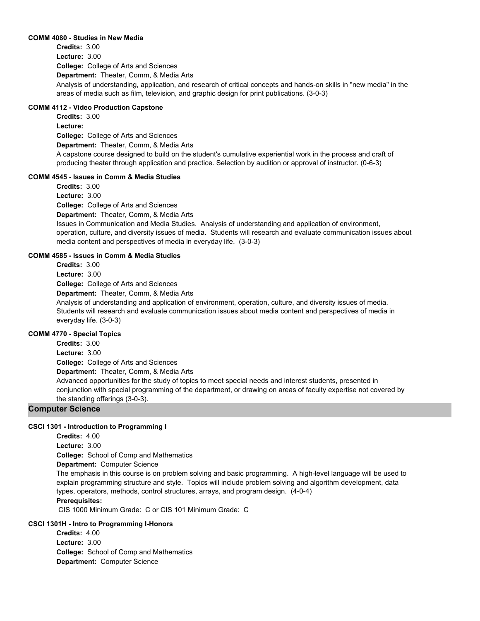#### **COMM 4080 - Studies in New Media**

**College:** College of Arts and Sciences **Department:** Theater, Comm, & Media Arts **Credits:** 3.00 **Lecture:** 3.00 Analysis of understanding, application, and research of critical concepts and hands-on skills in "new media" in the areas of media such as film, television, and graphic design for print publications. (3-0-3)

### **COMM 4112 - Video Production Capstone**

**College:** College of Arts and Sciences **Department:** Theater, Comm, & Media Arts **Credits:** 3.00 **Lecture:** A capstone course designed to build on the student's cumulative experiential work in the process and craft of producing theater through application and practice. Selection by audition or approval of instructor. (0-6-3)

### **COMM 4545 - Issues in Comm & Media Studies**

**College:** College of Arts and Sciences **Department:** Theater, Comm, & Media Arts **Credits:** 3.00 **Lecture:** 3.00 Issues in Communication and Media Studies. Analysis of understanding and application of environment, operation, culture, and diversity issues of media. Students will research and evaluate communication issues about media content and perspectives of media in everyday life. (3-0-3)

### **COMM 4585 - Issues in Comm & Media Studies**

**Credits:** 3.00

**Lecture:** 3.00

**College:** College of Arts and Sciences

**Department:** Theater, Comm, & Media Arts

Analysis of understanding and application of environment, operation, culture, and diversity issues of media. Students will research and evaluate communication issues about media content and perspectives of media in everyday life. (3-0-3)

### **COMM 4770 - Special Topics**

**College:** College of Arts and Sciences **Department:** Theater, Comm, & Media Arts **Credits:** 3.00 **Lecture:** 3.00 Advanced opportunities for the study of topics to meet special needs and interest students, presented in conjunction with special programming of the department, or drawing on areas of faculty expertise not covered by the standing offerings (3-0-3).

### **Computer Science**

### **CSCI 1301 - Introduction to Programming I**

**College:** School of Comp and Mathematics **Department:** Computer Science **Credits:** 4.00 **Lecture:** 3.00 The emphasis in this course is on problem solving and basic programming. A high-level language will be used to explain programming structure and style. Topics will include problem solving and algorithm development, data types, operators, methods, control structures, arrays, and program design. (4-0-4) **Prerequisites:** 

CIS 1000 Minimum Grade: C or CIS 101 Minimum Grade: C

### **CSCI 1301H - Intro to Programming I-Honors**

**College:** School of Comp and Mathematics **Department:** Computer Science **Credits:** 4.00 **Lecture:** 3.00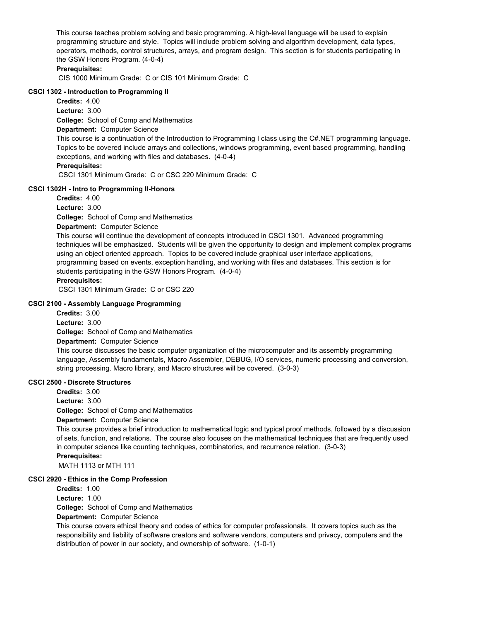This course teaches problem solving and basic programming. A high-level language will be used to explain programming structure and style. Topics will include problem solving and algorithm development, data types, operators, methods, control structures, arrays, and program design. This section is for students participating in the GSW Honors Program. (4-0-4)

### **Prerequisites:**

CIS 1000 Minimum Grade: C or CIS 101 Minimum Grade: C

### **CSCI 1302 - Introduction to Programming II**

**Credits:** 4.00

**College:** School of Comp and Mathematics **Lecture:** 3.00

### **Department:** Computer Science

This course is a continuation of the Introduction to Programming I class using the C#.NET programming language. Topics to be covered include arrays and collections, windows programming, event based programming, handling exceptions, and working with files and databases. (4-0-4)

### **Prerequisites:**

CSCI 1301 Minimum Grade: C or CSC 220 Minimum Grade: C

### **CSCI 1302H - Intro to Programming II-Honors**

**Credits:** 4.00

**Lecture:** 3.00

**College:** School of Comp and Mathematics

### **Department:** Computer Science

This course will continue the development of concepts introduced in CSCI 1301. Advanced programming techniques will be emphasized. Students will be given the opportunity to design and implement complex programs using an object oriented approach. Topics to be covered include graphical user interface applications, programming based on events, exception handling, and working with files and databases. This section is for students participating in the GSW Honors Program. (4-0-4)

### **Prerequisites:**

CSCI 1301 Minimum Grade: C or CSC 220

### **CSCI 2100 - Assembly Language Programming**

**College:** School of Comp and Mathematics **Department:** Computer Science **Credits:** 3.00 **Lecture:** 3.00 This course discusses the basic computer organization of the microcomputer and its assembly programming language, Assembly fundamentals, Macro Assembler, DEBUG, I/O services, numeric processing and conversion, string processing. Macro library, and Macro structures will be covered. (3-0-3)

### **CSCI 2500 - Discrete Structures**

**College:** School of Comp and Mathematics **Department:** Computer Science **Credits:** 3.00 **Lecture:** 3.00

This course provides a brief introduction to mathematical logic and typical proof methods, followed by a discussion of sets, function, and relations. The course also focuses on the mathematical techniques that are frequently used in computer science like counting techniques, combinatorics, and recurrence relation. (3-0-3) **Prerequisites:** 

MATH 1113 or MTH 111

### **CSCI 2920 - Ethics in the Comp Profession**

**Credits:** 1.00

**Lecture:** 1.00

**College:** School of Comp and Mathematics

**Department:** Computer Science

This course covers ethical theory and codes of ethics for computer professionals. It covers topics such as the responsibility and liability of software creators and software vendors, computers and privacy, computers and the distribution of power in our society, and ownership of software. (1-0-1)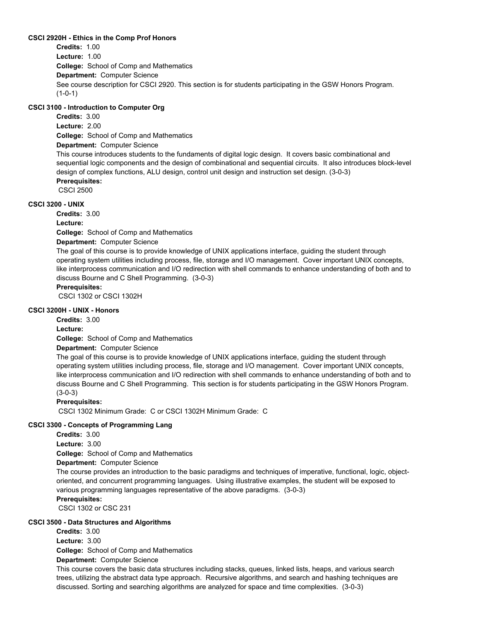### **CSCI 2920H - Ethics in the Comp Prof Honors**

**College:** School of Comp and Mathematics **Department:** Computer Science **Credits:** 1.00 **Lecture:** 1.00 See course description for CSCI 2920. This section is for students participating in the GSW Honors Program. (1-0-1)

### **CSCI 3100 - Introduction to Computer Org**

**College:** School of Comp and Mathematics **Department:** Computer Science **Credits:** 3.00 **Lecture:** 2.00 This course introduces students to the fundaments of digital logic design. It covers basic combinational and sequential logic components and the design of combinational and sequential circuits. It also introduces block-level design of complex functions, ALU design, control unit design and instruction set design. (3-0-3) **Prerequisites:**  CSCI 2500

#### **CSCI 3200 - UNIX**

**Credits:** 3.00

**Lecture:**

**College:** School of Comp and Mathematics

**Department:** Computer Science

The goal of this course is to provide knowledge of UNIX applications interface, guiding the student through operating system utilities including process, file, storage and I/O management. Cover important UNIX concepts, like interprocess communication and I/O redirection with shell commands to enhance understanding of both and to discuss Bourne and C Shell Programming. (3-0-3)

### **Prerequisites:**

CSCI 1302 or CSCI 1302H

#### **CSCI 3200H - UNIX - Honors**

**Credits:** 3.00

**Lecture:**

**College:** School of Comp and Mathematics

### **Department:** Computer Science

The goal of this course is to provide knowledge of UNIX applications interface, guiding the student through operating system utilities including process, file, storage and I/O management. Cover important UNIX concepts, like interprocess communication and I/O redirection with shell commands to enhance understanding of both and to discuss Bourne and C Shell Programming. This section is for students participating in the GSW Honors Program. (3-0-3)

#### **Prerequisites:**

CSCI 1302 Minimum Grade: C or CSCI 1302H Minimum Grade: C

### **CSCI 3300 - Concepts of Programming Lang**

**Credits:** 3.00

**Lecture:** 3.00

**College:** School of Comp and Mathematics

**Department:** Computer Science

The course provides an introduction to the basic paradigms and techniques of imperative, functional, logic, objectoriented, and concurrent programming languages. Using illustrative examples, the student will be exposed to various programming languages representative of the above paradigms. (3-0-3)

### **Prerequisites:**

CSCI 1302 or CSC 231

### **CSCI 3500 - Data Structures and Algorithms**

**Credits:** 3.00 **Lecture:** 3.00

**College:** School of Comp and Mathematics

**Department:** Computer Science

This course covers the basic data structures including stacks, queues, linked lists, heaps, and various search trees, utilizing the abstract data type approach. Recursive algorithms, and search and hashing techniques are discussed. Sorting and searching algorithms are analyzed for space and time complexities. (3-0-3)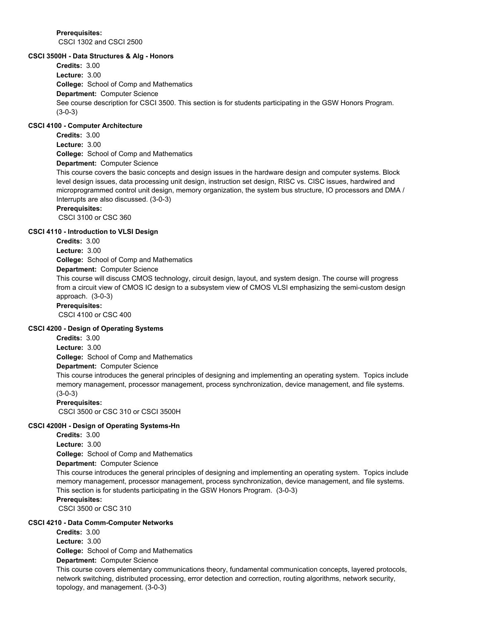**Prerequisites:**  CSCI 1302 and CSCI 2500

#### **CSCI 3500H - Data Structures & Alg - Honors**

**College:** School of Comp and Mathematics **Department:** Computer Science **Credits:** 3.00 **Lecture:** 3.00 See course description for CSCI 3500. This section is for students participating in the GSW Honors Program. (3-0-3)

### **CSCI 4100 - Computer Architecture**

**College:** School of Comp and Mathematics **Credits:** 3.00 **Lecture:** 3.00

**Department:** Computer Science

This course covers the basic concepts and design issues in the hardware design and computer systems. Block level design issues, data processing unit design, instruction set design, RISC vs. CISC issues, hardwired and microprogrammed control unit design, memory organization, the system bus structure, IO processors and DMA / Interrupts are also discussed. (3-0-3)

### **Prerequisites:**

CSCI 3100 or CSC 360

#### **CSCI 4110 - Introduction to VLSI Design**

**Credits:** 3.00

**Lecture:** 3.00

**College:** School of Comp and Mathematics

#### **Department:** Computer Science

This course will discuss CMOS technology, circuit design, layout, and system design. The course will progress from a circuit view of CMOS IC design to a subsystem view of CMOS VLSI emphasizing the semi-custom design approach. (3-0-3)

### **Prerequisites:**

CSCI 4100 or CSC 400

#### **CSCI 4200 - Design of Operating Systems**

**Credits:** 3.00

**Lecture:** 3.00

**College:** School of Comp and Mathematics

### **Department:** Computer Science

This course introduces the general principles of designing and implementing an operating system. Topics include memory management, processor management, process synchronization, device management, and file systems. (3-0-3)

#### **Prerequisites:**

CSCI 3500 or CSC 310 or CSCI 3500H

### **CSCI 4200H - Design of Operating Systems-Hn**

**Credits:** 3.00

**Lecture:** 3.00

**College:** School of Comp and Mathematics

**Department:** Computer Science

This course introduces the general principles of designing and implementing an operating system. Topics include memory management, processor management, process synchronization, device management, and file systems. This section is for students participating in the GSW Honors Program. (3-0-3)

### **Prerequisites:**

CSCI 3500 or CSC 310

### **CSCI 4210 - Data Comm-Computer Networks**

**College:** School of Comp and Mathematics **Credits:** 3.00 **Lecture:** 3.00

**Department:** Computer Science

This course covers elementary communications theory, fundamental communication concepts, layered protocols, network switching, distributed processing, error detection and correction, routing algorithms, network security, topology, and management. (3-0-3)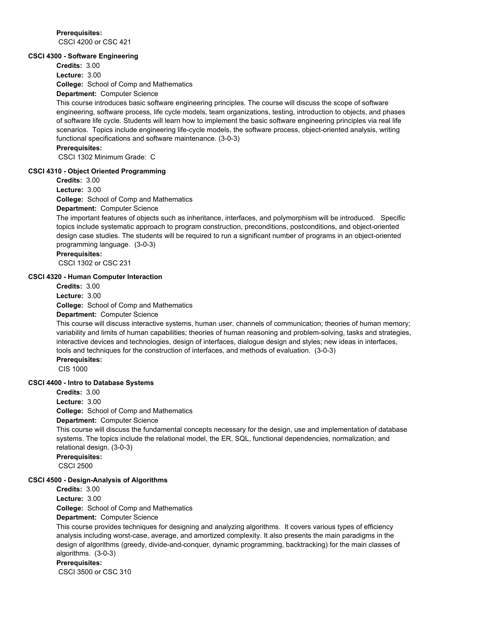**Prerequisites:**  CSCI 4200 or CSC 421

#### **CSCI 4300 - Software Engineering**

**Credits:** 3.00 **Lecture:** 3.00

**College:** School of Comp and Mathematics

#### **Department:** Computer Science

This course introduces basic software engineering principles. The course will discuss the scope of software engineering, software process, life cycle models, team organizations, testing, introduction to objects, and phases of software life cycle. Students will learn how to implement the basic software engineering principles via real life scenarios. Topics include engineering life-cycle models, the software process, object-oriented analysis, writing functional specifications and software maintenance. (3-0-3)

**Prerequisites:** 

CSCI 1302 Minimum Grade: C

#### **CSCI 4310 - Object Oriented Programming**

**Credits:** 3.00

**Lecture:** 3.00

**College:** School of Comp and Mathematics

**Department:** Computer Science

The important features of objects such as inheritance, interfaces, and polymorphism will be introduced. Specific topics include systematic approach to program construction, preconditions, postconditions, and object-oriented design case studies. The students will be required to run a significant number of programs in an object-oriented programming language. (3-0-3)

### **Prerequisites:**

CSCI 1302 or CSC 231

#### **CSCI 4320 - Human Computer Interaction**

**Credits:** 3.00 **Lecture:** 3.00

**College:** School of Comp and Mathematics

#### **Department:** Computer Science

This course will discuss interactive systems, human user, channels of communication; theories of human memory; variability and limits of human capabilities; theories of human reasoning and problem-solving, tasks and strategies, interactive devices and technologies, design of interfaces, dialogue design and styles; new ideas in interfaces, tools and techniques for the construction of interfaces, and methods of evaluation. (3-0-3)

### **Prerequisites:**

CIS 1000

#### **CSCI 4400 - Intro to Database Systems**

**Credits:** 3.00

**Lecture:** 3.00

**College:** School of Comp and Mathematics

**Department:** Computer Science

This course will discuss the fundamental concepts necessary for the design, use and implementation of database systems. The topics include the relational model, the ER, SQL, functional dependencies, normalization, and relational design. (3-0-3)

**Prerequisites:**  CSCI 2500

#### **CSCI 4500 - Design-Analysis of Algorithms**

**Credits:** 3.00

**Lecture:** 3.00

**College:** School of Comp and Mathematics

### **Department:** Computer Science

This course provides techniques for designing and analyzing algorithms. It covers various types of efficiency analysis including worst-case, average, and amortized complexity. It also presents the main paradigms in the design of algorithms (greedy, divide-and-conquer, dynamic programming, backtracking) for the main classes of algorithms. (3-0-3)

### **Prerequisites:**

CSCI 3500 or CSC 310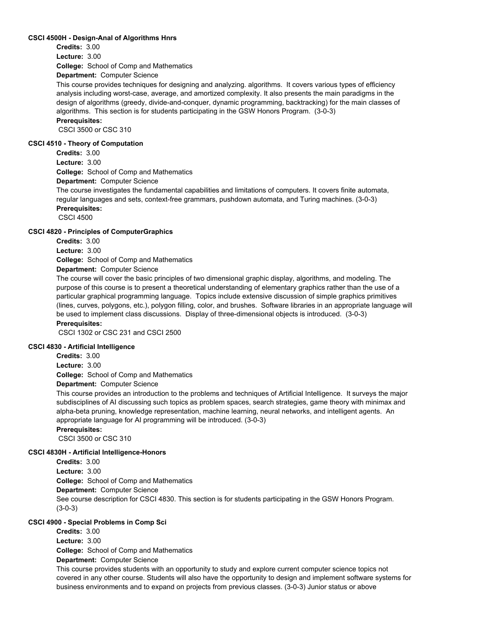#### **CSCI 4500H - Design-Anal of Algorithms Hnrs**

**Credits:** 3.00

**Lecture:** 3.00

**College:** School of Comp and Mathematics

**Department:** Computer Science

This course provides techniques for designing and analyzing. algorithms. It covers various types of efficiency analysis including worst-case, average, and amortized complexity. It also presents the main paradigms in the design of algorithms (greedy, divide-and-conquer, dynamic programming, backtracking) for the main classes of algorithms. This section is for students participating in the GSW Honors Program. (3-0-3)

### **Prerequisites:**

CSCI 3500 or CSC 310

#### **CSCI 4510 - Theory of Computation**

**Credits:** 3.00

**College:** School of Comp and Mathematics **Lecture:** 3.00

**Department:** Computer Science

The course investigates the fundamental capabilities and limitations of computers. It covers finite automata, regular languages and sets, context-free grammars, pushdown automata, and Turing machines. (3-0-3) **Prerequisites:** 

CSCI 4500

#### **CSCI 4820 - Principles of ComputerGraphics**

**Credits:** 3.00

**Lecture:** 3.00

**College:** School of Comp and Mathematics

### **Department:** Computer Science

The course will cover the basic principles of two dimensional graphic display, algorithms, and modeling. The purpose of this course is to present a theoretical understanding of elementary graphics rather than the use of a particular graphical programming language. Topics include extensive discussion of simple graphics primitives (lines, curves, polygons, etc.), polygon filling, color, and brushes. Software libraries in an appropriate language will be used to implement class discussions. Display of three-dimensional objects is introduced. (3-0-3) **Prerequisites:** 

CSCI 1302 or CSC 231 and CSCI 2500

### **CSCI 4830 - Artificial Intelligence**

**Credits:** 3.00 **Lecture:** 3.00

**College:** School of Comp and Mathematics

**Department:** Computer Science

This course provides an introduction to the problems and techniques of Artificial Intelligence. It surveys the major subdisciplines of AI discussing such topics as problem spaces, search strategies, game theory with minimax and alpha-beta pruning, knowledge representation, machine learning, neural networks, and intelligent agents. An appropriate language for AI programming will be introduced. (3-0-3)

**Prerequisites:** 

CSCI 3500 or CSC 310

### **CSCI 4830H - Artificial Intelligence-Honors**

**College:** School of Comp and Mathematics **Department:** Computer Science **Credits:** 3.00 **Lecture:** 3.00 See course description for CSCI 4830. This section is for students participating in the GSW Honors Program. (3-0-3)

### **CSCI 4900 - Special Problems in Comp Sci**

**College:** School of Comp and Mathematics **Department:** Computer Science **Credits:** 3.00 **Lecture:** 3.00

This course provides students with an opportunity to study and explore current computer science topics not covered in any other course. Students will also have the opportunity to design and implement software systems for business environments and to expand on projects from previous classes. (3-0-3) Junior status or above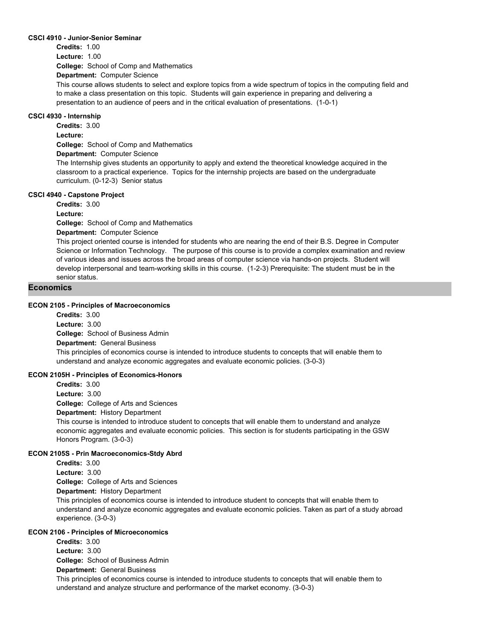### **CSCI 4910 - Junior-Senior Seminar**

**Credits:** 1.00 **Lecture:** 1.00

**College:** School of Comp and Mathematics

**Department:** Computer Science

This course allows students to select and explore topics from a wide spectrum of topics in the computing field and to make a class presentation on this topic. Students will gain experience in preparing and delivering a presentation to an audience of peers and in the critical evaluation of presentations. (1-0-1)

#### **CSCI 4930 - Internship**

**Credits:** 3.00

**Lecture:**

**College:** School of Comp and Mathematics

**Department:** Computer Science

The Internship gives students an opportunity to apply and extend the theoretical knowledge acquired in the classroom to a practical experience. Topics for the internship projects are based on the undergraduate curriculum. (0-12-3) Senior status

### **CSCI 4940 - Capstone Project**

**Credits:** 3.00

**Lecture:**

**College:** School of Comp and Mathematics

**Department:** Computer Science

This project oriented course is intended for students who are nearing the end of their B.S. Degree in Computer Science or Information Technology. The purpose of this course is to provide a complex examination and review of various ideas and issues across the broad areas of computer science via hands-on projects. Student will develop interpersonal and team-working skills in this course. (1-2-3) Prerequisite: The student must be in the senior status.

### **Economics**

### **ECON 2105 - Principles of Macroeconomics**

**College:** School of Business Admin **Department:** General Business **Credits:** 3.00 **Lecture:** 3.00 This principles of economics course is intended to introduce students to concepts that will enable them to understand and analyze economic aggregates and evaluate economic policies. (3-0-3)

### **ECON 2105H - Principles of Economics-Honors**

**Credits:** 3.00 **Lecture:** 3.00

**College:** College of Arts and Sciences

**Department:** History Department

This course is intended to introduce student to concepts that will enable them to understand and analyze economic aggregates and evaluate economic policies. This section is for students participating in the GSW Honors Program. (3-0-3)

### **ECON 2105S - Prin Macroeconomics-Stdy Abrd**

**Credits:** 3.00

**Lecture:** 3.00

**College:** College of Arts and Sciences

**Department:** History Department

This principles of economics course is intended to introduce student to concepts that will enable them to understand and analyze economic aggregates and evaluate economic policies. Taken as part of a study abroad experience. (3-0-3)

#### **ECON 2106 - Principles of Microeconomics**

**College:** School of Business Admin **Department:** General Business **Credits:** 3.00 **Lecture:** 3.00

This principles of economics course is intended to introduce students to concepts that will enable them to understand and analyze structure and performance of the market economy. (3-0-3)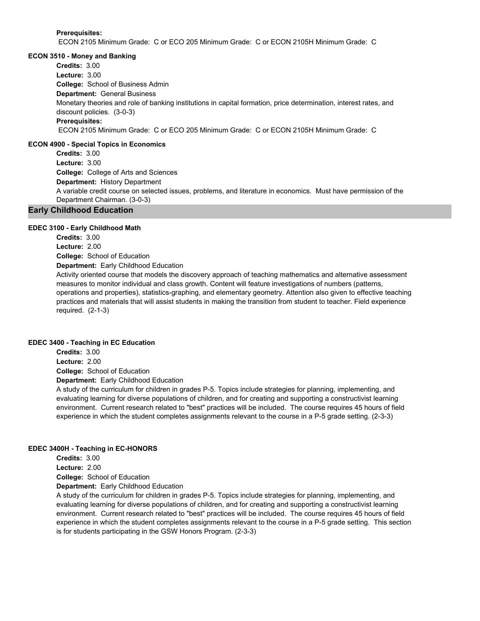**Prerequisites:** 

ECON 2105 Minimum Grade: C or ECO 205 Minimum Grade: C or ECON 2105H Minimum Grade: C

#### **ECON 3510 - Money and Banking**

**College:** School of Business Admin **Department:** General Business **Credits:** 3.00 **Lecture:** 3.00 Monetary theories and role of banking institutions in capital formation, price determination, interest rates, and discount policies. (3-0-3) **Prerequisites:**  ECON 2105 Minimum Grade: C or ECO 205 Minimum Grade: C or ECON 2105H Minimum Grade: C

#### **ECON 4900 - Special Topics in Economics**

**College:** College of Arts and Sciences **Department:** History Department **Credits:** 3.00 **Lecture:** 3.00 A variable credit course on selected issues, problems, and literature in economics. Must have permission of the Department Chairman. (3-0-3)

### **Early Childhood Education**

#### **EDEC 3100 - Early Childhood Math**

**College:** School of Education **Department:** Early Childhood Education **Credits:** 3.00 **Lecture:** 2.00 Activity oriented course that models the discovery approach of teaching mathematics and alternative assessment

measures to monitor individual and class growth. Content will feature investigations of numbers (patterns, operations and properties), statistics-graphing, and elementary geometry. Attention also given to effective teaching practices and materials that will assist students in making the transition from student to teacher. Field experience required. (2-1-3)

#### **EDEC 3400 - Teaching in EC Education**

**College:** School of Education **Department:** Early Childhood Education **Credits:** 3.00 **Lecture:** 2.00

A study of the curriculum for children in grades P-5. Topics include strategies for planning, implementing, and evaluating learning for diverse populations of children, and for creating and supporting a constructivist learning environment. Current research related to "best" practices will be included. The course requires 45 hours of field experience in which the student completes assignments relevant to the course in a P-5 grade setting. (2-3-3)

### **EDEC 3400H - Teaching in EC-HONORS**

**College:** School of Education **Department:** Early Childhood Education **Credits:** 3.00 **Lecture:** 2.00

A study of the curriculum for children in grades P-5. Topics include strategies for planning, implementing, and evaluating learning for diverse populations of children, and for creating and supporting a constructivist learning environment. Current research related to "best" practices will be included. The course requires 45 hours of field experience in which the student completes assignments relevant to the course in a P-5 grade setting. This section is for students participating in the GSW Honors Program. (2-3-3)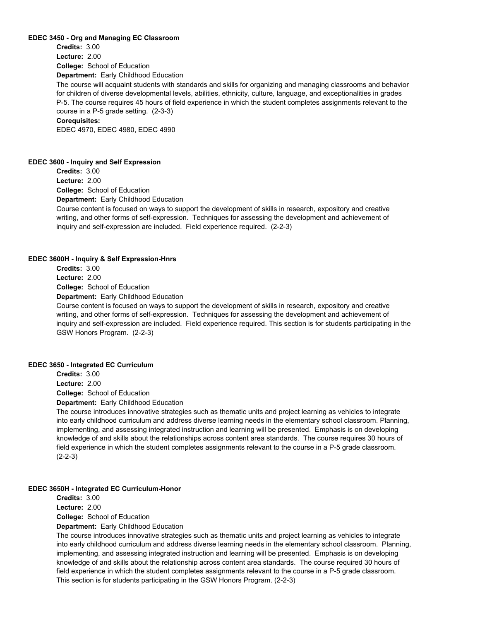#### **EDEC 3450 - Org and Managing EC Classroom**

**College:** School of Education **Department:** Early Childhood Education **Credits:** 3.00 **Lecture:** 2.00

The course will acquaint students with standards and skills for organizing and managing classrooms and behavior for children of diverse developmental levels, abilities, ethnicity, culture, language, and exceptionalities in grades P-5. The course requires 45 hours of field experience in which the student completes assignments relevant to the course in a P-5 grade setting. (2-3-3)

#### **Corequisites:**

EDEC 4970, EDEC 4980, EDEC 4990

#### **EDEC 3600 - Inquiry and Self Expression**

**Credits:** 3.00 **Lecture:** 2.00

**College:** School of Education **Department:** Early Childhood Education

Course content is focused on ways to support the development of skills in research, expository and creative writing, and other forms of self-expression. Techniques for assessing the development and achievement of inquiry and self-expression are included. Field experience required. (2-2-3)

#### **EDEC 3600H - Inquiry & Self Expression-Hnrs**

**College:** School of Education **Credits:** 3.00 **Lecture:** 2.00

**Department:** Early Childhood Education

Course content is focused on ways to support the development of skills in research, expository and creative writing, and other forms of self-expression. Techniques for assessing the development and achievement of inquiry and self-expression are included. Field experience required. This section is for students participating in the GSW Honors Program. (2-2-3)

### **EDEC 3650 - Integrated EC Curriculum**

**Credits:** 3.00

**Lecture:** 2.00

**College:** School of Education

**Department:** Early Childhood Education

The course introduces innovative strategies such as thematic units and project learning as vehicles to integrate into early childhood curriculum and address diverse learning needs in the elementary school classroom. Planning, implementing, and assessing integrated instruction and learning will be presented. Emphasis is on developing knowledge of and skills about the relationships across content area standards. The course requires 30 hours of field experience in which the student completes assignments relevant to the course in a P-5 grade classroom. (2-2-3)

#### **EDEC 3650H - Integrated EC Curriculum-Honor**

**Credits:** 3.00 **Lecture:** 2.00

**College:** School of Education

**Department:** Early Childhood Education

The course introduces innovative strategies such as thematic units and project learning as vehicles to integrate into early childhood curriculum and address diverse learning needs in the elementary school classroom. Planning, implementing, and assessing integrated instruction and learning will be presented. Emphasis is on developing knowledge of and skills about the relationship across content area standards. The course required 30 hours of field experience in which the student completes assignments relevant to the course in a P-5 grade classroom. This section is for students participating in the GSW Honors Program. (2-2-3)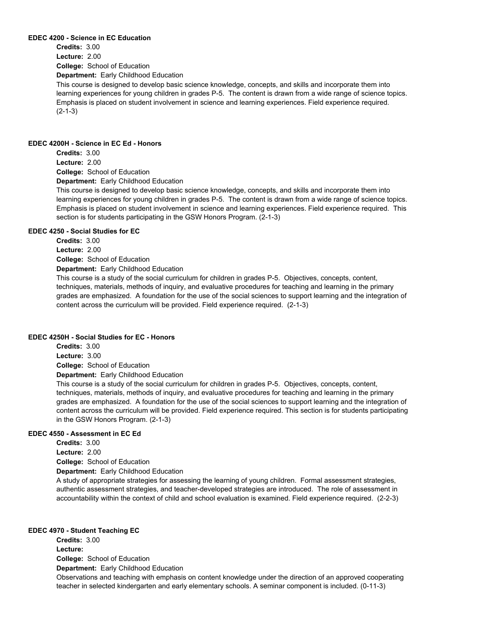#### **EDEC 4200 - Science in EC Education**

**College:** School of Education **Department:** Early Childhood Education **Credits:** 3.00 **Lecture:** 2.00

This course is designed to develop basic science knowledge, concepts, and skills and incorporate them into learning experiences for young children in grades P-5. The content is drawn from a wide range of science topics. Emphasis is placed on student involvement in science and learning experiences. Field experience required. (2-1-3)

#### **EDEC 4200H - Science in EC Ed - Honors**

**College:** School of Education **Department:** Early Childhood Education **Credits:** 3.00 **Lecture:** 2.00

This course is designed to develop basic science knowledge, concepts, and skills and incorporate them into learning experiences for young children in grades P-5. The content is drawn from a wide range of science topics. Emphasis is placed on student involvement in science and learning experiences. Field experience required. This section is for students participating in the GSW Honors Program. (2-1-3)

### **EDEC 4250 - Social Studies for EC**

**Credits:** 3.00

**Lecture:** 2.00

**College:** School of Education

**Department:** Early Childhood Education

This course is a study of the social curriculum for children in grades P-5. Objectives, concepts, content, techniques, materials, methods of inquiry, and evaluative procedures for teaching and learning in the primary grades are emphasized. A foundation for the use of the social sciences to support learning and the integration of content across the curriculum will be provided. Field experience required. (2-1-3)

### **EDEC 4250H - Social Studies for EC - Honors**

**College:** School of Education **Department:** Early Childhood Education **Credits:** 3.00 **Lecture:** 3.00

This course is a study of the social curriculum for children in grades P-5. Objectives, concepts, content, techniques, materials, methods of inquiry, and evaluative procedures for teaching and learning in the primary grades are emphasized. A foundation for the use of the social sciences to support learning and the integration of content across the curriculum will be provided. Field experience required. This section is for students participating in the GSW Honors Program. (2-1-3)

### **EDEC 4550 - Assessment in EC Ed**

**College:** School of Education **Department:** Early Childhood Education **Credits:** 3.00 **Lecture:** 2.00

A study of appropriate strategies for assessing the learning of young children. Formal assessment strategies, authentic assessment strategies, and teacher-developed strategies are introduced. The role of assessment in accountability within the context of child and school evaluation is examined. Field experience required. (2-2-3)

### **EDEC 4970 - Student Teaching EC**

**College:** School of Education **Department:** Early Childhood Education **Credits:** 3.00 **Lecture:** Observations and teaching with emphasis on content knowledge under the direction of an approved cooperating teacher in selected kindergarten and early elementary schools. A seminar component is included. (0-11-3)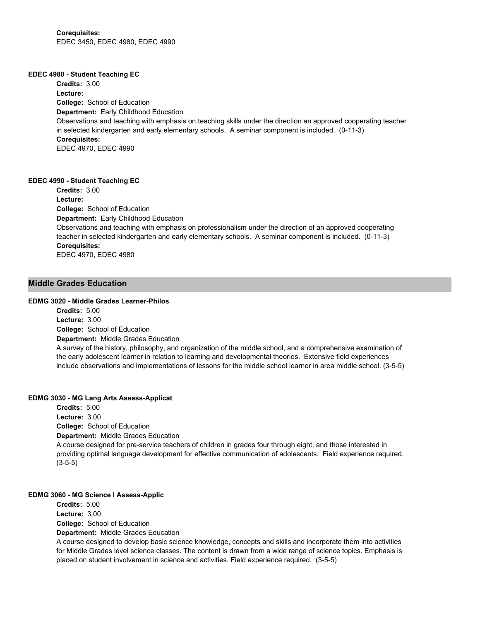#### **EDEC 4980 - Student Teaching EC**

**College:** School of Education **Department:** Early Childhood Education **Credits:** 3.00 **Lecture:** Observations and teaching with emphasis on teaching skills under the direction an approved cooperating teacher in selected kindergarten and early elementary schools. A seminar component is included. (0-11-3) **Corequisites:**  EDEC 4970, EDEC 4990

### **EDEC 4990 - Student Teaching EC**

**College:** School of Education **Department:** Early Childhood Education **Credits:** 3.00 **Lecture:** Observations and teaching with emphasis on professionalism under the direction of an approved cooperating teacher in selected kindergarten and early elementary schools. A seminar component is included. (0-11-3) **Corequisites:**  EDEC 4970, EDEC 4980

### **Middle Grades Education**

### **EDMG 3020 - Middle Grades Learner-Philos**

**College:** School of Education **Department:** Middle Grades Education **Credits:** 5.00 **Lecture:** 3.00

A survey of the history, philosophy, and organization of the middle school, and a comprehensive examination of the early adolescent learner in relation to learning and developmental theories. Extensive field experiences include observations and implementations of lessons for the middle school learner in area middle school. (3-5-5)

#### **EDMG 3030 - MG Lang Arts Assess-Applicat**

**College:** School of Education **Department:** Middle Grades Education **Credits:** 5.00 **Lecture:** 3.00 A course designed for pre-service teachers of children in grades four through eight, and those interested in providing optimal language development for effective communication of adolescents. Field experience required. (3-5-5)

### **EDMG 3060 - MG Science I Assess-Applic**

**College:** School of Education **Department:** Middle Grades Education **Credits:** 5.00 **Lecture:** 3.00

A course designed to develop basic science knowledge, concepts and skills and incorporate them into activities for Middle Grades level science classes. The content is drawn from a wide range of science topics. Emphasis is placed on student involvement in science and activities. Field experience required. (3-5-5)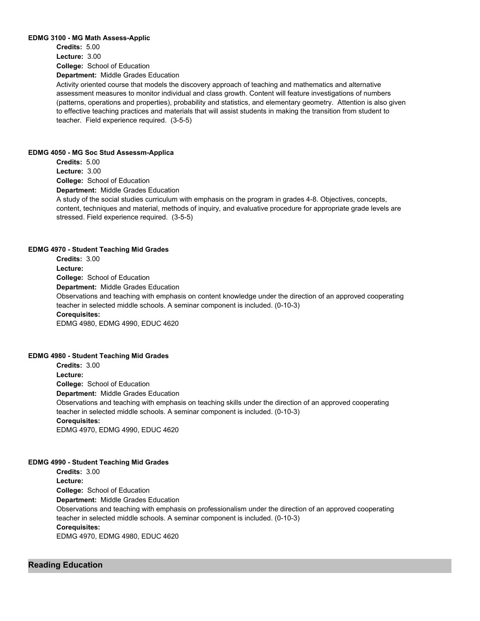#### **EDMG 3100 - MG Math Assess-Applic**

**College:** School of Education **Department:** Middle Grades Education **Credits:** 5.00 **Lecture:** 3.00

Activity oriented course that models the discovery approach of teaching and mathematics and alternative assessment measures to monitor individual and class growth. Content will feature investigations of numbers (patterns, operations and properties), probability and statistics, and elementary geometry. Attention is also given to effective teaching practices and materials that will assist students in making the transition from student to teacher. Field experience required. (3-5-5)

#### **EDMG 4050 - MG Soc Stud Assessm-Applica**

**College:** School of Education **Department:** Middle Grades Education **Credits:** 5.00 **Lecture:** 3.00 A study of the social studies curriculum with emphasis on the program in grades 4-8. Objectives, concepts, content, techniques and material, methods of inquiry, and evaluative procedure for appropriate grade levels are stressed. Field experience required. (3-5-5)

### **EDMG 4970 - Student Teaching Mid Grades**

**College:** School of Education **Department:** Middle Grades Education **Credits:** 3.00 **Lecture:** Observations and teaching with emphasis on content knowledge under the direction of an approved cooperating teacher in selected middle schools. A seminar component is included. (0-10-3) **Corequisites:**  EDMG 4980, EDMG 4990, EDUC 4620

#### **EDMG 4980 - Student Teaching Mid Grades**

**College:** School of Education **Department:** Middle Grades Education **Credits:** 3.00 **Lecture:** Observations and teaching with emphasis on teaching skills under the direction of an approved cooperating teacher in selected middle schools. A seminar component is included. (0-10-3) **Corequisites:**  EDMG 4970, EDMG 4990, EDUC 4620

#### **EDMG 4990 - Student Teaching Mid Grades**

**College:** School of Education **Department:** Middle Grades Education **Credits:** 3.00 **Lecture:** Observations and teaching with emphasis on professionalism under the direction of an approved cooperating teacher in selected middle schools. A seminar component is included. (0-10-3) **Corequisites:**  EDMG 4970, EDMG 4980, EDUC 4620

### **Reading Education**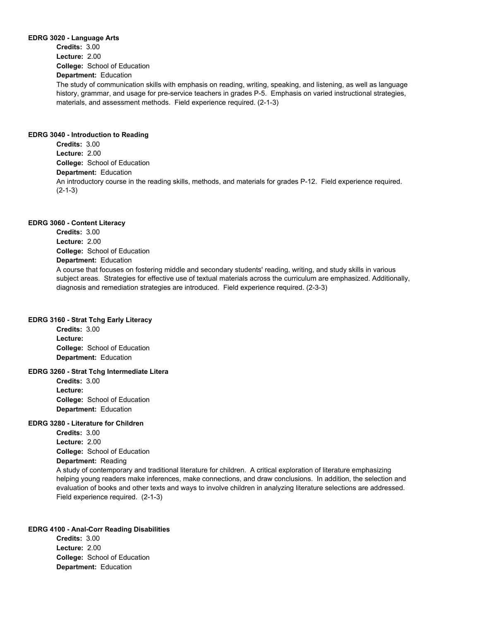#### **EDRG 3020 - Language Arts**

**College:** School of Education **Department:** Education **Credits:** 3.00 **Lecture:** 2.00

The study of communication skills with emphasis on reading, writing, speaking, and listening, as well as language history, grammar, and usage for pre-service teachers in grades P-5. Emphasis on varied instructional strategies, materials, and assessment methods. Field experience required. (2-1-3)

### **EDRG 3040 - Introduction to Reading**

**College:** School of Education **Department:** Education **Credits:** 3.00 **Lecture:** 2.00 An introductory course in the reading skills, methods, and materials for grades P-12. Field experience required. (2-1-3)

#### **EDRG 3060 - Content Literacy**

**College:** School of Education **Department:** Education **Credits:** 3.00 **Lecture:** 2.00 A course that focuses on fostering middle and secondary students' reading, writing, and study skills in various subject areas. Strategies for effective use of textual materials across the curriculum are emphasized. Additionally, diagnosis and remediation strategies are introduced. Field experience required. (2-3-3)

### **EDRG 3160 - Strat Tchg Early Literacy**

**College:** School of Education **Department:** Education **Credits:** 3.00 **Lecture:**

### **EDRG 3260 - Strat Tchg Intermediate Litera**

**College:** School of Education **Department:** Education **Credits:** 3.00 **Lecture:**

### **EDRG 3280 - Literature for Children**

**College:** School of Education **Credits:** 3.00 **Lecture:** 2.00

**Department:** Reading

A study of contemporary and traditional literature for children. A critical exploration of literature emphasizing helping young readers make inferences, make connections, and draw conclusions. In addition, the selection and evaluation of books and other texts and ways to involve children in analyzing literature selections are addressed. Field experience required. (2-1-3)

### **EDRG 4100 - Anal-Corr Reading Disabilities**

**College:** School of Education **Department:** Education **Credits:** 3.00 **Lecture:** 2.00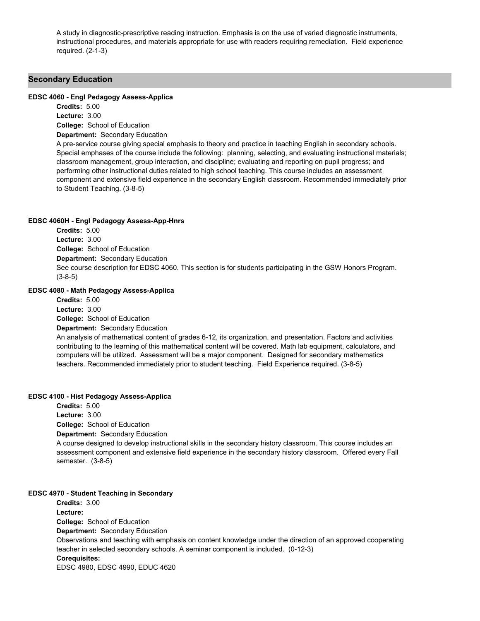A study in diagnostic-prescriptive reading instruction. Emphasis is on the use of varied diagnostic instruments, instructional procedures, and materials appropriate for use with readers requiring remediation. Field experience required. (2-1-3)

### **Secondary Education**

#### **EDSC 4060 - Engl Pedagogy Assess-Applica**

**College:** School of Education **Credits:** 5.00 **Lecture:** 3.00

**Department:** Secondary Education

A pre-service course giving special emphasis to theory and practice in teaching English in secondary schools. Special emphases of the course include the following: planning, selecting, and evaluating instructional materials; classroom management, group interaction, and discipline; evaluating and reporting on pupil progress; and performing other instructional duties related to high school teaching. This course includes an assessment component and extensive field experience in the secondary English classroom. Recommended immediately prior to Student Teaching. (3-8-5)

#### **EDSC 4060H - Engl Pedagogy Assess-App-Hnrs**

**College:** School of Education **Department:** Secondary Education **Credits:** 5.00 **Lecture:** 3.00 See course description for EDSC 4060. This section is for students participating in the GSW Honors Program. (3-8-5)

### **EDSC 4080 - Math Pedagogy Assess-Applica**

**College:** School of Education **Department:** Secondary Education **Credits:** 5.00 **Lecture:** 3.00 An analysis of mathematical content of grades 6-12, its organization, and presentation. Factors and activities contributing to the learning of this mathematical content will be covered. Math lab equipment, calculators, and computers will be utilized. Assessment will be a major component. Designed for secondary mathematics teachers. Recommended immediately prior to student teaching. Field Experience required. (3-8-5)

#### **EDSC 4100 - Hist Pedagogy Assess-Applica**

**College:** School of Education **Department:** Secondary Education **Credits:** 5.00 **Lecture:** 3.00 A course designed to develop instructional skills in the secondary history classroom. This course includes an assessment component and extensive field experience in the secondary history classroom. Offered every Fall semester. (3-8-5)

### **EDSC 4970 - Student Teaching in Secondary**

**College:** School of Education **Department:** Secondary Education **Credits:** 3.00 **Lecture:** Observations and teaching with emphasis on content knowledge under the direction of an approved cooperating teacher in selected secondary schools. A seminar component is included. (0-12-3) **Corequisites:**  EDSC 4980, EDSC 4990, EDUC 4620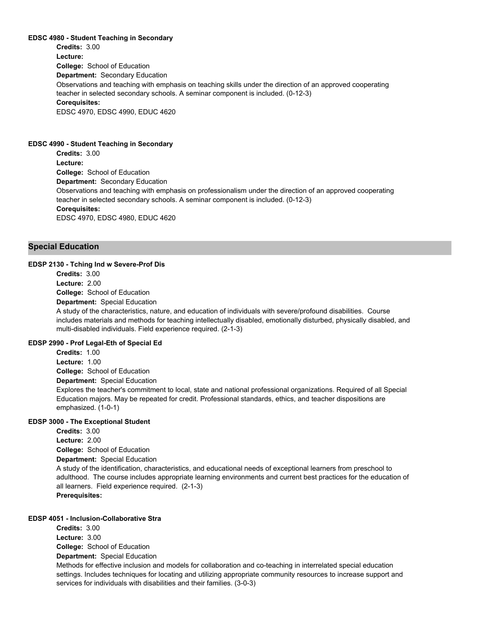#### **EDSC 4980 - Student Teaching in Secondary**

**College:** School of Education **Department:** Secondary Education **Credits:** 3.00 **Lecture:** Observations and teaching with emphasis on teaching skills under the direction of an approved cooperating teacher in selected secondary schools. A seminar component is included. (0-12-3) **Corequisites:**  EDSC 4970, EDSC 4990, EDUC 4620

#### **EDSC 4990 - Student Teaching in Secondary**

**College:** School of Education **Department:** Secondary Education **Credits:** 3.00 **Lecture:** Observations and teaching with emphasis on professionalism under the direction of an approved cooperating teacher in selected secondary schools. A seminar component is included. (0-12-3) **Corequisites:**  EDSC 4970, EDSC 4980, EDUC 4620

### **Special Education**

#### **EDSP 2130 - Tching Ind w Severe-Prof Dis**

**College:** School of Education **Department:** Special Education **Credits:** 3.00 **Lecture:** 2.00

A study of the characteristics, nature, and education of individuals with severe/profound disabilities. Course includes materials and methods for teaching intellectually disabled, emotionally disturbed, physically disabled, and multi-disabled individuals. Field experience required. (2-1-3)

#### **EDSP 2990 - Prof Legal-Eth of Special Ed**

**College:** School of Education **Department:** Special Education **Credits:** 1.00 **Lecture:** 1.00

Explores the teacher's commitment to local, state and national professional organizations. Required of all Special Education majors. May be repeated for credit. Professional standards, ethics, and teacher dispositions are emphasized. (1-0-1)

### **EDSP 3000 - The Exceptional Student**

**College:** School of Education **Credits:** 3.00 **Lecture:** 2.00

**Department:** Special Education

A study of the identification, characteristics, and educational needs of exceptional learners from preschool to adulthood. The course includes appropriate learning environments and current best practices for the education of all learners. Field experience required. (2-1-3) **Prerequisites:** 

#### **EDSP 4051 - Inclusion-Collaborative Stra**

**College:** School of Education **Credits:** 3.00 **Lecture:** 3.00

**Department:** Special Education

Methods for effective inclusion and models for collaboration and co-teaching in interrelated special education settings. Includes techniques for locating and utilizing appropriate community resources to increase support and services for individuals with disabilities and their families. (3-0-3)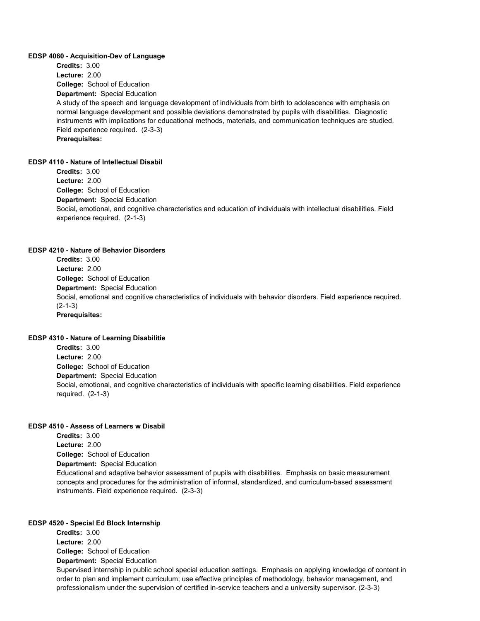#### **EDSP 4060 - Acquisition-Dev of Language**

**College:** School of Education **Department:** Special Education **Credits:** 3.00 **Lecture:** 2.00 A study of the speech and language development of individuals from birth to adolescence with emphasis on normal language development and possible deviations demonstrated by pupils with disabilities. Diagnostic instruments with implications for educational methods, materials, and communication techniques are studied. Field experience required. (2-3-3) **Prerequisites:** 

#### **EDSP 4110 - Nature of Intellectual Disabil**

**College:** School of Education **Department:** Special Education **Credits:** 3.00 **Lecture:** 2.00 Social, emotional, and cognitive characteristics and education of individuals with intellectual disabilities. Field experience required. (2-1-3)

#### **EDSP 4210 - Nature of Behavior Disorders**

**College:** School of Education **Department:** Special Education **Credits:** 3.00 **Lecture:** 2.00 Social, emotional and cognitive characteristics of individuals with behavior disorders. Field experience required. (2-1-3) **Prerequisites:** 

#### **EDSP 4310 - Nature of Learning Disabilitie**

**College:** School of Education **Department:** Special Education **Credits:** 3.00 **Lecture:** 2.00 Social, emotional, and cognitive characteristics of individuals with specific learning disabilities. Field experience required. (2-1-3)

#### **EDSP 4510 - Assess of Learners w Disabil**

**College:** School of Education **Department:** Special Education **Credits:** 3.00 **Lecture:** 2.00 Educational and adaptive behavior assessment of pupils with disabilities. Emphasis on basic measurement concepts and procedures for the administration of informal, standardized, and curriculum-based assessment instruments. Field experience required. (2-3-3)

#### **EDSP 4520 - Special Ed Block Internship**

**College:** School of Education **Department:** Special Education **Credits:** 3.00 **Lecture:** 2.00 Supervised internship in public school special education settings. Emphasis on applying knowledge of content in order to plan and implement curriculum; use effective principles of methodology, behavior management, and professionalism under the supervision of certified in-service teachers and a university supervisor. (2-3-3)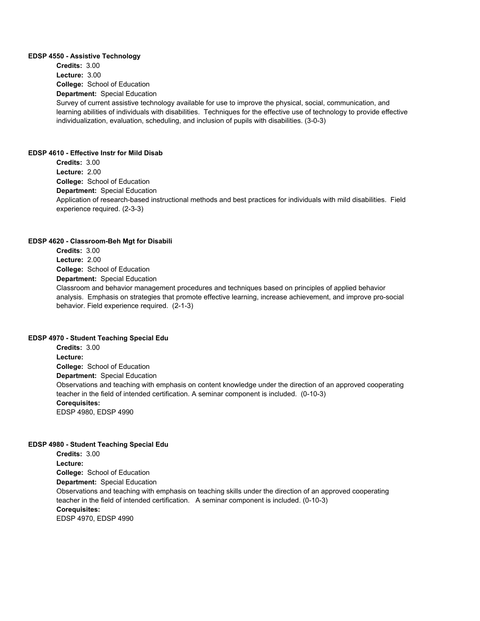#### **EDSP 4550 - Assistive Technology**

**College:** School of Education **Department:** Special Education **Credits:** 3.00 **Lecture:** 3.00 Survey of current assistive technology available for use to improve the physical, social, communication, and learning abilities of individuals with disabilities. Techniques for the effective use of technology to provide effective individualization, evaluation, scheduling, and inclusion of pupils with disabilities. (3-0-3)

#### **EDSP 4610 - Effective Instr for Mild Disab**

**College:** School of Education **Department:** Special Education **Credits:** 3.00 **Lecture:** 2.00 Application of research-based instructional methods and best practices for individuals with mild disabilities. Field experience required. (2-3-3)

#### **EDSP 4620 - Classroom-Beh Mgt for Disabili**

**College:** School of Education **Department:** Special Education **Credits:** 3.00 **Lecture:** 2.00 Classroom and behavior management procedures and techniques based on principles of applied behavior analysis. Emphasis on strategies that promote effective learning, increase achievement, and improve pro-social behavior. Field experience required. (2-1-3)

#### **EDSP 4970 - Student Teaching Special Edu**

**College:** School of Education **Department:** Special Education **Credits:** 3.00 **Lecture:** Observations and teaching with emphasis on content knowledge under the direction of an approved cooperating teacher in the field of intended certification. A seminar component is included. (0-10-3) **Corequisites:**  EDSP 4980, EDSP 4990

#### **EDSP 4980 - Student Teaching Special Edu**

**College:** School of Education **Department:** Special Education **Credits:** 3.00 **Lecture:** Observations and teaching with emphasis on teaching skills under the direction of an approved cooperating teacher in the field of intended certification. A seminar component is included. (0-10-3) **Corequisites:**  EDSP 4970, EDSP 4990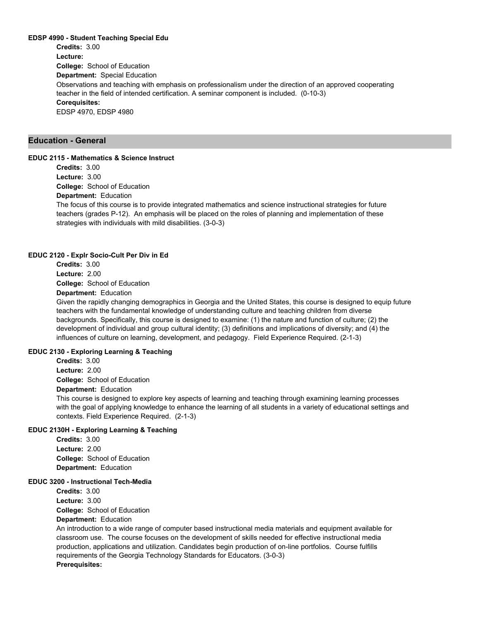#### **EDSP 4990 - Student Teaching Special Edu**

**College:** School of Education **Department:** Special Education **Credits:** 3.00 **Lecture:** Observations and teaching with emphasis on professionalism under the direction of an approved cooperating teacher in the field of intended certification. A seminar component is included. (0-10-3) **Corequisites:**  EDSP 4970, EDSP 4980

### **Education - General**

#### **EDUC 2115 - Mathematics & Science Instruct**

**College:** School of Education **Department:** Education **Credits:** 3.00 **Lecture:** 3.00

The focus of this course is to provide integrated mathematics and science instructional strategies for future teachers (grades P-12). An emphasis will be placed on the roles of planning and implementation of these strategies with individuals with mild disabilities. (3-0-3)

#### **EDUC 2120 - Explr Socio-Cult Per Div in Ed**

**Credits:** 3.00 **Lecture:** 2.00

**College:** School of Education

## **Department:** Education

Given the rapidly changing demographics in Georgia and the United States, this course is designed to equip future teachers with the fundamental knowledge of understanding culture and teaching children from diverse backgrounds. Specifically, this course is designed to examine: (1) the nature and function of culture; (2) the development of individual and group cultural identity; (3) definitions and implications of diversity; and (4) the influences of culture on learning, development, and pedagogy. Field Experience Required. (2-1-3)

### **EDUC 2130 - Exploring Learning & Teaching**

**College:** School of Education **Department:** Education **Credits:** 3.00 **Lecture:** 2.00

This course is designed to explore key aspects of learning and teaching through examining learning processes with the goal of applying knowledge to enhance the learning of all students in a variety of educational settings and contexts. Field Experience Required. (2-1-3)

### **EDUC 2130H - Exploring Learning & Teaching**

**College:** School of Education **Department:** Education **Credits:** 3.00 **Lecture:** 2.00

#### **EDUC 3200 - Instructional Tech-Media**

**College:** School of Education **Department:** Education **Credits:** 3.00 **Lecture:** 3.00 An introduction to a wide range of computer based instructional media materials and equipment available for classroom use. The course focuses on the development of skills needed for effective instructional media production, applications and utilization. Candidates begin production of on-line portfolios. Course fulfills requirements of the Georgia Technology Standards for Educators. (3-0-3) **Prerequisites:**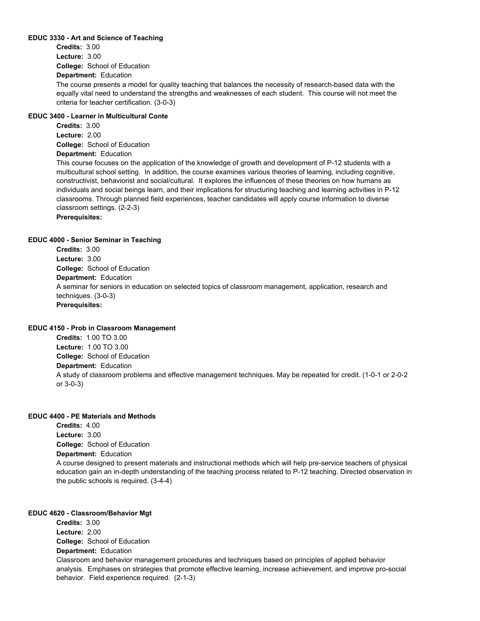#### **EDUC 3330 - Art and Science of Teaching**

**College:** School of Education **Credits:** 3.00 **Lecture:** 3.00

### **Department:** Education

The course presents a model for quality teaching that balances the necessity of research-based data with the equally vital need to understand the strengths and weaknesses of each student. This course will not meet the criteria for teacher certification. (3-0-3)

### **EDUC 3400 - Learner in Multicultural Conte**

**College:** School of Education **Department:** Education **Credits:** 3.00 **Lecture:** 2.00

This course focuses on the application of the knowledge of growth and development of P-12 students with a multicultural school setting. In addition, the course examines various theories of learning, including cognitive, constructivist, behaviorist and social/cultural. It explores the influences of these theories on how humans as individuals and social beings learn, and their implications for structuring teaching and learning activities in P-12 classrooms. Through planned field experiences, teacher candidates will apply course information to diverse classroom settings. (2-2-3) **Prerequisites:** 

### **EDUC 4000 - Senior Seminar in Teaching**

**College:** School of Education **Department:** Education **Credits:** 3.00 **Lecture:** 3.00 A seminar for seniors in education on selected topics of classroom management, application, research and techniques. (3-0-3) **Prerequisites:** 

### **EDUC 4150 - Prob in Classroom Management**

**College:** School of Education **Department:** Education **Credits:** 1.00 TO 3.00 **Lecture:** 1.00 TO 3.00 A study of classroom problems and effective management techniques. May be repeated for credit. (1-0-1 or 2-0-2 or 3-0-3)

### **EDUC 4400 - PE Materials and Methods**

**College:** School of Education **Department:** Education **Credits:** 4.00 **Lecture:** 3.00 A course designed to present materials and instructional methods which will help pre-service teachers of physical education gain an in-depth understanding of the teaching process related to P-12 teaching. Directed observation in the public schools is required. (3-4-4)

### **EDUC 4620 - Classroom/Behavior Mgt**

**College:** School of Education **Department:** Education **Credits:** 3.00 **Lecture:** 2.00 Classroom and behavior management procedures and techniques based on principles of applied behavior analysis. Emphases on strategies that promote effective learning, increase achievement, and improve pro-social behavior. Field experience required. (2-1-3)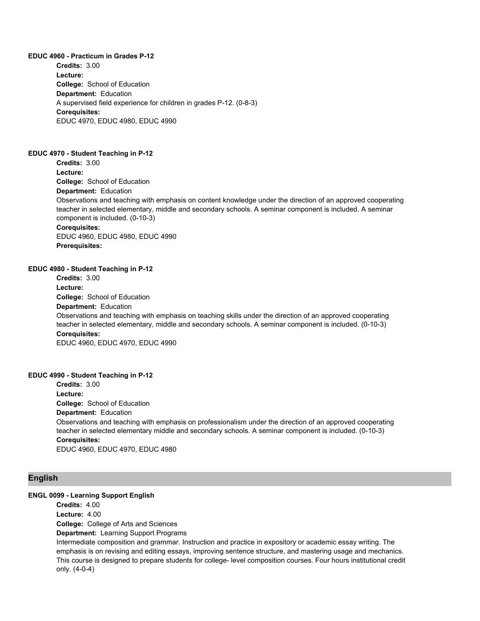**EDUC 4960 - Practicum in Grades P-12 College:** School of Education **Department:** Education **Credits:** 3.00 **Lecture:** A supervised field experience for children in grades P-12. (0-8-3) **Corequisites:**  EDUC 4970, EDUC 4980, EDUC 4990

#### **EDUC 4970 - Student Teaching in P-12**

**College:** School of Education **Department:** Education **Credits:** 3.00 **Lecture:** Observations and teaching with emphasis on content knowledge under the direction of an approved cooperating teacher in selected elementary, middle and secondary schools. A seminar component is included. A seminar component is included. (0-10-3) **Corequisites:**  EDUC 4960, EDUC 4980, EDUC 4990 **Prerequisites:** 

#### **EDUC 4980 - Student Teaching in P-12**

**College:** School of Education **Department:** Education **Credits:** 3.00 **Lecture:** Observations and teaching with emphasis on teaching skills under the direction of an approved cooperating teacher in selected elementary, middle and secondary schools. A seminar component is included. (0-10-3) **Corequisites:**  EDUC 4960, EDUC 4970, EDUC 4990

### **EDUC 4990 - Student Teaching in P-12**

**College:** School of Education **Department:** Education **Credits:** 3.00 **Lecture:** Observations and teaching with emphasis on professionalism under the direction of an approved cooperating teacher in selected elementary middle and secondary schools. A seminar component is included. (0-10-3) **Corequisites:**  EDUC 4960, EDUC 4970, EDUC 4980

### **English**

### **ENGL 0099 - Learning Support English**

**College:** College of Arts and Sciences **Department:** Learning Support Programs **Credits:** 4.00 **Lecture:** 4.00 Intermediate composition and grammar. Instruction and practice in expository or academic essay writing. The emphasis is on revising and editing essays, improving sentence structure, and mastering usage and mechanics. This course is designed to prepare students for college- level composition courses. Four hours institutional credit only. (4-0-4)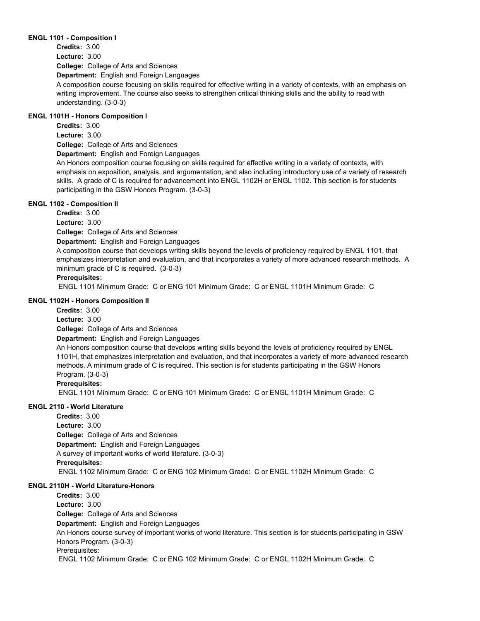#### **ENGL 1101 - Composition I**

**College:** College of Arts and Sciences **Credits:** 3.00 **Lecture:** 3.00

**Department:** English and Foreign Languages

A composition course focusing on skills required for effective writing in a variety of contexts, with an emphasis on writing improvement. The course also seeks to strengthen critical thinking skills and the ability to read with understanding. (3-0-3)

### **ENGL 1101H - Honors Composition I**

**Credits:** 3.00 **Lecture:** 3.00

**College:** College of Arts and Sciences

**Department:** English and Foreign Languages

An Honors composition course focusing on skills required for effective writing in a variety of contexts, with emphasis on exposition, analysis, and argumentation, and also including introductory use of a variety of research skills. A grade of C is required for advancement into ENGL 1102H or ENGL 1102. This section is for students participating in the GSW Honors Program. (3-0-3)

### **ENGL 1102 - Composition II**

**Credits:** 3.00

**Lecture:** 3.00

**College:** College of Arts and Sciences

**Department:** English and Foreign Languages

A composition course that develops writing skills beyond the levels of proficiency required by ENGL 1101, that emphasizes interpretation and evaluation, and that incorporates a variety of more advanced research methods. A minimum grade of C is required. (3-0-3)

### **Prerequisites:**

ENGL 1101 Minimum Grade: C or ENG 101 Minimum Grade: C or ENGL 1101H Minimum Grade: C

### **ENGL 1102H - Honors Composition II**

**Credits:** 3.00

**Lecture:** 3.00

**College:** College of Arts and Sciences

**Department:** English and Foreign Languages

An Honors composition course that develops writing skills beyond the levels of proficiency required by ENGL 1101H, that emphasizes interpretation and evaluation, and that incorporates a variety of more advanced research methods. A minimum grade of C is required. This section is for students participating in the GSW Honors Program. (3-0-3)

### **Prerequisites:**

ENGL 1101 Minimum Grade: C or ENG 101 Minimum Grade: C or ENGL 1101H Minimum Grade: C

### **ENGL 2110 - World Literature**

**College:** College of Arts and Sciences **Department:** English and Foreign Languages **Credits:** 3.00 **Lecture:** 3.00 A survey of important works of world literature. (3-0-3) **Prerequisites:**  ENGL 1102 Minimum Grade: C or ENG 102 Minimum Grade: C or ENGL 1102H Minimum Grade: C

### **ENGL 2110H - World Literature-Honors**

**College:** College of Arts and Sciences **Department:** English and Foreign Languages **Credits:** 3.00 **Lecture:** 3.00 An Honors course survey of important works of world literature. This section is for students participating in GSW Honors Program. (3-0-3) Prerequisites: ENGL 1102 Minimum Grade: C or ENG 102 Minimum Grade: C or ENGL 1102H Minimum Grade: C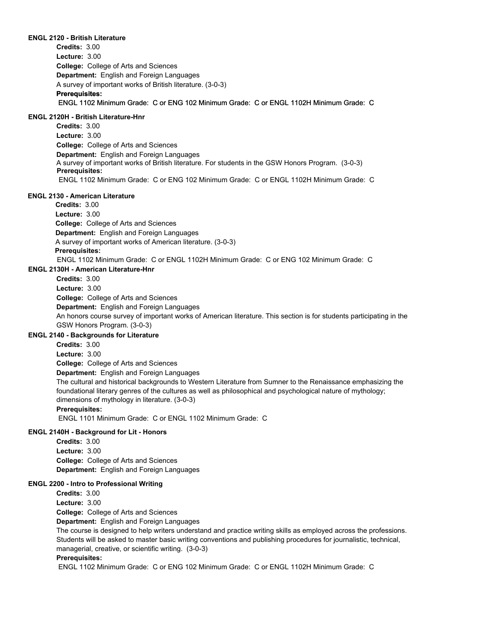#### **ENGL 2120 - British Literature**

**College:** College of Arts and Sciences **Department:** English and Foreign Languages **Credits:** 3.00 **Lecture:** 3.00 A survey of important works of British literature. (3-0-3) **Prerequisites:**  ENGL 1102 Minimum Grade: C or ENG 102 Minimum Grade: C or ENGL 1102H Minimum Grade: C

### **ENGL 2120H - British Literature-Hnr**

**College:** College of Arts and Sciences **Department:** English and Foreign Languages A survey of important works of British literature. For students in the GSW Honors Program. (3-0-3) **Credits:** 3.00 **Lecture:** 3.00 **Prerequisites:**  ENGL 1102 Minimum Grade: C or ENG 102 Minimum Grade: C or ENGL 1102H Minimum Grade: C

#### **ENGL 2130 - American Literature**

**College:** College of Arts and Sciences **Department:** English and Foreign Languages **Credits:** 3.00 **Lecture:** 3.00 A survey of important works of American literature. (3-0-3) **Prerequisites:**  ENGL 1102 Minimum Grade: C or ENGL 1102H Minimum Grade: C or ENG 102 Minimum Grade: C

#### **ENGL 2130H - American Literature-Hnr**

**Credits:** 3.00

**Lecture:** 3.00

**College:** College of Arts and Sciences

**Department:** English and Foreign Languages

An honors course survey of important works of American literature. This section is for students participating in the GSW Honors Program. (3-0-3)

### **ENGL 2140 - Backgrounds for Literature**

**Credits:** 3.00

**Lecture:** 3.00

**College:** College of Arts and Sciences

**Department:** English and Foreign Languages

The cultural and historical backgrounds to Western Literature from Sumner to the Renaissance emphasizing the foundational literary genres of the cultures as well as philosophical and psychological nature of mythology; dimensions of mythology in literature. (3-0-3)

#### **Prerequisites:**

ENGL 1101 Minimum Grade: C or ENGL 1102 Minimum Grade: C

### **ENGL 2140H - Background for Lit - Honors**

**College:** College of Arts and Sciences **Department:** English and Foreign Languages **Credits:** 3.00 **Lecture:** 3.00

#### **ENGL 2200 - Intro to Professional Writing**

**College:** College of Arts and Sciences **Department:** English and Foreign Languages **Credits:** 3.00 **Lecture:** 3.00 The course is designed to help writers understand and practice writing skills as employed across the professions. Students will be asked to master basic writing conventions and publishing procedures for journalistic, technical, managerial, creative, or scientific writing. (3-0-3) **Prerequisites:** 

ENGL 1102 Minimum Grade: C or ENG 102 Minimum Grade: C or ENGL 1102H Minimum Grade: C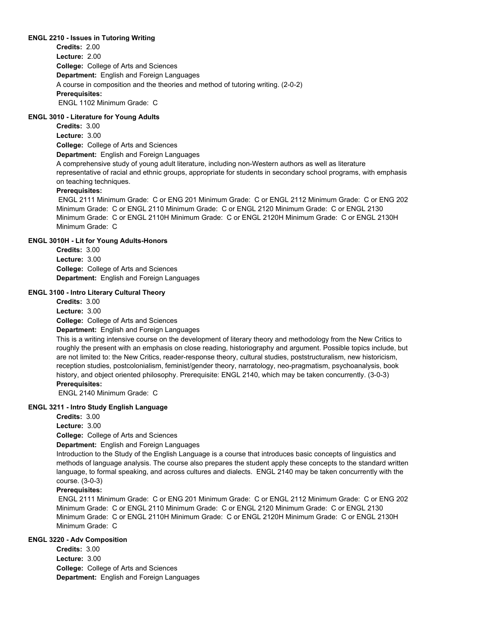#### **ENGL 2210 - Issues in Tutoring Writing**

**College:** College of Arts and Sciences **Department:** English and Foreign Languages **Credits:** 2.00 **Lecture:** 2.00 A course in composition and the theories and method of tutoring writing. (2-0-2) **Prerequisites:**  ENGL 1102 Minimum Grade: C

### **ENGL 3010 - Literature for Young Adults**

**College:** College of Arts and Sciences **Credits:** 3.00 **Lecture:** 3.00

**Department:** English and Foreign Languages

A comprehensive study of young adult literature, including non-Western authors as well as literature representative of racial and ethnic groups, appropriate for students in secondary school programs, with emphasis on teaching techniques.

### **Prerequisites:**

 ENGL 2111 Minimum Grade: C or ENG 201 Minimum Grade: C or ENGL 2112 Minimum Grade: C or ENG 202 Minimum Grade: C or ENGL 2110 Minimum Grade: C or ENGL 2120 Minimum Grade: C or ENGL 2130 Minimum Grade: C or ENGL 2110H Minimum Grade: C or ENGL 2120H Minimum Grade: C or ENGL 2130H Minimum Grade: C

### **ENGL 3010H - Lit for Young Adults-Honors**

**College:** College of Arts and Sciences **Department:** English and Foreign Languages **Credits:** 3.00 **Lecture:** 3.00

#### **ENGL 3100 - Intro Literary Cultural Theory**

**College:** College of Arts and Sciences **Department:** English and Foreign Languages **Credits:** 3.00 **Lecture:** 3.00

This is a writing intensive course on the development of literary theory and methodology from the New Critics to roughly the present with an emphasis on close reading, historiography and argument. Possible topics include, but are not limited to: the New Critics, reader-response theory, cultural studies, poststructuralism, new historicism, reception studies, postcolonialism, feminist/gender theory, narratology, neo-pragmatism, psychoanalysis, book history, and object oriented philosophy. Prerequisite: ENGL 2140, which may be taken concurrently. (3-0-3) **Prerequisites:** 

ENGL 2140 Minimum Grade: C

### **ENGL 3211 - Intro Study English Language**

**Credits:** 3.00

**Lecture:** 3.00

**College:** College of Arts and Sciences

**Department:** English and Foreign Languages

Introduction to the Study of the English Language is a course that introduces basic concepts of linguistics and methods of language analysis. The course also prepares the student apply these concepts to the standard written language, to formal speaking, and across cultures and dialects. ENGL 2140 may be taken concurrently with the course. (3-0-3)

### **Prerequisites:**

 ENGL 2111 Minimum Grade: C or ENG 201 Minimum Grade: C or ENGL 2112 Minimum Grade: C or ENG 202 Minimum Grade: C or ENGL 2110 Minimum Grade: C or ENGL 2120 Minimum Grade: C or ENGL 2130 Minimum Grade: C or ENGL 2110H Minimum Grade: C or ENGL 2120H Minimum Grade: C or ENGL 2130H Minimum Grade: C

### **ENGL 3220 - Adv Composition**

**College:** College of Arts and Sciences **Department:** English and Foreign Languages **Credits:** 3.00 **Lecture:** 3.00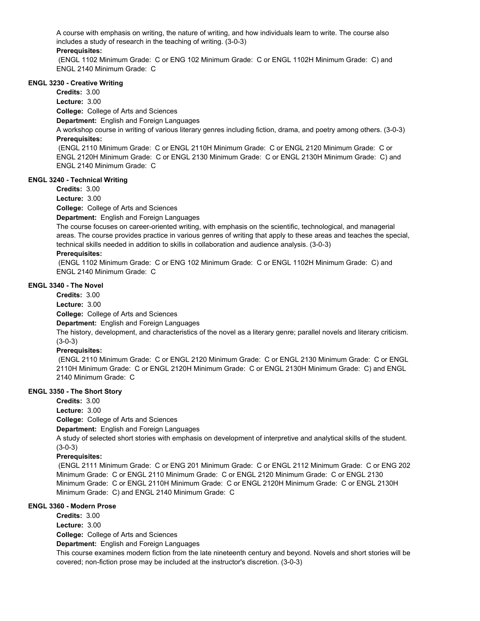A course with emphasis on writing, the nature of writing, and how individuals learn to write. The course also includes a study of research in the teaching of writing. (3-0-3)

### **Prerequisites:**

 (ENGL 1102 Minimum Grade: C or ENG 102 Minimum Grade: C or ENGL 1102H Minimum Grade: C) and ENGL 2140 Minimum Grade: C

### **ENGL 3230 - Creative Writing**

**Credits:** 3.00

**Lecture:** 3.00

**College:** College of Arts and Sciences

**Department:** English and Foreign Languages

A workshop course in writing of various literary genres including fiction, drama, and poetry among others. (3-0-3) **Prerequisites:** 

 (ENGL 2110 Minimum Grade: C or ENGL 2110H Minimum Grade: C or ENGL 2120 Minimum Grade: C or ENGL 2120H Minimum Grade: C or ENGL 2130 Minimum Grade: C or ENGL 2130H Minimum Grade: C) and ENGL 2140 Minimum Grade: C

### **ENGL 3240 - Technical Writing**

**Credits:** 3.00

**Lecture:** 3.00

**College:** College of Arts and Sciences

**Department:** English and Foreign Languages

The course focuses on career-oriented writing, with emphasis on the scientific, technological, and managerial areas. The course provides practice in various genres of writing that apply to these areas and teaches the special, technical skills needed in addition to skills in collaboration and audience analysis. (3-0-3)

### **Prerequisites:**

 (ENGL 1102 Minimum Grade: C or ENG 102 Minimum Grade: C or ENGL 1102H Minimum Grade: C) and ENGL 2140 Minimum Grade: C

### **ENGL 3340 - The Novel**

**Credits:** 3.00

**Lecture:** 3.00

**College:** College of Arts and Sciences

**Department:** English and Foreign Languages

The history, development, and characteristics of the novel as a literary genre; parallel novels and literary criticism. (3-0-3)

### **Prerequisites:**

 (ENGL 2110 Minimum Grade: C or ENGL 2120 Minimum Grade: C or ENGL 2130 Minimum Grade: C or ENGL 2110H Minimum Grade: C or ENGL 2120H Minimum Grade: C or ENGL 2130H Minimum Grade: C) and ENGL 2140 Minimum Grade: C

### **ENGL 3350 - The Short Story**

**Credits:** 3.00 **Lecture:** 3.00

**College:** College of Arts and Sciences

**Department:** English and Foreign Languages

A study of selected short stories with emphasis on development of interpretive and analytical skills of the student. (3-0-3)

### **Prerequisites:**

 (ENGL 2111 Minimum Grade: C or ENG 201 Minimum Grade: C or ENGL 2112 Minimum Grade: C or ENG 202 Minimum Grade: C or ENGL 2110 Minimum Grade: C or ENGL 2120 Minimum Grade: C or ENGL 2130 Minimum Grade: C or ENGL 2110H Minimum Grade: C or ENGL 2120H Minimum Grade: C or ENGL 2130H Minimum Grade: C) and ENGL 2140 Minimum Grade: C

### **ENGL 3360 - Modern Prose**

**Credits:** 3.00

**Lecture:** 3.00

**College:** College of Arts and Sciences

**Department:** English and Foreign Languages

This course examines modern fiction from the late nineteenth century and beyond. Novels and short stories will be covered; non-fiction prose may be included at the instructor's discretion. (3-0-3)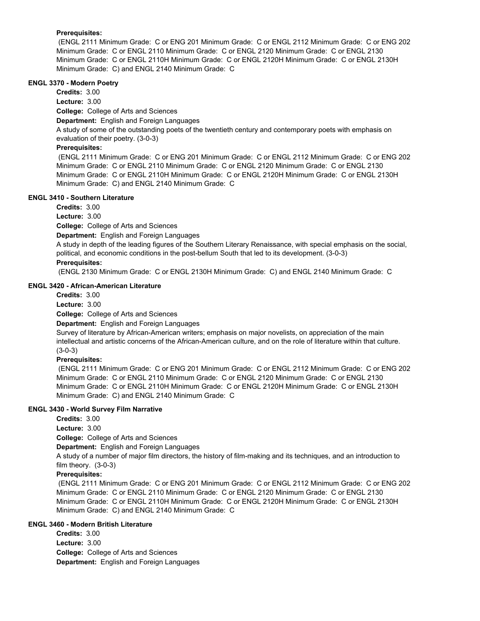### **Prerequisites:**

 (ENGL 2111 Minimum Grade: C or ENG 201 Minimum Grade: C or ENGL 2112 Minimum Grade: C or ENG 202 Minimum Grade: C or ENGL 2110 Minimum Grade: C or ENGL 2120 Minimum Grade: C or ENGL 2130 Minimum Grade: C or ENGL 2110H Minimum Grade: C or ENGL 2120H Minimum Grade: C or ENGL 2130H Minimum Grade: C) and ENGL 2140 Minimum Grade: C

### **ENGL 3370 - Modern Poetry**

**Credits:** 3.00

**Lecture:** 3.00

**College:** College of Arts and Sciences

**Department:** English and Foreign Languages

A study of some of the outstanding poets of the twentieth century and contemporary poets with emphasis on evaluation of their poetry. (3-0-3)

### **Prerequisites:**

 (ENGL 2111 Minimum Grade: C or ENG 201 Minimum Grade: C or ENGL 2112 Minimum Grade: C or ENG 202 Minimum Grade: C or ENGL 2110 Minimum Grade: C or ENGL 2120 Minimum Grade: C or ENGL 2130 Minimum Grade: C or ENGL 2110H Minimum Grade: C or ENGL 2120H Minimum Grade: C or ENGL 2130H Minimum Grade: C) and ENGL 2140 Minimum Grade: C

### **ENGL 3410 - Southern Literature**

**Credits:** 3.00

**Lecture:** 3.00

**College:** College of Arts and Sciences

**Department:** English and Foreign Languages

A study in depth of the leading figures of the Southern Literary Renaissance, with special emphasis on the social, political, and economic conditions in the post-bellum South that led to its development. (3-0-3)

### **Prerequisites:**

(ENGL 2130 Minimum Grade: C or ENGL 2130H Minimum Grade: C) and ENGL 2140 Minimum Grade: C

### **ENGL 3420 - African-American Literature**

**Credits:** 3.00 **Lecture:** 3.00

**College:** College of Arts and Sciences **Department:** English and Foreign Languages

Survey of literature by African-American writers; emphasis on major novelists, on appreciation of the main intellectual and artistic concerns of the African-American culture, and on the role of literature within that culture. (3-0-3)

### **Prerequisites:**

 (ENGL 2111 Minimum Grade: C or ENG 201 Minimum Grade: C or ENGL 2112 Minimum Grade: C or ENG 202 Minimum Grade: C or ENGL 2110 Minimum Grade: C or ENGL 2120 Minimum Grade: C or ENGL 2130 Minimum Grade: C or ENGL 2110H Minimum Grade: C or ENGL 2120H Minimum Grade: C or ENGL 2130H Minimum Grade: C) and ENGL 2140 Minimum Grade: C

### **ENGL 3430 - World Survey Film Narrative**

**Credits:** 3.00

**Lecture:** 3.00

**College:** College of Arts and Sciences

**Department:** English and Foreign Languages

A study of a number of major film directors, the history of film-making and its techniques, and an introduction to film theory. (3-0-3)

### **Prerequisites:**

 (ENGL 2111 Minimum Grade: C or ENG 201 Minimum Grade: C or ENGL 2112 Minimum Grade: C or ENG 202 Minimum Grade: C or ENGL 2110 Minimum Grade: C or ENGL 2120 Minimum Grade: C or ENGL 2130 Minimum Grade: C or ENGL 2110H Minimum Grade: C or ENGL 2120H Minimum Grade: C or ENGL 2130H Minimum Grade: C) and ENGL 2140 Minimum Grade: C

### **ENGL 3460 - Modern British Literature**

**College:** College of Arts and Sciences **Department:** English and Foreign Languages **Credits:** 3.00 **Lecture:** 3.00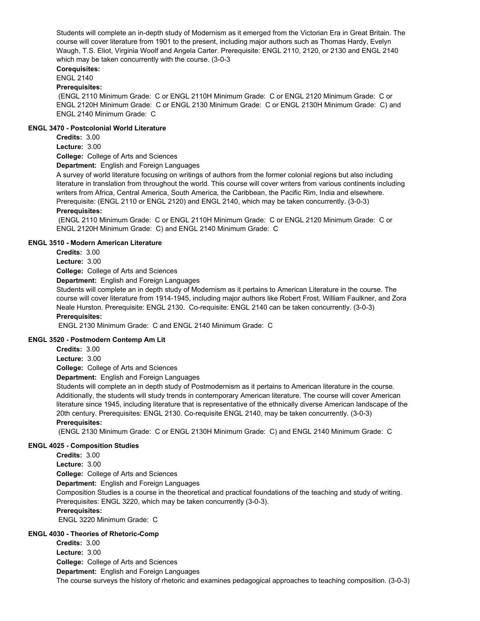Students will complete an in-depth study of Modernism as it emerged from the Victorian Era in Great Britain. The course will cover literature from 1901 to the present, including major authors such as Thomas Hardy, Evelyn Waugh, T.S. Eliot, Virginia Woolf and Angela Carter. Prerequisite: ENGL 2110, 2120, or 2130 and ENGL 2140 which may be taken concurrently with the course. (3-0-3

### **Corequisites:**

### ENGL 2140

### **Prerequisites:**

 (ENGL 2110 Minimum Grade: C or ENGL 2110H Minimum Grade: C or ENGL 2120 Minimum Grade: C or ENGL 2120H Minimum Grade: C or ENGL 2130 Minimum Grade: C or ENGL 2130H Minimum Grade: C) and ENGL 2140 Minimum Grade: C

#### **ENGL 3470 - Postcolonial World Literature**

**Credits:** 3.00

**Lecture:** 3.00

**College:** College of Arts and Sciences

**Department:** English and Foreign Languages

A survey of world literature focusing on writings of authors from the former colonial regions but also including literature in translation from throughout the world. This course will cover writers from various continents including writers from Africa, Central America, South America, the Caribbean, the Pacific Rim, India and elsewhere. Prerequisite: (ENGL 2110 or ENGL 2120) and ENGL 2140, which may be taken concurrently. (3-0-3)

### **Prerequisites:**

 (ENGL 2110 Minimum Grade: C or ENGL 2110H Minimum Grade: C or ENGL 2120 Minimum Grade: C or ENGL 2120H Minimum Grade: C) and ENGL 2140 Minimum Grade: C

### **ENGL 3510 - Modern American Literature**

**Credits:** 3.00

**Lecture:** 3.00

**College:** College of Arts and Sciences

**Department:** English and Foreign Languages

Students will complete an in depth study of Modernism as it pertains to American Literature in the course. The course will cover literature from 1914-1945, including major authors like Robert Frost, William Faulkner, and Zora Neale Hurston. Prerequisite: ENGL 2130. Co-requisite: ENGL 2140 can be taken concurrently. (3-0-3) **Prerequisites:** 

ENGL 2130 Minimum Grade: C and ENGL 2140 Minimum Grade: C

### **ENGL 3520 - Postmodern Contemp Am Lit**

**Credits:** 3.00

**Lecture:** 3.00

**College:** College of Arts and Sciences

**Department:** English and Foreign Languages

Students will complete an in depth study of Postmodernism as it pertains to American literature in the course. Additionally, the students will study trends in contemporary American literature. The course will cover American literature since 1945, including literature that is representative of the ethnically diverse American landscape of the 20th century. Prerequisites: ENGL 2130. Co-requisite ENGL 2140, may be taken concurrently. (3-0-3) **Prerequisites:** 

(ENGL 2130 Minimum Grade: C or ENGL 2130H Minimum Grade: C) and ENGL 2140 Minimum Grade: C

### **ENGL 4025 - Composition Studies**

**Credits:** 3.00 **Lecture:** 3.00

**College:** College of Arts and Sciences

**Department:** English and Foreign Languages

Composition Studies is a course in the theoretical and practical foundations of the teaching and study of writing. Prerequisites: ENGL 3220, which may be taken concurrently (3-0-3).

### **Prerequisites:**

ENGL 3220 Minimum Grade: C

### **ENGL 4030 - Theories of Rhetoric-Comp**

**College:** College of Arts and Sciences **Department:** English and Foreign Languages **Credits:** 3.00 **Lecture:** 3.00 The course surveys the history of rhetoric and examines pedagogical approaches to teaching composition. (3-0-3)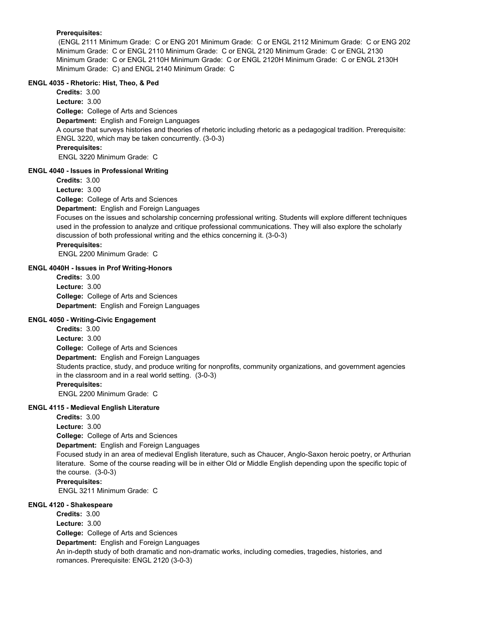### **Prerequisites:**

 (ENGL 2111 Minimum Grade: C or ENG 201 Minimum Grade: C or ENGL 2112 Minimum Grade: C or ENG 202 Minimum Grade: C or ENGL 2110 Minimum Grade: C or ENGL 2120 Minimum Grade: C or ENGL 2130 Minimum Grade: C or ENGL 2110H Minimum Grade: C or ENGL 2120H Minimum Grade: C or ENGL 2130H Minimum Grade: C) and ENGL 2140 Minimum Grade: C

### **ENGL 4035 - Rhetoric: Hist, Theo, & Ped**

**College:** College of Arts and Sciences **Department:** English and Foreign Languages **Credits:** 3.00 **Lecture:** 3.00 A course that surveys histories and theories of rhetoric including rhetoric as a pedagogical tradition. Prerequisite: ENGL 3220, which may be taken concurrently. (3-0-3) **Prerequisites:**  ENGL 3220 Minimum Grade: C

### **ENGL 4040 - Issues in Professional Writing**

**College:** College of Arts and Sciences **Department:** English and Foreign Languages **Credits:** 3.00 **Lecture:** 3.00 Focuses on the issues and scholarship concerning professional writing. Students will explore different techniques used in the profession to analyze and critique professional communications. They will also explore the scholarly discussion of both professional writing and the ethics concerning it. (3-0-3) **Prerequisites:**  ENGL 2200 Minimum Grade: C

### **ENGL 4040H - Issues in Prof Writing-Honors**

**College:** College of Arts and Sciences **Department:** English and Foreign Languages **Credits:** 3.00 **Lecture:** 3.00

### **ENGL 4050 - Writing-Civic Engagement**

**College:** College of Arts and Sciences **Department:** English and Foreign Languages **Credits:** 3.00 **Lecture:** 3.00 Students practice, study, and produce writing for nonprofits, community organizations, and government agencies in the classroom and in a real world setting. (3-0-3) **Prerequisites:**  ENGL 2200 Minimum Grade: C

### **ENGL 4115 - Medieval English Literature**

**College:** College of Arts and Sciences **Department:** English and Foreign Languages **Credits:** 3.00 **Lecture:** 3.00 Focused study in an area of medieval English literature, such as Chaucer, Anglo-Saxon heroic poetry, or Arthurian literature. Some of the course reading will be in either Old or Middle English depending upon the specific topic of the course. (3-0-3) **Prerequisites:**  ENGL 3211 Minimum Grade: C

### **ENGL 4120 - Shakespeare**

**College:** College of Arts and Sciences **Department:** English and Foreign Languages **Credits:** 3.00 **Lecture:** 3.00 An in-depth study of both dramatic and non-dramatic works, including comedies, tragedies, histories, and romances. Prerequisite: ENGL 2120 (3-0-3)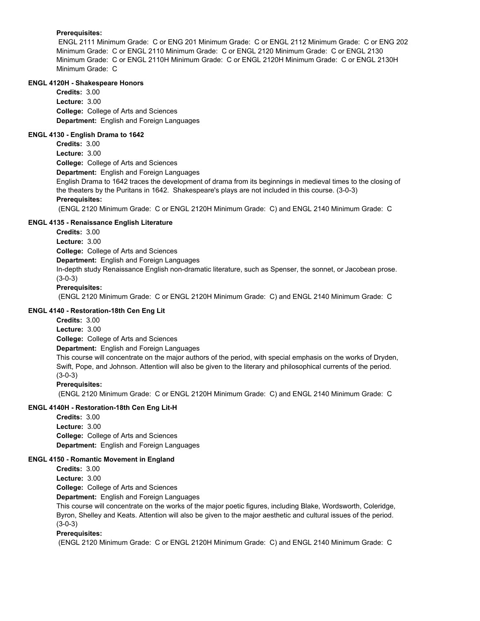### **Prerequisites:**

 ENGL 2111 Minimum Grade: C or ENG 201 Minimum Grade: C or ENGL 2112 Minimum Grade: C or ENG 202 Minimum Grade: C or ENGL 2110 Minimum Grade: C or ENGL 2120 Minimum Grade: C or ENGL 2130 Minimum Grade: C or ENGL 2110H Minimum Grade: C or ENGL 2120H Minimum Grade: C or ENGL 2130H Minimum Grade: C

### **ENGL 4120H - Shakespeare Honors**

**College:** College of Arts and Sciences **Department:** English and Foreign Languages **Credits:** 3.00 **Lecture:** 3.00

### **ENGL 4130 - English Drama to 1642**

**College:** College of Arts and Sciences **Credits:** 3.00 **Lecture:** 3.00

**Department:** English and Foreign Languages

English Drama to 1642 traces the development of drama from its beginnings in medieval times to the closing of the theaters by the Puritans in 1642. Shakespeare's plays are not included in this course. (3-0-3)

### **Prerequisites:**

(ENGL 2120 Minimum Grade: C or ENGL 2120H Minimum Grade: C) and ENGL 2140 Minimum Grade: C

### **ENGL 4135 - Renaissance English Literature**

**Credits:** 3.00 **Lecture:** 3.00

**College:** College of Arts and Sciences

**Department:** English and Foreign Languages

In-depth study Renaissance English non-dramatic literature, such as Spenser, the sonnet, or Jacobean prose. (3-0-3)

### **Prerequisites:**

(ENGL 2120 Minimum Grade: C or ENGL 2120H Minimum Grade: C) and ENGL 2140 Minimum Grade: C

### **ENGL 4140 - Restoration-18th Cen Eng Lit**

**Credits:** 3.00

**Lecture:** 3.00

**College:** College of Arts and Sciences

**Department:** English and Foreign Languages

This course will concentrate on the major authors of the period, with special emphasis on the works of Dryden, Swift, Pope, and Johnson. Attention will also be given to the literary and philosophical currents of the period. (3-0-3)

**Prerequisites:** 

(ENGL 2120 Minimum Grade: C or ENGL 2120H Minimum Grade: C) and ENGL 2140 Minimum Grade: C

### **ENGL 4140H - Restoration-18th Cen Eng Lit-H**

**College:** College of Arts and Sciences **Department:** English and Foreign Languages **Credits:** 3.00 **Lecture:** 3.00

### **ENGL 4150 - Romantic Movement in England**

**Credits:** 3.00

**Lecture:** 3.00

**College:** College of Arts and Sciences

**Department:** English and Foreign Languages

This course will concentrate on the works of the major poetic figures, including Blake, Wordsworth, Coleridge, Byron, Shelley and Keats. Attention will also be given to the major aesthetic and cultural issues of the period. (3-0-3)

### **Prerequisites:**

(ENGL 2120 Minimum Grade: C or ENGL 2120H Minimum Grade: C) and ENGL 2140 Minimum Grade: C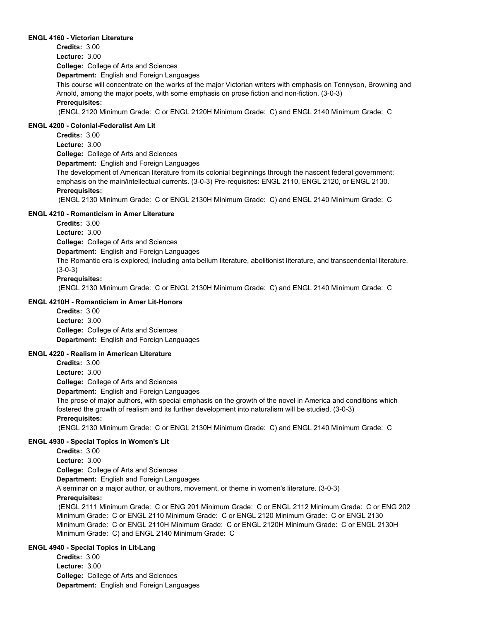#### **ENGL 4160 - Victorian Literature**

**College:** College of Arts and Sciences **Department:** English and Foreign Languages **Credits:** 3.00 **Lecture:** 3.00 This course will concentrate on the works of the major Victorian writers with emphasis on Tennyson, Browning and Arnold, among the major poets, with some emphasis on prose fiction and non-fiction. (3-0-3) **Prerequisites:**  (ENGL 2120 Minimum Grade: C or ENGL 2120H Minimum Grade: C) and ENGL 2140 Minimum Grade: C

#### **ENGL 4200 - Colonial-Federalist Am Lit**

**Credits:** 3.00 **Lecture:** 3.00

**College:** College of Arts and Sciences

**Department:** English and Foreign Languages

The development of American literature from its colonial beginnings through the nascent federal government; emphasis on the main/intellectual currents. (3-0-3) Pre-requisites: ENGL 2110, ENGL 2120, or ENGL 2130. **Prerequisites:** 

(ENGL 2130 Minimum Grade: C or ENGL 2130H Minimum Grade: C) and ENGL 2140 Minimum Grade: C

#### **ENGL 4210 - Romanticism in Amer Literature**

**Credits:** 3.00

**Lecture:** 3.00

**College:** College of Arts and Sciences

**Department:** English and Foreign Languages

The Romantic era is explored, including anta bellum literature, abolitionist literature, and transcendental literature. (3-0-3)

#### **Prerequisites:**

(ENGL 2130 Minimum Grade: C or ENGL 2130H Minimum Grade: C) and ENGL 2140 Minimum Grade: C

### **ENGL 4210H - Romanticism in Amer Lit-Honors**

**College:** College of Arts and Sciences **Department:** English and Foreign Languages **Credits:** 3.00 **Lecture:** 3.00

### **ENGL 4220 - Realism in American Literature**

**Credits:** 3.00

**Lecture:** 3.00

**College:** College of Arts and Sciences

**Department:** English and Foreign Languages

The prose of major authors, with special emphasis on the growth of the novel in America and conditions which fostered the growth of realism and its further development into naturalism will be studied. (3-0-3)

### **Prerequisites:**

(ENGL 2130 Minimum Grade: C or ENGL 2130H Minimum Grade: C) and ENGL 2140 Minimum Grade: C

#### **ENGL 4930 - Special Topics in Women's Lit**

**Credits:** 3.00

**Lecture:** 3.00

**College:** College of Arts and Sciences

**Department:** English and Foreign Languages

A seminar on a major author, or authors, movement, or theme in women's literature. (3-0-3)

### **Prerequisites:**

 (ENGL 2111 Minimum Grade: C or ENG 201 Minimum Grade: C or ENGL 2112 Minimum Grade: C or ENG 202 Minimum Grade: C or ENGL 2110 Minimum Grade: C or ENGL 2120 Minimum Grade: C or ENGL 2130 Minimum Grade: C or ENGL 2110H Minimum Grade: C or ENGL 2120H Minimum Grade: C or ENGL 2130H Minimum Grade: C) and ENGL 2140 Minimum Grade: C

### **ENGL 4940 - Special Topics in Lit-Lang**

**College:** College of Arts and Sciences **Department:** English and Foreign Languages **Credits:** 3.00 **Lecture:** 3.00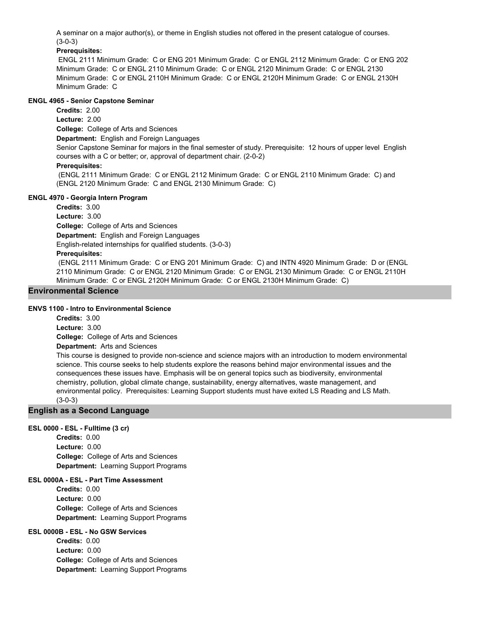A seminar on a major author(s), or theme in English studies not offered in the present catalogue of courses. (3-0-3)

### **Prerequisites:**

 ENGL 2111 Minimum Grade: C or ENG 201 Minimum Grade: C or ENGL 2112 Minimum Grade: C or ENG 202 Minimum Grade: C or ENGL 2110 Minimum Grade: C or ENGL 2120 Minimum Grade: C or ENGL 2130 Minimum Grade: C or ENGL 2110H Minimum Grade: C or ENGL 2120H Minimum Grade: C or ENGL 2130H Minimum Grade: C

### **ENGL 4965 - Senior Capstone Seminar**

**College:** College of Arts and Sciences **Department:** English and Foreign Languages **Credits:** 2.00 **Lecture:** 2.00 Senior Capstone Seminar for majors in the final semester of study. Prerequisite: 12 hours of upper level English courses with a C or better; or, approval of department chair. (2-0-2) **Prerequisites:**  (ENGL 2111 Minimum Grade: C or ENGL 2112 Minimum Grade: C or ENGL 2110 Minimum Grade: C) and (ENGL 2120 Minimum Grade: C and ENGL 2130 Minimum Grade: C)

### **ENGL 4970 - Georgia Intern Program**

**College:** College of Arts and Sciences **Department:** English and Foreign Languages **Credits:** 3.00 **Lecture:** 3.00 English-related internships for qualified students. (3-0-3)

### **Prerequisites:**

 (ENGL 2111 Minimum Grade: C or ENG 201 Minimum Grade: C) and INTN 4920 Minimum Grade: D or (ENGL 2110 Minimum Grade: C or ENGL 2120 Minimum Grade: C or ENGL 2130 Minimum Grade: C or ENGL 2110H Minimum Grade: C or ENGL 2120H Minimum Grade: C or ENGL 2130H Minimum Grade: C)

### **Environmental Science**

### **ENVS 1100 - Intro to Environmental Science**

**Credits:** 3.00 **Lecture:** 3.00

**College:** College of Arts and Sciences

**Department:** Arts and Sciences

This course is designed to provide non-science and science majors with an introduction to modern environmental science. This course seeks to help students explore the reasons behind major environmental issues and the consequences these issues have. Emphasis will be on general topics such as biodiversity, environmental chemistry, pollution, global climate change, sustainability, energy alternatives, waste management, and environmental policy. Prerequisites: Learning Support students must have exited LS Reading and LS Math. (3-0-3)

### **English as a Second Language**

### **ESL 0000 - ESL - Fulltime (3 cr)**

**College:** College of Arts and Sciences **Department:** Learning Support Programs **Credits:** 0.00 **Lecture:** 0.00

### **ESL 0000A - ESL - Part Time Assessment**

**College:** College of Arts and Sciences **Department:** Learning Support Programs **Credits:** 0.00 **Lecture:** 0.00

### **ESL 0000B - ESL - No GSW Services**

**College:** College of Arts and Sciences **Department:** Learning Support Programs **Credits:** 0.00 **Lecture:** 0.00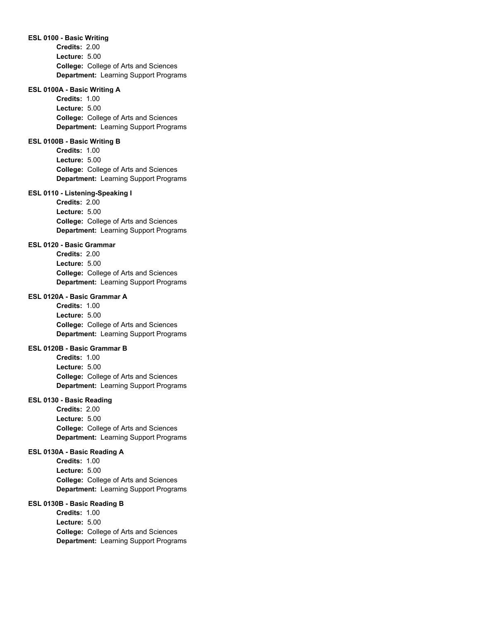#### **ESL 0100 - Basic Writing**

**College:** College of Arts and Sciences **Department:** Learning Support Programs **Credits:** 2.00 **Lecture:** 5.00

#### **ESL 0100A - Basic Writing A**

**College:** College of Arts and Sciences **Department:** Learning Support Programs **Credits:** 1.00 **Lecture:** 5.00

#### **ESL 0100B - Basic Writing B**

**College:** College of Arts and Sciences **Department:** Learning Support Programs **Credits:** 1.00 **Lecture:** 5.00

### **ESL 0110 - Listening-Speaking I**

**College:** College of Arts and Sciences **Department:** Learning Support Programs **Credits:** 2.00 **Lecture:** 5.00

#### **ESL 0120 - Basic Grammar**

**College:** College of Arts and Sciences **Department:** Learning Support Programs **Credits:** 2.00 **Lecture:** 5.00

### **ESL 0120A - Basic Grammar A**

**College:** College of Arts and Sciences **Department:** Learning Support Programs **Credits:** 1.00 **Lecture:** 5.00

#### **ESL 0120B - Basic Grammar B**

**College:** College of Arts and Sciences **Department:** Learning Support Programs **Credits:** 1.00 **Lecture:** 5.00

#### **ESL 0130 - Basic Reading**

**College:** College of Arts and Sciences **Department:** Learning Support Programs **Credits:** 2.00 **Lecture:** 5.00

#### **ESL 0130A - Basic Reading A**

**College:** College of Arts and Sciences **Department:** Learning Support Programs **Credits:** 1.00 **Lecture:** 5.00

#### **ESL 0130B - Basic Reading B**

**College:** College of Arts and Sciences **Department:** Learning Support Programs **Credits:** 1.00 **Lecture:** 5.00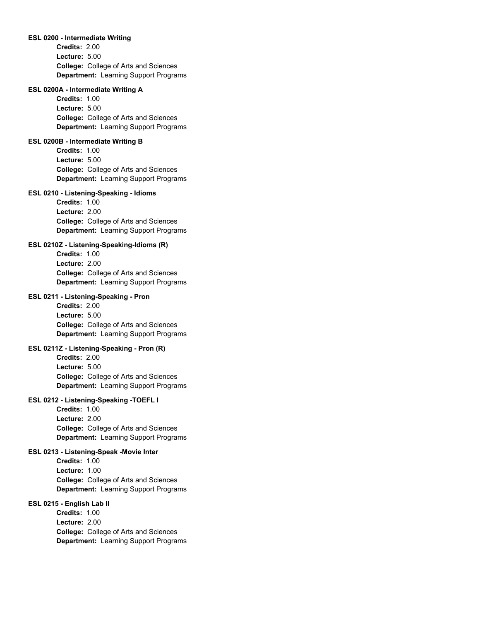#### **ESL 0200 - Intermediate Writing**

**College:** College of Arts and Sciences **Department:** Learning Support Programs **Credits:** 2.00 **Lecture:** 5.00

#### **ESL 0200A - Intermediate Writing A**

**College:** College of Arts and Sciences **Department:** Learning Support Programs **Credits:** 1.00 **Lecture:** 5.00

#### **ESL 0200B - Intermediate Writing B**

**College:** College of Arts and Sciences **Department:** Learning Support Programs **Credits:** 1.00 **Lecture:** 5.00

#### **ESL 0210 - Listening-Speaking - Idioms**

**College:** College of Arts and Sciences **Department:** Learning Support Programs **Credits:** 1.00 **Lecture:** 2.00

### **ESL 0210Z - Listening-Speaking-Idioms (R)**

**College:** College of Arts and Sciences **Department:** Learning Support Programs **Credits:** 1.00 **Lecture:** 2.00

#### **ESL 0211 - Listening-Speaking - Pron**

**College:** College of Arts and Sciences **Department:** Learning Support Programs **Credits:** 2.00 **Lecture:** 5.00

**ESL 0211Z - Listening-Speaking - Pron (R) College:** College of Arts and Sciences **Credits:** 2.00 **Lecture:** 5.00

# **ESL 0212 - Listening-Speaking -TOEFL I**

**College:** College of Arts and Sciences **Department:** Learning Support Programs **Credits:** 1.00 **Lecture:** 2.00

**Department:** Learning Support Programs

#### **ESL 0213 - Listening-Speak -Movie Inter**

**College:** College of Arts and Sciences **Department:** Learning Support Programs **Credits:** 1.00 **Lecture:** 1.00

#### **ESL 0215 - English Lab II**

**College:** College of Arts and Sciences **Department:** Learning Support Programs **Credits:** 1.00 **Lecture:** 2.00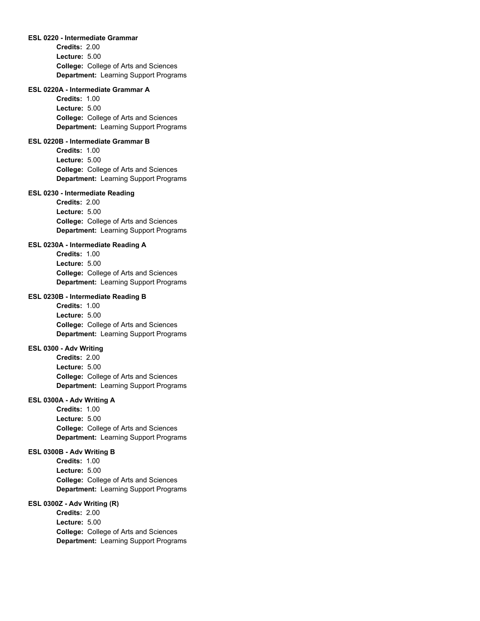#### **ESL 0220 - Intermediate Grammar**

**College:** College of Arts and Sciences **Department:** Learning Support Programs **Credits:** 2.00 **Lecture:** 5.00

#### **ESL 0220A - Intermediate Grammar A**

**College:** College of Arts and Sciences **Department:** Learning Support Programs **Credits:** 1.00 **Lecture:** 5.00

#### **ESL 0220B - Intermediate Grammar B**

**College:** College of Arts and Sciences **Department:** Learning Support Programs **Credits:** 1.00 **Lecture:** 5.00

#### **ESL 0230 - Intermediate Reading**

**College:** College of Arts and Sciences **Department:** Learning Support Programs **Credits:** 2.00 **Lecture:** 5.00

#### **ESL 0230A - Intermediate Reading A**

**College:** College of Arts and Sciences **Department:** Learning Support Programs **Credits:** 1.00 **Lecture:** 5.00

### **ESL 0230B - Intermediate Reading B**

**College:** College of Arts and Sciences **Department:** Learning Support Programs **Credits:** 1.00 **Lecture:** 5.00

#### **ESL 0300 - Adv Writing**

**College:** College of Arts and Sciences **Department:** Learning Support Programs **Credits:** 2.00 **Lecture:** 5.00

#### **ESL 0300A - Adv Writing A**

**College:** College of Arts and Sciences **Department:** Learning Support Programs **Credits:** 1.00 **Lecture:** 5.00

#### **ESL 0300B - Adv Writing B**

**College:** College of Arts and Sciences **Department:** Learning Support Programs **Credits:** 1.00 **Lecture:** 5.00

#### **ESL 0300Z - Adv Writing (R)**

**College:** College of Arts and Sciences **Department:** Learning Support Programs **Credits:** 2.00 **Lecture:** 5.00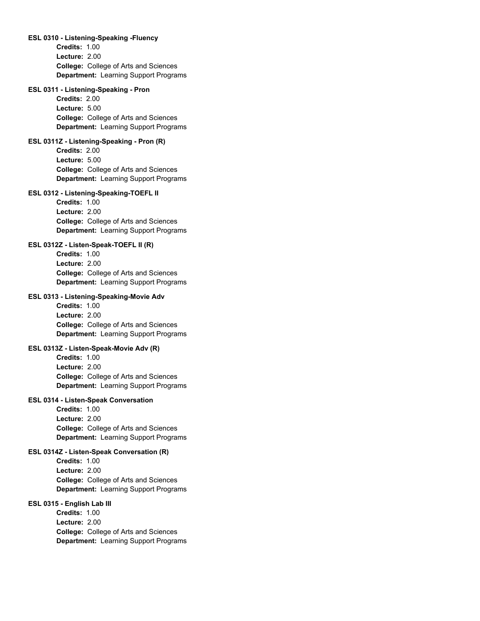### **ESL 0310 - Listening-Speaking -Fluency**

**College:** College of Arts and Sciences **Department:** Learning Support Programs **Credits:** 1.00 **Lecture:** 2.00

### **ESL 0311 - Listening-Speaking - Pron**

**College:** College of Arts and Sciences **Department:** Learning Support Programs **Credits:** 2.00 **Lecture:** 5.00

### **ESL 0311Z - Listening-Speaking - Pron (R)**

**College:** College of Arts and Sciences **Department:** Learning Support Programs **Credits:** 2.00 **Lecture:** 5.00

### **ESL 0312 - Listening-Speaking-TOEFL II**

**College:** College of Arts and Sciences **Department:** Learning Support Programs **Credits:** 1.00 **Lecture:** 2.00

# **ESL 0312Z - Listen-Speak-TOEFL II (R)**

**College:** College of Arts and Sciences **Department:** Learning Support Programs **Credits:** 1.00 **Lecture:** 2.00

# **ESL 0313 - Listening-Speaking-Movie Adv**

**College:** College of Arts and Sciences **Department:** Learning Support Programs **Credits:** 1.00 **Lecture:** 2.00

### **ESL 0313Z - Listen-Speak-Movie Adv (R)**

**College:** College of Arts and Sciences **Department:** Learning Support Programs **Credits:** 1.00 **Lecture:** 2.00

### **ESL 0314 - Listen-Speak Conversation**

**College:** College of Arts and Sciences **Department:** Learning Support Programs **Credits:** 1.00 **Lecture:** 2.00

#### **ESL 0314Z - Listen-Speak Conversation (R)**

**College:** College of Arts and Sciences **Department:** Learning Support Programs **Credits:** 1.00 **Lecture:** 2.00

### **ESL 0315 - English Lab III**

**College:** College of Arts and Sciences **Department:** Learning Support Programs **Credits:** 1.00 **Lecture:** 2.00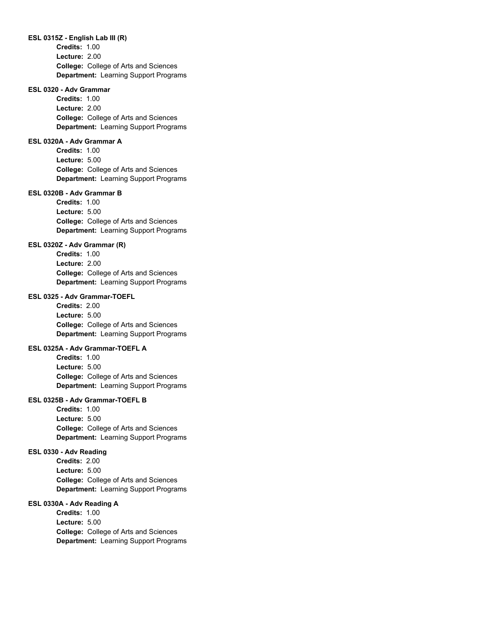#### **ESL 0315Z - English Lab III (R)**

**College:** College of Arts and Sciences **Department:** Learning Support Programs **Credits:** 1.00 **Lecture:** 2.00

### **ESL 0320 - Adv Grammar**

**College:** College of Arts and Sciences **Department:** Learning Support Programs **Credits:** 1.00 **Lecture:** 2.00

#### **ESL 0320A - Adv Grammar A**

**College:** College of Arts and Sciences **Department:** Learning Support Programs **Credits:** 1.00 **Lecture:** 5.00

### **ESL 0320B - Adv Grammar B**

**College:** College of Arts and Sciences **Department:** Learning Support Programs **Credits:** 1.00 **Lecture:** 5.00

### **ESL 0320Z - Adv Grammar (R)**

**College:** College of Arts and Sciences **Department:** Learning Support Programs **Credits:** 1.00 **Lecture:** 2.00

### **ESL 0325 - Adv Grammar-TOEFL**

**College:** College of Arts and Sciences **Department:** Learning Support Programs **Credits:** 2.00 **Lecture:** 5.00

### **ESL 0325A - Adv Grammar-TOEFL A**

**College:** College of Arts and Sciences **Department:** Learning Support Programs **Credits:** 1.00 **Lecture:** 5.00

### **ESL 0325B - Adv Grammar-TOEFL B**

**College:** College of Arts and Sciences **Department:** Learning Support Programs **Credits:** 1.00 **Lecture:** 5.00

### **ESL 0330 - Adv Reading**

**College:** College of Arts and Sciences **Department:** Learning Support Programs **Credits:** 2.00 **Lecture:** 5.00

### **ESL 0330A - Adv Reading A**

**College:** College of Arts and Sciences **Department:** Learning Support Programs **Credits:** 1.00 **Lecture:** 5.00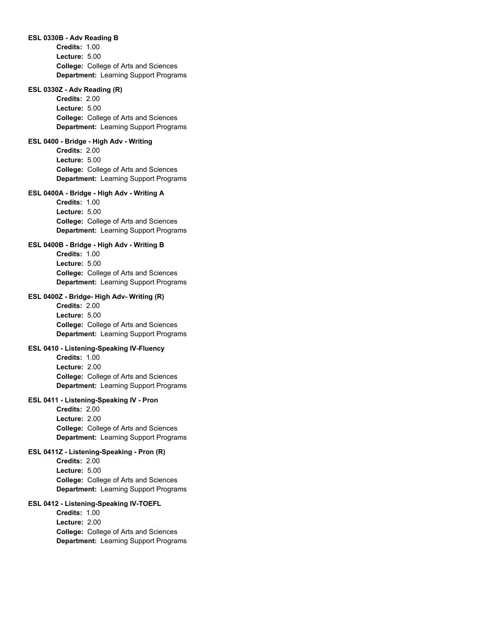### **ESL 0330B - Adv Reading B**

**College:** College of Arts and Sciences **Department:** Learning Support Programs **Credits:** 1.00 **Lecture:** 5.00

### **ESL 0330Z - Adv Reading (R)**

**College:** College of Arts and Sciences **Department:** Learning Support Programs **Credits:** 2.00 **Lecture:** 5.00

### **ESL 0400 - Bridge - High Adv - Writing**

**College:** College of Arts and Sciences **Department:** Learning Support Programs **Credits:** 2.00 **Lecture:** 5.00

# **ESL 0400A - Bridge - High Adv - Writing A**

**College:** College of Arts and Sciences **Department:** Learning Support Programs **Credits:** 1.00 **Lecture:** 5.00

# **ESL 0400B - Bridge - High Adv - Writing B**

**College:** College of Arts and Sciences **Department:** Learning Support Programs **Credits:** 1.00 **Lecture:** 5.00

# **ESL 0400Z - Bridge- High Adv- Writing (R)**

**College:** College of Arts and Sciences **Department:** Learning Support Programs **Credits:** 2.00 **Lecture:** 5.00

# **ESL 0410 - Listening-Speaking IV-Fluency**

**College:** College of Arts and Sciences **Department:** Learning Support Programs **Credits:** 1.00 **Lecture:** 2.00

### **ESL 0411 - Listening-Speaking IV - Pron**

**College:** College of Arts and Sciences **Department:** Learning Support Programs **Credits:** 2.00 **Lecture:** 2.00

#### **ESL 0411Z - Listening-Speaking - Pron (R)**

**College:** College of Arts and Sciences **Department:** Learning Support Programs **Credits:** 2.00 **Lecture:** 5.00

### **ESL 0412 - Listening-Speaking IV-TOEFL**

**College:** College of Arts and Sciences **Department:** Learning Support Programs **Credits:** 1.00 **Lecture:** 2.00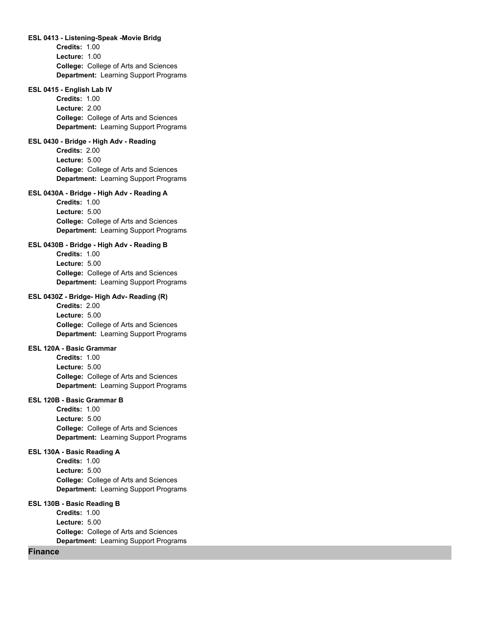### **ESL 0413 - Listening-Speak -Movie Bridg**

**College:** College of Arts and Sciences **Department:** Learning Support Programs **Credits:** 1.00 **Lecture:** 1.00

#### **ESL 0415 - English Lab IV**

**College:** College of Arts and Sciences **Department:** Learning Support Programs **Credits:** 1.00 **Lecture:** 2.00

# **ESL 0430 - Bridge - High Adv - Reading**

**College:** College of Arts and Sciences **Department:** Learning Support Programs **Credits:** 2.00 **Lecture:** 5.00

# **ESL 0430A - Bridge - High Adv - Reading A**

**College:** College of Arts and Sciences **Department:** Learning Support Programs **Credits:** 1.00 **Lecture:** 5.00

# **ESL 0430B - Bridge - High Adv - Reading B**

**College:** College of Arts and Sciences **Department:** Learning Support Programs **Credits:** 1.00 **Lecture:** 5.00

# **ESL 0430Z - Bridge- High Adv- Reading (R)**

**College:** College of Arts and Sciences **Department:** Learning Support Programs **Credits:** 2.00 **Lecture:** 5.00

### **ESL 120A - Basic Grammar**

**College:** College of Arts and Sciences **Department:** Learning Support Programs **Credits:** 1.00 **Lecture:** 5.00

### **ESL 120B - Basic Grammar B**

**College:** College of Arts and Sciences **Department:** Learning Support Programs **Credits:** 1.00 **Lecture:** 5.00

#### **ESL 130A - Basic Reading A**

**College:** College of Arts and Sciences **Department:** Learning Support Programs **Credits:** 1.00 **Lecture:** 5.00

### **ESL 130B - Basic Reading B**

**College:** College of Arts and Sciences **Department:** Learning Support Programs **Credits:** 1.00 **Lecture:** 5.00

# **Finance**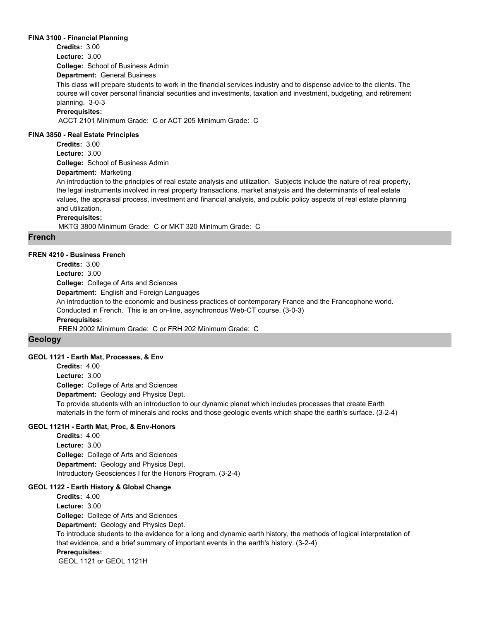#### **FINA 3100 - Financial Planning**

**Credits:** 3.00

**Lecture:** 3.00

**College:** School of Business Admin

**Department:** General Business

This class will prepare students to work in the financial services industry and to dispense advice to the clients. The course will cover personal financial securities and investments, taxation and investment, budgeting, and retirement planning. 3-0-3

### **Prerequisites:**

ACCT 2101 Minimum Grade: C or ACT 205 Minimum Grade: C

### **FINA 3850 - Real Estate Principles**

**College:** School of Business Admin **Credits:** 3.00 **Lecture:** 3.00

# **Department:** Marketing

An introduction to the principles of real estate analysis and utilization. Subjects include the nature of real property, the legal instruments involved in real property transactions, market analysis and the determinants of real estate values, the appraisal process, investment and financial analysis, and public policy aspects of real estate planning and utilization.

# **Prerequisites:**

MKTG 3800 Minimum Grade: C or MKT 320 Minimum Grade: C

# **French**

### **FREN 4210 - Business French**

**College:** College of Arts and Sciences **Department:** English and Foreign Languages **Credits:** 3.00 **Lecture:** 3.00 An introduction to the economic and business practices of contemporary France and the Francophone world. Conducted in French. This is an on-line, asynchronous Web-CT course. (3-0-3) **Prerequisites:**  FREN 2002 Minimum Grade: C or FRH 202 Minimum Grade: C

# **Geology**

# **GEOL 1121 - Earth Mat, Processes, & Env**

**College:** College of Arts and Sciences **Department:** Geology and Physics Dept. **Credits:** 4.00 **Lecture:** 3.00 To provide students with an introduction to our dynamic planet which includes processes that create Earth materials in the form of minerals and rocks and those geologic events which shape the earth's surface. (3-2-4)

# **GEOL 1121H - Earth Mat, Proc, & Env-Honors**

**College:** College of Arts and Sciences **Department:** Geology and Physics Dept. **Credits:** 4.00 **Lecture:** 3.00 Introductory Geosciences I for the Honors Program. (3-2-4)

#### **GEOL 1122 - Earth History & Global Change**

**College:** College of Arts and Sciences **Department:** Geology and Physics Dept. **Credits:** 4.00 **Lecture:** 3.00 To introduce students to the evidence for a long and dynamic earth history, the methods of logical interpretation of that evidence, and a brief summary of important events in the earth's history. (3-2-4) **Prerequisites:**  GEOL 1121 or GEOL 1121H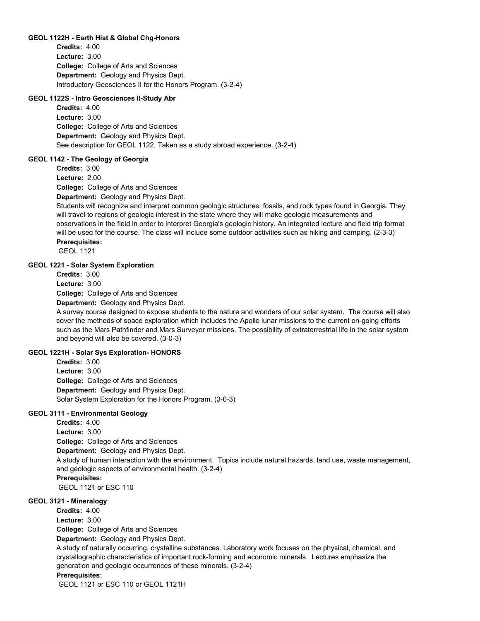### **GEOL 1122H - Earth Hist & Global Chg-Honors**

**College:** College of Arts and Sciences **Department:** Geology and Physics Dept. **Credits:** 4.00 **Lecture:** 3.00 Introductory Geosciences II for the Honors Program. (3-2-4)

### **GEOL 1122S - Intro Geosciences II-Study Abr**

**College:** College of Arts and Sciences **Department:** Geology and Physics Dept. **Credits:** 4.00 **Lecture:** 3.00 See description for GEOL 1122. Taken as a study abroad experience. (3-2-4)

### **GEOL 1142 - The Geology of Georgia**

**Credits:** 3.00

**Lecture:** 2.00

**College:** College of Arts and Sciences

### **Department:** Geology and Physics Dept.

Students will recognize and interpret common geologic structures, fossils, and rock types found in Georgia. They will travel to regions of geologic interest in the state where they will make geologic measurements and observations in the field in order to interpret Georgia's geologic history. An integrated lecture and field trip format will be used for the course. The class will include some outdoor activities such as hiking and camping. (2-3-3) **Prerequisites:** 

GEOL 1121

### **GEOL 1221 - Solar System Exploration**

**Credits:** 3.00

**Lecture:** 3.00

**College:** College of Arts and Sciences

**Department:** Geology and Physics Dept.

A survey course designed to expose students to the nature and wonders of our solar system. The course will also cover the methods of space exploration which includes the Apollo lunar missions to the current on-going efforts such as the Mars Pathfinder and Mars Surveyor missions. The possibility of extraterrestrial life in the solar system and beyond will also be covered. (3-0-3)

# **GEOL 1221H - Solar Sys Exploration- HONORS**

**College:** College of Arts and Sciences **Department:** Geology and Physics Dept. **Credits:** 3.00 **Lecture:** 3.00 Solar System Exploration for the Honors Program. (3-0-3)

# **GEOL 3111 - Environmental Geology**

**College:** College of Arts and Sciences **Department:** Geology and Physics Dept. **Credits:** 4.00 **Lecture:** 3.00 A study of human interaction with the environment. Topics include natural hazards, land use, waste management, and geologic aspects of environmental health. (3-2-4) **Prerequisites:**  GEOL 1121 or ESC 110

### **GEOL 3121 - Mineralogy**

**College:** College of Arts and Sciences **Department:** Geology and Physics Dept. **Credits:** 4.00 **Lecture:** 3.00

A study of naturally occurring, crystalline substances. Laboratory work focuses on the physical, chemical, and crystallographic characteristics of important rock-forming and economic minerals. Lectures emphasize the generation and geologic occurrences of these minerals. (3-2-4)

#### **Prerequisites:**

GEOL 1121 or ESC 110 or GEOL 1121H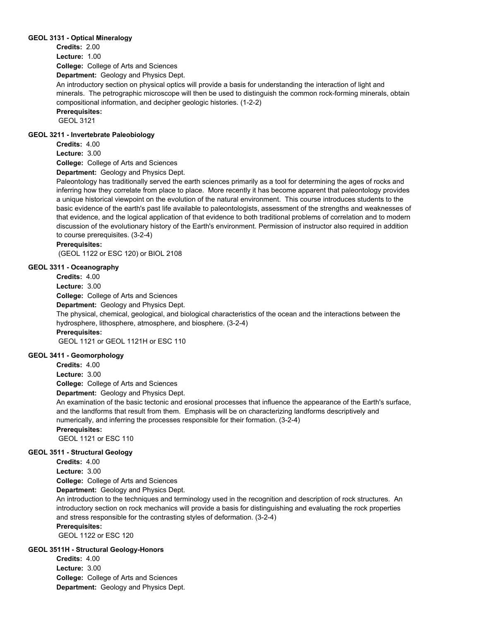### **GEOL 3131 - Optical Mineralogy**

**Credits:** 2.00

**Lecture:** 1.00

**College:** College of Arts and Sciences

**Department:** Geology and Physics Dept.

An introductory section on physical optics will provide a basis for understanding the interaction of light and minerals. The petrographic microscope will then be used to distinguish the common rock-forming minerals, obtain compositional information, and decipher geologic histories. (1-2-2)

# **Prerequisites:**

GEOL 3121

# **GEOL 3211 - Invertebrate Paleobiology**

**Credits:** 4.00

**Lecture:** 3.00

**College:** College of Arts and Sciences

**Department:** Geology and Physics Dept.

Paleontology has traditionally served the earth sciences primarily as a tool for determining the ages of rocks and inferring how they correlate from place to place. More recently it has become apparent that paleontology provides a unique historical viewpoint on the evolution of the natural environment. This course introduces students to the basic evidence of the earth's past life available to paleontologists, assessment of the strengths and weaknesses of that evidence, and the logical application of that evidence to both traditional problems of correlation and to modern discussion of the evolutionary history of the Earth's environment. Permission of instructor also required in addition to course prerequisites. (3-2-4)

# **Prerequisites:**

(GEOL 1122 or ESC 120) or BIOL 2108

# **GEOL 3311 - Oceanography**

**Credits:** 4.00

**Lecture:** 3.00

**College:** College of Arts and Sciences

**Department:** Geology and Physics Dept.

The physical, chemical, geological, and biological characteristics of the ocean and the interactions between the hydrosphere, lithosphere, atmosphere, and biosphere. (3-2-4) **Prerequisites:** 

GEOL 1121 or GEOL 1121H or ESC 110

# **GEOL 3411 - Geomorphology**

**Credits:** 4.00

**Lecture:** 3.00

**College:** College of Arts and Sciences

**Department:** Geology and Physics Dept.

An examination of the basic tectonic and erosional processes that influence the appearance of the Earth's surface, and the landforms that result from them. Emphasis will be on characterizing landforms descriptively and numerically, and inferring the processes responsible for their formation. (3-2-4)

**Prerequisites:** 

GEOL 1121 or ESC 110

### **GEOL 3511 - Structural Geology**

**Credits:** 4.00

**Lecture:** 3.00

**College:** College of Arts and Sciences

**Department:** Geology and Physics Dept.

An introduction to the techniques and terminology used in the recognition and description of rock structures. An introductory section on rock mechanics will provide a basis for distinguishing and evaluating the rock properties and stress responsible for the contrasting styles of deformation. (3-2-4)

# **Prerequisites:**

GEOL 1122 or ESC 120

# **GEOL 3511H - Structural Geology-Honors**

**College:** College of Arts and Sciences **Department:** Geology and Physics Dept. **Credits:** 4.00 **Lecture:** 3.00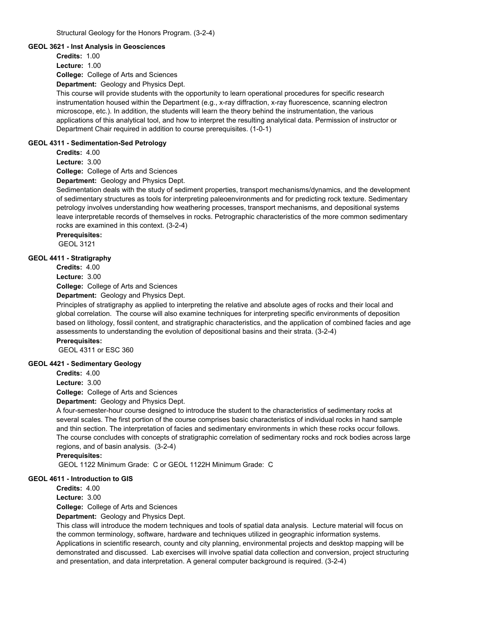### **GEOL 3621 - Inst Analysis in Geosciences**

**Credits:** 1.00

**Lecture:** 1.00

**College:** College of Arts and Sciences

**Department:** Geology and Physics Dept.

This course will provide students with the opportunity to learn operational procedures for specific research instrumentation housed within the Department (e.g., x-ray diffraction, x-ray fluorescence, scanning electron microscope, etc.). In addition, the students will learn the theory behind the instrumentation, the various applications of this analytical tool, and how to interpret the resulting analytical data. Permission of instructor or Department Chair required in addition to course prerequisites. (1-0-1)

# **GEOL 4311 - Sedimentation-Sed Petrology**

**Credits:** 4.00

**Lecture:** 3.00

**College:** College of Arts and Sciences

**Department:** Geology and Physics Dept.

Sedimentation deals with the study of sediment properties, transport mechanisms/dynamics, and the development of sedimentary structures as tools for interpreting paleoenvironments and for predicting rock texture. Sedimentary petrology involves understanding how weathering processes, transport mechanisms, and depositional systems leave interpretable records of themselves in rocks. Petrographic characteristics of the more common sedimentary rocks are examined in this context. (3-2-4)

**Prerequisites:** 

GEOL 3121

# **GEOL 4411 - Stratigraphy**

**Credits:** 4.00

**Lecture:** 3.00

**College:** College of Arts and Sciences

**Department:** Geology and Physics Dept.

Principles of stratigraphy as applied to interpreting the relative and absolute ages of rocks and their local and global correlation. The course will also examine techniques for interpreting specific environments of deposition based on lithology, fossil content, and stratigraphic characteristics, and the application of combined facies and age assessments to understanding the evolution of depositional basins and their strata. (3-2-4)

# **Prerequisites:**

GEOL 4311 or ESC 360

# **GEOL 4421 - Sedimentary Geology**

**Credits:** 4.00

**Lecture:** 3.00

**College:** College of Arts and Sciences

**Department:** Geology and Physics Dept.

A four-semester-hour course designed to introduce the student to the characteristics of sedimentary rocks at several scales. The first portion of the course comprises basic characteristics of individual rocks in hand sample and thin section. The interpretation of facies and sedimentary environments in which these rocks occur follows. The course concludes with concepts of stratigraphic correlation of sedimentary rocks and rock bodies across large regions, and of basin analysis. (3-2-4)

**Prerequisites:** 

GEOL 1122 Minimum Grade: C or GEOL 1122H Minimum Grade: C

# **GEOL 4611 - Introduction to GIS**

**Credits:** 4.00

**Lecture:** 3.00

**College:** College of Arts and Sciences

**Department:** Geology and Physics Dept.

This class will introduce the modern techniques and tools of spatial data analysis. Lecture material will focus on the common terminology, software, hardware and techniques utilized in geographic information systems. Applications in scientific research, county and city planning, environmental projects and desktop mapping will be demonstrated and discussed. Lab exercises will involve spatial data collection and conversion, project structuring and presentation, and data interpretation. A general computer background is required. (3-2-4)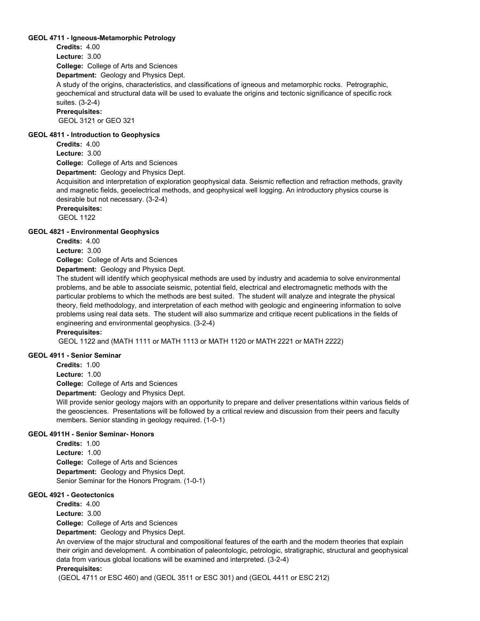### **GEOL 4711 - Igneous-Metamorphic Petrology**

**Credits:** 4.00

**Lecture:** 3.00

**College:** College of Arts and Sciences

**Department:** Geology and Physics Dept.

A study of the origins, characteristics, and classifications of igneous and metamorphic rocks. Petrographic, geochemical and structural data will be used to evaluate the origins and tectonic significance of specific rock suites. (3-2-4)

**Prerequisites:** 

GEOL 3121 or GEO 321

### **GEOL 4811 - Introduction to Geophysics**

**Credits:** 4.00 **Lecture:** 3.00

**College:** College of Arts and Sciences

**Department:** Geology and Physics Dept.

Acquisition and interpretation of exploration geophysical data. Seismic reflection and refraction methods, gravity and magnetic fields, geoelectrical methods, and geophysical well logging. An introductory physics course is desirable but not necessary. (3-2-4)

**Prerequisites:** 

GEOL 1122

# **GEOL 4821 - Environmental Geophysics**

**Credits:** 4.00

**Lecture:** 3.00

**College:** College of Arts and Sciences

**Department:** Geology and Physics Dept.

The student will identify which geophysical methods are used by industry and academia to solve environmental problems, and be able to associate seismic, potential field, electrical and electromagnetic methods with the particular problems to which the methods are best suited. The student will analyze and integrate the physical theory, field methodology, and interpretation of each method with geologic and engineering information to solve problems using real data sets. The student will also summarize and critique recent publications in the fields of engineering and environmental geophysics. (3-2-4)

**Prerequisites:** 

GEOL 1122 and (MATH 1111 or MATH 1113 or MATH 1120 or MATH 2221 or MATH 2222)

# **GEOL 4911 - Senior Seminar**

**Credits:** 1.00

**Lecture:** 1.00

**College:** College of Arts and Sciences

**Department:** Geology and Physics Dept.

Will provide senior geology majors with an opportunity to prepare and deliver presentations within various fields of the geosciences. Presentations will be followed by a critical review and discussion from their peers and faculty members. Senior standing in geology required. (1-0-1)

# **GEOL 4911H - Senior Seminar- Honors**

**College:** College of Arts and Sciences **Department:** Geology and Physics Dept. **Credits:** 1.00 **Lecture:** 1.00 Senior Seminar for the Honors Program. (1-0-1)

### **GEOL 4921 - Geotectonics**

**Credits:** 4.00 **Lecture:** 3.00

**College:** College of Arts and Sciences

**Department:** Geology and Physics Dept.

An overview of the major structural and compositional features of the earth and the modern theories that explain their origin and development. A combination of paleontologic, petrologic, stratigraphic, structural and geophysical data from various global locations will be examined and interpreted. (3-2-4)

# **Prerequisites:**

(GEOL 4711 or ESC 460) and (GEOL 3511 or ESC 301) and (GEOL 4411 or ESC 212)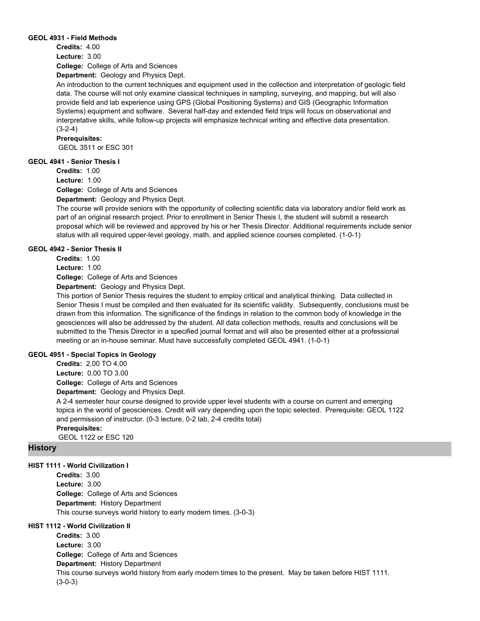### **GEOL 4931 - Field Methods**

**Credits:** 4.00 **Lecture:** 3.00

**College:** College of Arts and Sciences

**Department:** Geology and Physics Dept.

An introduction to the current techniques and equipment used in the collection and interpretation of geologic field data. The course will not only examine classical techniques in sampling, surveying, and mapping, but will also provide field and lab experience using GPS (Global Positioning Systems) and GIS (Geographic Information Systems) equipment and software. Several half-day and extended field trips will focus on observational and interpretative skills, while follow-up projects will emphasize technical writing and effective data presentation.  $(3-2-4)$ 

**Prerequisites:** 

GEOL 3511 or ESC 301

# **GEOL 4941 - Senior Thesis I**

**Credits:** 1.00

**Lecture:** 1.00

**College:** College of Arts and Sciences

**Department:** Geology and Physics Dept.

The course will provide seniors with the opportunity of collecting scientific data via laboratory and/or field work as part of an original research project. Prior to enrollment in Senior Thesis I, the student will submit a research proposal which will be reviewed and approved by his or her Thesis Director. Additional requirements include senior status with all required upper-level geology, math, and applied science courses completed. (1-0-1)

# **GEOL 4942 - Senior Thesis II**

**Credits:** 1.00

**Lecture:** 1.00

**College:** College of Arts and Sciences

**Department:** Geology and Physics Dept.

This portion of Senior Thesis requires the student to employ critical and analytical thinking. Data collected in Senior Thesis I must be compiled and then evaluated for its scientific validity. Subsequently, conclusions must be drawn from this information. The significance of the findings in relation to the common body of knowledge in the geosciences will also be addressed by the student. All data collection methods, results and conclusions will be submitted to the Thesis Director in a specified journal format and will also be presented either at a professional meeting or an in-house seminar. Must have successfully completed GEOL 4941. (1-0-1)

# **GEOL 4951 - Special Topics in Geology**

**College:** College of Arts and Sciences **Department:** Geology and Physics Dept. **Credits:** 2.00 TO 4.00 **Lecture:** 0.00 TO 3.00

A 2-4 semester hour course designed to provide upper level students with a course on current and emerging topics in the world of geosciences. Credit will vary depending upon the topic selected. Prerequisite: GEOL 1122 and permission of instructor. (0-3 lecture, 0-2 lab, 2-4 credits total)

**Prerequisites:**  GEOL 1122 or ESC 120

# **History**

# **HIST 1111 - World Civilization I**

**College:** College of Arts and Sciences **Department:** History Department **Credits:** 3.00 **Lecture:** 3.00 This course surveys world history to early modern times. (3-0-3)

# **HIST 1112 - World Civilization II**

**College:** College of Arts and Sciences **Department:** History Department **Credits:** 3.00 **Lecture:** 3.00 This course surveys world history from early modern times to the present. May be taken before HIST 1111. (3-0-3)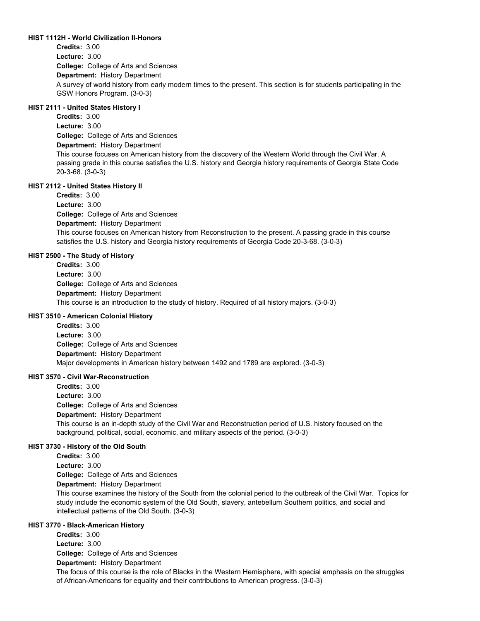### **HIST 1112H - World Civilization II-Honors**

**College:** College of Arts and Sciences **Department:** History Department **Credits:** 3.00 **Lecture:** 3.00 A survey of world history from early modern times to the present. This section is for students participating in the GSW Honors Program. (3-0-3)

# **HIST 2111 - United States History I**

**College:** College of Arts and Sciences **Department:** History Department **Credits:** 3.00 **Lecture:** 3.00 This course focuses on American history from the discovery of the Western World through the Civil War. A passing grade in this course satisfies the U.S. history and Georgia history requirements of Georgia State Code 20-3-68. (3-0-3)

# **HIST 2112 - United States History II**

**College:** College of Arts and Sciences **Department:** History Department **Credits:** 3.00 **Lecture:** 3.00 This course focuses on American history from Reconstruction to the present. A passing grade in this course satisfies the U.S. history and Georgia history requirements of Georgia Code 20-3-68. (3-0-3)

# **HIST 2500 - The Study of History**

**College:** College of Arts and Sciences **Department:** History Department **Credits:** 3.00 **Lecture:** 3.00 This course is an introduction to the study of history. Required of all history majors. (3-0-3)

# **HIST 3510 - American Colonial History**

**College:** College of Arts and Sciences **Department:** History Department **Credits:** 3.00 **Lecture:** 3.00 Major developments in American history between 1492 and 1789 are explored. (3-0-3)

# **HIST 3570 - Civil War-Reconstruction**

**College:** College of Arts and Sciences **Department:** History Department **Credits:** 3.00 **Lecture:** 3.00 This course is an in-depth study of the Civil War and Reconstruction period of U.S. history focused on the background, political, social, economic, and military aspects of the period. (3-0-3)

# **HIST 3730 - History of the Old South**

**College:** College of Arts and Sciences **Department:** History Department **Credits:** 3.00 **Lecture:** 3.00 This course examines the history of the South from the colonial period to the outbreak of the Civil War. Topics for

study include the economic system of the Old South, slavery, antebellum Southern politics, and social and intellectual patterns of the Old South. (3-0-3)

# **HIST 3770 - Black-American History**

**College:** College of Arts and Sciences **Department:** History Department **Credits:** 3.00 **Lecture:** 3.00

The focus of this course is the role of Blacks in the Western Hemisphere, with special emphasis on the struggles of African-Americans for equality and their contributions to American progress. (3-0-3)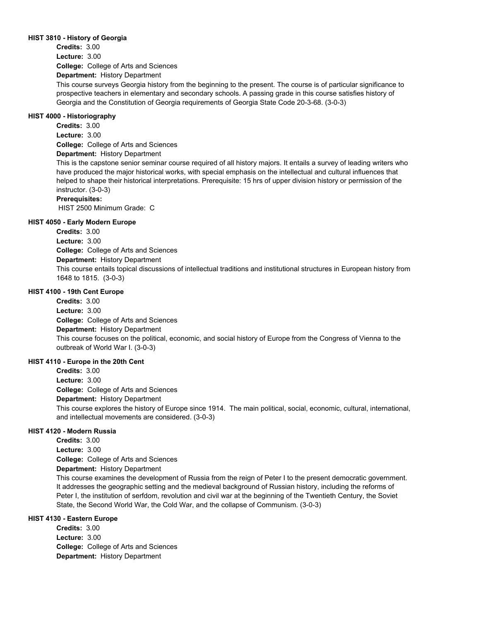### **HIST 3810 - History of Georgia**

**College:** College of Arts and Sciences **Credits:** 3.00 **Lecture:** 3.00

**Department:** History Department

This course surveys Georgia history from the beginning to the present. The course is of particular significance to prospective teachers in elementary and secondary schools. A passing grade in this course satisfies history of Georgia and the Constitution of Georgia requirements of Georgia State Code 20-3-68. (3-0-3)

### **HIST 4000 - Historiography**

**College:** College of Arts and Sciences **Department:** History Department **Credits:** 3.00 **Lecture:** 3.00

This is the capstone senior seminar course required of all history majors. It entails a survey of leading writers who have produced the major historical works, with special emphasis on the intellectual and cultural influences that helped to shape their historical interpretations. Prerequisite: 15 hrs of upper division history or permission of the instructor. (3-0-3)

### **Prerequisites:**

HIST 2500 Minimum Grade: C

### **HIST 4050 - Early Modern Europe**

**College:** College of Arts and Sciences **Department:** History Department **Credits:** 3.00 **Lecture:** 3.00 This course entails topical discussions of intellectual traditions and institutional structures in European history from 1648 to 1815. (3-0-3)

### **HIST 4100 - 19th Cent Europe**

**College:** College of Arts and Sciences **Department:** History Department **Credits:** 3.00 **Lecture:** 3.00 This course focuses on the political, economic, and social history of Europe from the Congress of Vienna to the outbreak of World War I. (3-0-3)

### **HIST 4110 - Europe in the 20th Cent**

**College:** College of Arts and Sciences **Department:** History Department **Credits:** 3.00 **Lecture:** 3.00 This course explores the history of Europe since 1914. The main political, social, economic, cultural, international, and intellectual movements are considered. (3-0-3)

# **HIST 4120 - Modern Russia**

**College:** College of Arts and Sciences **Department:** History Department **Credits:** 3.00 **Lecture:** 3.00

This course examines the development of Russia from the reign of Peter I to the present democratic government. It addresses the geographic setting and the medieval background of Russian history, including the reforms of Peter I, the institution of serfdom, revolution and civil war at the beginning of the Twentieth Century, the Soviet State, the Second World War, the Cold War, and the collapse of Communism. (3-0-3)

# **HIST 4130 - Eastern Europe**

**College:** College of Arts and Sciences **Department:** History Department **Credits:** 3.00 **Lecture:** 3.00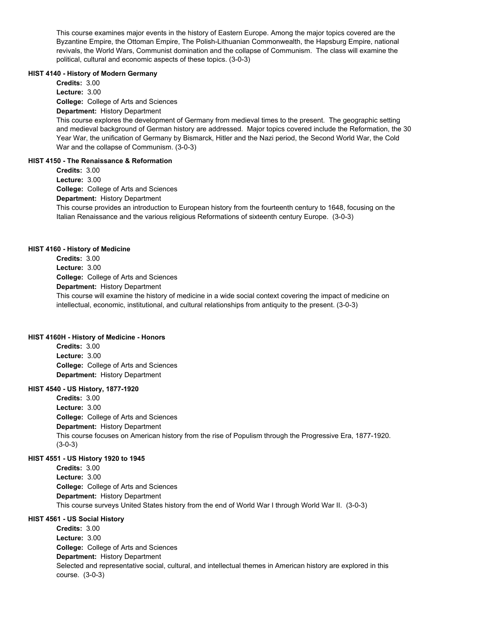This course examines major events in the history of Eastern Europe. Among the major topics covered are the Byzantine Empire, the Ottoman Empire, The Polish-Lithuanian Commonwealth, the Hapsburg Empire, national revivals, the World Wars, Communist domination and the collapse of Communism. The class will examine the political, cultural and economic aspects of these topics. (3-0-3)

### **HIST 4140 - History of Modern Germany**

**College:** College of Arts and Sciences **Department:** History Department **Credits:** 3.00 **Lecture:** 3.00

This course explores the development of Germany from medieval times to the present. The geographic setting and medieval background of German history are addressed. Major topics covered include the Reformation, the 30 Year War, the unification of Germany by Bismarck, Hitler and the Nazi period, the Second World War, the Cold War and the collapse of Communism. (3-0-3)

# **HIST 4150 - The Renaissance & Reformation**

**College:** College of Arts and Sciences **Department:** History Department **Credits:** 3.00 **Lecture:** 3.00 This course provides an introduction to European history from the fourteenth century to 1648, focusing on the Italian Renaissance and the various religious Reformations of sixteenth century Europe. (3-0-3)

# **HIST 4160 - History of Medicine**

**College:** College of Arts and Sciences **Department:** History Department **Credits:** 3.00 **Lecture:** 3.00 This course will examine the history of medicine in a wide social context covering the impact of medicine on intellectual, economic, institutional, and cultural relationships from antiquity to the present. (3-0-3)

# **HIST 4160H - History of Medicine - Honors**

**College:** College of Arts and Sciences **Department:** History Department **Credits:** 3.00 **Lecture:** 3.00

# **HIST 4540 - US History, 1877-1920**

**College:** College of Arts and Sciences **Department:** History Department **Credits:** 3.00 **Lecture:** 3.00 This course focuses on American history from the rise of Populism through the Progressive Era, 1877-1920. (3-0-3)

# **HIST 4551 - US History 1920 to 1945**

**College:** College of Arts and Sciences **Department:** History Department **Credits:** 3.00 **Lecture:** 3.00 This course surveys United States history from the end of World War I through World War II. (3-0-3)

# **HIST 4561 - US Social History**

**College:** College of Arts and Sciences **Department:** History Department **Credits:** 3.00 **Lecture:** 3.00 Selected and representative social, cultural, and intellectual themes in American history are explored in this course. (3-0-3)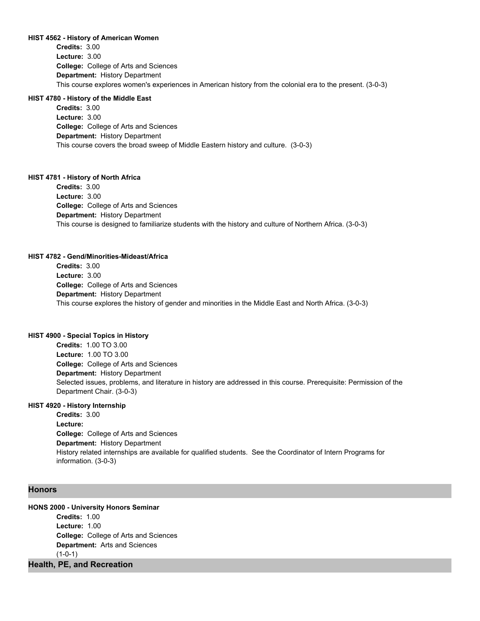### **HIST 4562 - History of American Women**

**College:** College of Arts and Sciences **Department:** History Department **Credits:** 3.00 **Lecture:** 3.00 This course explores women's experiences in American history from the colonial era to the present. (3-0-3)

#### **HIST 4780 - History of the Middle East**

**College:** College of Arts and Sciences **Department:** History Department **Credits:** 3.00 **Lecture:** 3.00 This course covers the broad sweep of Middle Eastern history and culture. (3-0-3)

### **HIST 4781 - History of North Africa**

**College:** College of Arts and Sciences **Department:** History Department **Credits:** 3.00 **Lecture:** 3.00 This course is designed to familiarize students with the history and culture of Northern Africa. (3-0-3)

### **HIST 4782 - Gend/Minorities-Mideast/Africa**

**College:** College of Arts and Sciences **Department:** History Department **Credits:** 3.00 **Lecture:** 3.00 This course explores the history of gender and minorities in the Middle East and North Africa. (3-0-3)

# **HIST 4900 - Special Topics in History**

**College:** College of Arts and Sciences **Department:** History Department **Credits:** 1.00 TO 3.00 **Lecture:** 1.00 TO 3.00 Selected issues, problems, and literature in history are addressed in this course. Prerequisite: Permission of the Department Chair. (3-0-3)

### **HIST 4920 - History Internship**

**College:** College of Arts and Sciences **Department:** History Department **Credits:** 3.00 **Lecture:** History related internships are available for qualified students. See the Coordinator of Intern Programs for information. (3-0-3)

### **Honors**

# **HONS 2000 - University Honors Seminar**

**College:** College of Arts and Sciences **Department:** Arts and Sciences **Credits:** 1.00 **Lecture:** 1.00  $(1-0-1)$ 

# **Health, PE, and Recreation**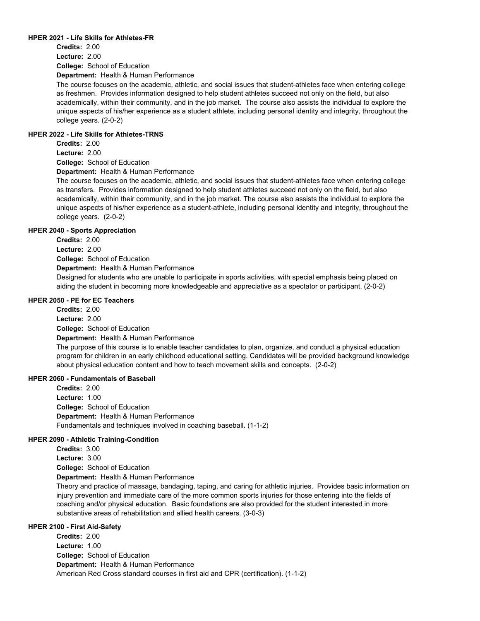### **HPER 2021 - Life Skills for Athletes-FR**

**College:** School of Education **Credits:** 2.00 **Lecture:** 2.00

**Department:** Health & Human Performance

The course focuses on the academic, athletic, and social issues that student-athletes face when entering college as freshmen. Provides information designed to help student athletes succeed not only on the field, but also academically, within their community, and in the job market. The course also assists the individual to explore the unique aspects of his/her experience as a student athlete, including personal identity and integrity, throughout the college years. (2-0-2)

### **HPER 2022 - Life Skills for Athletes-TRNS**

**Credits:** 2.00

**Lecture:** 2.00

**College:** School of Education

**Department:** Health & Human Performance

The course focuses on the academic, athletic, and social issues that student-athletes face when entering college as transfers. Provides information designed to help student athletes succeed not only on the field, but also academically, within their community, and in the job market. The course also assists the individual to explore the unique aspects of his/her experience as a student-athlete, including personal identity and integrity, throughout the college years. (2-0-2)

# **HPER 2040 - Sports Appreciation**

**Credits:** 2.00

**Lecture:** 2.00

**College:** School of Education

**Department:** Health & Human Performance

Designed for students who are unable to participate in sports activities, with special emphasis being placed on aiding the student in becoming more knowledgeable and appreciative as a spectator or participant. (2-0-2)

### **HPER 2050 - PE for EC Teachers**

**College:** School of Education **Department:** Health & Human Performance **Credits:** 2.00 **Lecture:** 2.00 The purpose of this course is to enable teacher candidates to plan, organize, and conduct a physical education program for children in an early childhood educational setting. Candidates will be provided background knowledge about physical education content and how to teach movement skills and concepts. (2-0-2)

#### **HPER 2060 - Fundamentals of Baseball**

**College:** School of Education **Department:** Health & Human Performance **Credits:** 2.00 **Lecture:** 1.00 Fundamentals and techniques involved in coaching baseball. (1-1-2)

# **HPER 2090 - Athletic Training-Condition**

**College:** School of Education **Department:** Health & Human Performance **Credits:** 3.00 **Lecture:** 3.00 Theory and practice of massage, bandaging, taping, and caring for athletic injuries. Provides basic information on

injury prevention and immediate care of the more common sports injuries for those entering into the fields of coaching and/or physical education. Basic foundations are also provided for the student interested in more substantive areas of rehabilitation and allied health careers. (3-0-3)

# **HPER 2100 - First Aid-Safety**

**College:** School of Education **Department:** Health & Human Performance **Credits:** 2.00 **Lecture:** 1.00 American Red Cross standard courses in first aid and CPR (certification). (1-1-2)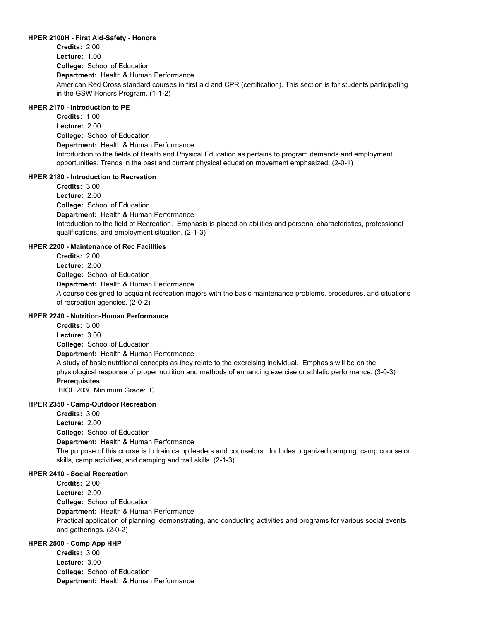### **HPER 2100H - First Aid-Safety - Honors**

**College:** School of Education **Department:** Health & Human Performance **Credits:** 2.00 **Lecture:** 1.00 American Red Cross standard courses in first aid and CPR (certification). This section is for students participating in the GSW Honors Program. (1-1-2)

# **HPER 2170 - Introduction to PE**

**College:** School of Education **Department:** Health & Human Performance **Credits:** 1.00 **Lecture:** 2.00 Introduction to the fields of Health and Physical Education as pertains to program demands and employment opportunities. Trends in the past and current physical education movement emphasized. (2-0-1)

### **HPER 2180 - Introduction to Recreation**

**College:** School of Education **Department:** Health & Human Performance **Credits:** 3.00 **Lecture:** 2.00 Introduction to the field of Recreation. Emphasis is placed on abilities and personal characteristics, professional qualifications, and employment situation. (2-1-3)

# **HPER 2200 - Maintenance of Rec Facilities**

**College:** School of Education **Department:** Health & Human Performance **Credits:** 2.00 **Lecture:** 2.00 A course designed to acquaint recreation majors with the basic maintenance problems, procedures, and situations of recreation agencies. (2-0-2)

# **HPER 2240 - Nutrition-Human Performance**

**College:** School of Education **Department:** Health & Human Performance **Credits:** 3.00 **Lecture:** 3.00 A study of basic nutritional concepts as they relate to the exercising individual. Emphasis will be on the physiological response of proper nutrition and methods of enhancing exercise or athletic performance. (3-0-3) **Prerequisites:**  BIOL 2030 Minimum Grade: C

#### **HPER 2350 - Camp-Outdoor Recreation**

**College:** School of Education **Department:** Health & Human Performance **Credits:** 3.00 **Lecture:** 2.00 The purpose of this course is to train camp leaders and counselors. Includes organized camping, camp counselor skills, camp activities, and camping and trail skills. (2-1-3)

### **HPER 2410 - Social Recreation**

**College:** School of Education **Department:** Health & Human Performance **Credits:** 2.00 **Lecture:** 2.00

Practical application of planning, demonstrating, and conducting activities and programs for various social events and gatherings. (2-0-2)

# **HPER 2500 - Comp App HHP**

**College:** School of Education **Department:** Health & Human Performance **Credits:** 3.00 **Lecture:** 3.00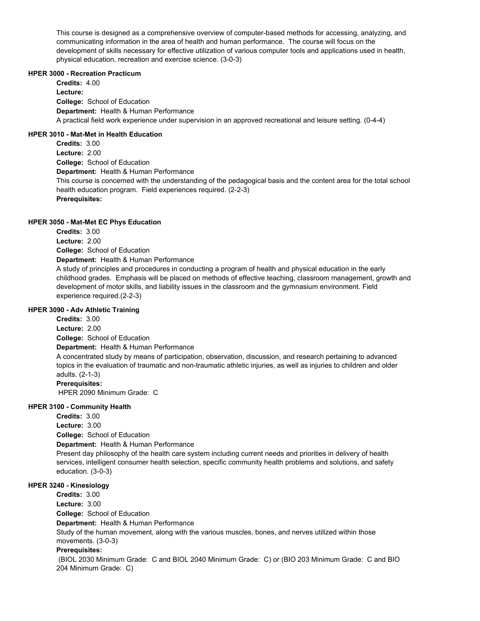This course is designed as a comprehensive overview of computer-based methods for accessing, analyzing, and communicating information in the area of health and human performance. The course will focus on the development of skills necessary for effective utilization of various computer tools and applications used in health, physical education, recreation and exercise science. (3-0-3)

# **HPER 3000 - Recreation Practicum**

**College:** School of Education **Department:** Health & Human Performance **Credits:** 4.00 **Lecture:** A practical field work experience under supervision in an approved recreational and leisure setting. (0-4-4)

# **HPER 3010 - Mat-Met in Health Education**

**College:** School of Education **Department:** Health & Human Performance **Credits:** 3.00 **Lecture:** 2.00 This course is concerned with the understanding of the pedagogical basis and the content area for the total school health education program. Field experiences required. (2-2-3) **Prerequisites:** 

# **HPER 3050 - Mat-Met EC Phys Education**

**College:** School of Education **Department:** Health & Human Performance **Credits:** 3.00 **Lecture:** 2.00

A study of principles and procedures in conducting a program of health and physical education in the early childhood grades. Emphasis will be placed on methods of effective teaching, classroom management, growth and development of motor skills, and liability issues in the classroom and the gymnasium environment. Field experience required.(2-2-3)

# **HPER 3090 - Adv Athletic Training**

**Credits:** 3.00

**College:** School of Education **Department:** Health & Human Performance **Lecture:** 2.00 A concentrated study by means of participation, observation, discussion, and research pertaining to advanced topics in the evaluation of traumatic and non-traumatic athletic injuries, as well as injuries to children and older adults. (2-1-3)

# **Prerequisites:**

HPER 2090 Minimum Grade: C

# **HPER 3100 - Community Health**

**College:** School of Education **Department:** Health & Human Performance **Credits:** 3.00 **Lecture:** 3.00 Present day philosophy of the health care system including current needs and priorities in delivery of health services, intelligent consumer health selection, specific community health problems and solutions, and safety education. (3-0-3)

# **HPER 3240 - Kinesiology**

**College:** School of Education **Department:** Health & Human Performance **Credits:** 3.00 **Lecture:** 3.00

Study of the human movement, along with the various muscles, bones, and nerves utilized within those movements. (3-0-3)

# **Prerequisites:**

 (BIOL 2030 Minimum Grade: C and BIOL 2040 Minimum Grade: C) or (BIO 203 Minimum Grade: C and BIO 204 Minimum Grade: C)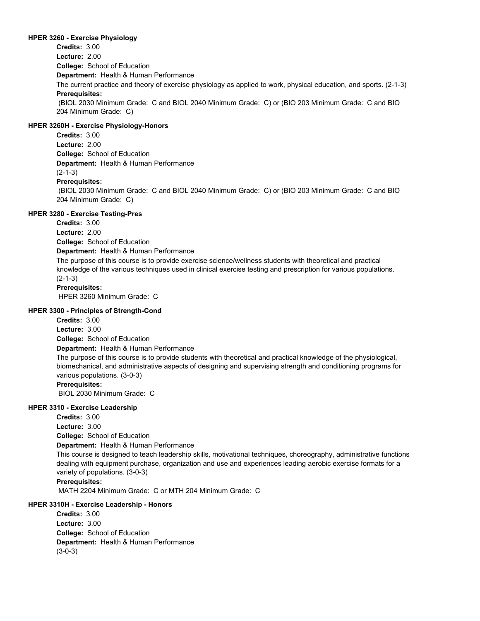### **HPER 3260 - Exercise Physiology**

**College:** School of Education **Department:** Health & Human Performance **Credits:** 3.00 **Lecture:** 2.00 The current practice and theory of exercise physiology as applied to work, physical education, and sports. (2-1-3) **Prerequisites:**  (BIOL 2030 Minimum Grade: C and BIOL 2040 Minimum Grade: C) or (BIO 203 Minimum Grade: C and BIO 204 Minimum Grade: C)

# **HPER 3260H - Exercise Physiology-Honors**

**College:** School of Education **Department:** Health & Human Performance **Credits:** 3.00 **Lecture:** 2.00 (2-1-3) **Prerequisites:**  (BIOL 2030 Minimum Grade: C and BIOL 2040 Minimum Grade: C) or (BIO 203 Minimum Grade: C and BIO 204 Minimum Grade: C)

# **HPER 3280 - Exercise Testing-Pres**

**Credits:** 3.00

**College:** School of Education **Lecture:** 2.00

**Department:** Health & Human Performance

The purpose of this course is to provide exercise science/wellness students with theoretical and practical knowledge of the various techniques used in clinical exercise testing and prescription for various populations. (2-1-3)

**Prerequisites:** 

HPER 3260 Minimum Grade: C

### **HPER 3300 - Principles of Strength-Cond**

**Credits:** 3.00

**College:** School of Education **Lecture:** 3.00

**Department:** Health & Human Performance

The purpose of this course is to provide students with theoretical and practical knowledge of the physiological, biomechanical, and administrative aspects of designing and supervising strength and conditioning programs for various populations. (3-0-3)

### **Prerequisites:**

BIOL 2030 Minimum Grade: C

# **HPER 3310 - Exercise Leadership**

**Credits:** 3.00

**Lecture:** 3.00

**College:** School of Education

**Department:** Health & Human Performance

This course is designed to teach leadership skills, motivational techniques, choreography, administrative functions dealing with equipment purchase, organization and use and experiences leading aerobic exercise formats for a variety of populations. (3-0-3)

**Prerequisites:** 

MATH 2204 Minimum Grade: C or MTH 204 Minimum Grade: C

# **HPER 3310H - Exercise Leadership - Honors**

**College:** School of Education **Department:** Health & Human Performance **Credits:** 3.00 **Lecture:** 3.00 (3-0-3)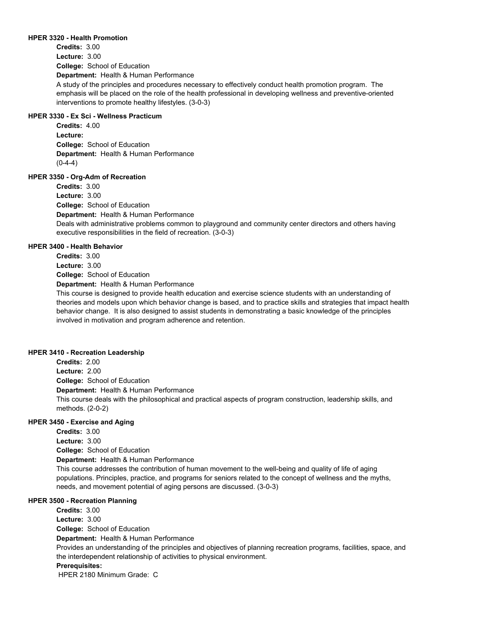#### **HPER 3320 - Health Promotion**

**College:** School of Education **Department:** Health & Human Performance **Credits:** 3.00 **Lecture:** 3.00 A study of the principles and procedures necessary to effectively conduct health promotion program. The emphasis will be placed on the role of the health professional in developing wellness and preventive-oriented interventions to promote healthy lifestyles. (3-0-3)

# **HPER 3330 - Ex Sci - Wellness Practicum**

**College:** School of Education **Department:** Health & Human Performance **Credits:** 4.00 **Lecture:**  $(0-4-4)$ 

# **HPER 3350 - Org-Adm of Recreation**

**College:** School of Education **Department:** Health & Human Performance **Credits:** 3.00 **Lecture:** 3.00 Deals with administrative problems common to playground and community center directors and others having executive responsibilities in the field of recreation. (3-0-3)

### **HPER 3400 - Health Behavior**

**College:** School of Education **Credits:** 3.00 **Lecture:** 3.00

**Department:** Health & Human Performance

This course is designed to provide health education and exercise science students with an understanding of theories and models upon which behavior change is based, and to practice skills and strategies that impact health behavior change. It is also designed to assist students in demonstrating a basic knowledge of the principles involved in motivation and program adherence and retention.

### **HPER 3410 - Recreation Leadership**

**College:** School of Education **Department:** Health & Human Performance **Credits:** 2.00 **Lecture:** 2.00 This course deals with the philosophical and practical aspects of program construction, leadership skills, and methods. (2-0-2)

# **HPER 3450 - Exercise and Aging**

**College:** School of Education **Department:** Health & Human Performance **Credits:** 3.00 **Lecture:** 3.00 This course addresses the contribution of human movement to the well-being and quality of life of aging populations. Principles, practice, and programs for seniors related to the concept of wellness and the myths, needs, and movement potential of aging persons are discussed. (3-0-3)

### **HPER 3500 - Recreation Planning**

**College:** School of Education **Department:** Health & Human Performance **Credits:** 3.00 **Lecture:** 3.00 Provides an understanding of the principles and objectives of planning recreation programs, facilities, space, and the interdependent relationship of activities to physical environment. **Prerequisites:**  HPER 2180 Minimum Grade: C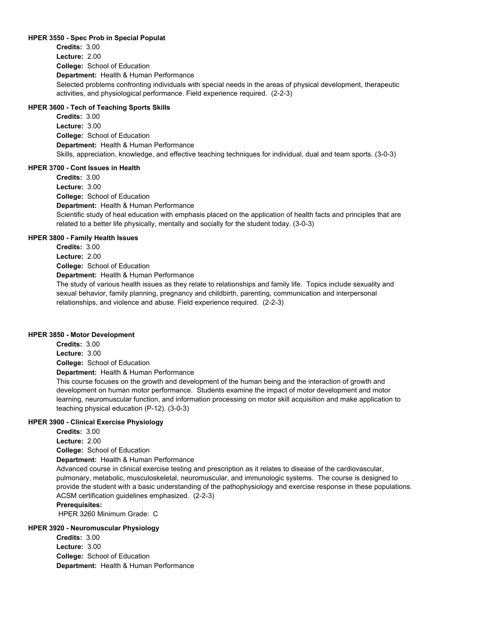### **HPER 3550 - Spec Prob in Special Populat**

**College:** School of Education **Department:** Health & Human Performance **Credits:** 3.00 **Lecture:** 2.00 Selected problems confronting individuals with special needs in the areas of physical development, therapeutic activities, and physiological performance. Field experience required. (2-2-3)

# **HPER 3600 - Tech of Teaching Sports Skills**

**College:** School of Education **Department:** Health & Human Performance **Credits:** 3.00 **Lecture:** 3.00 Skills, appreciation, knowledge, and effective teaching techniques for individual, dual and team sports. (3-0-3)

# **HPER 3700 - Cont Issues in Health**

**College:** School of Education **Department:** Health & Human Performance **Credits:** 3.00 **Lecture:** 3.00 Scientific study of heal education with emphasis placed on the application of health facts and principles that are related to a better life physically, mentally and socially for the student today. (3-0-3)

# **HPER 3800 - Family Health Issues**

**College:** School of Education **Department:** Health & Human Performance **Credits:** 3.00 **Lecture:** 2.00 The study of various health issues as they relate to relationships and family life. Topics include sexuality and sexual behavior, family planning, pregnancy and childbirth, parenting, communication and interpersonal

relationships, and violence and abuse. Field experience required. (2-2-3)

### **HPER 3850 - Motor Development**

**College:** School of Education **Department:** Health & Human Performance **Credits:** 3.00 **Lecture:** 3.00

This course focuses on the growth and development of the human being and the interaction of growth and development on human motor performance. Students examine the impact of motor development and motor learning, neuromuscular function, and information processing on motor skill acquisition and make application to teaching physical education (P-12). (3-0-3)

# **HPER 3900 - Clinical Exercise Physiology**

**College:** School of Education **Department:** Health & Human Performance **Credits:** 3.00 **Lecture:** 2.00 Advanced course in clinical exercise testing and prescription as it relates to disease of the cardiovascular, pulmonary, metabolic, musculoskeletal, neuromuscular, and immunologic systems. The course is designed to provide the student with a basic understanding of the pathophysiology and exercise response in these populations. ACSM certification guidelines emphasized. (2-2-3)

# **Prerequisites:**

HPER 3260 Minimum Grade: C

# **HPER 3920 - Neuromuscular Physiology**

**College:** School of Education **Department:** Health & Human Performance **Credits:** 3.00 **Lecture:** 3.00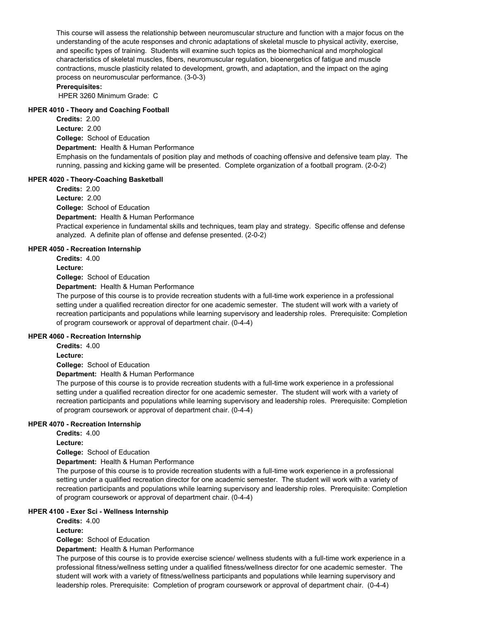This course will assess the relationship between neuromuscular structure and function with a major focus on the understanding of the acute responses and chronic adaptations of skeletal muscle to physical activity, exercise, and specific types of training. Students will examine such topics as the biomechanical and morphological characteristics of skeletal muscles, fibers, neuromuscular regulation, bioenergetics of fatigue and muscle contractions, muscle plasticity related to development, growth, and adaptation, and the impact on the aging process on neuromuscular performance. (3-0-3)

# **Prerequisites:**

HPER 3260 Minimum Grade: C

### **HPER 4010 - Theory and Coaching Football**

**College:** School of Education **Department:** Health & Human Performance **Credits:** 2.00 **Lecture:** 2.00 Emphasis on the fundamentals of position play and methods of coaching offensive and defensive team play. The running, passing and kicking game will be presented. Complete organization of a football program. (2-0-2)

# **HPER 4020 - Theory-Coaching Basketball**

**College:** School of Education **Department:** Health & Human Performance **Credits:** 2.00 **Lecture:** 2.00 Practical experience in fundamental skills and techniques, team play and strategy. Specific offense and defense analyzed. A definite plan of offense and defense presented. (2-0-2)

# **HPER 4050 - Recreation Internship**

**Credits:** 4.00

**Lecture:**

**College:** School of Education

**Department:** Health & Human Performance

The purpose of this course is to provide recreation students with a full-time work experience in a professional setting under a qualified recreation director for one academic semester. The student will work with a variety of recreation participants and populations while learning supervisory and leadership roles. Prerequisite: Completion of program coursework or approval of department chair. (0-4-4)

# **HPER 4060 - Recreation Internship**

**Credits:** 4.00

**Lecture:**

**College:** School of Education

**Department:** Health & Human Performance

The purpose of this course is to provide recreation students with a full-time work experience in a professional setting under a qualified recreation director for one academic semester. The student will work with a variety of recreation participants and populations while learning supervisory and leadership roles. Prerequisite: Completion of program coursework or approval of department chair. (0-4-4)

# **HPER 4070 - Recreation Internship**

**Credits:** 4.00

**Lecture:**

**College:** School of Education

**Department:** Health & Human Performance

The purpose of this course is to provide recreation students with a full-time work experience in a professional setting under a qualified recreation director for one academic semester. The student will work with a variety of recreation participants and populations while learning supervisory and leadership roles. Prerequisite: Completion of program coursework or approval of department chair. (0-4-4)

# **HPER 4100 - Exer Sci - Wellness Internship**

**Credits:** 4.00

**Lecture:**

**College:** School of Education

**Department:** Health & Human Performance

The purpose of this course is to provide exercise science/ wellness students with a full-time work experience in a professional fitness/wellness setting under a qualified fitness/wellness director for one academic semester. The student will work with a variety of fitness/wellness participants and populations while learning supervisory and leadership roles. Prerequisite: Completion of program coursework or approval of department chair. (0-4-4)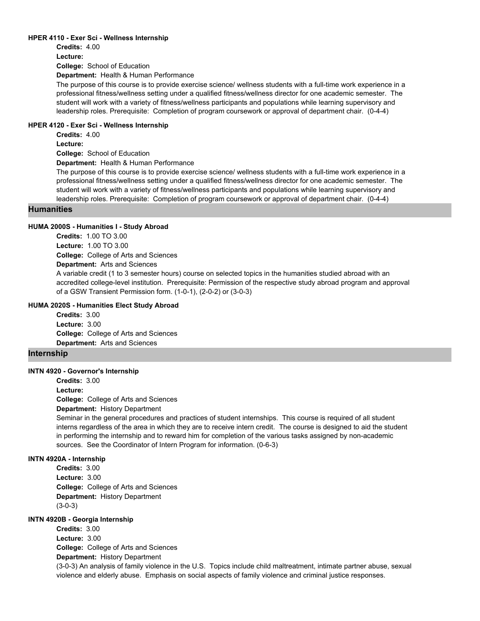### **HPER 4110 - Exer Sci - Wellness Internship**

**College:** School of Education **Credits:** 4.00 **Lecture:**

**Department:** Health & Human Performance

The purpose of this course is to provide exercise science/ wellness students with a full-time work experience in a professional fitness/wellness setting under a qualified fitness/wellness director for one academic semester. The student will work with a variety of fitness/wellness participants and populations while learning supervisory and leadership roles. Prerequisite: Completion of program coursework or approval of department chair. (0-4-4)

# **HPER 4120 - Exer Sci - Wellness Internship**

**Credits:** 4.00

**Lecture:**

**College:** School of Education

**Department:** Health & Human Performance

The purpose of this course is to provide exercise science/ wellness students with a full-time work experience in a professional fitness/wellness setting under a qualified fitness/wellness director for one academic semester. The student will work with a variety of fitness/wellness participants and populations while learning supervisory and leadership roles. Prerequisite: Completion of program coursework or approval of department chair. (0-4-4)

# **Humanities**

### **HUMA 2000S - Humanities I - Study Abroad**

**College:** College of Arts and Sciences **Department:** Arts and Sciences **Credits:** 1.00 TO 3.00 **Lecture:** 1.00 TO 3.00 A variable credit (1 to 3 semester hours) course on selected topics in the humanities studied abroad with an accredited college-level institution. Prerequisite: Permission of the respective study abroad program and approval of a GSW Transient Permission form. (1-0-1), (2-0-2) or (3-0-3)

#### **HUMA 2020S - Humanities Elect Study Abroad**

**College:** College of Arts and Sciences **Department:** Arts and Sciences **Credits:** 3.00 **Lecture:** 3.00

# **Internship**

# **INTN 4920 - Governor's Internship**

**College:** College of Arts and Sciences **Credits:** 3.00 **Lecture:**

**Department:** History Department

Seminar in the general procedures and practices of student internships. This course is required of all student interns regardless of the area in which they are to receive intern credit. The course is designed to aid the student in performing the internship and to reward him for completion of the various tasks assigned by non-academic sources. See the Coordinator of Intern Program for information. (0-6-3)

# **INTN 4920A - Internship**

**College:** College of Arts and Sciences **Department:** History Department **Credits:** 3.00 **Lecture:** 3.00 (3-0-3)

# **INTN 4920B - Georgia Internship**

**College:** College of Arts and Sciences **Department:** History Department **Credits:** 3.00 **Lecture:** 3.00

(3-0-3) An analysis of family violence in the U.S. Topics include child maltreatment, intimate partner abuse, sexual violence and elderly abuse. Emphasis on social aspects of family violence and criminal justice responses.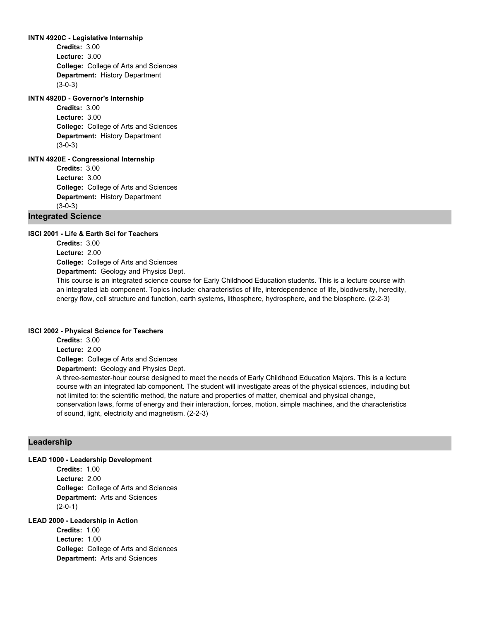#### **INTN 4920C - Legislative Internship**

**College:** College of Arts and Sciences **Department:** History Department **Credits:** 3.00 **Lecture:** 3.00 (3-0-3)

# **INTN 4920D - Governor's Internship**

**College:** College of Arts and Sciences **Department:** History Department **Credits:** 3.00 **Lecture:** 3.00 (3-0-3)

# **INTN 4920E - Congressional Internship**

**College:** College of Arts and Sciences **Department:** History Department **Credits:** 3.00 **Lecture:** 3.00 (3-0-3)

# **Integrated Science**

### **ISCI 2001 - Life & Earth Sci for Teachers**

**College:** College of Arts and Sciences **Department:** Geology and Physics Dept. **Credits:** 3.00 **Lecture:** 2.00

This course is an integrated science course for Early Childhood Education students. This is a lecture course with an integrated lab component. Topics include: characteristics of life, interdependence of life, biodiversity, heredity, energy flow, cell structure and function, earth systems, lithosphere, hydrosphere, and the biosphere. (2-2-3)

#### **ISCI 2002 - Physical Science for Teachers**

**College:** College of Arts and Sciences **Department:** Geology and Physics Dept. **Credits:** 3.00 **Lecture:** 2.00

A three-semester-hour course designed to meet the needs of Early Childhood Education Majors. This is a lecture course with an integrated lab component. The student will investigate areas of the physical sciences, including but not limited to: the scientific method, the nature and properties of matter, chemical and physical change, conservation laws, forms of energy and their interaction, forces, motion, simple machines, and the characteristics of sound, light, electricity and magnetism. (2-2-3)

# **Leadership**

#### **LEAD 1000 - Leadership Development**

**College:** College of Arts and Sciences **Department:** Arts and Sciences **Credits:** 1.00 **Lecture:** 2.00 (2-0-1)

# **LEAD 2000 - Leadership in Action**

**College:** College of Arts and Sciences **Department:** Arts and Sciences **Credits:** 1.00 **Lecture:** 1.00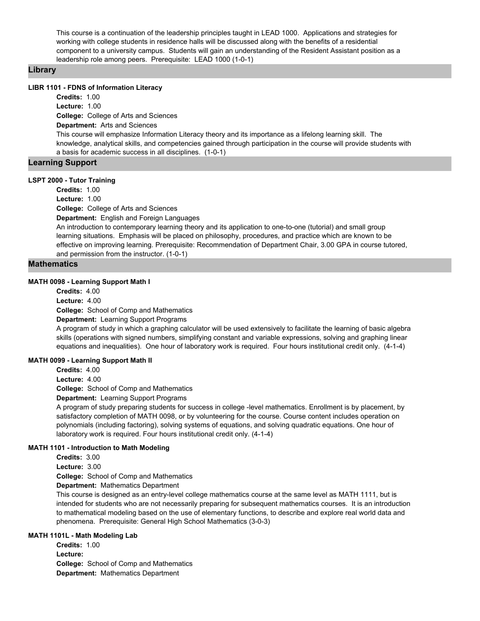This course is a continuation of the leadership principles taught in LEAD 1000. Applications and strategies for working with college students in residence halls will be discussed along with the benefits of a residential component to a university campus. Students will gain an understanding of the Resident Assistant position as a leadership role among peers. Prerequisite: LEAD 1000 (1-0-1)

# **Library**

### **LIBR 1101 - FDNS of Information Literacy**

**College:** College of Arts and Sciences **Department:** Arts and Sciences **Credits:** 1.00 **Lecture:** 1.00 This course will emphasize Information Literacy theory and its importance as a lifelong learning skill. The knowledge, analytical skills, and competencies gained through participation in the course will provide students with a basis for academic success in all disciplines. (1-0-1)

# **Learning Support**

# **LSPT 2000 - Tutor Training**

**College:** College of Arts and Sciences **Department:** English and Foreign Languages **Credits:** 1.00 **Lecture:** 1.00 An introduction to contemporary learning theory and its application to one-to-one (tutorial) and small group learning situations. Emphasis will be placed on philosophy, procedures, and practice which are known to be effective on improving learning. Prerequisite: Recommendation of Department Chair, 3.00 GPA in course tutored, and permission from the instructor. (1-0-1)

# **Mathematics**

### **MATH 0098 - Learning Support Math I**

**College:** School of Comp and Mathematics **Department:** Learning Support Programs **Credits:** 4.00 **Lecture:** 4.00

A program of study in which a graphing calculator will be used extensively to facilitate the learning of basic algebra skills (operations with signed numbers, simplifying constant and variable expressions, solving and graphing linear equations and inequalities). One hour of laboratory work is required. Four hours institutional credit only. (4-1-4)

### **MATH 0099 - Learning Support Math II**

**Credits:** 4.00

**Lecture:** 4.00

**College:** School of Comp and Mathematics

**Department:** Learning Support Programs

A program of study preparing students for success in college -level mathematics. Enrollment is by placement, by satisfactory completion of MATH 0098, or by volunteering for the course. Course content includes operation on polynomials (including factoring), solving systems of equations, and solving quadratic equations. One hour of laboratory work is required. Four hours institutional credit only. (4-1-4)

### **MATH 1101 - Introduction to Math Modeling**

**Credits:** 3.00

**Lecture:** 3.00

**College:** School of Comp and Mathematics

**Department:** Mathematics Department

This course is designed as an entry-level college mathematics course at the same level as MATH 1111, but is intended for students who are not necessarily preparing for subsequent mathematics courses. It is an introduction to mathematical modeling based on the use of elementary functions, to describe and explore real world data and phenomena. Prerequisite: General High School Mathematics (3-0-3)

# **MATH 1101L - Math Modeling Lab**

**College:** School of Comp and Mathematics **Department:** Mathematics Department **Credits:** 1.00 **Lecture:**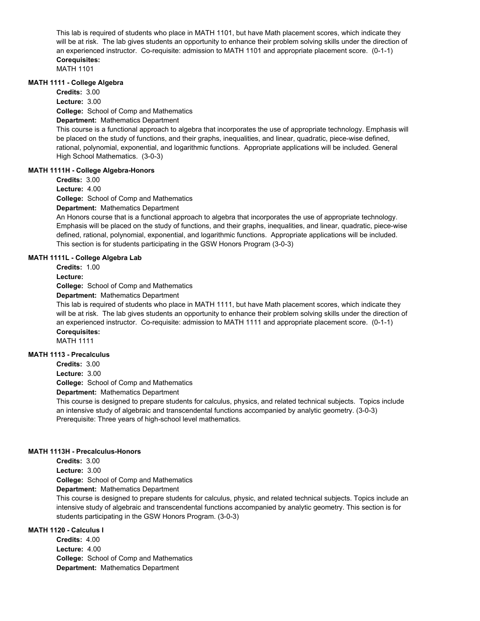This lab is required of students who place in MATH 1101, but have Math placement scores, which indicate they will be at risk. The lab gives students an opportunity to enhance their problem solving skills under the direction of an experienced instructor. Co-requisite: admission to MATH 1101 and appropriate placement score. (0-1-1) **Corequisites:** 

MATH 1101

### **MATH 1111 - College Algebra**

**College:** School of Comp and Mathematics **Credits:** 3.00 **Lecture:** 3.00

# **Department:** Mathematics Department

This course is a functional approach to algebra that incorporates the use of appropriate technology. Emphasis will be placed on the study of functions, and their graphs, inequalities, and linear, quadratic, piece-wise defined, rational, polynomial, exponential, and logarithmic functions. Appropriate applications will be included. General High School Mathematics. (3-0-3)

# **MATH 1111H - College Algebra-Honors**

**Credits:** 3.00

**Lecture:** 4.00

**College:** School of Comp and Mathematics

**Department:** Mathematics Department

An Honors course that is a functional approach to algebra that incorporates the use of appropriate technology. Emphasis will be placed on the study of functions, and their graphs, inequalities, and linear, quadratic, piece-wise defined, rational, polynomial, exponential, and logarithmic functions. Appropriate applications will be included. This section is for students participating in the GSW Honors Program (3-0-3)

# **MATH 1111L - College Algebra Lab**

**Credits:** 1.00

**Lecture:**

**College:** School of Comp and Mathematics

**Department:** Mathematics Department

This lab is required of students who place in MATH 1111, but have Math placement scores, which indicate they will be at risk. The lab gives students an opportunity to enhance their problem solving skills under the direction of an experienced instructor. Co-requisite: admission to MATH 1111 and appropriate placement score. (0-1-1) **Corequisites:** 

MATH 1111

# **MATH 1113 - Precalculus**

**Credits:** 3.00

**Lecture:** 3.00

**College:** School of Comp and Mathematics

**Department:** Mathematics Department

This course is designed to prepare students for calculus, physics, and related technical subjects. Topics include an intensive study of algebraic and transcendental functions accompanied by analytic geometry. (3-0-3) Prerequisite: Three years of high-school level mathematics.

#### **MATH 1113H - Precalculus-Honors**

**Credits:** 3.00 **Lecture:** 3.00

**College:** School of Comp and Mathematics

**Department:** Mathematics Department

This course is designed to prepare students for calculus, physic, and related technical subjects. Topics include an intensive study of algebraic and transcendental functions accompanied by analytic geometry. This section is for students participating in the GSW Honors Program. (3-0-3)

# **MATH 1120 - Calculus I**

**College:** School of Comp and Mathematics **Department:** Mathematics Department **Credits:** 4.00 **Lecture:** 4.00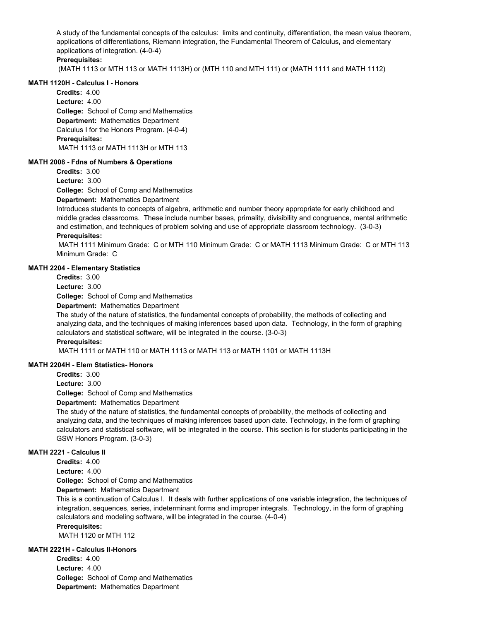A study of the fundamental concepts of the calculus: limits and continuity, differentiation, the mean value theorem, applications of differentiations, Riemann integration, the Fundamental Theorem of Calculus, and elementary applications of integration. (4-0-4)

# **Prerequisites:**

(MATH 1113 or MTH 113 or MATH 1113H) or (MTH 110 and MTH 111) or (MATH 1111 and MATH 1112)

### **MATH 1120H - Calculus I - Honors**

**College:** School of Comp and Mathematics **Department:** Mathematics Department **Credits:** 4.00 **Lecture:** 4.00 Calculus I for the Honors Program. (4-0-4) **Prerequisites:**  MATH 1113 or MATH 1113H or MTH 113

### **MATH 2008 - Fdns of Numbers & Operations**

**Credits:** 3.00

**Lecture:** 3.00

**College:** School of Comp and Mathematics

**Department:** Mathematics Department

Introduces students to concepts of algebra, arithmetic and number theory appropriate for early childhood and middle grades classrooms. These include number bases, primality, divisibility and congruence, mental arithmetic and estimation, and techniques of problem solving and use of appropriate classroom technology. (3-0-3) **Prerequisites:** 

 MATH 1111 Minimum Grade: C or MTH 110 Minimum Grade: C or MATH 1113 Minimum Grade: C or MTH 113 Minimum Grade: C

### **MATH 2204 - Elementary Statistics**

**Credits:** 3.00

**Lecture:** 3.00

**College:** School of Comp and Mathematics

**Department:** Mathematics Department

The study of the nature of statistics, the fundamental concepts of probability, the methods of collecting and analyzing data, and the techniques of making inferences based upon data. Technology, in the form of graphing calculators and statistical software, will be integrated in the course. (3-0-3)

#### **Prerequisites:**

MATH 1111 or MATH 110 or MATH 1113 or MATH 113 or MATH 1101 or MATH 1113H

### **MATH 2204H - Elem Statistics- Honors**

**Credits:** 3.00

**Lecture:** 3.00

**College:** School of Comp and Mathematics

**Department:** Mathematics Department

The study of the nature of statistics, the fundamental concepts of probability, the methods of collecting and analyzing data, and the techniques of making inferences based upon date. Technology, in the form of graphing calculators and statistical software, will be integrated in the course. This section is for students participating in the GSW Honors Program. (3-0-3)

### **MATH 2221 - Calculus II**

**Credits:** 4.00

**Lecture:** 4.00

**College:** School of Comp and Mathematics

**Department:** Mathematics Department

This is a continuation of Calculus I. It deals with further applications of one variable integration, the techniques of integration, sequences, series, indeterminant forms and improper integrals. Technology, in the form of graphing calculators and modeling software, will be integrated in the course. (4-0-4)

# **Prerequisites:**

MATH 1120 or MTH 112

# **MATH 2221H - Calculus II-Honors**

**College:** School of Comp and Mathematics **Department:** Mathematics Department **Credits:** 4.00 **Lecture:** 4.00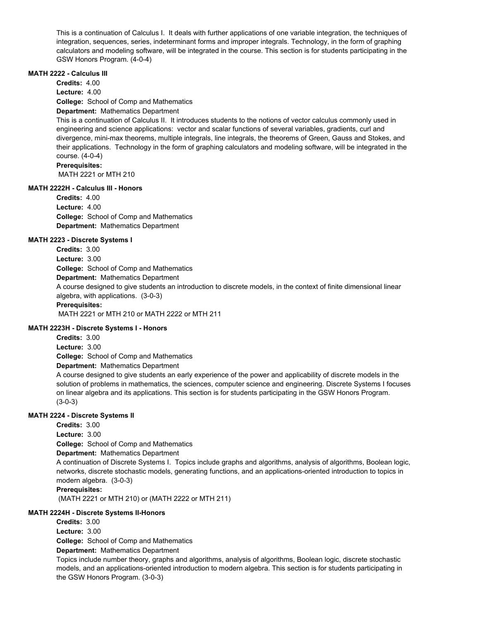This is a continuation of Calculus I. It deals with further applications of one variable integration, the techniques of integration, sequences, series, indeterminant forms and improper integrals. Technology, in the form of graphing calculators and modeling software, will be integrated in the course. This section is for students participating in the GSW Honors Program. (4-0-4)

# **MATH 2222 - Calculus III**

**College:** School of Comp and Mathematics **Department:** Mathematics Department **Credits:** 4.00 **Lecture:** 4.00

This is a continuation of Calculus II. It introduces students to the notions of vector calculus commonly used in engineering and science applications: vector and scalar functions of several variables, gradients, curl and divergence, mini-max theorems, multiple integrals, line integrals, the theorems of Green, Gauss and Stokes, and their applications. Technology in the form of graphing calculators and modeling software, will be integrated in the course. (4-0-4)

### **Prerequisites:**

MATH 2221 or MTH 210

# **MATH 2222H - Calculus III - Honors**

**College:** School of Comp and Mathematics **Department:** Mathematics Department **Credits:** 4.00 **Lecture:** 4.00

# **MATH 2223 - Discrete Systems I**

**College:** School of Comp and Mathematics **Department:** Mathematics Department **Credits:** 3.00 **Lecture:** 3.00

A course designed to give students an introduction to discrete models, in the context of finite dimensional linear algebra, with applications. (3-0-3)

### **Prerequisites:**

MATH 2221 or MTH 210 or MATH 2222 or MTH 211

# **MATH 2223H - Discrete Systems I - Honors**

**College:** School of Comp and Mathematics **Department:** Mathematics Department **Credits:** 3.00 **Lecture:** 3.00

A course designed to give students an early experience of the power and applicability of discrete models in the solution of problems in mathematics, the sciences, computer science and engineering. Discrete Systems I focuses on linear algebra and its applications. This section is for students participating in the GSW Honors Program. (3-0-3)

# **MATH 2224 - Discrete Systems II**

**College:** School of Comp and Mathematics **Department:** Mathematics Department **Credits:** 3.00 **Lecture:** 3.00 A continuation of Discrete Systems I. Topics include graphs and algorithms, analysis of algorithms, Boolean logic, networks, discrete stochastic models, generating functions, and an applications-oriented introduction to topics in modern algebra. (3-0-3) **Prerequisites:** 

(MATH 2221 or MTH 210) or (MATH 2222 or MTH 211)

# **MATH 2224H - Discrete Systems II-Honors**

**Credits:** 3.00

**Lecture:** 3.00

**College:** School of Comp and Mathematics

**Department:** Mathematics Department

Topics include number theory, graphs and algorithms, analysis of algorithms, Boolean logic, discrete stochastic models, and an applications-oriented introduction to modern algebra. This section is for students participating in the GSW Honors Program. (3-0-3)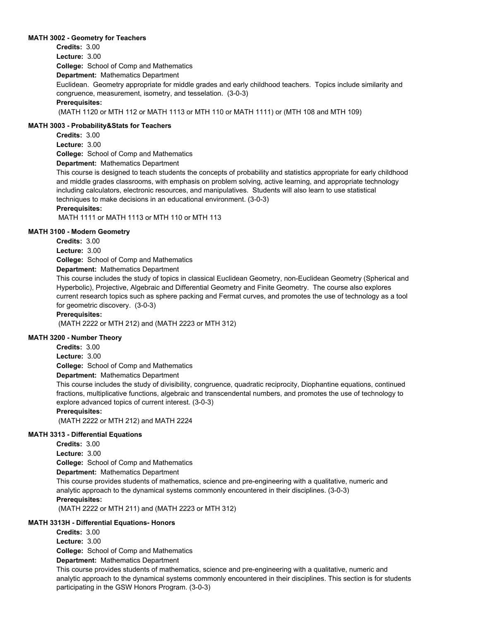## **MATH 3002 - Geometry for Teachers**

**College:** School of Comp and Mathematics **Department:** Mathematics Department **Credits:** 3.00 **Lecture:** 3.00 Euclidean. Geometry appropriate for middle grades and early childhood teachers. Topics include similarity and congruence, measurement, isometry, and tesselation. (3-0-3) **Prerequisites:**  (MATH 1120 or MTH 112 or MATH 1113 or MTH 110 or MATH 1111) or (MTH 108 and MTH 109)

### **MATH 3003 - Probability&Stats for Teachers**

**Credits:** 3.00

**Lecture:** 3.00

**College:** School of Comp and Mathematics

**Department:** Mathematics Department

This course is designed to teach students the concepts of probability and statistics appropriate for early childhood and middle grades classrooms, with emphasis on problem solving, active learning, and appropriate technology including calculators, electronic resources, and manipulatives. Students will also learn to use statistical techniques to make decisions in an educational environment. (3-0-3)

# **Prerequisites:**

MATH 1111 or MATH 1113 or MTH 110 or MTH 113

### **MATH 3100 - Modern Geometry**

**Credits:** 3.00

**Lecture:** 3.00

**College:** School of Comp and Mathematics

# **Department:** Mathematics Department

This course includes the study of topics in classical Euclidean Geometry, non-Euclidean Geometry (Spherical and Hyperbolic), Projective, Algebraic and Differential Geometry and Finite Geometry. The course also explores current research topics such as sphere packing and Fermat curves, and promotes the use of technology as a tool for geometric discovery. (3-0-3)

# **Prerequisites:**

(MATH 2222 or MTH 212) and (MATH 2223 or MTH 312)

### **MATH 3200 - Number Theory**

**Credits:** 3.00

**Lecture:** 3.00

**College:** School of Comp and Mathematics

**Department:** Mathematics Department

This course includes the study of divisibility, congruence, quadratic reciprocity, Diophantine equations, continued fractions, multiplicative functions, algebraic and transcendental numbers, and promotes the use of technology to explore advanced topics of current interest. (3-0-3)

#### **Prerequisites:**

(MATH 2222 or MTH 212) and MATH 2224

#### **MATH 3313 - Differential Equations**

**Credits:** 3.00

**Lecture:** 3.00

**College:** School of Comp and Mathematics

**Department:** Mathematics Department

This course provides students of mathematics, science and pre-engineering with a qualitative, numeric and analytic approach to the dynamical systems commonly encountered in their disciplines. (3-0-3)

# **Prerequisites:**

(MATH 2222 or MTH 211) and (MATH 2223 or MTH 312)

# **MATH 3313H - Differential Equations- Honors**

**Credits:** 3.00

**Lecture:** 3.00

**College:** School of Comp and Mathematics

**Department:** Mathematics Department

This course provides students of mathematics, science and pre-engineering with a qualitative, numeric and analytic approach to the dynamical systems commonly encountered in their disciplines. This section is for students participating in the GSW Honors Program. (3-0-3)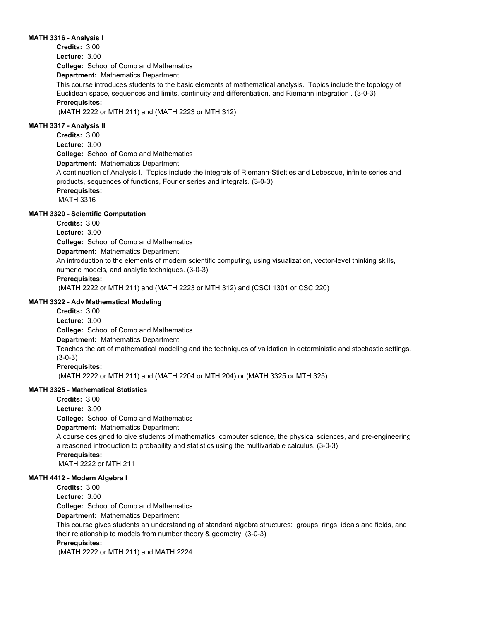# **MATH 3316 - Analysis I**

**College:** School of Comp and Mathematics **Department:** Mathematics Department **Credits:** 3.00 **Lecture:** 3.00 This course introduces students to the basic elements of mathematical analysis. Topics include the topology of Euclidean space, sequences and limits, continuity and differentiation, and Riemann integration . (3-0-3) **Prerequisites:**  (MATH 2222 or MTH 211) and (MATH 2223 or MTH 312) **MATH 3317 - Analysis II Credits:** 3.00

**College:** School of Comp and Mathematics **Department:** Mathematics Department **Lecture:** 3.00 A continuation of Analysis I. Topics include the integrals of Riemann-Stieltjes and Lebesque, infinite series and products, sequences of functions, Fourier series and integrals. (3-0-3) **Prerequisites:**  MATH 3316

# **MATH 3320 - Scientific Computation**

**College:** School of Comp and Mathematics **Department:** Mathematics Department **Credits:** 3.00 **Lecture:** 3.00 An introduction to the elements of modern scientific computing, using visualization, vector-level thinking skills, numeric models, and analytic techniques. (3-0-3) **Prerequisites:**  (MATH 2222 or MTH 211) and (MATH 2223 or MTH 312) and (CSCI 1301 or CSC 220)

# **MATH 3322 - Adv Mathematical Modeling**

**College:** School of Comp and Mathematics **Department:** Mathematics Department **Credits:** 3.00 **Lecture:** 3.00 Teaches the art of mathematical modeling and the techniques of validation in deterministic and stochastic settings. (3-0-3) **Prerequisites:**  (MATH 2222 or MTH 211) and (MATH 2204 or MTH 204) or (MATH 3325 or MTH 325)

# **MATH 3325 - Mathematical Statistics**

**College:** School of Comp and Mathematics **Department:** Mathematics Department **Credits:** 3.00 **Lecture:** 3.00 A course designed to give students of mathematics, computer science, the physical sciences, and pre-engineering a reasoned introduction to probability and statistics using the multivariable calculus. (3-0-3) **Prerequisites:**  MATH 2222 or MTH 211

# **MATH 4412 - Modern Algebra I**

**College:** School of Comp and Mathematics **Department:** Mathematics Department **Credits:** 3.00 **Lecture:** 3.00 This course gives students an understanding of standard algebra structures: groups, rings, ideals and fields, and their relationship to models from number theory & geometry. (3-0-3) **Prerequisites:**  (MATH 2222 or MTH 211) and MATH 2224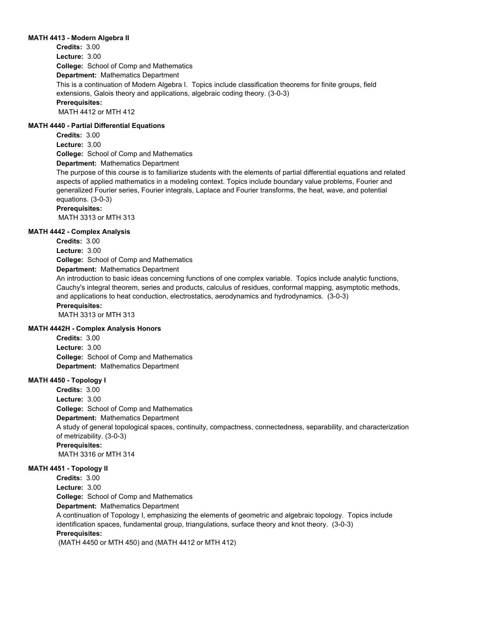### **MATH 4413 - Modern Algebra II**

**College:** School of Comp and Mathematics **Department:** Mathematics Department **Credits:** 3.00 **Lecture:** 3.00 This is a continuation of Modern Algebra I. Topics include classification theorems for finite groups, field extensions, Galois theory and applications, algebraic coding theory. (3-0-3) **Prerequisites:**  MATH 4412 or MTH 412

# **MATH 4440 - Partial Differential Equations**

**Credits:** 3.00 **Lecture:** 3.00

**College:** School of Comp and Mathematics

**Department:** Mathematics Department

The purpose of this course is to familiarize students with the elements of partial differential equations and related aspects of applied mathematics in a modeling context. Topics include boundary value problems, Fourier and generalized Fourier series, Fourier integrals, Laplace and Fourier transforms, the heat, wave, and potential equations. (3-0-3)

# **Prerequisites:**

MATH 3313 or MTH 313

### **MATH 4442 - Complex Analysis**

**Credits:** 3.00

**Lecture:** 3.00

**College:** School of Comp and Mathematics

# **Department:** Mathematics Department

An introduction to basic ideas concerning functions of one complex variable. Topics include analytic functions, Cauchy's integral theorem, series and products, calculus of residues, conformal mapping, asymptotic methods, and applications to heat conduction, electrostatics, aerodynamics and hydrodynamics. (3-0-3)

# **Prerequisites:**

MATH 3313 or MTH 313

# **MATH 4442H - Complex Analysis Honors**

**College:** School of Comp and Mathematics **Department:** Mathematics Department **Credits:** 3.00 **Lecture:** 3.00

# **MATH 4450 - Topology I**

**College:** School of Comp and Mathematics **Department:** Mathematics Department **Credits:** 3.00 **Lecture:** 3.00 A study of general topological spaces, continuity, compactness, connectedness, separability, and characterization of metrizability. (3-0-3) **Prerequisites:**  MATH 3316 or MTH 314

# **MATH 4451 - Topology II**

**Credits:** 3.00

**Lecture:** 3.00

**College:** School of Comp and Mathematics

**Department:** Mathematics Department

A continuation of Topology I, emphasizing the elements of geometric and algebraic topology. Topics include identification spaces, fundamental group, triangulations, surface theory and knot theory. (3-0-3) **Prerequisites:** 

(MATH 4450 or MTH 450) and (MATH 4412 or MTH 412)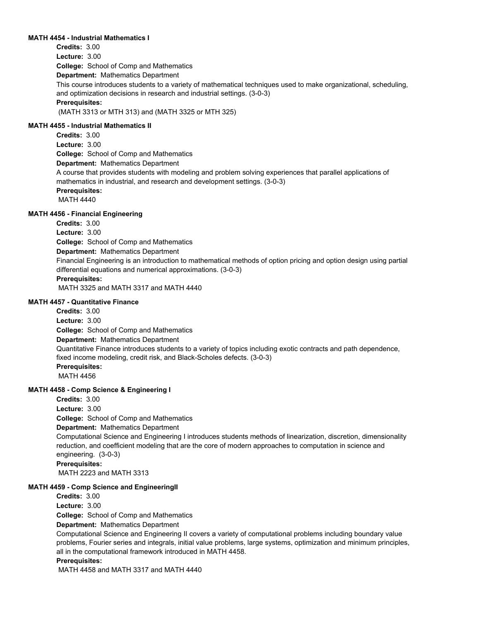### **MATH 4454 - Industrial Mathematics I**

**College:** School of Comp and Mathematics **Department:** Mathematics Department **Credits:** 3.00 **Lecture:** 3.00 This course introduces students to a variety of mathematical techniques used to make organizational, scheduling, and optimization decisions in research and industrial settings. (3-0-3) **Prerequisites:**  (MATH 3313 or MTH 313) and (MATH 3325 or MTH 325)

### **MATH 4455 - Industrial Mathematics II**

**College:** School of Comp and Mathematics **Department:** Mathematics Department **Credits:** 3.00 **Lecture:** 3.00 A course that provides students with modeling and problem solving experiences that parallel applications of mathematics in industrial, and research and development settings. (3-0-3) **Prerequisites:**  MATH 4440

# **MATH 4456 - Financial Engineering**

**College:** School of Comp and Mathematics **Department:** Mathematics Department **Credits:** 3.00 **Lecture:** 3.00 Financial Engineering is an introduction to mathematical methods of option pricing and option design using partial differential equations and numerical approximations. (3-0-3) **Prerequisites:**  MATH 3325 and MATH 3317 and MATH 4440

### **MATH 4457 - Quantitative Finance**

**College:** School of Comp and Mathematics **Department:** Mathematics Department **Credits:** 3.00 **Lecture:** 3.00 Quantitative Finance introduces students to a variety of topics including exotic contracts and path dependence, fixed income modeling, credit risk, and Black-Scholes defects. (3-0-3) **Prerequisites:**  MATH 4456

## **MATH 4458 - Comp Science & Engineering I**

**College:** School of Comp and Mathematics **Department:** Mathematics Department **Credits:** 3.00 **Lecture:** 3.00 Computational Science and Engineering I introduces students methods of linearization, discretion, dimensionality reduction, and coefficient modeling that are the core of modern approaches to computation in science and engineering. (3-0-3) **Prerequisites:**  MATH 2223 and MATH 3313

### **MATH 4459 - Comp Science and EngineeringII**

**Credits:** 3.00

**Lecture:** 3.00

**College:** School of Comp and Mathematics

**Department:** Mathematics Department

Computational Science and Engineering II covers a variety of computational problems including boundary value problems, Fourier series and integrals, initial value problems, large systems, optimization and minimum principles, all in the computational framework introduced in MATH 4458.

### **Prerequisites:**

MATH 4458 and MATH 3317 and MATH 4440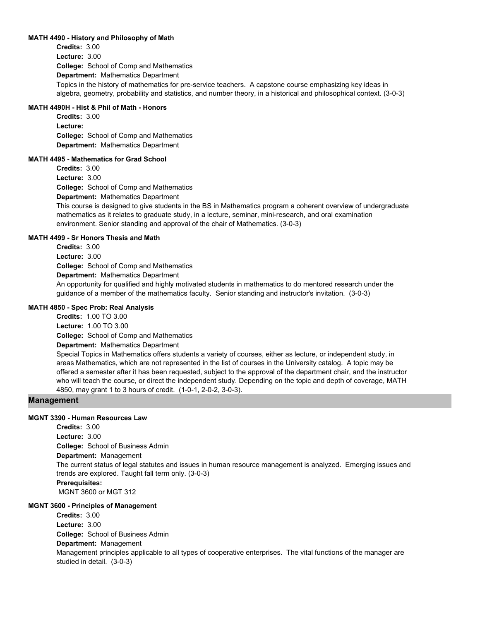### **MATH 4490 - History and Philosophy of Math**

**College:** School of Comp and Mathematics **Department:** Mathematics Department **Credits:** 3.00 **Lecture:** 3.00 Topics in the history of mathematics for pre-service teachers. A capstone course emphasizing key ideas in algebra, geometry, probability and statistics, and number theory, in a historical and philosophical context. (3-0-3)

# **MATH 4490H - Hist & Phil of Math - Honors**

**College:** School of Comp and Mathematics **Department:** Mathematics Department **Credits:** 3.00 **Lecture:**

### **MATH 4495 - Mathematics for Grad School**

**College:** School of Comp and Mathematics **Credits:** 3.00 **Lecture:** 3.00

**Department:** Mathematics Department

This course is designed to give students in the BS in Mathematics program a coherent overview of undergraduate mathematics as it relates to graduate study, in a lecture, seminar, mini-research, and oral examination environment. Senior standing and approval of the chair of Mathematics. (3-0-3)

### **MATH 4499 - Sr Honors Thesis and Math**

**College:** School of Comp and Mathematics **Department:** Mathematics Department **Credits:** 3.00 **Lecture:** 3.00 An opportunity for qualified and highly motivated students in mathematics to do mentored research under the guidance of a member of the mathematics faculty. Senior standing and instructor's invitation. (3-0-3) **MATH 4850 - Spec Prob: Real Analysis Credits:** 1.00 TO 3.00

**College:** School of Comp and Mathematics **Department:** Mathematics Department **Lecture:** 1.00 TO 3.00 Special Topics in Mathematics offers students a variety of courses, either as lecture, or independent study, in areas Mathematics, which are not represented in the list of courses in the University catalog. A topic may be offered a semester after it has been requested, subject to the approval of the department chair, and the instructor who will teach the course, or direct the independent study. Depending on the topic and depth of coverage, MATH 4850, may grant 1 to 3 hours of credit. (1-0-1, 2-0-2, 3-0-3).

# **Management**

# **MGNT 3390 - Human Resources Law**

**College:** School of Business Admin **Department:** Management **Credits:** 3.00 **Lecture:** 3.00 The current status of legal statutes and issues in human resource management is analyzed. Emerging issues and trends are explored. Taught fall term only. (3-0-3) **Prerequisites:**  MGNT 3600 or MGT 312

### **MGNT 3600 - Principles of Management**

**Credits:** 3.00

**Lecture:** 3.00

**College:** School of Business Admin

# **Department:** Management

Management principles applicable to all types of cooperative enterprises. The vital functions of the manager are studied in detail. (3-0-3)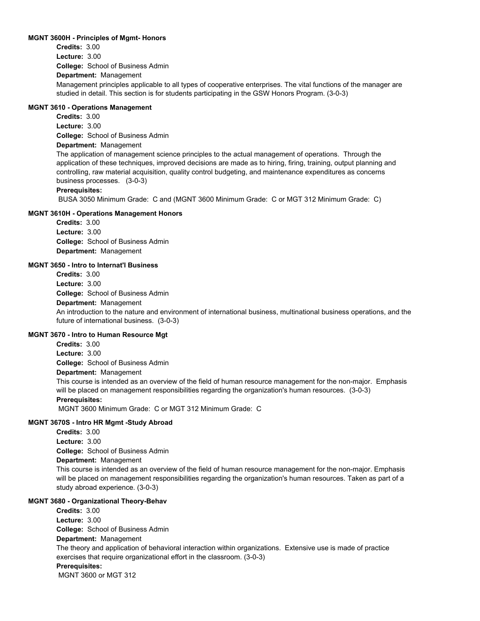### **MGNT 3600H - Principles of Mgmt- Honors**

**College:** School of Business Admin **Department:** Management **Credits:** 3.00 **Lecture:** 3.00 Management principles applicable to all types of cooperative enterprises. The vital functions of the manager are studied in detail. This section is for students participating in the GSW Honors Program. (3-0-3)

# **MGNT 3610 - Operations Management**

**Credits:** 3.00 **Lecture:** 3.00

**College:** School of Business Admin

# **Department:** Management

The application of management science principles to the actual management of operations. Through the application of these techniques, improved decisions are made as to hiring, firing, training, output planning and controlling, raw material acquisition, quality control budgeting, and maintenance expenditures as concerns business processes. (3-0-3)

# **Prerequisites:**

BUSA 3050 Minimum Grade: C and (MGNT 3600 Minimum Grade: C or MGT 312 Minimum Grade: C)

# **MGNT 3610H - Operations Management Honors**

**College:** School of Business Admin **Department:** Management **Credits:** 3.00 **Lecture:** 3.00

# **MGNT 3650 - Intro to Internat'l Business**

**College:** School of Business Admin **Department:** Management **Credits:** 3.00 **Lecture:** 3.00 An introduction to the nature and environment of international business, multinational business operations, and the future of international business. (3-0-3)

# **MGNT 3670 - Intro to Human Resource Mgt**

**Credits:** 3.00

**Lecture:** 3.00

**College:** School of Business Admin

# **Department:** Management

This course is intended as an overview of the field of human resource management for the non-major. Emphasis will be placed on management responsibilities regarding the organization's human resources. (3-0-3)

# **Prerequisites:**

MGNT 3600 Minimum Grade: C or MGT 312 Minimum Grade: C

# **MGNT 3670S - Intro HR Mgmt -Study Abroad**

**College:** School of Business Admin **Credits:** 3.00 **Lecture:** 3.00

# **Department:** Management

This course is intended as an overview of the field of human resource management for the non-major. Emphasis will be placed on management responsibilities regarding the organization's human resources. Taken as part of a study abroad experience. (3-0-3)

# **MGNT 3680 - Organizational Theory-Behav**

**College:** School of Business Admin **Department:** Management **Credits:** 3.00 **Lecture:** 3.00 The theory and application of behavioral interaction within organizations. Extensive use is made of practice exercises that require organizational effort in the classroom. (3-0-3) **Prerequisites:**  MGNT 3600 or MGT 312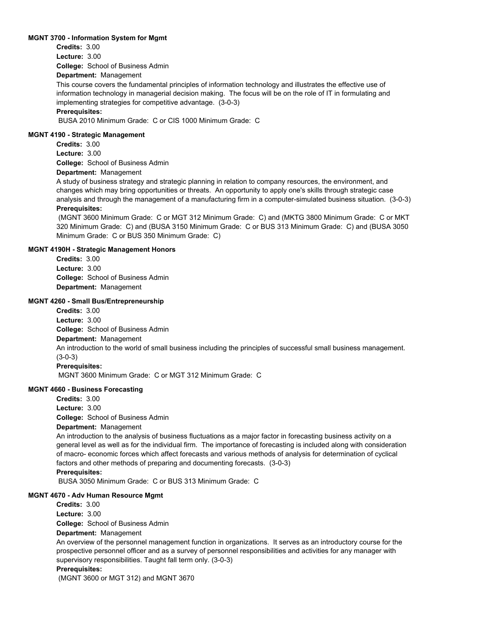### **MGNT 3700 - Information System for Mgmt**

**Credits:** 3.00 **Lecture:** 3.00

**College:** School of Business Admin

### **Department:** Management

This course covers the fundamental principles of information technology and illustrates the effective use of information technology in managerial decision making. The focus will be on the role of IT in formulating and implementing strategies for competitive advantage. (3-0-3)

### **Prerequisites:**

BUSA 2010 Minimum Grade: C or CIS 1000 Minimum Grade: C

### **MGNT 4190 - Strategic Management**

**College:** School of Business Admin **Credits:** 3.00 **Lecture:** 3.00

# **Department:** Management

A study of business strategy and strategic planning in relation to company resources, the environment, and changes which may bring opportunities or threats. An opportunity to apply one's skills through strategic case analysis and through the management of a manufacturing firm in a computer-simulated business situation. (3-0-3) **Prerequisites:** 

 (MGNT 3600 Minimum Grade: C or MGT 312 Minimum Grade: C) and (MKTG 3800 Minimum Grade: C or MKT 320 Minimum Grade: C) and (BUSA 3150 Minimum Grade: C or BUS 313 Minimum Grade: C) and (BUSA 3050 Minimum Grade: C or BUS 350 Minimum Grade: C)

# **MGNT 4190H - Strategic Management Honors**

**College:** School of Business Admin **Department:** Management **Credits:** 3.00 **Lecture:** 3.00

# **MGNT 4260 - Small Bus/Entrepreneurship**

**College:** School of Business Admin **Department:** Management **Credits:** 3.00 **Lecture:** 3.00 An introduction to the world of small business including the principles of successful small business management. (3-0-3) **Prerequisites:** 

MGNT 3600 Minimum Grade: C or MGT 312 Minimum Grade: C

### **MGNT 4660 - Business Forecasting**

**College:** School of Business Admin **Department:** Management **Credits:** 3.00 **Lecture:** 3.00

An introduction to the analysis of business fluctuations as a major factor in forecasting business activity on a general level as well as for the individual firm. The importance of forecasting is included along with consideration of macro- economic forces which affect forecasts and various methods of analysis for determination of cyclical factors and other methods of preparing and documenting forecasts. (3-0-3)

### **Prerequisites:**

BUSA 3050 Minimum Grade: C or BUS 313 Minimum Grade: C

### **MGNT 4670 - Adv Human Resource Mgmt**

**College:** School of Business Admin **Department:** Management **Credits:** 3.00 **Lecture:** 3.00 An overview of the personnel management function in organizations. It serves as an introductory course for the prospective personnel officer and as a survey of personnel responsibilities and activities for any manager with supervisory responsibilities. Taught fall term only. (3-0-3) **Prerequisites:** 

(MGNT 3600 or MGT 312) and MGNT 3670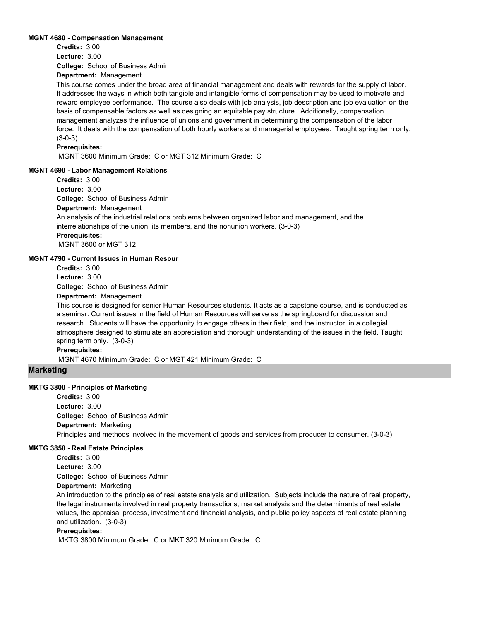### **MGNT 4680 - Compensation Management**

**Credits:** 3.00

**Lecture:** 3.00

**College:** School of Business Admin

**Department:** Management

This course comes under the broad area of financial management and deals with rewards for the supply of labor. It addresses the ways in which both tangible and intangible forms of compensation may be used to motivate and reward employee performance. The course also deals with job analysis, job description and job evaluation on the basis of compensable factors as well as designing an equitable pay structure. Additionally, compensation management analyzes the influence of unions and government in determining the compensation of the labor force. It deals with the compensation of both hourly workers and managerial employees. Taught spring term only. (3-0-3)

### **Prerequisites:**

MGNT 3600 Minimum Grade: C or MGT 312 Minimum Grade: C

### **MGNT 4690 - Labor Management Relations**

**College:** School of Business Admin **Department:** Management **Credits:** 3.00 **Lecture:** 3.00 An analysis of the industrial relations problems between organized labor and management, and the interrelationships of the union, its members, and the nonunion workers. (3-0-3) **Prerequisites:**  MGNT 3600 or MGT 312

### **MGNT 4790 - Current Issues in Human Resour**

**College:** School of Business Admin **Credits:** 3.00 **Lecture:** 3.00

# **Department:** Management

This course is designed for senior Human Resources students. It acts as a capstone course, and is conducted as a seminar. Current issues in the field of Human Resources will serve as the springboard for discussion and research. Students will have the opportunity to engage others in their field, and the instructor, in a collegial atmosphere designed to stimulate an appreciation and thorough understanding of the issues in the field. Taught spring term only. (3-0-3)

**Prerequisites:** 

MGNT 4670 Minimum Grade: C or MGT 421 Minimum Grade: C

# **Marketing**

# **MKTG 3800 - Principles of Marketing**

**College:** School of Business Admin **Department:** Marketing **Credits:** 3.00 **Lecture:** 3.00 Principles and methods involved in the movement of goods and services from producer to consumer. (3-0-3)

#### **MKTG 3850 - Real Estate Principles**

**College:** School of Business Admin **Credits:** 3.00 **Lecture:** 3.00

# **Department:** Marketing

An introduction to the principles of real estate analysis and utilization. Subjects include the nature of real property, the legal instruments involved in real property transactions, market analysis and the determinants of real estate values, the appraisal process, investment and financial analysis, and public policy aspects of real estate planning and utilization. (3-0-3)

# **Prerequisites:**

MKTG 3800 Minimum Grade: C or MKT 320 Minimum Grade: C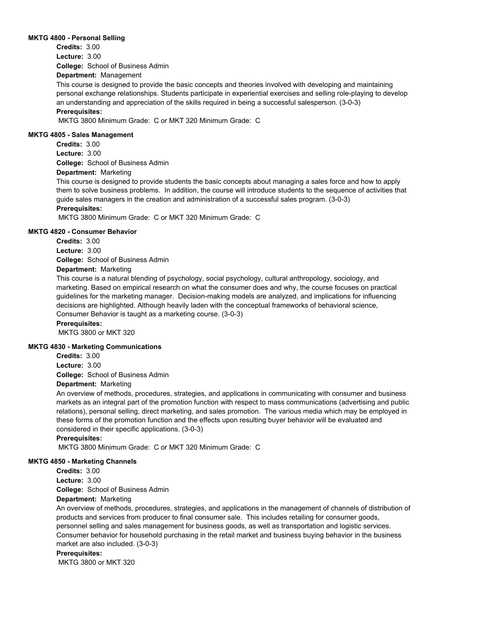### **MKTG 4800 - Personal Selling**

**College:** School of Business Admin **Credits:** 3.00 **Lecture:** 3.00

# **Department:** Management

This course is designed to provide the basic concepts and theories involved with developing and maintaining personal exchange relationships. Students participate in experiential exercises and selling role-playing to develop an understanding and appreciation of the skills required in being a successful salesperson. (3-0-3)

# **Prerequisites:**

MKTG 3800 Minimum Grade: C or MKT 320 Minimum Grade: C

### **MKTG 4805 - Sales Management**

**College:** School of Business Admin **Credits:** 3.00 **Lecture:** 3.00

# **Department:** Marketing

This course is designed to provide students the basic concepts about managing a sales force and how to apply them to solve business problems. In addition, the course will introduce students to the sequence of activities that guide sales managers in the creation and administration of a successful sales program. (3-0-3)

# **Prerequisites:**

MKTG 3800 Minimum Grade: C or MKT 320 Minimum Grade: C

### **MKTG 4820 - Consumer Behavior**

**College:** School of Business Admin **Credits:** 3.00 **Lecture:** 3.00

# **Department:** Marketing

This course is a natural blending of psychology, social psychology, cultural anthropology, sociology, and marketing. Based on empirical research on what the consumer does and why, the course focuses on practical guidelines for the marketing manager. Decision-making models are analyzed, and implications for influencing decisions are highlighted. Although heavily laden with the conceptual frameworks of behavioral science, Consumer Behavior is taught as a marketing course. (3-0-3)

**Prerequisites:** 

MKTG 3800 or MKT 320

# **MKTG 4830 - Marketing Communications**

**Credits:** 3.00

**College:** School of Business Admin **Lecture:** 3.00

# **Department:** Marketing

An overview of methods, procedures, strategies, and applications in communicating with consumer and business markets as an integral part of the promotion function with respect to mass communications (advertising and public relations), personal selling, direct marketing, and sales promotion. The various media which may be employed in these forms of the promotion function and the effects upon resulting buyer behavior will be evaluated and considered in their specific applications. (3-0-3)

# **Prerequisites:**

MKTG 3800 Minimum Grade: C or MKT 320 Minimum Grade: C

# **MKTG 4850 - Marketing Channels**

**College:** School of Business Admin **Credits:** 3.00 **Lecture:** 3.00

# **Department:** Marketing

An overview of methods, procedures, strategies, and applications in the management of channels of distribution of products and services from producer to final consumer sale. This includes retailing for consumer goods, personnel selling and sales management for business goods, as well as transportation and logistic services. Consumer behavior for household purchasing in the retail market and business buying behavior in the business market are also included. (3-0-3)

#### **Prerequisites:**

MKTG 3800 or MKT 320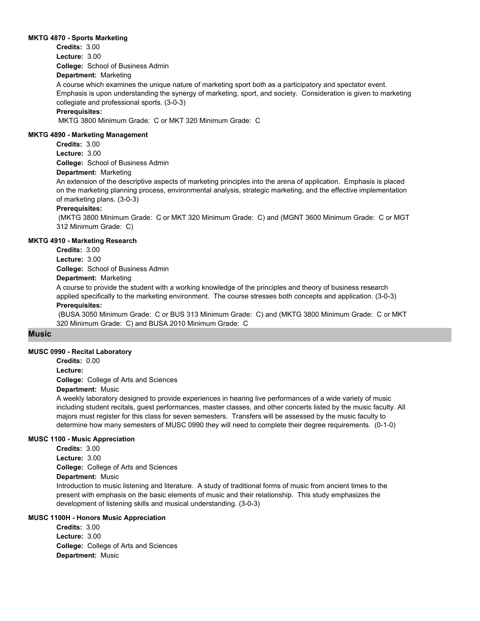#### **MKTG 4870 - Sports Marketing**

**College:** School of Business Admin **Credits:** 3.00 **Lecture:** 3.00

## **Department:** Marketing

A course which examines the unique nature of marketing sport both as a participatory and spectator event. Emphasis is upon understanding the synergy of marketing, sport, and society. Consideration is given to marketing collegiate and professional sports. (3-0-3)

## **Prerequisites:**

MKTG 3800 Minimum Grade: C or MKT 320 Minimum Grade: C

#### **MKTG 4890 - Marketing Management**

**College:** School of Business Admin **Credits:** 3.00 **Lecture:** 3.00

#### **Department:** Marketing

An extension of the descriptive aspects of marketing principles into the arena of application. Emphasis is placed on the marketing planning process, environmental analysis, strategic marketing, and the effective implementation of marketing plans. (3-0-3)

## **Prerequisites:**

 (MKTG 3800 Minimum Grade: C or MKT 320 Minimum Grade: C) and (MGNT 3600 Minimum Grade: C or MGT 312 Minimum Grade: C)

## **MKTG 4910 - Marketing Research**

**College:** School of Business Admin **Credits:** 3.00 **Lecture:** 3.00

**Department:** Marketing

A course to provide the student with a working knowledge of the principles and theory of business research applied specifically to the marketing environment. The course stresses both concepts and application. (3-0-3) **Prerequisites:** 

 (BUSA 3050 Minimum Grade: C or BUS 313 Minimum Grade: C) and (MKTG 3800 Minimum Grade: C or MKT 320 Minimum Grade: C) and BUSA 2010 Minimum Grade: C

## **Music**

## **MUSC 0990 - Recital Laboratory**

**Credits:** 0.00

**Lecture:**

**College:** College of Arts and Sciences

## **Department:** Music

A weekly laboratory designed to provide experiences in hearing live performances of a wide variety of music including student recitals, guest performances, master classes, and other concerts listed by the music faculty. All majors must register for this class for seven semesters. Transfers will be assessed by the music faculty to determine how many semesters of MUSC 0990 they will need to complete their degree requirements. (0-1-0)

## **MUSC 1100 - Music Appreciation**

**College:** College of Arts and Sciences **Department:** Music **Credits:** 3.00 **Lecture:** 3.00 Introduction to music listening and literature. A study of traditional forms of music from ancient times to the present with emphasis on the basic elements of music and their relationship. This study emphasizes the development of listening skills and musical understanding. (3-0-3)

# **MUSC 1100H - Honors Music Appreciation**

**College:** College of Arts and Sciences **Department:** Music **Credits:** 3.00 **Lecture:** 3.00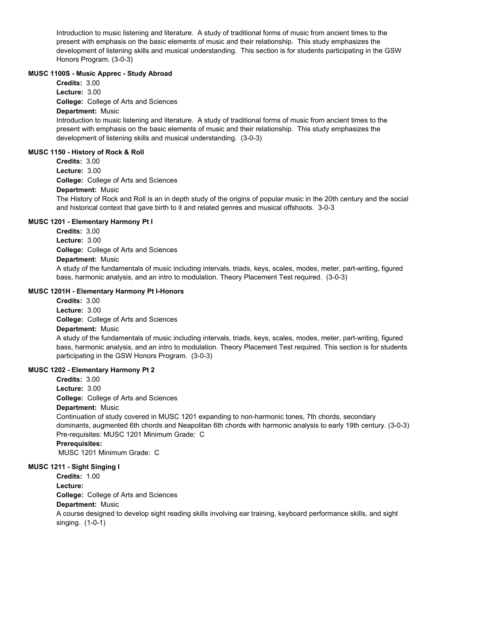Introduction to music listening and literature. A study of traditional forms of music from ancient times to the present with emphasis on the basic elements of music and their relationship. This study emphasizes the development of listening skills and musical understanding. This section is for students participating in the GSW Honors Program. (3-0-3)

## **MUSC 1100S - Music Apprec - Study Abroad**

**College:** College of Arts and Sciences **Department:** Music **Credits:** 3.00 **Lecture:** 3.00

Introduction to music listening and literature. A study of traditional forms of music from ancient times to the present with emphasis on the basic elements of music and their relationship. This study emphasizes the development of listening skills and musical understanding. (3-0-3)

## **MUSC 1150 - History of Rock & Roll**

**College:** College of Arts and Sciences **Department:** Music **Credits:** 3.00 **Lecture:** 3.00

The History of Rock and Roll is an in depth study of the origins of popular music in the 20th century and the social and historical context that gave birth to it and related genres and musical offshoots. 3-0-3

## **MUSC 1201 - Elementary Harmony Pt I**

**College:** College of Arts and Sciences **Department:** Music **Credits:** 3.00 **Lecture:** 3.00

A study of the fundamentals of music including intervals, triads, keys, scales, modes, meter, part-writing, figured bass, harmonic analysis, and an intro to modulation. Theory Placement Test required. (3-0-3)

## **MUSC 1201H - Elementary Harmony Pt I-Honors**

**College:** College of Arts and Sciences **Department:** Music **Credits:** 3.00 **Lecture:** 3.00

A study of the fundamentals of music including intervals, triads, keys, scales, modes, meter, part-writing, figured bass, harmonic analysis, and an intro to modulation. Theory Placement Test required. This section is for students participating in the GSW Honors Program. (3-0-3)

#### **MUSC 1202 - Elementary Harmony Pt 2**

**College:** College of Arts and Sciences **Department:** Music **Credits:** 3.00 **Lecture:** 3.00

Continuation of study covered in MUSC 1201 expanding to non-harmonic tones, 7th chords, secondary dominants, augmented 6th chords and Neapolitan 6th chords with harmonic analysis to early 19th century. (3-0-3) Pre-requisites: MUSC 1201 Minimum Grade: C

**Prerequisites:** 

MUSC 1201 Minimum Grade: C

## **MUSC 1211 - Sight Singing I**

**Credits:** 1.00

**Lecture:**

**College:** College of Arts and Sciences

## **Department:** Music

A course designed to develop sight reading skills involving ear training, keyboard performance skills, and sight singing. (1-0-1)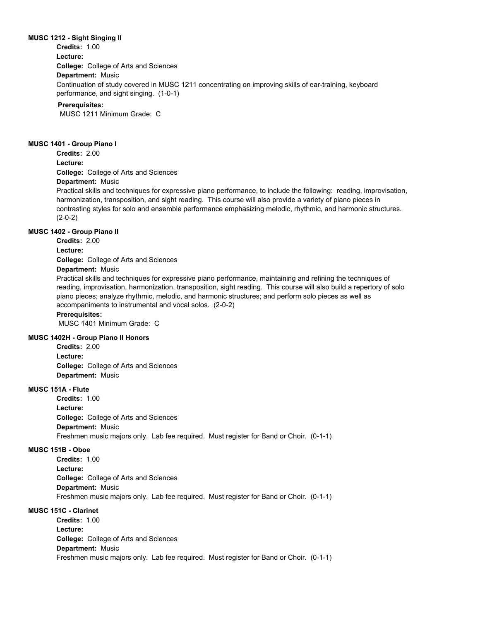#### **MUSC 1212 - Sight Singing II**

**Credits:** 1.00

**College:** College of Arts and Sciences **Department:** Music **Lecture:** Continuation of study covered in MUSC 1211 concentrating on improving skills of ear-training, keyboard performance, and sight singing. (1-0-1)

#### **Prerequisites:**

MUSC 1211 Minimum Grade: C

#### **MUSC 1401 - Group Piano I**

**Credits:** 2.00

**Lecture:**

**College:** College of Arts and Sciences

**Department:** Music

Practical skills and techniques for expressive piano performance, to include the following: reading, improvisation, harmonization, transposition, and sight reading. This course will also provide a variety of piano pieces in contrasting styles for solo and ensemble performance emphasizing melodic, rhythmic, and harmonic structures. (2-0-2)

## **MUSC 1402 - Group Piano II**

**Credits:** 2.00

**Lecture:**

**College:** College of Arts and Sciences

## **Department:** Music

Practical skills and techniques for expressive piano performance, maintaining and refining the techniques of reading, improvisation, harmonization, transposition, sight reading. This course will also build a repertory of solo piano pieces; analyze rhythmic, melodic, and harmonic structures; and perform solo pieces as well as accompaniments to instrumental and vocal solos. (2-0-2)

#### **Prerequisites:**

MUSC 1401 Minimum Grade: C

#### **MUSC 1402H - Group Piano II Honors**

**College:** College of Arts and Sciences **Department:** Music **Credits:** 2.00 **Lecture:**

# **MUSC 151A - Flute**

**College:** College of Arts and Sciences **Department:** Music **Credits:** 1.00 **Lecture:** Freshmen music majors only. Lab fee required. Must register for Band or Choir. (0-1-1)

## **MUSC 151B - Oboe**

**College:** College of Arts and Sciences **Department:** Music **Credits:** 1.00 **Lecture:** Freshmen music majors only. Lab fee required. Must register for Band or Choir. (0-1-1)

# **MUSC 151C - Clarinet**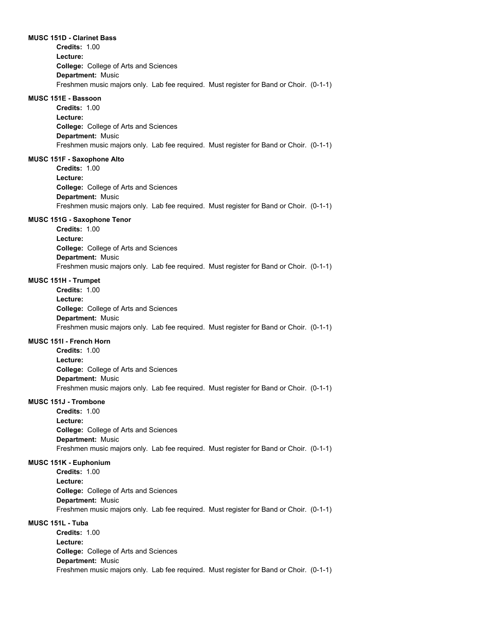#### **MUSC 151D - Clarinet Bass**

**College:** College of Arts and Sciences **Department:** Music **Credits:** 1.00 **Lecture:** Freshmen music majors only. Lab fee required. Must register for Band or Choir. (0-1-1)

#### **MUSC 151E - Bassoon**

**College:** College of Arts and Sciences **Department:** Music **Credits:** 1.00 **Lecture:** Freshmen music majors only. Lab fee required. Must register for Band or Choir. (0-1-1)

#### **MUSC 151F - Saxophone Alto**

**College:** College of Arts and Sciences **Department:** Music **Credits:** 1.00 **Lecture:** Freshmen music majors only. Lab fee required. Must register for Band or Choir. (0-1-1)

## **MUSC 151G - Saxophone Tenor**

**College:** College of Arts and Sciences **Department:** Music **Credits:** 1.00 **Lecture:** Freshmen music majors only. Lab fee required. Must register for Band or Choir. (0-1-1)

#### **MUSC 151H - Trumpet**

**College:** College of Arts and Sciences **Department:** Music **Credits:** 1.00 **Lecture:** Freshmen music majors only. Lab fee required. Must register for Band or Choir. (0-1-1)

#### **MUSC 151I - French Horn**

**College:** College of Arts and Sciences **Department:** Music **Credits:** 1.00 **Lecture:** Freshmen music majors only. Lab fee required. Must register for Band or Choir. (0-1-1)

## **MUSC 151J - Trombone**

**College:** College of Arts and Sciences **Department:** Music **Credits:** 1.00 **Lecture:** Freshmen music majors only. Lab fee required. Must register for Band or Choir. (0-1-1)

#### **MUSC 151K - Euphonium**

**College:** College of Arts and Sciences **Department:** Music **Credits:** 1.00 **Lecture:** Freshmen music majors only. Lab fee required. Must register for Band or Choir. (0-1-1)

## **MUSC 151L - Tuba**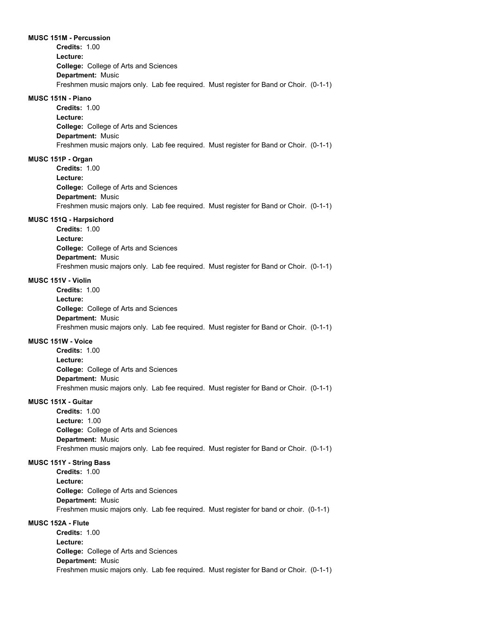#### **MUSC 151M - Percussion**

**College:** College of Arts and Sciences **Department:** Music **Credits:** 1.00 **Lecture:** Freshmen music majors only. Lab fee required. Must register for Band or Choir. (0-1-1)

#### **MUSC 151N - Piano**

**College:** College of Arts and Sciences **Department:** Music **Credits:** 1.00 **Lecture:** Freshmen music majors only. Lab fee required. Must register for Band or Choir. (0-1-1)

## **MUSC 151P - Organ**

**College:** College of Arts and Sciences **Department:** Music **Credits:** 1.00 **Lecture:** Freshmen music majors only. Lab fee required. Must register for Band or Choir. (0-1-1)

#### **MUSC 151Q - Harpsichord**

**College:** College of Arts and Sciences **Department:** Music **Credits:** 1.00 **Lecture:** Freshmen music majors only. Lab fee required. Must register for Band or Choir. (0-1-1)

## **MUSC 151V - Violin**

**College:** College of Arts and Sciences **Department:** Music **Credits:** 1.00 **Lecture:** Freshmen music majors only. Lab fee required. Must register for Band or Choir. (0-1-1)

#### **MUSC 151W - Voice**

**College:** College of Arts and Sciences **Department:** Music **Credits:** 1.00 **Lecture:** Freshmen music majors only. Lab fee required. Must register for Band or Choir. (0-1-1)

# **MUSC 151X - Guitar**

**College:** College of Arts and Sciences **Department:** Music **Credits:** 1.00 **Lecture:** 1.00 Freshmen music majors only. Lab fee required. Must register for Band or Choir. (0-1-1)

#### **MUSC 151Y - String Bass**

**College:** College of Arts and Sciences **Department:** Music **Credits:** 1.00 **Lecture:** Freshmen music majors only. Lab fee required. Must register for band or choir. (0-1-1)

## **MUSC 152A - Flute**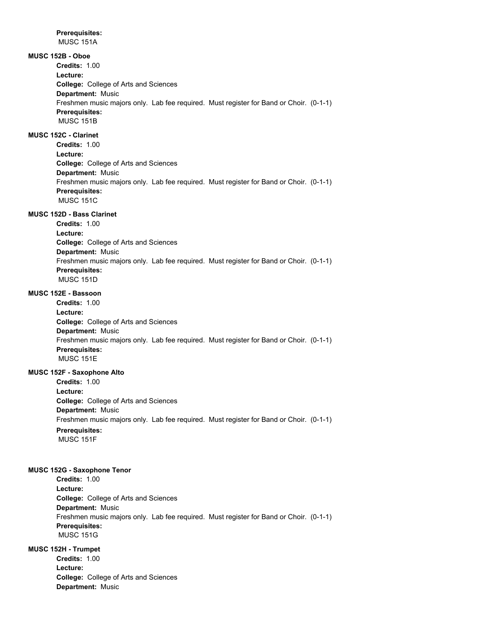**Prerequisites:**  MUSC 151A

# **MUSC 152B - Oboe**

**College:** College of Arts and Sciences **Department:** Music **Credits:** 1.00 **Lecture:** Freshmen music majors only. Lab fee required. Must register for Band or Choir. (0-1-1) **Prerequisites:**  MUSC 151B

**MUSC 152C - Clarinet**

**College:** College of Arts and Sciences **Department:** Music **Credits:** 1.00 **Lecture:** Freshmen music majors only. Lab fee required. Must register for Band or Choir. (0-1-1) **Prerequisites:**  MUSC 151C

# **MUSC 152D - Bass Clarinet**

**College:** College of Arts and Sciences **Department:** Music **Credits:** 1.00 **Lecture:** Freshmen music majors only. Lab fee required. Must register for Band or Choir. (0-1-1) **Prerequisites:**  MUSC 151D

# **MUSC 152E - Bassoon**

**College:** College of Arts and Sciences **Department:** Music **Credits:** 1.00 **Lecture:** Freshmen music majors only. Lab fee required. Must register for Band or Choir. (0-1-1) **Prerequisites:**  MUSC 151E

## **MUSC 152F - Saxophone Alto**

**College:** College of Arts and Sciences **Department:** Music **Credits:** 1.00 **Lecture:** Freshmen music majors only. Lab fee required. Must register for Band or Choir. (0-1-1) **Prerequisites:** 

MUSC 151F

## **MUSC 152G - Saxophone Tenor**

**College:** College of Arts and Sciences **Department:** Music **Credits:** 1.00 **Lecture:** Freshmen music majors only. Lab fee required. Must register for Band or Choir. (0-1-1) **Prerequisites:**  MUSC 151G

## **MUSC 152H - Trumpet**

**College:** College of Arts and Sciences **Department:** Music **Credits:** 1.00 **Lecture:**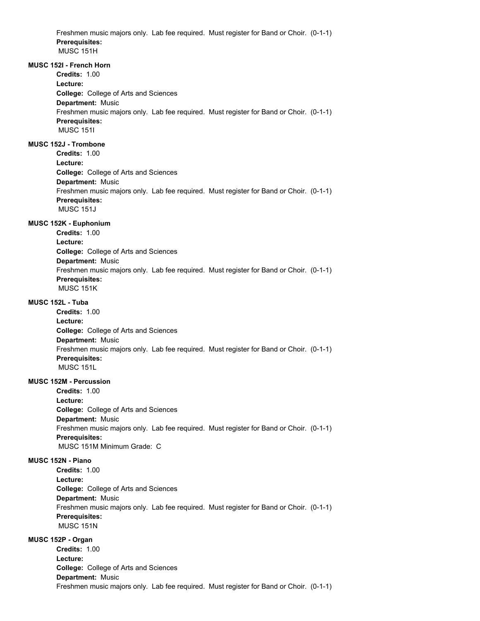Freshmen music majors only. Lab fee required. Must register for Band or Choir. (0-1-1) **Prerequisites:**  MUSC 151H

## **MUSC 152I - French Horn**

**Credits:** 1.00

**College:** College of Arts and Sciences **Department:** Music **Lecture:** Freshmen music majors only. Lab fee required. Must register for Band or Choir. (0-1-1) **Prerequisites:**  MUSC 151I

# **MUSC 152J - Trombone**

**College:** College of Arts and Sciences **Department:** Music **Credits:** 1.00 **Lecture:**

Freshmen music majors only. Lab fee required. Must register for Band or Choir. (0-1-1) **Prerequisites:**  MUSC 151J

#### **MUSC 152K - Euphonium**

**College:** College of Arts and Sciences **Department:** Music **Credits:** 1.00 **Lecture:** Freshmen music majors only. Lab fee required. Must register for Band or Choir. (0-1-1) **Prerequisites:**  MUSC 151K

## **MUSC 152L - Tuba**

**College:** College of Arts and Sciences **Department:** Music **Credits:** 1.00 **Lecture:** Freshmen music majors only. Lab fee required. Must register for Band or Choir. (0-1-1) **Prerequisites:**  MUSC 151L

## **MUSC 152M - Percussion**

**College:** College of Arts and Sciences **Department:** Music **Credits:** 1.00 **Lecture:** Freshmen music majors only. Lab fee required. Must register for Band or Choir. (0-1-1) **Prerequisites:**  MUSC 151M Minimum Grade: C

# **MUSC 152N - Piano**

**College:** College of Arts and Sciences **Department:** Music **Credits:** 1.00 **Lecture:** Freshmen music majors only. Lab fee required. Must register for Band or Choir. (0-1-1) **Prerequisites:**  MUSC 151N

## **MUSC 152P - Organ**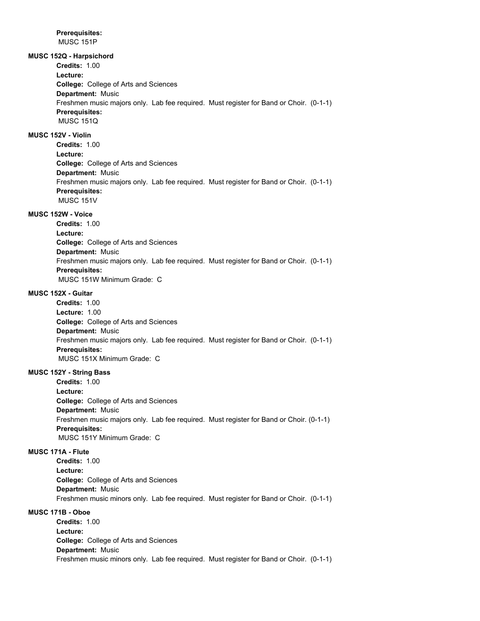**Prerequisites:**  MUSC 151P

**MUSC 152Q - Harpsichord**

**Credits:** 1.00

**Lecture:**

**College:** College of Arts and Sciences **Department:** Music Freshmen music majors only. Lab fee required. Must register for Band or Choir. (0-1-1) **Prerequisites:**  MUSC 151Q

**MUSC 152V - Violin**

**College:** College of Arts and Sciences **Department:** Music **Credits:** 1.00 **Lecture:** Freshmen music majors only. Lab fee required. Must register for Band or Choir. (0-1-1) **Prerequisites:**  MUSC 151V

# **MUSC 152W - Voice**

**College:** College of Arts and Sciences **Department:** Music **Credits:** 1.00 **Lecture:** Freshmen music majors only. Lab fee required. Must register for Band or Choir. (0-1-1) **Prerequisites:**  MUSC 151W Minimum Grade: C

## **MUSC 152X - Guitar**

**College:** College of Arts and Sciences **Department:** Music **Credits:** 1.00 **Lecture:** 1.00 Freshmen music majors only. Lab fee required. Must register for Band or Choir. (0-1-1) **Prerequisites:**  MUSC 151X Minimum Grade: C

## **MUSC 152Y - String Bass**

**College:** College of Arts and Sciences **Department:** Music **Credits:** 1.00 **Lecture:** Freshmen music majors only. Lab fee required. Must register for Band or Choir. (0-1-1) **Prerequisites:**  MUSC 151Y Minimum Grade: C

#### **MUSC 171A - Flute**

**College:** College of Arts and Sciences **Department:** Music **Credits:** 1.00 **Lecture:** Freshmen music minors only. Lab fee required. Must register for Band or Choir. (0-1-1)

# **MUSC 171B - Oboe**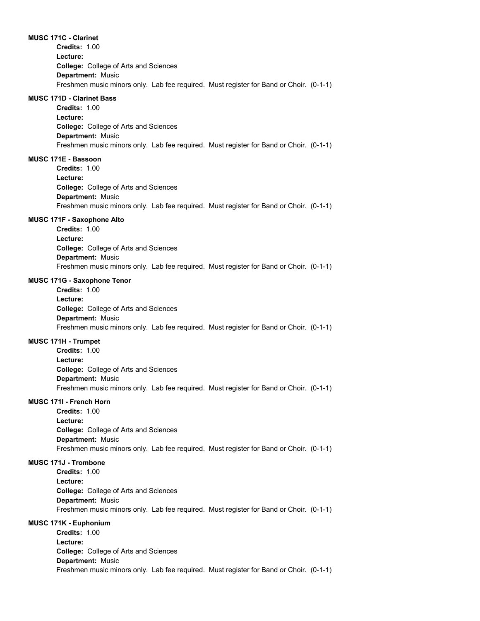**MUSC 171C - Clarinet**

**College:** College of Arts and Sciences **Department:** Music **Credits:** 1.00 **Lecture:** Freshmen music minors only. Lab fee required. Must register for Band or Choir. (0-1-1)

#### **MUSC 171D - Clarinet Bass**

**College:** College of Arts and Sciences **Department:** Music **Credits:** 1.00 **Lecture:** Freshmen music minors only. Lab fee required. Must register for Band or Choir. (0-1-1)

## **MUSC 171E - Bassoon**

**College:** College of Arts and Sciences **Department:** Music **Credits:** 1.00 **Lecture:** Freshmen music minors only. Lab fee required. Must register for Band or Choir. (0-1-1)

#### **MUSC 171F - Saxophone Alto**

**College:** College of Arts and Sciences **Department:** Music **Credits:** 1.00 **Lecture:** Freshmen music minors only. Lab fee required. Must register for Band or Choir. (0-1-1)

#### **MUSC 171G - Saxophone Tenor**

**College:** College of Arts and Sciences **Department:** Music **Credits:** 1.00 **Lecture:** Freshmen music minors only. Lab fee required. Must register for Band or Choir. (0-1-1)

## **MUSC 171H - Trumpet**

**College:** College of Arts and Sciences **Department:** Music **Credits:** 1.00 **Lecture:** Freshmen music minors only. Lab fee required. Must register for Band or Choir. (0-1-1)

#### **MUSC 171I - French Horn**

**College:** College of Arts and Sciences **Department:** Music **Credits:** 1.00 **Lecture:** Freshmen music minors only. Lab fee required. Must register for Band or Choir. (0-1-1)

#### **MUSC 171J - Trombone**

**College:** College of Arts and Sciences **Department:** Music **Credits:** 1.00 **Lecture:** Freshmen music minors only. Lab fee required. Must register for Band or Choir. (0-1-1)

## **MUSC 171K - Euphonium**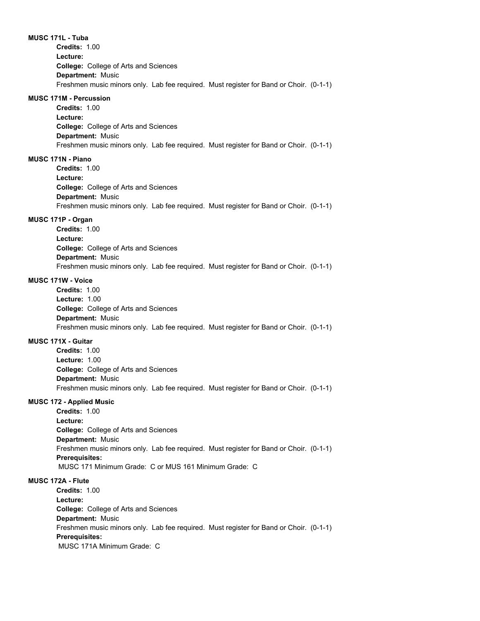**MUSC 171L - Tuba**

**College:** College of Arts and Sciences **Department:** Music **Credits:** 1.00 **Lecture:** Freshmen music minors only. Lab fee required. Must register for Band or Choir. (0-1-1)

#### **MUSC 171M - Percussion**

**College:** College of Arts and Sciences **Department:** Music **Credits:** 1.00 **Lecture:** Freshmen music minors only. Lab fee required. Must register for Band or Choir. (0-1-1)

## **MUSC 171N - Piano**

**College:** College of Arts and Sciences **Department:** Music **Credits:** 1.00 **Lecture:** Freshmen music minors only. Lab fee required. Must register for Band or Choir. (0-1-1)

## **MUSC 171P - Organ**

**College:** College of Arts and Sciences **Department:** Music **Credits:** 1.00 **Lecture:** Freshmen music minors only. Lab fee required. Must register for Band or Choir. (0-1-1)

## **MUSC 171W - Voice**

**College:** College of Arts and Sciences **Department:** Music **Credits:** 1.00 **Lecture:** 1.00 Freshmen music minors only. Lab fee required. Must register for Band or Choir. (0-1-1)

#### **MUSC 171X - Guitar**

**College:** College of Arts and Sciences **Department:** Music **Credits:** 1.00 **Lecture:** 1.00 Freshmen music minors only. Lab fee required. Must register for Band or Choir. (0-1-1)

#### **MUSC 172 - Applied Music**

**College:** College of Arts and Sciences **Department:** Music **Credits:** 1.00 **Lecture:** Freshmen music minors only. Lab fee required. Must register for Band or Choir. (0-1-1) **Prerequisites:**  MUSC 171 Minimum Grade: C or MUS 161 Minimum Grade: C

# **MUSC 172A - Flute**

**College:** College of Arts and Sciences **Department:** Music **Credits:** 1.00 **Lecture:** Freshmen music minors only. Lab fee required. Must register for Band or Choir. (0-1-1) **Prerequisites:**  MUSC 171A Minimum Grade: C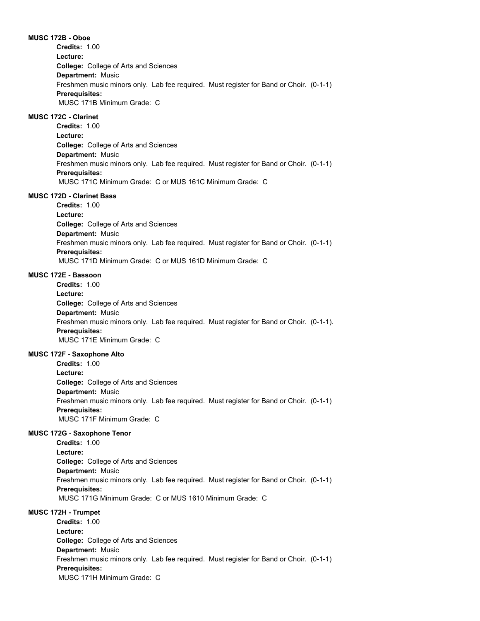**MUSC 172B - Oboe College:** College of Arts and Sciences **Department:** Music **Credits:** 1.00 **Lecture:** Freshmen music minors only. Lab fee required. Must register for Band or Choir. (0-1-1) **Prerequisites:**  MUSC 171B Minimum Grade: C

## **MUSC 172C - Clarinet**

**College:** College of Arts and Sciences **Department:** Music **Credits:** 1.00 **Lecture:** Freshmen music minors only. Lab fee required. Must register for Band or Choir. (0-1-1) **Prerequisites:**  MUSC 171C Minimum Grade: C or MUS 161C Minimum Grade: C

## **MUSC 172D - Clarinet Bass**

**College:** College of Arts and Sciences **Department:** Music **Credits:** 1.00 **Lecture:** Freshmen music minors only. Lab fee required. Must register for Band or Choir. (0-1-1) **Prerequisites:**  MUSC 171D Minimum Grade: C or MUS 161D Minimum Grade: C

#### **MUSC 172E - Bassoon**

**College:** College of Arts and Sciences **Department:** Music **Credits:** 1.00 **Lecture:** Freshmen music minors only. Lab fee required. Must register for Band or Choir. (0-1-1). **Prerequisites:**  MUSC 171E Minimum Grade: C

## **MUSC 172F - Saxophone Alto**

**College:** College of Arts and Sciences **Department:** Music **Credits:** 1.00 **Lecture:** Freshmen music minors only. Lab fee required. Must register for Band or Choir. (0-1-1) **Prerequisites:**  MUSC 171F Minimum Grade: C

#### **MUSC 172G - Saxophone Tenor**

**College:** College of Arts and Sciences **Department:** Music **Credits:** 1.00 **Lecture:** Freshmen music minors only. Lab fee required. Must register for Band or Choir. (0-1-1) **Prerequisites:**  MUSC 171G Minimum Grade: C or MUS 1610 Minimum Grade: C

### **MUSC 172H - Trumpet**

**College:** College of Arts and Sciences **Department:** Music **Credits:** 1.00 **Lecture:** Freshmen music minors only. Lab fee required. Must register for Band or Choir. (0-1-1) **Prerequisites:**  MUSC 171H Minimum Grade: C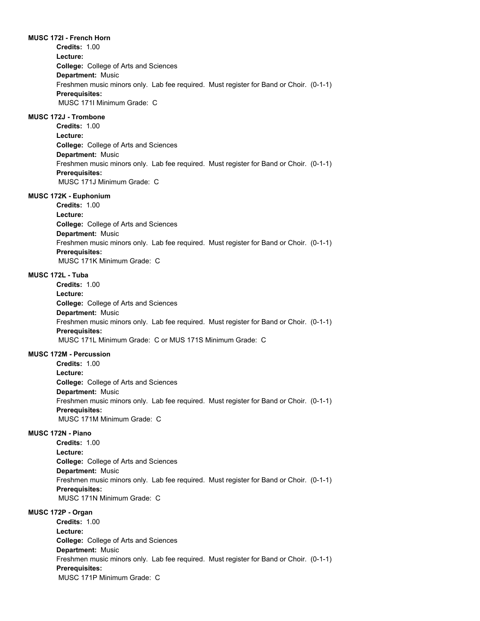#### **MUSC 172I - French Horn**

**College:** College of Arts and Sciences **Department:** Music **Credits:** 1.00 **Lecture:** Freshmen music minors only. Lab fee required. Must register for Band or Choir. (0-1-1) **Prerequisites:**  MUSC 171I Minimum Grade: C

## **MUSC 172J - Trombone**

**College:** College of Arts and Sciences **Department:** Music **Credits:** 1.00 **Lecture:** Freshmen music minors only. Lab fee required. Must register for Band or Choir. (0-1-1) **Prerequisites:**  MUSC 171J Minimum Grade: C

#### **MUSC 172K - Euphonium**

**College:** College of Arts and Sciences **Department:** Music **Credits:** 1.00 **Lecture:** Freshmen music minors only. Lab fee required. Must register for Band or Choir. (0-1-1) **Prerequisites:**  MUSC 171K Minimum Grade: C

#### **MUSC 172L - Tuba**

**College:** College of Arts and Sciences **Department:** Music **Credits:** 1.00 **Lecture:** Freshmen music minors only. Lab fee required. Must register for Band or Choir. (0-1-1) **Prerequisites:**  MUSC 171L Minimum Grade: C or MUS 171S Minimum Grade: C

#### **MUSC 172M - Percussion**

**College:** College of Arts and Sciences **Department:** Music **Credits:** 1.00 **Lecture:** Freshmen music minors only. Lab fee required. Must register for Band or Choir. (0-1-1) **Prerequisites:**  MUSC 171M Minimum Grade: C

## **MUSC 172N - Piano**

**College:** College of Arts and Sciences **Department:** Music **Credits:** 1.00 **Lecture:** Freshmen music minors only. Lab fee required. Must register for Band or Choir. (0-1-1) **Prerequisites:**  MUSC 171N Minimum Grade: C

### **MUSC 172P - Organ**

**College:** College of Arts and Sciences **Department:** Music **Credits:** 1.00 **Lecture:** Freshmen music minors only. Lab fee required. Must register for Band or Choir. (0-1-1) **Prerequisites:**  MUSC 171P Minimum Grade: C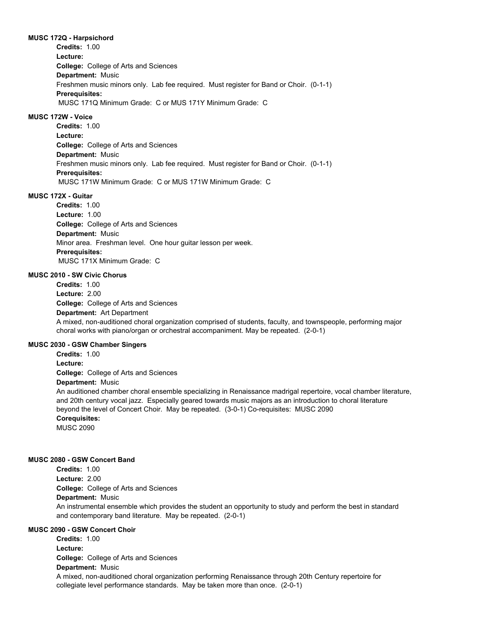#### **MUSC 172Q - Harpsichord**

**College:** College of Arts and Sciences **Department:** Music **Credits:** 1.00 **Lecture:** Freshmen music minors only. Lab fee required. Must register for Band or Choir. (0-1-1) **Prerequisites:**  MUSC 171Q Minimum Grade: C or MUS 171Y Minimum Grade: C

# **MUSC 172W - Voice**

**College:** College of Arts and Sciences **Department:** Music **Credits:** 1.00 **Lecture:** Freshmen music minors only. Lab fee required. Must register for Band or Choir. (0-1-1) **Prerequisites:**  MUSC 171W Minimum Grade: C or MUS 171W Minimum Grade: C

## **MUSC 172X - Guitar**

**College:** College of Arts and Sciences **Department:** Music **Credits:** 1.00 **Lecture:** 1.00 Minor area. Freshman level. One hour guitar lesson per week. **Prerequisites:**  MUSC 171X Minimum Grade: C

#### **MUSC 2010 - SW Civic Chorus**

**College:** College of Arts and Sciences **Department:** Art Department **Credits:** 1.00 **Lecture:** 2.00 A mixed, non-auditioned choral organization comprised of students, faculty, and townspeople, performing major choral works with piano/organ or orchestral accompaniment. May be repeated. (2-0-1)

## **MUSC 2030 - GSW Chamber Singers**

**College:** College of Arts and Sciences **Department:** Music **Credits:** 1.00 **Lecture:**

An auditioned chamber choral ensemble specializing in Renaissance madrigal repertoire, vocal chamber literature, and 20th century vocal jazz. Especially geared towards music majors as an introduction to choral literature beyond the level of Concert Choir. May be repeated. (3-0-1) Co-requisites: MUSC 2090

## **Corequisites:**

MUSC 2090

#### **MUSC 2080 - GSW Concert Band**

**Credits:** 1.00 **Lecture:** 2.00

**College:** College of Arts and Sciences

# **Department:** Music

An instrumental ensemble which provides the student an opportunity to study and perform the best in standard and contemporary band literature. May be repeated. (2-0-1)

# **MUSC 2090 - GSW Concert Choir**

**College:** College of Arts and Sciences **Department:** Music **Credits:** 1.00 **Lecture:** A mixed, non-auditioned choral organization performing Renaissance through 20th Century repertoire for collegiate level performance standards. May be taken more than once. (2-0-1)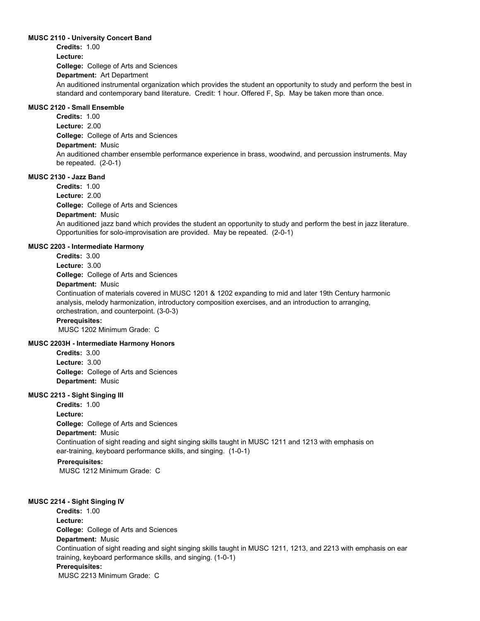#### **MUSC 2110 - University Concert Band**

**College:** College of Arts and Sciences **Department:** Art Department **Credits:** 1.00 **Lecture:** An auditioned instrumental organization which provides the student an opportunity to study and perform the best in standard and contemporary band literature. Credit: 1 hour. Offered F, Sp. May be taken more than once.

# **MUSC 2120 - Small Ensemble**

**College:** College of Arts and Sciences **Department:** Music **Credits:** 1.00 **Lecture:** 2.00 An auditioned chamber ensemble performance experience in brass, woodwind, and percussion instruments. May be repeated. (2-0-1)

# **MUSC 2130 - Jazz Band**

**College:** College of Arts and Sciences **Department:** Music **Credits:** 1.00 **Lecture:** 2.00 An auditioned jazz band which provides the student an opportunity to study and perform the best in jazz literature. Opportunities for solo-improvisation are provided. May be repeated. (2-0-1)

#### **MUSC 2203 - Intermediate Harmony**

**College:** College of Arts and Sciences **Department:** Music **Credits:** 3.00 **Lecture:** 3.00 Continuation of materials covered in MUSC 1201 & 1202 expanding to mid and later 19th Century harmonic analysis, melody harmonization, introductory composition exercises, and an introduction to arranging, orchestration, and counterpoint. (3-0-3) **Prerequisites:**  MUSC 1202 Minimum Grade: C

# **MUSC 2203H - Intermediate Harmony Honors**

**College:** College of Arts and Sciences **Department:** Music **Credits:** 3.00 **Lecture:** 3.00

## **MUSC 2213 - Sight Singing III**

**College:** College of Arts and Sciences **Department:** Music **Credits:** 1.00 **Lecture:** Continuation of sight reading and sight singing skills taught in MUSC 1211 and 1213 with emphasis on ear-training, keyboard performance skills, and singing. (1-0-1)

# **Prerequisites:**

MUSC 1212 Minimum Grade: C

## **MUSC 2214 - Sight Singing IV**

**College:** College of Arts and Sciences **Department:** Music **Credits:** 1.00 **Lecture:** Continuation of sight reading and sight singing skills taught in MUSC 1211, 1213, and 2213 with emphasis on ear training, keyboard performance skills, and singing. (1-0-1) **Prerequisites:**  MUSC 2213 Minimum Grade: C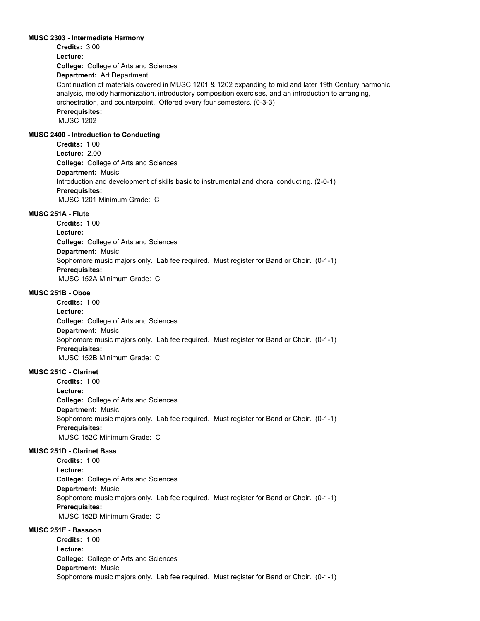#### **MUSC 2303 - Intermediate Harmony**

**College:** College of Arts and Sciences **Department:** Art Department **Credits:** 3.00 **Lecture:** Continuation of materials covered in MUSC 1201 & 1202 expanding to mid and later 19th Century harmonic analysis, melody harmonization, introductory composition exercises, and an introduction to arranging, orchestration, and counterpoint. Offered every four semesters. (0-3-3) **Prerequisites:**  MUSC 1202

# **MUSC 2400 - Introduction to Conducting**

**College:** College of Arts and Sciences **Department:** Music **Credits:** 1.00 **Lecture:** 2.00 Introduction and development of skills basic to instrumental and choral conducting. (2-0-1) **Prerequisites:**  MUSC 1201 Minimum Grade: C

#### **MUSC 251A - Flute**

**College:** College of Arts and Sciences **Department:** Music **Credits:** 1.00 **Lecture:** Sophomore music majors only. Lab fee required. Must register for Band or Choir. (0-1-1) **Prerequisites:**  MUSC 152A Minimum Grade: C

#### **MUSC 251B - Oboe**

**College:** College of Arts and Sciences **Department:** Music **Credits:** 1.00 **Lecture:** Sophomore music majors only. Lab fee required. Must register for Band or Choir. (0-1-1) **Prerequisites:**  MUSC 152B Minimum Grade: C

# **MUSC 251C - Clarinet**

**College:** College of Arts and Sciences **Department:** Music **Credits:** 1.00 **Lecture:** Sophomore music majors only. Lab fee required. Must register for Band or Choir. (0-1-1) **Prerequisites:**  MUSC 152C Minimum Grade: C

#### **MUSC 251D - Clarinet Bass**

**College:** College of Arts and Sciences **Department:** Music **Credits:** 1.00 **Lecture:** Sophomore music majors only. Lab fee required. Must register for Band or Choir. (0-1-1) **Prerequisites:**  MUSC 152D Minimum Grade: C

# **MUSC 251E - Bassoon**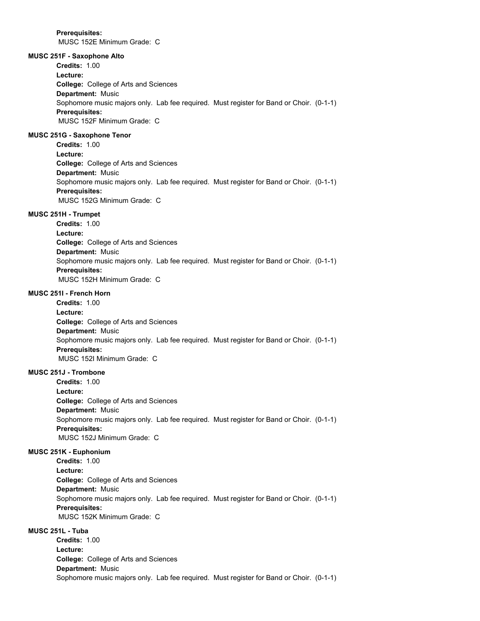**Prerequisites:**  MUSC 152E Minimum Grade: C

**MUSC 251F - Saxophone Alto**

**College:** College of Arts and Sciences **Department:** Music **Credits:** 1.00 **Lecture:** Sophomore music majors only. Lab fee required. Must register for Band or Choir. (0-1-1) **Prerequisites:**  MUSC 152F Minimum Grade: C

## **MUSC 251G - Saxophone Tenor**

**College:** College of Arts and Sciences **Department:** Music **Credits:** 1.00 **Lecture:** Sophomore music majors only. Lab fee required. Must register for Band or Choir. (0-1-1) **Prerequisites:**  MUSC 152G Minimum Grade: C

#### **MUSC 251H - Trumpet**

**College:** College of Arts and Sciences **Department:** Music **Credits:** 1.00 **Lecture:** Sophomore music majors only. Lab fee required. Must register for Band or Choir. (0-1-1) **Prerequisites:**  MUSC 152H Minimum Grade: C

## **MUSC 251I - French Horn**

**College:** College of Arts and Sciences **Department:** Music **Credits:** 1.00 **Lecture:** Sophomore music majors only. Lab fee required. Must register for Band or Choir. (0-1-1) **Prerequisites:**  MUSC 152I Minimum Grade: C

# **MUSC 251J - Trombone**

**College:** College of Arts and Sciences **Department:** Music **Credits:** 1.00 **Lecture:** Sophomore music majors only. Lab fee required. Must register for Band or Choir. (0-1-1) **Prerequisites:**  MUSC 152J Minimum Grade: C

#### **MUSC 251K - Euphonium**

**College:** College of Arts and Sciences **Department:** Music **Credits:** 1.00 **Lecture:** Sophomore music majors only. Lab fee required. Must register for Band or Choir. (0-1-1) **Prerequisites:**  MUSC 152K Minimum Grade: C

## **MUSC 251L - Tuba**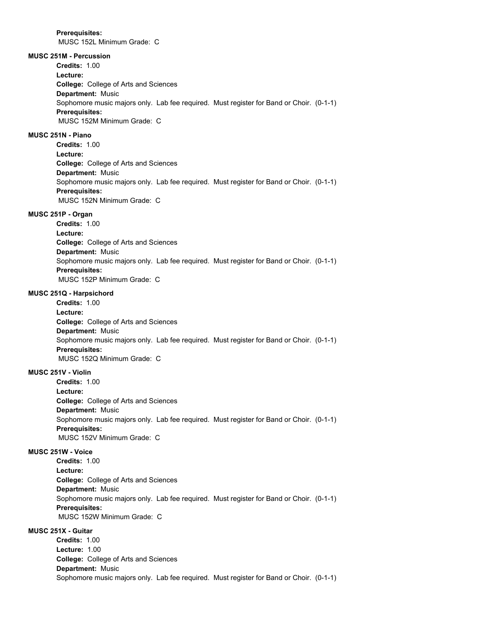MUSC 152L Minimum Grade: C

# **MUSC 251M - Percussion**

**College:** College of Arts and Sciences **Department:** Music **Credits:** 1.00 **Lecture:** Sophomore music majors only. Lab fee required. Must register for Band or Choir. (0-1-1) **Prerequisites:**  MUSC 152M Minimum Grade: C

## **MUSC 251N - Piano**

**College:** College of Arts and Sciences **Department:** Music **Credits:** 1.00 **Lecture:** Sophomore music majors only. Lab fee required. Must register for Band or Choir. (0-1-1) **Prerequisites:**  MUSC 152N Minimum Grade: C

## **MUSC 251P - Organ**

**College:** College of Arts and Sciences **Department:** Music **Credits:** 1.00 **Lecture:** Sophomore music majors only. Lab fee required. Must register for Band or Choir. (0-1-1) **Prerequisites:**  MUSC 152P Minimum Grade: C

## **MUSC 251Q - Harpsichord**

**College:** College of Arts and Sciences **Department:** Music **Credits:** 1.00 **Lecture:** Sophomore music majors only. Lab fee required. Must register for Band or Choir. (0-1-1) **Prerequisites:**  MUSC 152Q Minimum Grade: C

# **MUSC 251V - Violin**

**College:** College of Arts and Sciences **Department:** Music **Credits:** 1.00 **Lecture:** Sophomore music majors only. Lab fee required. Must register for Band or Choir. (0-1-1) **Prerequisites:**  MUSC 152V Minimum Grade: C

#### **MUSC 251W - Voice**

**College:** College of Arts and Sciences **Department:** Music **Credits:** 1.00 **Lecture:** Sophomore music majors only. Lab fee required. Must register for Band or Choir. (0-1-1) **Prerequisites:**  MUSC 152W Minimum Grade: C

## **MUSC 251X - Guitar**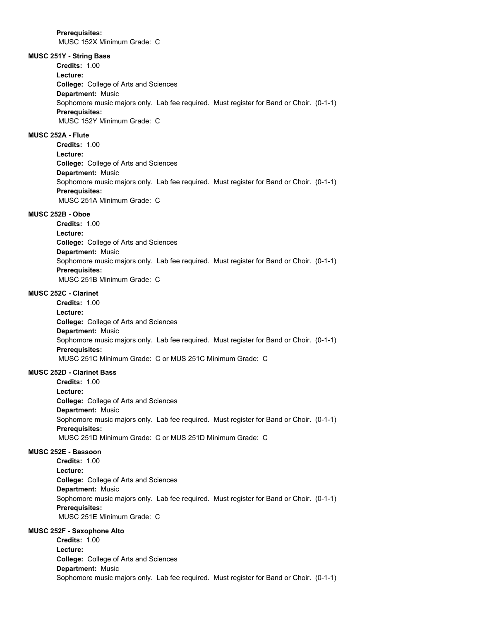MUSC 152X Minimum Grade: C

# **MUSC 251Y - String Bass**

**College:** College of Arts and Sciences **Department:** Music **Credits:** 1.00 **Lecture:** Sophomore music majors only. Lab fee required. Must register for Band or Choir. (0-1-1) **Prerequisites:**  MUSC 152Y Minimum Grade: C

## **MUSC 252A - Flute**

**College:** College of Arts and Sciences **Department:** Music **Credits:** 1.00 **Lecture:** Sophomore music majors only. Lab fee required. Must register for Band or Choir. (0-1-1) **Prerequisites:**  MUSC 251A Minimum Grade: C

# **MUSC 252B - Oboe**

**College:** College of Arts and Sciences **Department:** Music **Credits:** 1.00 **Lecture:** Sophomore music majors only. Lab fee required. Must register for Band or Choir. (0-1-1) **Prerequisites:**  MUSC 251B Minimum Grade: C

# **MUSC 252C - Clarinet**

**College:** College of Arts and Sciences **Department:** Music **Credits:** 1.00 **Lecture:** Sophomore music majors only. Lab fee required. Must register for Band or Choir. (0-1-1) **Prerequisites:**  MUSC 251C Minimum Grade: C or MUS 251C Minimum Grade: C

## **MUSC 252D - Clarinet Bass**

**College:** College of Arts and Sciences **Department:** Music **Credits:** 1.00 **Lecture:** Sophomore music majors only. Lab fee required. Must register for Band or Choir. (0-1-1) **Prerequisites:**  MUSC 251D Minimum Grade: C or MUS 251D Minimum Grade: C

#### **MUSC 252E - Bassoon**

**College:** College of Arts and Sciences **Department:** Music **Credits:** 1.00 **Lecture:** Sophomore music majors only. Lab fee required. Must register for Band or Choir. (0-1-1) **Prerequisites:**  MUSC 251E Minimum Grade: C

## **MUSC 252F - Saxophone Alto**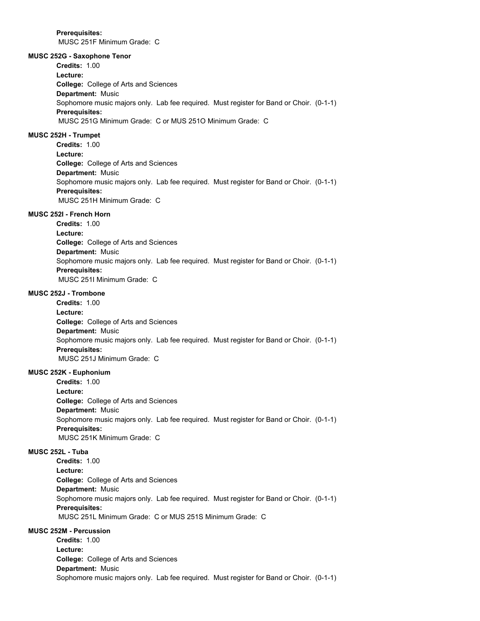**Prerequisites:**  MUSC 251F Minimum Grade: C

## **MUSC 252G - Saxophone Tenor**

**College:** College of Arts and Sciences **Department:** Music **Credits:** 1.00 **Lecture:** Sophomore music majors only. Lab fee required. Must register for Band or Choir. (0-1-1) **Prerequisites:**  MUSC 251G Minimum Grade: C or MUS 251O Minimum Grade: C

## **MUSC 252H - Trumpet**

**College:** College of Arts and Sciences **Department:** Music **Credits:** 1.00 **Lecture:** Sophomore music majors only. Lab fee required. Must register for Band or Choir. (0-1-1) **Prerequisites:**  MUSC 251H Minimum Grade: C

#### **MUSC 252I - French Horn**

**College:** College of Arts and Sciences **Department:** Music **Credits:** 1.00 **Lecture:** Sophomore music majors only. Lab fee required. Must register for Band or Choir. (0-1-1) **Prerequisites:**  MUSC 251I Minimum Grade: C

## **MUSC 252J - Trombone**

**College:** College of Arts and Sciences **Department:** Music **Credits:** 1.00 **Lecture:** Sophomore music majors only. Lab fee required. Must register for Band or Choir. (0-1-1) **Prerequisites:**  MUSC 251J Minimum Grade: C

#### **MUSC 252K - Euphonium**

**College:** College of Arts and Sciences **Department:** Music **Credits:** 1.00 **Lecture:** Sophomore music majors only. Lab fee required. Must register for Band or Choir. (0-1-1) **Prerequisites:**  MUSC 251K Minimum Grade: C

## **MUSC 252L - Tuba**

**College:** College of Arts and Sciences **Department:** Music **Credits:** 1.00 **Lecture:** Sophomore music majors only. Lab fee required. Must register for Band or Choir. (0-1-1) **Prerequisites:**  MUSC 251L Minimum Grade: C or MUS 251S Minimum Grade: C

#### **MUSC 252M - Percussion**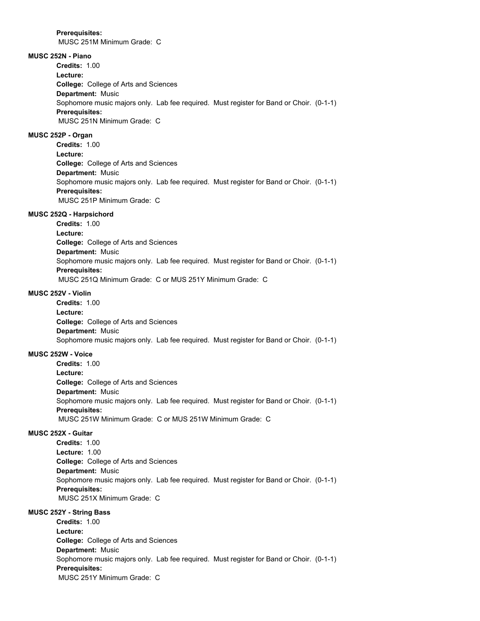MUSC 251M Minimum Grade: C

# **MUSC 252N - Piano**

**College:** College of Arts and Sciences **Department:** Music **Credits:** 1.00 **Lecture:** Sophomore music majors only. Lab fee required. Must register for Band or Choir. (0-1-1) **Prerequisites:**  MUSC 251N Minimum Grade: C

# **MUSC 252P - Organ**

**College:** College of Arts and Sciences **Department:** Music **Credits:** 1.00 **Lecture:** Sophomore music majors only. Lab fee required. Must register for Band or Choir. (0-1-1) **Prerequisites:**  MUSC 251P Minimum Grade: C

#### **MUSC 252Q - Harpsichord**

**College:** College of Arts and Sciences **Department:** Music **Credits:** 1.00 **Lecture:** Sophomore music majors only. Lab fee required. Must register for Band or Choir. (0-1-1) **Prerequisites:**  MUSC 251Q Minimum Grade: C or MUS 251Y Minimum Grade: C

#### **MUSC 252V - Violin**

**College:** College of Arts and Sciences **Department:** Music **Credits:** 1.00 **Lecture:** Sophomore music majors only. Lab fee required. Must register for Band or Choir. (0-1-1)

# **MUSC 252W - Voice**

**College:** College of Arts and Sciences **Department:** Music **Credits:** 1.00 **Lecture:** Sophomore music majors only. Lab fee required. Must register for Band or Choir. (0-1-1) **Prerequisites:**  MUSC 251W Minimum Grade: C or MUS 251W Minimum Grade: C

# **MUSC 252X - Guitar**

**College:** College of Arts and Sciences **Department:** Music **Credits:** 1.00 **Lecture:** 1.00 Sophomore music majors only. Lab fee required. Must register for Band or Choir. (0-1-1) **Prerequisites:**  MUSC 251X Minimum Grade: C

## **MUSC 252Y - String Bass**

**College:** College of Arts and Sciences **Department:** Music **Credits:** 1.00 **Lecture:** Sophomore music majors only. Lab fee required. Must register for Band or Choir. (0-1-1) **Prerequisites:**  MUSC 251Y Minimum Grade: C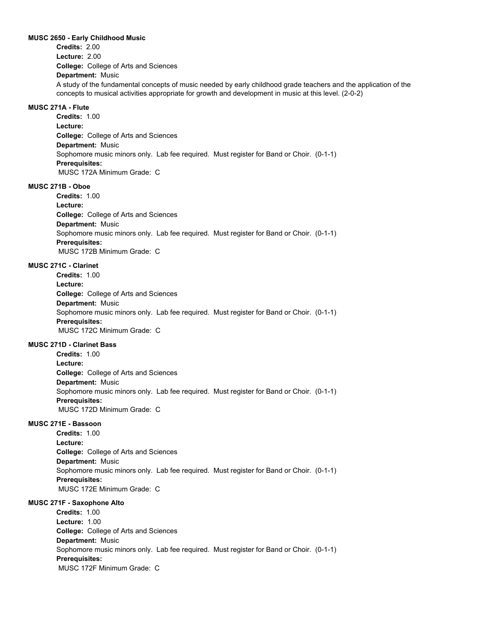#### **MUSC 2650 - Early Childhood Music**

**College:** College of Arts and Sciences **Department:** Music **Credits:** 2.00 **Lecture:** 2.00 A study of the fundamental concepts of music needed by early childhood grade teachers and the application of the concepts to musical activities appropriate for growth and development in music at this level. (2-0-2)

## **MUSC 271A - Flute**

**College:** College of Arts and Sciences **Department:** Music **Credits:** 1.00 **Lecture:** Sophomore music minors only. Lab fee required. Must register for Band or Choir. (0-1-1) **Prerequisites:**  MUSC 172A Minimum Grade: C

#### **MUSC 271B - Oboe**

**College:** College of Arts and Sciences **Department:** Music **Credits:** 1.00 **Lecture:** Sophomore music minors only. Lab fee required. Must register for Band or Choir. (0-1-1) **Prerequisites:**  MUSC 172B Minimum Grade: C

## **MUSC 271C - Clarinet**

**College:** College of Arts and Sciences **Department:** Music **Credits:** 1.00 **Lecture:** Sophomore music minors only. Lab fee required. Must register for Band or Choir. (0-1-1) **Prerequisites:**  MUSC 172C Minimum Grade: C

# **MUSC 271D - Clarinet Bass**

**College:** College of Arts and Sciences **Department:** Music **Credits:** 1.00 **Lecture:** Sophomore music minors only. Lab fee required. Must register for Band or Choir. (0-1-1) **Prerequisites:**  MUSC 172D Minimum Grade: C

## **MUSC 271E - Bassoon**

**College:** College of Arts and Sciences **Department:** Music **Credits:** 1.00 **Lecture:** Sophomore music minors only. Lab fee required. Must register for Band or Choir. (0-1-1) **Prerequisites:**  MUSC 172E Minimum Grade: C

#### **MUSC 271F - Saxophone Alto**

**College:** College of Arts and Sciences **Department:** Music **Credits:** 1.00 **Lecture:** 1.00 Sophomore music minors only. Lab fee required. Must register for Band or Choir. (0-1-1) **Prerequisites:**  MUSC 172F Minimum Grade: C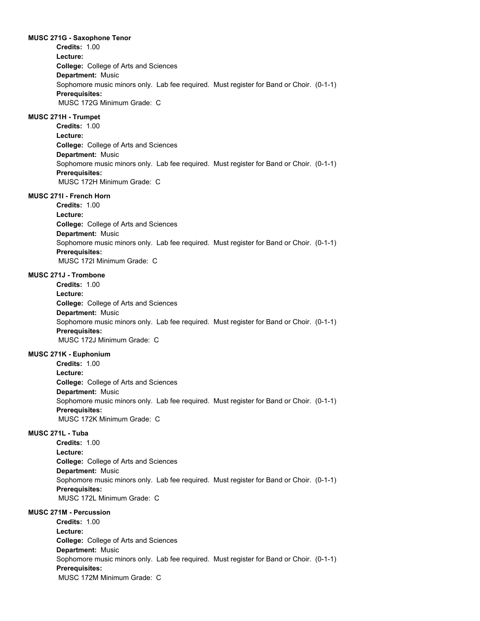#### **MUSC 271G - Saxophone Tenor**

**College:** College of Arts and Sciences **Department:** Music **Credits:** 1.00 **Lecture:** Sophomore music minors only. Lab fee required. Must register for Band or Choir. (0-1-1) **Prerequisites:**  MUSC 172G Minimum Grade: C

# **MUSC 271H - Trumpet**

**College:** College of Arts and Sciences **Department:** Music **Credits:** 1.00 **Lecture:** Sophomore music minors only. Lab fee required. Must register for Band or Choir. (0-1-1) **Prerequisites:**  MUSC 172H Minimum Grade: C

## **MUSC 271I - French Horn**

**College:** College of Arts and Sciences **Department:** Music **Credits:** 1.00 **Lecture:** Sophomore music minors only. Lab fee required. Must register for Band or Choir. (0-1-1) **Prerequisites:**  MUSC 172I Minimum Grade: C

#### **MUSC 271J - Trombone**

**College:** College of Arts and Sciences **Department:** Music **Credits:** 1.00 **Lecture:** Sophomore music minors only. Lab fee required. Must register for Band or Choir. (0-1-1) **Prerequisites:**  MUSC 172J Minimum Grade: C

## **MUSC 271K - Euphonium**

**College:** College of Arts and Sciences **Department:** Music **Credits:** 1.00 **Lecture:** Sophomore music minors only. Lab fee required. Must register for Band or Choir. (0-1-1) **Prerequisites:**  MUSC 172K Minimum Grade: C

# **MUSC 271L - Tuba**

**College:** College of Arts and Sciences **Department:** Music **Credits:** 1.00 **Lecture:** Sophomore music minors only. Lab fee required. Must register for Band or Choir. (0-1-1) **Prerequisites:**  MUSC 172L Minimum Grade: C

# **MUSC 271M - Percussion**

**College:** College of Arts and Sciences **Department:** Music **Credits:** 1.00 **Lecture:** Sophomore music minors only. Lab fee required. Must register for Band or Choir. (0-1-1) **Prerequisites:**  MUSC 172M Minimum Grade: C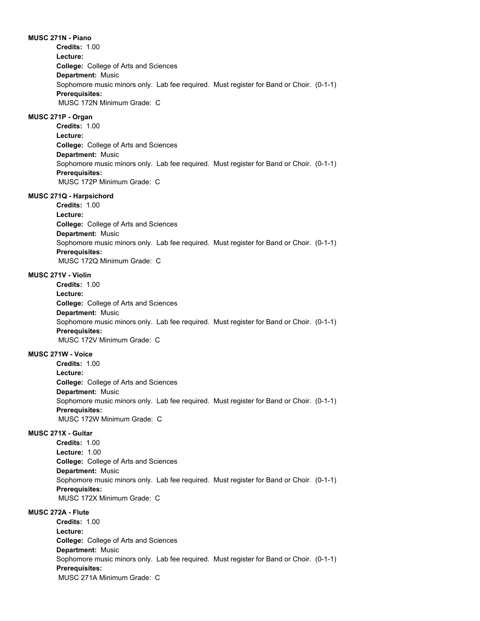**MUSC 271N - Piano College:** College of Arts and Sciences **Department:** Music **Credits:** 1.00 **Lecture:** Sophomore music minors only. Lab fee required. Must register for Band or Choir. (0-1-1) **Prerequisites:**  MUSC 172N Minimum Grade: C

## **MUSC 271P - Organ**

**College:** College of Arts and Sciences **Department:** Music **Credits:** 1.00 **Lecture:** Sophomore music minors only. Lab fee required. Must register for Band or Choir. (0-1-1) **Prerequisites:**  MUSC 172P Minimum Grade: C

#### **MUSC 271Q - Harpsichord**

**College:** College of Arts and Sciences **Department:** Music **Credits:** 1.00 **Lecture:** Sophomore music minors only. Lab fee required. Must register for Band or Choir. (0-1-1) **Prerequisites:**  MUSC 172Q Minimum Grade: C

#### **MUSC 271V - Violin**

**College:** College of Arts and Sciences **Department:** Music **Credits:** 1.00 **Lecture:** Sophomore music minors only. Lab fee required. Must register for Band or Choir. (0-1-1) **Prerequisites:**  MUSC 172V Minimum Grade: C

#### **MUSC 271W - Voice**

**College:** College of Arts and Sciences **Department:** Music **Credits:** 1.00 **Lecture:** Sophomore music minors only. Lab fee required. Must register for Band or Choir. (0-1-1) **Prerequisites:**  MUSC 172W Minimum Grade: C

## **MUSC 271X - Guitar**

**College:** College of Arts and Sciences **Department:** Music **Credits:** 1.00 **Lecture:** 1.00 Sophomore music minors only. Lab fee required. Must register for Band or Choir. (0-1-1) **Prerequisites:**  MUSC 172X Minimum Grade: C

# **MUSC 272A - Flute**

**College:** College of Arts and Sciences **Department:** Music **Credits:** 1.00 **Lecture:** Sophomore music minors only. Lab fee required. Must register for Band or Choir. (0-1-1) **Prerequisites:**  MUSC 271A Minimum Grade: C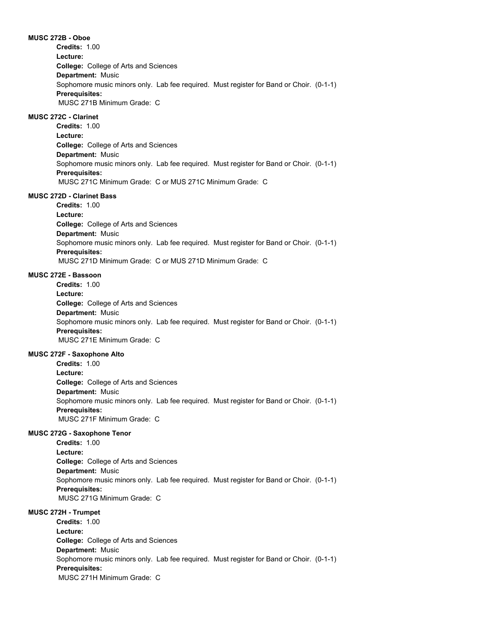**MUSC 272B - Oboe College:** College of Arts and Sciences **Department:** Music **Credits:** 1.00 **Lecture:** Sophomore music minors only. Lab fee required. Must register for Band or Choir. (0-1-1) **Prerequisites:**  MUSC 271B Minimum Grade: C

## **MUSC 272C - Clarinet**

**College:** College of Arts and Sciences **Department:** Music **Credits:** 1.00 **Lecture:** Sophomore music minors only. Lab fee required. Must register for Band or Choir. (0-1-1) **Prerequisites:**  MUSC 271C Minimum Grade: C or MUS 271C Minimum Grade: C

## **MUSC 272D - Clarinet Bass**

**College:** College of Arts and Sciences **Department:** Music **Credits:** 1.00 **Lecture:** Sophomore music minors only. Lab fee required. Must register for Band or Choir. (0-1-1) **Prerequisites:**  MUSC 271D Minimum Grade: C or MUS 271D Minimum Grade: C

#### **MUSC 272E - Bassoon**

**College:** College of Arts and Sciences **Department:** Music **Credits:** 1.00 **Lecture:** Sophomore music minors only. Lab fee required. Must register for Band or Choir. (0-1-1) **Prerequisites:**  MUSC 271E Minimum Grade: C

#### **MUSC 272F - Saxophone Alto**

**College:** College of Arts and Sciences **Department:** Music **Credits:** 1.00 **Lecture:** Sophomore music minors only. Lab fee required. Must register for Band or Choir. (0-1-1) **Prerequisites:**  MUSC 271F Minimum Grade: C

#### **MUSC 272G - Saxophone Tenor**

**College:** College of Arts and Sciences **Department:** Music **Credits:** 1.00 **Lecture:** Sophomore music minors only. Lab fee required. Must register for Band or Choir. (0-1-1) **Prerequisites:**  MUSC 271G Minimum Grade: C

### **MUSC 272H - Trumpet**

**College:** College of Arts and Sciences **Department:** Music **Credits:** 1.00 **Lecture:** Sophomore music minors only. Lab fee required. Must register for Band or Choir. (0-1-1) **Prerequisites:**  MUSC 271H Minimum Grade: C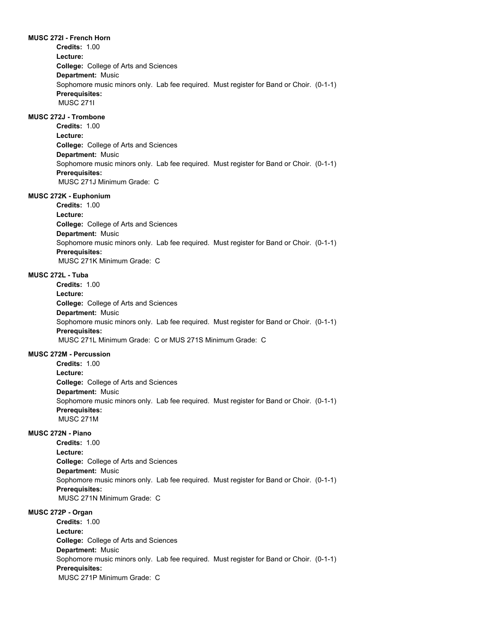# **MUSC 272I - French Horn**

**Credits:** 1.00

**College:** College of Arts and Sciences **Department:** Music **Lecture:** Sophomore music minors only. Lab fee required. Must register for Band or Choir. (0-1-1) **Prerequisites:**  MUSC 271I

## **MUSC 272J - Trombone**

**College:** College of Arts and Sciences **Department:** Music **Credits:** 1.00 **Lecture:** Sophomore music minors only. Lab fee required. Must register for Band or Choir. (0-1-1) **Prerequisites:**  MUSC 271J Minimum Grade: C

#### **MUSC 272K - Euphonium**

**College:** College of Arts and Sciences **Department:** Music **Credits:** 1.00 **Lecture:** Sophomore music minors only. Lab fee required. Must register for Band or Choir. (0-1-1) **Prerequisites:**  MUSC 271K Minimum Grade: C

#### **MUSC 272L - Tuba**

**College:** College of Arts and Sciences **Department:** Music **Credits:** 1.00 **Lecture:** Sophomore music minors only. Lab fee required. Must register for Band or Choir. (0-1-1) **Prerequisites:**  MUSC 271L Minimum Grade: C or MUS 271S Minimum Grade: C

#### **MUSC 272M - Percussion**

**College:** College of Arts and Sciences **Department:** Music **Credits:** 1.00 **Lecture:** Sophomore music minors only. Lab fee required. Must register for Band or Choir. (0-1-1) **Prerequisites:**  MUSC 271M

# **MUSC 272N - Piano**

**College:** College of Arts and Sciences **Department:** Music **Credits:** 1.00 **Lecture:** Sophomore music minors only. Lab fee required. Must register for Band or Choir. (0-1-1) **Prerequisites:**  MUSC 271N Minimum Grade: C

### **MUSC 272P - Organ**

**College:** College of Arts and Sciences **Department:** Music **Credits:** 1.00 **Lecture:** Sophomore music minors only. Lab fee required. Must register for Band or Choir. (0-1-1) **Prerequisites:**  MUSC 271P Minimum Grade: C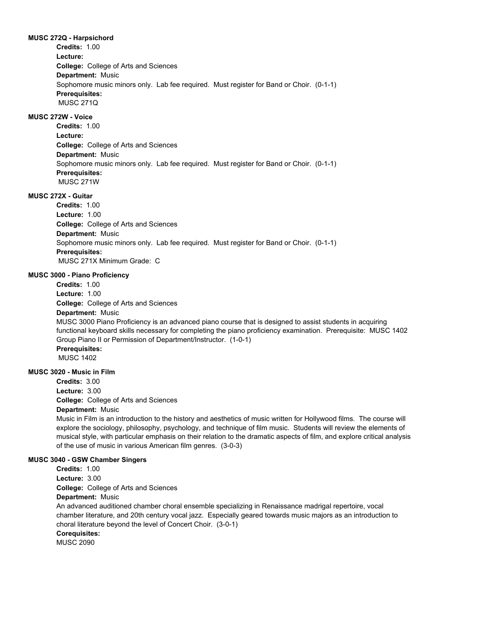#### **MUSC 272Q - Harpsichord**

**College:** College of Arts and Sciences **Department:** Music **Credits:** 1.00 **Lecture:** Sophomore music minors only. Lab fee required. Must register for Band or Choir. (0-1-1) **Prerequisites:**  MUSC 271Q

# **MUSC 272W - Voice**

**College:** College of Arts and Sciences **Department:** Music **Credits:** 1.00 **Lecture:** Sophomore music minors only. Lab fee required. Must register for Band or Choir. (0-1-1) **Prerequisites:**  MUSC 271W

## **MUSC 272X - Guitar**

**College:** College of Arts and Sciences **Department:** Music **Credits:** 1.00 **Lecture:** 1.00 Sophomore music minors only. Lab fee required. Must register for Band or Choir. (0-1-1) **Prerequisites:**  MUSC 271X Minimum Grade: C

#### **MUSC 3000 - Piano Proficiency**

**College:** College of Arts and Sciences **Department:** Music **Credits:** 1.00 **Lecture:** 1.00 MUSC 3000 Piano Proficiency is an advanced piano course that is designed to assist students in acquiring functional keyboard skills necessary for completing the piano proficiency examination. Prerequisite: MUSC 1402 Group Piano II or Permission of Department/Instructor. (1-0-1) **Prerequisites:**  MUSC 1402

# **MUSC 3020 - Music in Film**

**Credits:** 3.00

**College:** College of Arts and Sciences **Lecture:** 3.00

## **Department:** Music

Music in Film is an introduction to the history and aesthetics of music written for Hollywood films. The course will explore the sociology, philosophy, psychology, and technique of film music. Students will review the elements of musical style, with particular emphasis on their relation to the dramatic aspects of film, and explore critical analysis of the use of music in various American film genres. (3-0-3)

## **MUSC 3040 - GSW Chamber Singers**

**College:** College of Arts and Sciences **Credits:** 1.00 **Lecture:** 3.00

## **Department:** Music

An advanced auditioned chamber choral ensemble specializing in Renaissance madrigal repertoire, vocal chamber literature, and 20th century vocal jazz. Especially geared towards music majors as an introduction to choral literature beyond the level of Concert Choir. (3-0-1)

# **Corequisites:**

MUSC 2090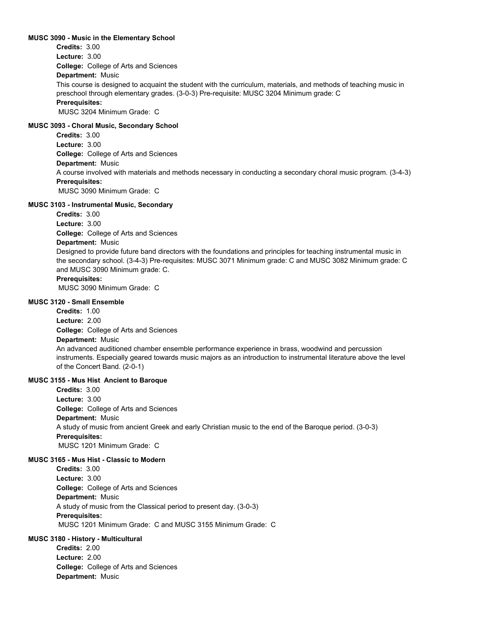#### **MUSC 3090 - Music in the Elementary School**

**College:** College of Arts and Sciences **Department:** Music **Credits:** 3.00 **Lecture:** 3.00 This course is designed to acquaint the student with the curriculum, materials, and methods of teaching music in preschool through elementary grades. (3-0-3) Pre-requisite: MUSC 3204 Minimum grade: C **Prerequisites:**  MUSC 3204 Minimum Grade: C

#### **MUSC 3093 - Choral Music, Secondary School**

**College:** College of Arts and Sciences **Department:** Music **Credits:** 3.00 **Lecture:** 3.00 A course involved with materials and methods necessary in conducting a secondary choral music program. (3-4-3) **Prerequisites:**  MUSC 3090 Minimum Grade: C

## **MUSC 3103 - Instrumental Music, Secondary**

**Credits:** 3.00

**College:** College of Arts and Sciences **Lecture:** 3.00

## **Department:** Music

Designed to provide future band directors with the foundations and principles for teaching instrumental music in the secondary school. (3-4-3) Pre-requisites: MUSC 3071 Minimum grade: C and MUSC 3082 Minimum grade: C and MUSC 3090 Minimum grade: C.

## **Prerequisites:**

MUSC 3090 Minimum Grade: C

## **MUSC 3120 - Small Ensemble**

**College:** College of Arts and Sciences **Credits:** 1.00 **Lecture:** 2.00

# **Department:** Music

An advanced auditioned chamber ensemble performance experience in brass, woodwind and percussion instruments. Especially geared towards music majors as an introduction to instrumental literature above the level of the Concert Band. (2-0-1)

#### **MUSC 3155 - Mus Hist Ancient to Baroque**

**College:** College of Arts and Sciences **Department:** Music **Credits:** 3.00 **Lecture:** 3.00 A study of music from ancient Greek and early Christian music to the end of the Baroque period. (3-0-3) **Prerequisites:**  MUSC 1201 Minimum Grade: C

## **MUSC 3165 - Mus Hist - Classic to Modern**

**College:** College of Arts and Sciences **Department:** Music **Credits:** 3.00 **Lecture:** 3.00 A study of music from the Classical period to present day. (3-0-3) **Prerequisites:**  MUSC 1201 Minimum Grade: C and MUSC 3155 Minimum Grade: C

## **MUSC 3180 - History - Multicultural**

**College:** College of Arts and Sciences **Department:** Music **Credits:** 2.00 **Lecture:** 2.00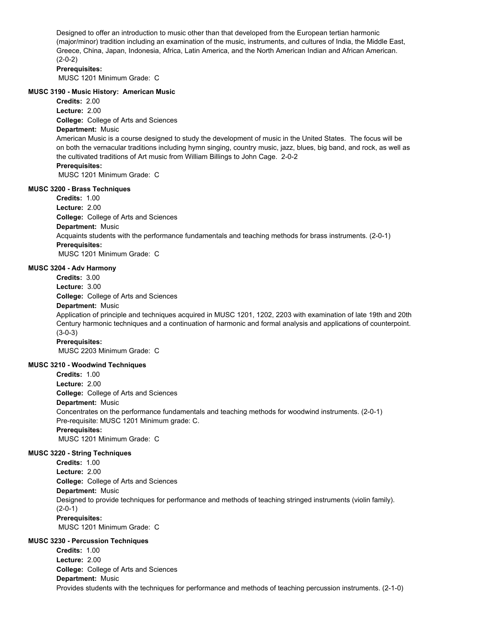Designed to offer an introduction to music other than that developed from the European tertian harmonic (major/minor) tradition including an examination of the music, instruments, and cultures of India, the Middle East, Greece, China, Japan, Indonesia, Africa, Latin America, and the North American Indian and African American. (2-0-2)

#### **Prerequisites:**

MUSC 1201 Minimum Grade: C

#### **MUSC 3190 - Music History: American Music**

**Credits:** 2.00

**College:** College of Arts and Sciences **Lecture:** 2.00

# **Department:** Music

American Music is a course designed to study the development of music in the United States. The focus will be on both the vernacular traditions including hymn singing, country music, jazz, blues, big band, and rock, as well as the cultivated traditions of Art music from William Billings to John Cage. 2-0-2

## **Prerequisites:**

MUSC 1201 Minimum Grade: C

#### **MUSC 3200 - Brass Techniques**

**College:** College of Arts and Sciences **Department:** Music **Credits:** 1.00 **Lecture:** 2.00 Acquaints students with the performance fundamentals and teaching methods for brass instruments. (2-0-1) **Prerequisites:**  MUSC 1201 Minimum Grade: C

## **MUSC 3204 - Adv Harmony**

**Credits:** 3.00

**Lecture:** 3.00

**College:** College of Arts and Sciences

## **Department:** Music

Application of principle and techniques acquired in MUSC 1201, 1202, 2203 with examination of late 19th and 20th Century harmonic techniques and a continuation of harmonic and formal analysis and applications of counterpoint. (3-0-3)

#### **Prerequisites:**

MUSC 2203 Minimum Grade: C

#### **MUSC 3210 - Woodwind Techniques**

**College:** College of Arts and Sciences **Department:** Music **Credits:** 1.00 **Lecture:** 2.00 Concentrates on the performance fundamentals and teaching methods for woodwind instruments. (2-0-1) Pre-requisite: MUSC 1201 Minimum grade: C. **Prerequisites:**  MUSC 1201 Minimum Grade: C

#### **MUSC 3220 - String Techniques**

**College:** College of Arts and Sciences **Department:** Music **Credits:** 1.00 **Lecture:** 2.00 Designed to provide techniques for performance and methods of teaching stringed instruments (violin family). (2-0-1) **Prerequisites:**  MUSC 1201 Minimum Grade: C

## **MUSC 3230 - Percussion Techniques**

**College:** College of Arts and Sciences **Department:** Music **Credits:** 1.00 **Lecture:** 2.00 Provides students with the techniques for performance and methods of teaching percussion instruments. (2-1-0)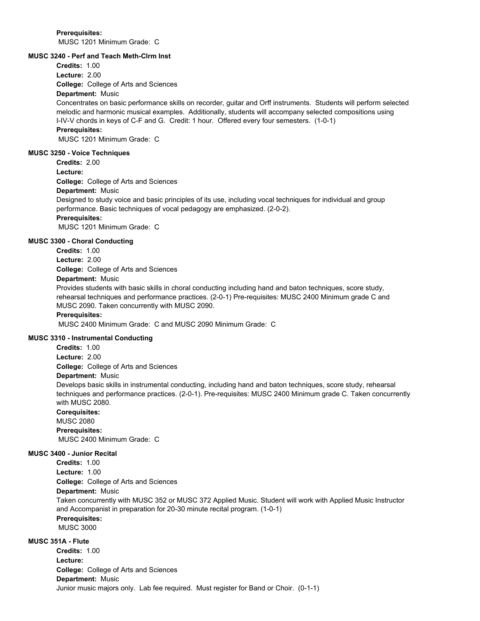**Prerequisites:**  MUSC 1201 Minimum Grade: C

## **MUSC 3240 - Perf and Teach Meth-Clrm Inst**

**Credits:** 1.00 **Lecture:** 2.00

**College:** College of Arts and Sciences

# **Department:** Music

Concentrates on basic performance skills on recorder, guitar and Orff instruments. Students will perform selected melodic and harmonic musical examples. Additionally, students will accompany selected compositions using I-IV-V chords in keys of C-F and G. Credit: 1 hour. Offered every four semesters. (1-0-1) **Prerequisites:** 

MUSC 1201 Minimum Grade: C

## **MUSC 3250 - Voice Techniques**

**Credits:** 2.00

**Lecture:**

**College:** College of Arts and Sciences

#### **Department:** Music

Designed to study voice and basic principles of its use, including vocal techniques for individual and group performance. Basic techniques of vocal pedagogy are emphasized. (2-0-2).

# **Prerequisites:**

MUSC 1201 Minimum Grade: C

# **MUSC 3300 - Choral Conducting**

**College:** College of Arts and Sciences **Credits:** 1.00 **Lecture:** 2.00

# **Department:** Music

Provides students with basic skills in choral conducting including hand and baton techniques, score study, rehearsal techniques and performance practices. (2-0-1) Pre-requisites: MUSC 2400 Minimum grade C and MUSC 2090. Taken concurrently with MUSC 2090.

## **Prerequisites:**

MUSC 2400 Minimum Grade: C and MUSC 2090 Minimum Grade: C

### **MUSC 3310 - Instrumental Conducting**

**Credits:** 1.00

**Lecture:** 2.00

**College:** College of Arts and Sciences

#### **Department:** Music

Develops basic skills in instrumental conducting, including hand and baton techniques, score study, rehearsal techniques and performance practices. (2-0-1). Pre-requisites: MUSC 2400 Minimum grade C. Taken concurrently with MUSC 2080.

**Corequisites:** 

MUSC 2080 **Prerequisites:**  MUSC 2400 Minimum Grade: C

#### **MUSC 3400 - Junior Recital**

**College:** College of Arts and Sciences **Department:** Music **Credits:** 1.00 **Lecture:** 1.00 Taken concurrently with MUSC 352 or MUSC 372 Applied Music. Student will work with Applied Music Instructor and Accompanist in preparation for 20-30 minute recital program. (1-0-1) **Prerequisites:**  MUSC 3000

# **MUSC 351A - Flute**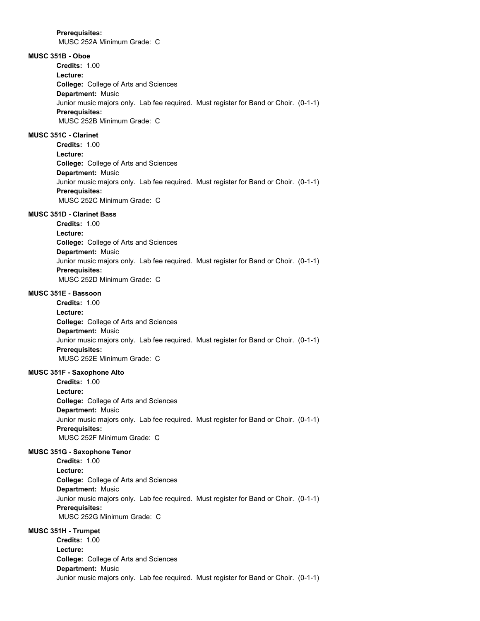MUSC 252A Minimum Grade: C

# **MUSC 351B - Oboe**

**College:** College of Arts and Sciences **Department:** Music **Credits:** 1.00 **Lecture:** Junior music majors only. Lab fee required. Must register for Band or Choir. (0-1-1) **Prerequisites:**  MUSC 252B Minimum Grade: C

# **MUSC 351C - Clarinet**

**College:** College of Arts and Sciences **Department:** Music **Credits:** 1.00 **Lecture:** Junior music majors only. Lab fee required. Must register for Band or Choir. (0-1-1) **Prerequisites:**  MUSC 252C Minimum Grade: C

#### **MUSC 351D - Clarinet Bass**

**College:** College of Arts and Sciences **Department:** Music **Credits:** 1.00 **Lecture:** Junior music majors only. Lab fee required. Must register for Band or Choir. (0-1-1) **Prerequisites:**  MUSC 252D Minimum Grade: C

# **MUSC 351E - Bassoon**

**College:** College of Arts and Sciences **Department:** Music **Credits:** 1.00 **Lecture:** Junior music majors only. Lab fee required. Must register for Band or Choir. (0-1-1) **Prerequisites:**  MUSC 252E Minimum Grade: C

## **MUSC 351F - Saxophone Alto**

**College:** College of Arts and Sciences **Department:** Music **Credits:** 1.00 **Lecture:** Junior music majors only. Lab fee required. Must register for Band or Choir. (0-1-1) **Prerequisites:**  MUSC 252F Minimum Grade: C

#### **MUSC 351G - Saxophone Tenor**

**College:** College of Arts and Sciences **Department:** Music **Credits:** 1.00 **Lecture:** Junior music majors only. Lab fee required. Must register for Band or Choir. (0-1-1) **Prerequisites:**  MUSC 252G Minimum Grade: C

# **MUSC 351H - Trumpet**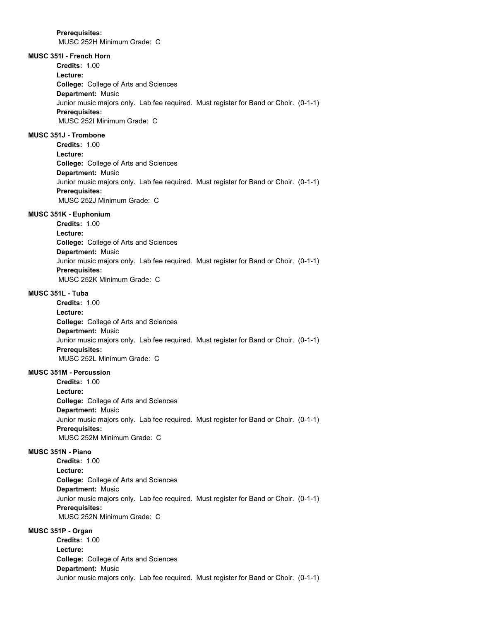MUSC 252H Minimum Grade: C

# **MUSC 351I - French Horn**

**Credits:** 1.00

**Lecture:**

**College:** College of Arts and Sciences **Department:** Music Junior music majors only. Lab fee required. Must register for Band or Choir. (0-1-1) **Prerequisites:**  MUSC 252I Minimum Grade: C

# **MUSC 351J - Trombone**

**College:** College of Arts and Sciences **Department:** Music **Credits:** 1.00 **Lecture:** Junior music majors only. Lab fee required. Must register for Band or Choir. (0-1-1) **Prerequisites:**  MUSC 252J Minimum Grade: C

## **MUSC 351K - Euphonium**

**College:** College of Arts and Sciences **Department:** Music **Credits:** 1.00 **Lecture:** Junior music majors only. Lab fee required. Must register for Band or Choir. (0-1-1) **Prerequisites:**  MUSC 252K Minimum Grade: C

# **MUSC 351L - Tuba**

**College:** College of Arts and Sciences **Department:** Music **Credits:** 1.00 **Lecture:** Junior music majors only. Lab fee required. Must register for Band or Choir. (0-1-1) **Prerequisites:**  MUSC 252L Minimum Grade: C

## **MUSC 351M - Percussion**

**College:** College of Arts and Sciences **Department:** Music **Credits:** 1.00 **Lecture:** Junior music majors only. Lab fee required. Must register for Band or Choir. (0-1-1) **Prerequisites:**  MUSC 252M Minimum Grade: C

#### **MUSC 351N - Piano**

**College:** College of Arts and Sciences **Department:** Music **Credits:** 1.00 **Lecture:** Junior music majors only. Lab fee required. Must register for Band or Choir. (0-1-1) **Prerequisites:**  MUSC 252N Minimum Grade: C

## **MUSC 351P - Organ**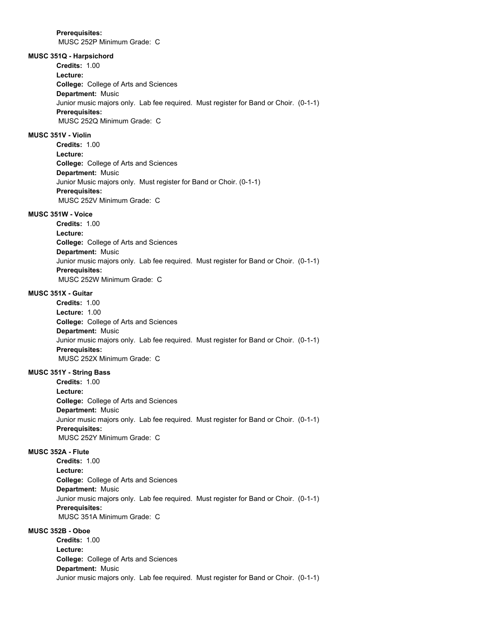MUSC 252P Minimum Grade: C

# **MUSC 351Q - Harpsichord**

**Credits:** 1.00

**Lecture:**

**College:** College of Arts and Sciences **Department:** Music Junior music majors only. Lab fee required. Must register for Band or Choir. (0-1-1) **Prerequisites:**  MUSC 252Q Minimum Grade: C

## **MUSC 351V - Violin**

**College:** College of Arts and Sciences **Department:** Music **Credits:** 1.00 **Lecture:** Junior Music majors only. Must register for Band or Choir. (0-1-1) **Prerequisites:**  MUSC 252V Minimum Grade: C

#### **MUSC 351W - Voice**

**College:** College of Arts and Sciences **Department:** Music **Credits:** 1.00 **Lecture:** Junior music majors only. Lab fee required. Must register for Band or Choir. (0-1-1) **Prerequisites:**  MUSC 252W Minimum Grade: C

## **MUSC 351X - Guitar**

**College:** College of Arts and Sciences **Department:** Music **Credits:** 1.00 **Lecture:** 1.00 Junior music majors only. Lab fee required. Must register for Band or Choir. (0-1-1) **Prerequisites:**  MUSC 252X Minimum Grade: C

## **MUSC 351Y - String Bass**

**College:** College of Arts and Sciences **Department:** Music **Credits:** 1.00 **Lecture:** Junior music majors only. Lab fee required. Must register for Band or Choir. (0-1-1) **Prerequisites:**  MUSC 252Y Minimum Grade: C

#### **MUSC 352A - Flute**

**College:** College of Arts and Sciences **Department:** Music **Credits:** 1.00 **Lecture:** Junior music majors only. Lab fee required. Must register for Band or Choir. (0-1-1) **Prerequisites:**  MUSC 351A Minimum Grade: C

# **MUSC 352B - Oboe**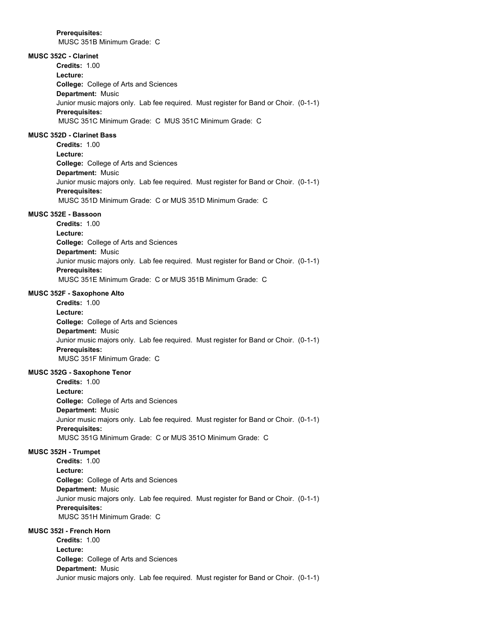MUSC 351B Minimum Grade: C

# **MUSC 352C - Clarinet**

**College:** College of Arts and Sciences **Department:** Music **Credits:** 1.00 **Lecture:** Junior music majors only. Lab fee required. Must register for Band or Choir. (0-1-1) **Prerequisites:**  MUSC 351C Minimum Grade: C MUS 351C Minimum Grade: C

## **MUSC 352D - Clarinet Bass**

**College:** College of Arts and Sciences **Department:** Music **Credits:** 1.00 **Lecture:** Junior music majors only. Lab fee required. Must register for Band or Choir. (0-1-1) **Prerequisites:**  MUSC 351D Minimum Grade: C or MUS 351D Minimum Grade: C

#### **MUSC 352E - Bassoon**

**College:** College of Arts and Sciences **Department:** Music **Credits:** 1.00 **Lecture:** Junior music majors only. Lab fee required. Must register for Band or Choir. (0-1-1) **Prerequisites:**  MUSC 351E Minimum Grade: C or MUS 351B Minimum Grade: C

## **MUSC 352F - Saxophone Alto**

**College:** College of Arts and Sciences **Department:** Music **Credits:** 1.00 **Lecture:** Junior music majors only. Lab fee required. Must register for Band or Choir. (0-1-1) **Prerequisites:**  MUSC 351F Minimum Grade: C

## **MUSC 352G - Saxophone Tenor**

**College:** College of Arts and Sciences **Department:** Music **Credits:** 1.00 **Lecture:** Junior music majors only. Lab fee required. Must register for Band or Choir. (0-1-1) **Prerequisites:**  MUSC 351G Minimum Grade: C or MUS 351O Minimum Grade: C

#### **MUSC 352H - Trumpet**

**College:** College of Arts and Sciences **Department:** Music **Credits:** 1.00 **Lecture:** Junior music majors only. Lab fee required. Must register for Band or Choir. (0-1-1) **Prerequisites:**  MUSC 351H Minimum Grade: C

## **MUSC 352I - French Horn**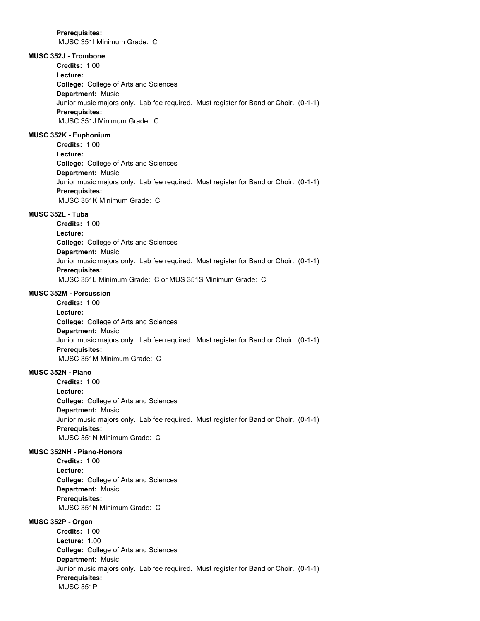MUSC 351I Minimum Grade: C

# **MUSC 352J - Trombone**

**College:** College of Arts and Sciences **Department:** Music **Credits:** 1.00 **Lecture:** Junior music majors only. Lab fee required. Must register for Band or Choir. (0-1-1) **Prerequisites:**  MUSC 351J Minimum Grade: C

## **MUSC 352K - Euphonium**

**College:** College of Arts and Sciences **Department:** Music **Credits:** 1.00 **Lecture:** Junior music majors only. Lab fee required. Must register for Band or Choir. (0-1-1) **Prerequisites:**  MUSC 351K Minimum Grade: C

#### **MUSC 352L - Tuba**

**College:** College of Arts and Sciences **Department:** Music **Credits:** 1.00 **Lecture:** Junior music majors only. Lab fee required. Must register for Band or Choir. (0-1-1) **Prerequisites:**  MUSC 351L Minimum Grade: C or MUS 351S Minimum Grade: C

## **MUSC 352M - Percussion**

**College:** College of Arts and Sciences **Department:** Music **Credits:** 1.00 **Lecture:** Junior music majors only. Lab fee required. Must register for Band or Choir. (0-1-1) **Prerequisites:**  MUSC 351M Minimum Grade: C

## **MUSC 352N - Piano**

**College:** College of Arts and Sciences **Department:** Music **Credits:** 1.00 **Lecture:** Junior music majors only. Lab fee required. Must register for Band or Choir. (0-1-1) **Prerequisites:**  MUSC 351N Minimum Grade: C

#### **MUSC 352NH - Piano-Honors**

**College:** College of Arts and Sciences **Department:** Music **Credits:** 1.00 **Lecture: Prerequisites:**  MUSC 351N Minimum Grade: C

**MUSC 352P - Organ**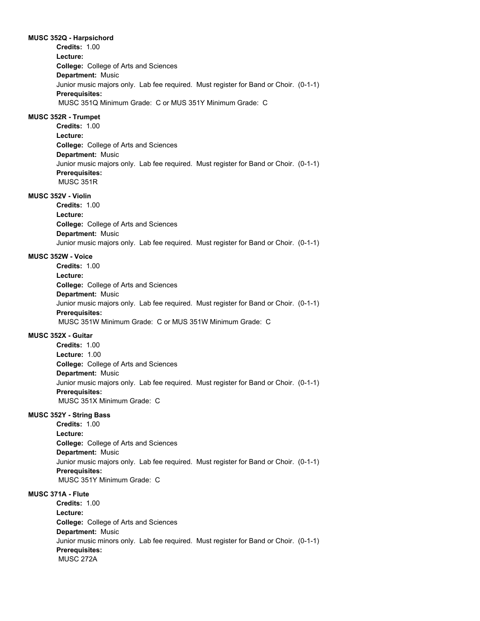#### **MUSC 352Q - Harpsichord**

**College:** College of Arts and Sciences **Department:** Music **Credits:** 1.00 **Lecture:** Junior music majors only. Lab fee required. Must register for Band or Choir. (0-1-1) **Prerequisites:**  MUSC 351Q Minimum Grade: C or MUS 351Y Minimum Grade: C

## **MUSC 352R - Trumpet**

**College:** College of Arts and Sciences **Department:** Music **Credits:** 1.00 **Lecture:** Junior music majors only. Lab fee required. Must register for Band or Choir. (0-1-1) **Prerequisites:**  MUSC 351R

## **MUSC 352V - Violin**

**College:** College of Arts and Sciences **Department:** Music **Credits:** 1.00 **Lecture:** Junior music majors only. Lab fee required. Must register for Band or Choir. (0-1-1)

#### **MUSC 352W - Voice**

**College:** College of Arts and Sciences **Department:** Music **Credits:** 1.00 **Lecture:** Junior music majors only. Lab fee required. Must register for Band or Choir. (0-1-1) **Prerequisites:**  MUSC 351W Minimum Grade: C or MUS 351W Minimum Grade: C

## **MUSC 352X - Guitar**

**College:** College of Arts and Sciences **Department:** Music **Credits:** 1.00 **Lecture:** 1.00 Junior music majors only. Lab fee required. Must register for Band or Choir. (0-1-1) **Prerequisites:**  MUSC 351X Minimum Grade: C

# **MUSC 352Y - String Bass**

**College:** College of Arts and Sciences **Department:** Music **Credits:** 1.00 **Lecture:** Junior music majors only. Lab fee required. Must register for Band or Choir. (0-1-1) **Prerequisites:**  MUSC 351Y Minimum Grade: C

# **MUSC 371A - Flute**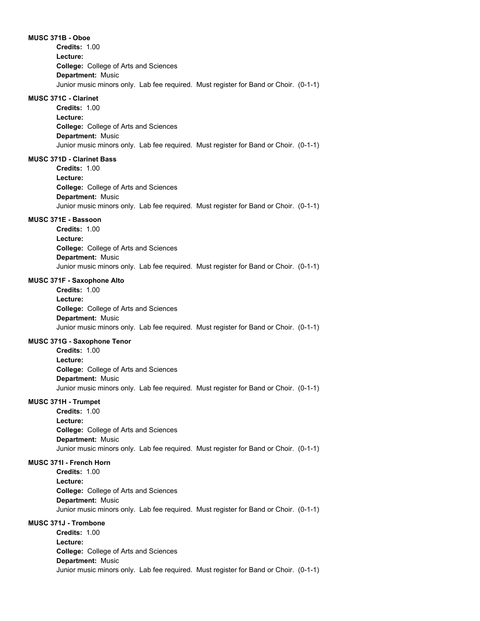**MUSC 371B - Oboe**

**College:** College of Arts and Sciences **Department:** Music **Credits:** 1.00 **Lecture:** Junior music minors only. Lab fee required. Must register for Band or Choir. (0-1-1)

## **MUSC 371C - Clarinet**

**College:** College of Arts and Sciences **Department:** Music **Credits:** 1.00 **Lecture:** Junior music minors only. Lab fee required. Must register for Band or Choir. (0-1-1)

## **MUSC 371D - Clarinet Bass**

**College:** College of Arts and Sciences **Department:** Music **Credits:** 1.00 **Lecture:** Junior music minors only. Lab fee required. Must register for Band or Choir. (0-1-1)

#### **MUSC 371E - Bassoon**

**College:** College of Arts and Sciences **Department:** Music **Credits:** 1.00 **Lecture:** Junior music minors only. Lab fee required. Must register for Band or Choir. (0-1-1)

#### **MUSC 371F - Saxophone Alto**

**College:** College of Arts and Sciences **Department:** Music **Credits:** 1.00 **Lecture:** Junior music minors only. Lab fee required. Must register for Band or Choir. (0-1-1)

## **MUSC 371G - Saxophone Tenor**

**College:** College of Arts and Sciences **Department:** Music **Credits:** 1.00 **Lecture:** Junior music minors only. Lab fee required. Must register for Band or Choir. (0-1-1)

## **MUSC 371H - Trumpet**

**College:** College of Arts and Sciences **Department:** Music **Credits:** 1.00 **Lecture:** Junior music minors only. Lab fee required. Must register for Band or Choir. (0-1-1)

## **MUSC 371I - French Horn**

**College:** College of Arts and Sciences **Department:** Music **Credits:** 1.00 **Lecture:** Junior music minors only. Lab fee required. Must register for Band or Choir. (0-1-1)

## **MUSC 371J - Trombone**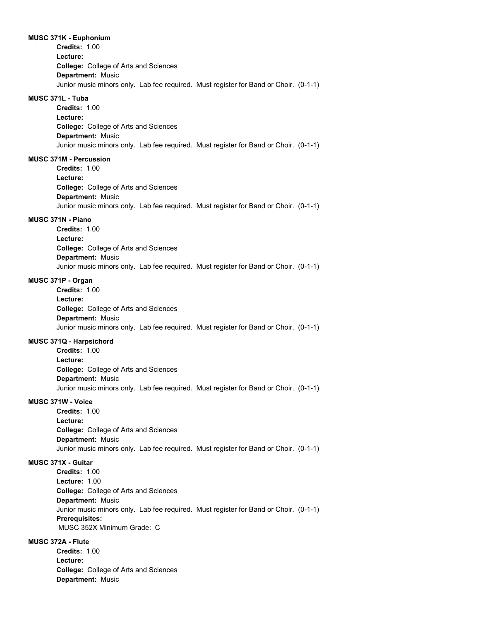#### **MUSC 371K - Euphonium**

**College:** College of Arts and Sciences **Department:** Music **Credits:** 1.00 **Lecture:** Junior music minors only. Lab fee required. Must register for Band or Choir. (0-1-1)

### **MUSC 371L - Tuba**

**College:** College of Arts and Sciences **Department:** Music **Credits:** 1.00 **Lecture:** Junior music minors only. Lab fee required. Must register for Band or Choir. (0-1-1)

### **MUSC 371M - Percussion**

**College:** College of Arts and Sciences **Department:** Music **Credits:** 1.00 **Lecture:** Junior music minors only. Lab fee required. Must register for Band or Choir. (0-1-1)

### **MUSC 371N - Piano**

**College:** College of Arts and Sciences **Department:** Music **Credits:** 1.00 **Lecture:** Junior music minors only. Lab fee required. Must register for Band or Choir. (0-1-1)

#### **MUSC 371P - Organ**

**College:** College of Arts and Sciences **Department:** Music **Credits:** 1.00 **Lecture:** Junior music minors only. Lab fee required. Must register for Band or Choir. (0-1-1)

#### **MUSC 371Q - Harpsichord**

**College:** College of Arts and Sciences **Department:** Music **Credits:** 1.00 **Lecture:** Junior music minors only. Lab fee required. Must register for Band or Choir. (0-1-1)

### **MUSC 371W - Voice**

**College:** College of Arts and Sciences **Department:** Music **Credits:** 1.00 **Lecture:** Junior music minors only. Lab fee required. Must register for Band or Choir. (0-1-1)

### **MUSC 371X - Guitar**

**College:** College of Arts and Sciences **Department:** Music **Credits:** 1.00 **Lecture:** 1.00 Junior music minors only. Lab fee required. Must register for Band or Choir. (0-1-1) **Prerequisites:**  MUSC 352X Minimum Grade: C

### **MUSC 372A - Flute**

**College:** College of Arts and Sciences **Department:** Music **Credits:** 1.00 **Lecture:**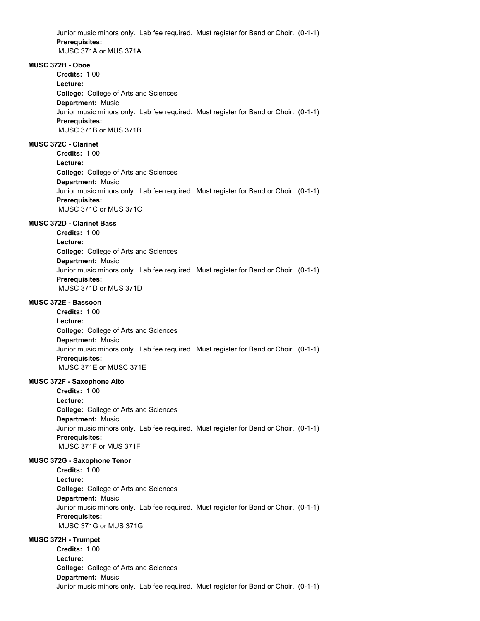Junior music minors only. Lab fee required. Must register for Band or Choir. (0-1-1) **Prerequisites:**  MUSC 371A or MUS 371A

### **MUSC 372B - Oboe**

**College:** College of Arts and Sciences **Department:** Music **Credits:** 1.00 **Lecture:** Junior music minors only. Lab fee required. Must register for Band or Choir. (0-1-1) **Prerequisites:**  MUSC 371B or MUS 371B

### **MUSC 372C - Clarinet**

**College:** College of Arts and Sciences **Department:** Music **Credits:** 1.00 **Lecture:** Junior music minors only. Lab fee required. Must register for Band or Choir. (0-1-1) **Prerequisites:**  MUSC 371C or MUS 371C

#### **MUSC 372D - Clarinet Bass**

**College:** College of Arts and Sciences **Department:** Music **Credits:** 1.00 **Lecture:** Junior music minors only. Lab fee required. Must register for Band or Choir. (0-1-1) **Prerequisites:**  MUSC 371D or MUS 371D

### **MUSC 372E - Bassoon**

**College:** College of Arts and Sciences **Department:** Music **Credits:** 1.00 **Lecture:** Junior music minors only. Lab fee required. Must register for Band or Choir. (0-1-1) **Prerequisites:**  MUSC 371E or MUSC 371E

#### **MUSC 372F - Saxophone Alto**

**College:** College of Arts and Sciences **Department:** Music **Credits:** 1.00 **Lecture:** Junior music minors only. Lab fee required. Must register for Band or Choir. (0-1-1) **Prerequisites:**  MUSC 371F or MUS 371F

### **MUSC 372G - Saxophone Tenor**

**College:** College of Arts and Sciences **Department:** Music **Credits:** 1.00 **Lecture:** Junior music minors only. Lab fee required. Must register for Band or Choir. (0-1-1) **Prerequisites:**  MUSC 371G or MUS 371G

### **MUSC 372H - Trumpet**

**College:** College of Arts and Sciences **Department:** Music **Credits:** 1.00 **Lecture:** Junior music minors only. Lab fee required. Must register for Band or Choir. (0-1-1)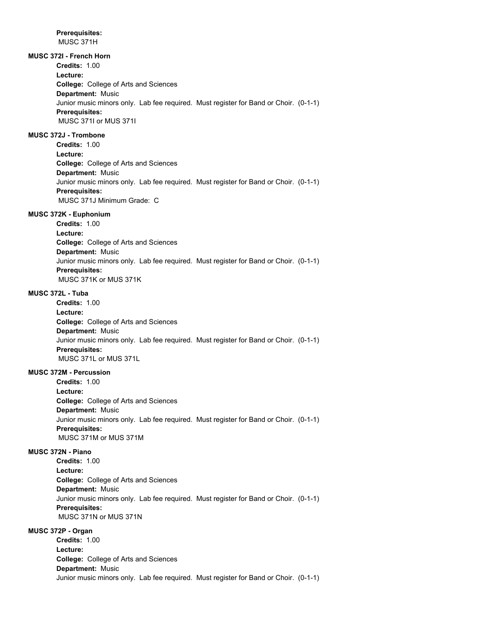**Prerequisites:**  MUSC 371H

## **MUSC 372I - French Horn**

**Credits:** 1.00

**Lecture:**

**College:** College of Arts and Sciences **Department:** Music Junior music minors only. Lab fee required. Must register for Band or Choir. (0-1-1) **Prerequisites:**  MUSC 371I or MUS 371I

### **MUSC 372J - Trombone**

**College:** College of Arts and Sciences **Department:** Music **Credits:** 1.00 **Lecture:** Junior music minors only. Lab fee required. Must register for Band or Choir. (0-1-1) **Prerequisites:**  MUSC 371J Minimum Grade: C

### **MUSC 372K - Euphonium**

**College:** College of Arts and Sciences **Department:** Music **Credits:** 1.00 **Lecture:** Junior music minors only. Lab fee required. Must register for Band or Choir. (0-1-1) **Prerequisites:**  MUSC 371K or MUS 371K

### **MUSC 372L - Tuba**

**College:** College of Arts and Sciences **Department:** Music **Credits:** 1.00 **Lecture:** Junior music minors only. Lab fee required. Must register for Band or Choir. (0-1-1) **Prerequisites:**  MUSC 371L or MUS 371L

### **MUSC 372M - Percussion**

**College:** College of Arts and Sciences **Department:** Music **Credits:** 1.00 **Lecture:** Junior music minors only. Lab fee required. Must register for Band or Choir. (0-1-1) **Prerequisites:**  MUSC 371M or MUS 371M

#### **MUSC 372N - Piano**

**College:** College of Arts and Sciences **Department:** Music **Credits:** 1.00 **Lecture:** Junior music minors only. Lab fee required. Must register for Band or Choir. (0-1-1) **Prerequisites:**  MUSC 371N or MUS 371N

### **MUSC 372P - Organ**

**College:** College of Arts and Sciences **Department:** Music **Credits:** 1.00 **Lecture:** Junior music minors only. Lab fee required. Must register for Band or Choir. (0-1-1)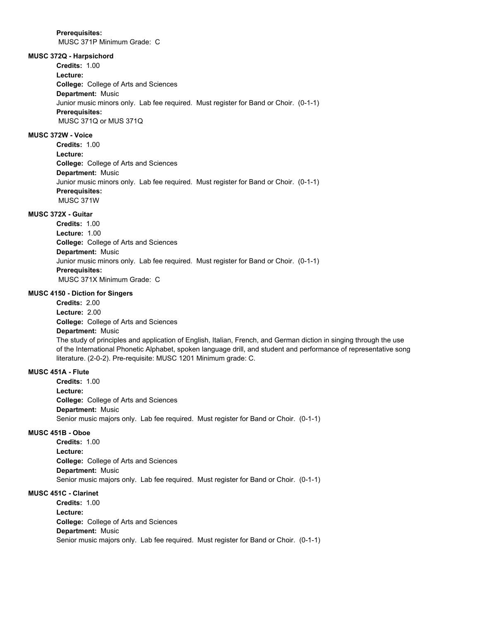**Prerequisites:** 

MUSC 371P Minimum Grade: C

## **MUSC 372Q - Harpsichord**

**Credits:** 1.00

**Lecture:**

**College:** College of Arts and Sciences **Department:** Music Junior music minors only. Lab fee required. Must register for Band or Choir. (0-1-1) **Prerequisites:**  MUSC 371Q or MUS 371Q

### **MUSC 372W - Voice**

**College:** College of Arts and Sciences **Department:** Music **Credits:** 1.00 **Lecture:** Junior music minors only. Lab fee required. Must register for Band or Choir. (0-1-1) **Prerequisites:**  MUSC 371W

### **MUSC 372X - Guitar**

**College:** College of Arts and Sciences **Department:** Music **Credits:** 1.00 **Lecture:** 1.00 Junior music minors only. Lab fee required. Must register for Band or Choir. (0-1-1) **Prerequisites:**  MUSC 371X Minimum Grade: C

### **MUSC 4150 - Diction for Singers**

**College:** College of Arts and Sciences **Department:** Music **Credits:** 2.00 **Lecture:** 2.00 The study of principles and application of English, Italian, French, and German diction in singing through the use of the International Phonetic Alphabet, spoken language drill, and student and performance of representative song literature. (2-0-2). Pre-requisite: MUSC 1201 Minimum grade: C.

### **MUSC 451A - Flute**

**College:** College of Arts and Sciences **Department:** Music **Credits:** 1.00 **Lecture:** Senior music majors only. Lab fee required. Must register for Band or Choir. (0-1-1)

### **MUSC 451B - Oboe**

**College:** College of Arts and Sciences **Department:** Music **Credits:** 1.00 **Lecture:** Senior music majors only. Lab fee required. Must register for Band or Choir. (0-1-1)

### **MUSC 451C - Clarinet**

**College:** College of Arts and Sciences **Department:** Music **Credits:** 1.00 **Lecture:** Senior music majors only. Lab fee required. Must register for Band or Choir. (0-1-1)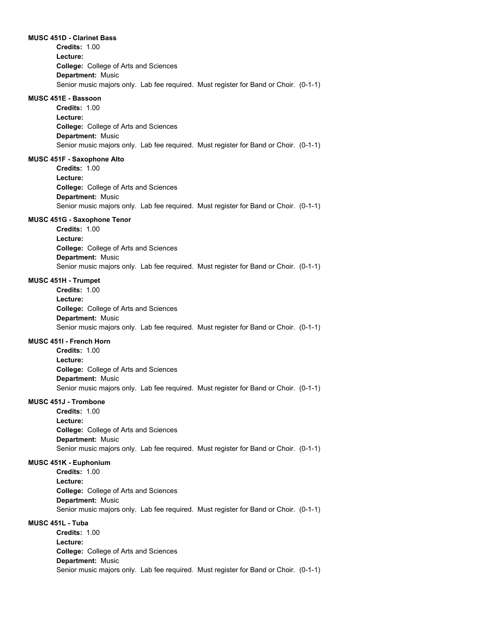#### **MUSC 451D - Clarinet Bass**

**College:** College of Arts and Sciences **Department:** Music **Credits:** 1.00 **Lecture:** Senior music majors only. Lab fee required. Must register for Band or Choir. (0-1-1)

#### **MUSC 451E - Bassoon**

**College:** College of Arts and Sciences **Department:** Music **Credits:** 1.00 **Lecture:** Senior music majors only. Lab fee required. Must register for Band or Choir. (0-1-1)

#### **MUSC 451F - Saxophone Alto**

**College:** College of Arts and Sciences **Department:** Music **Credits:** 1.00 **Lecture:** Senior music majors only. Lab fee required. Must register for Band or Choir. (0-1-1)

#### **MUSC 451G - Saxophone Tenor**

**College:** College of Arts and Sciences **Department:** Music **Credits:** 1.00 **Lecture:** Senior music majors only. Lab fee required. Must register for Band or Choir. (0-1-1)

### **MUSC 451H - Trumpet**

**College:** College of Arts and Sciences **Department:** Music **Credits:** 1.00 **Lecture:** Senior music majors only. Lab fee required. Must register for Band or Choir. (0-1-1)

#### **MUSC 451I - French Horn**

**College:** College of Arts and Sciences **Department:** Music **Credits:** 1.00 **Lecture:** Senior music majors only. Lab fee required. Must register for Band or Choir. (0-1-1)

### **MUSC 451J - Trombone**

**College:** College of Arts and Sciences **Department:** Music **Credits:** 1.00 **Lecture:** Senior music majors only. Lab fee required. Must register for Band or Choir. (0-1-1)

### **MUSC 451K - Euphonium**

**College:** College of Arts and Sciences **Department:** Music **Credits:** 1.00 **Lecture:** Senior music majors only. Lab fee required. Must register for Band or Choir. (0-1-1)

### **MUSC 451L - Tuba**

**College:** College of Arts and Sciences **Department:** Music **Credits:** 1.00 **Lecture:** Senior music majors only. Lab fee required. Must register for Band or Choir. (0-1-1)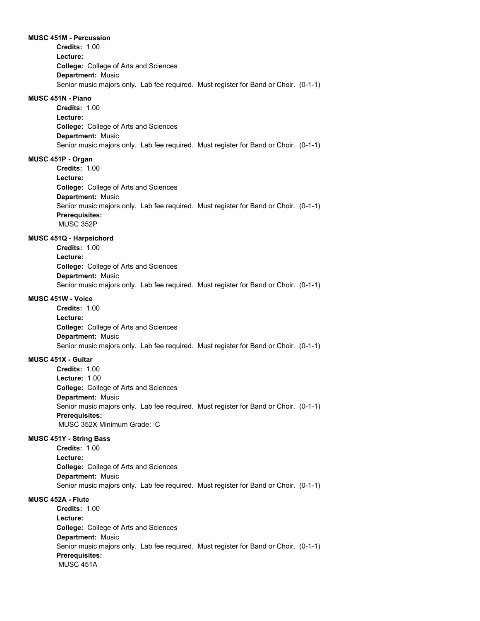#### **MUSC 451M - Percussion**

**College:** College of Arts and Sciences **Department:** Music **Credits:** 1.00 **Lecture:** Senior music majors only. Lab fee required. Must register for Band or Choir. (0-1-1)

### **MUSC 451N - Piano**

**College:** College of Arts and Sciences **Department:** Music **Credits:** 1.00 **Lecture:** Senior music majors only. Lab fee required. Must register for Band or Choir. (0-1-1)

### **MUSC 451P - Organ**

**College:** College of Arts and Sciences **Department:** Music **Credits:** 1.00 **Lecture:** Senior music majors only. Lab fee required. Must register for Band or Choir. (0-1-1) **Prerequisites:**  MUSC 352P

### **MUSC 451Q - Harpsichord**

**College:** College of Arts and Sciences **Department:** Music **Credits:** 1.00 **Lecture:** Senior music majors only. Lab fee required. Must register for Band or Choir. (0-1-1)

### **MUSC 451W - Voice**

**College:** College of Arts and Sciences **Department:** Music **Credits:** 1.00 **Lecture:** Senior music majors only. Lab fee required. Must register for Band or Choir. (0-1-1)

### **MUSC 451X - Guitar**

**College:** College of Arts and Sciences **Department:** Music **Credits:** 1.00 **Lecture:** 1.00 Senior music majors only. Lab fee required. Must register for Band or Choir. (0-1-1) **Prerequisites:**  MUSC 352X Minimum Grade: C

#### **MUSC 451Y - String Bass**

**College:** College of Arts and Sciences **Department:** Music **Credits:** 1.00 **Lecture:** Senior music majors only. Lab fee required. Must register for Band or Choir. (0-1-1)

### **MUSC 452A - Flute**

**College:** College of Arts and Sciences **Department:** Music **Credits:** 1.00 **Lecture:** Senior music majors only. Lab fee required. Must register for Band or Choir. (0-1-1) **Prerequisites:**  MUSC 451A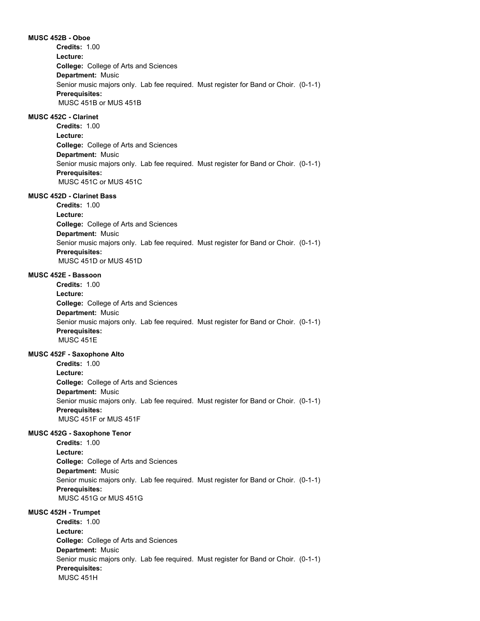**MUSC 452B - Oboe College:** College of Arts and Sciences **Department:** Music **Credits:** 1.00 **Lecture:** Senior music majors only. Lab fee required. Must register for Band or Choir. (0-1-1) **Prerequisites:**  MUSC 451B or MUS 451B

### **MUSC 452C - Clarinet**

**College:** College of Arts and Sciences **Department:** Music **Credits:** 1.00 **Lecture:** Senior music majors only. Lab fee required. Must register for Band or Choir. (0-1-1) **Prerequisites:**  MUSC 451C or MUS 451C

### **MUSC 452D - Clarinet Bass**

**College:** College of Arts and Sciences **Department:** Music **Credits:** 1.00 **Lecture:** Senior music majors only. Lab fee required. Must register for Band or Choir. (0-1-1) **Prerequisites:**  MUSC 451D or MUS 451D

#### **MUSC 452E - Bassoon**

**College:** College of Arts and Sciences **Department:** Music **Credits:** 1.00 **Lecture:** Senior music majors only. Lab fee required. Must register for Band or Choir. (0-1-1) **Prerequisites:**  MUSC 451E

### **MUSC 452F - Saxophone Alto**

**College:** College of Arts and Sciences **Department:** Music **Credits:** 1.00 **Lecture:** Senior music majors only. Lab fee required. Must register for Band or Choir. (0-1-1) **Prerequisites:**  MUSC 451F or MUS 451F

### **MUSC 452G - Saxophone Tenor**

**College:** College of Arts and Sciences **Department:** Music **Credits:** 1.00 **Lecture:** Senior music majors only. Lab fee required. Must register for Band or Choir. (0-1-1) **Prerequisites:**  MUSC 451G or MUS 451G

#### **MUSC 452H - Trumpet**

**College:** College of Arts and Sciences **Department:** Music **Credits:** 1.00 **Lecture:** Senior music majors only. Lab fee required. Must register for Band or Choir. (0-1-1) **Prerequisites:**  MUSC 451H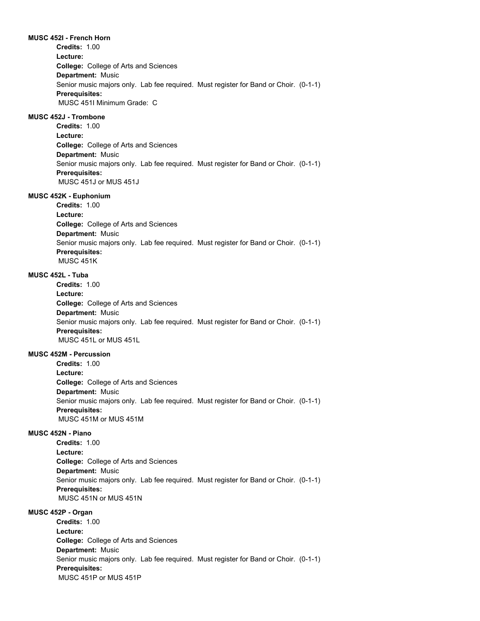#### **MUSC 452I - French Horn**

**College:** College of Arts and Sciences **Department:** Music **Credits:** 1.00 **Lecture:** Senior music majors only. Lab fee required. Must register for Band or Choir. (0-1-1) **Prerequisites:**  MUSC 451I Minimum Grade: C

### **MUSC 452J - Trombone**

**College:** College of Arts and Sciences **Department:** Music **Credits:** 1.00 **Lecture:** Senior music majors only. Lab fee required. Must register for Band or Choir. (0-1-1) **Prerequisites:**  MUSC 451J or MUS 451J

#### **MUSC 452K - Euphonium**

**College:** College of Arts and Sciences **Department:** Music **Credits:** 1.00 **Lecture:** Senior music majors only. Lab fee required. Must register for Band or Choir. (0-1-1) **Prerequisites:**  MUSC 451K

#### **MUSC 452L - Tuba**

**College:** College of Arts and Sciences **Department:** Music **Credits:** 1.00 **Lecture:** Senior music majors only. Lab fee required. Must register for Band or Choir. (0-1-1) **Prerequisites:**  MUSC 451L or MUS 451L

### **MUSC 452M - Percussion**

**College:** College of Arts and Sciences **Department:** Music **Credits:** 1.00 **Lecture:** Senior music majors only. Lab fee required. Must register for Band or Choir. (0-1-1) **Prerequisites:**  MUSC 451M or MUS 451M

### **MUSC 452N - Piano**

**College:** College of Arts and Sciences **Department:** Music **Credits:** 1.00 **Lecture:** Senior music majors only. Lab fee required. Must register for Band or Choir. (0-1-1) **Prerequisites:**  MUSC 451N or MUS 451N

#### **MUSC 452P - Organ**

**College:** College of Arts and Sciences **Department:** Music **Credits:** 1.00 **Lecture:** Senior music majors only. Lab fee required. Must register for Band or Choir. (0-1-1) **Prerequisites:**  MUSC 451P or MUS 451P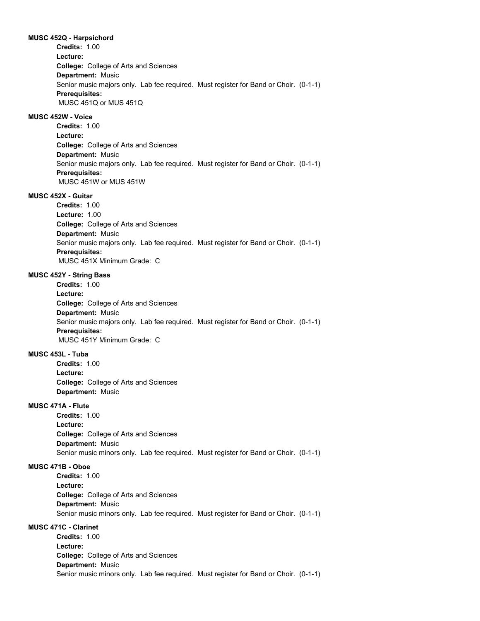#### **MUSC 452Q - Harpsichord**

**College:** College of Arts and Sciences **Department:** Music **Credits:** 1.00 **Lecture:** Senior music majors only. Lab fee required. Must register for Band or Choir. (0-1-1) **Prerequisites:**  MUSC 451Q or MUS 451Q

### **MUSC 452W - Voice**

**College:** College of Arts and Sciences **Department:** Music **Credits:** 1.00 **Lecture:** Senior music majors only. Lab fee required. Must register for Band or Choir. (0-1-1) **Prerequisites:**  MUSC 451W or MUS 451W

### **MUSC 452X - Guitar**

**College:** College of Arts and Sciences **Department:** Music **Credits:** 1.00 **Lecture:** 1.00 Senior music majors only. Lab fee required. Must register for Band or Choir. (0-1-1) **Prerequisites:**  MUSC 451X Minimum Grade: C

#### **MUSC 452Y - String Bass**

**College:** College of Arts and Sciences **Department:** Music **Credits:** 1.00 **Lecture:** Senior music majors only. Lab fee required. Must register for Band or Choir. (0-1-1) **Prerequisites:**  MUSC 451Y Minimum Grade: C

### **MUSC 453L - Tuba**

**College:** College of Arts and Sciences **Department:** Music **Credits:** 1.00 **Lecture:**

### **MUSC 471A - Flute**

**College:** College of Arts and Sciences **Department:** Music **Credits:** 1.00 **Lecture:** Senior music minors only. Lab fee required. Must register for Band or Choir. (0-1-1)

### **MUSC 471B - Oboe**

**College:** College of Arts and Sciences **Department:** Music **Credits:** 1.00 **Lecture:** Senior music minors only. Lab fee required. Must register for Band or Choir. (0-1-1)

#### **MUSC 471C - Clarinet**

**College:** College of Arts and Sciences **Department:** Music **Credits:** 1.00 **Lecture:** Senior music minors only. Lab fee required. Must register for Band or Choir. (0-1-1)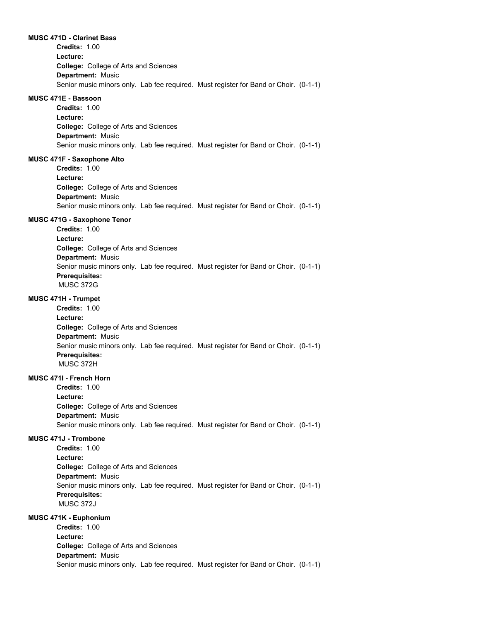#### **MUSC 471D - Clarinet Bass**

**College:** College of Arts and Sciences **Department:** Music **Credits:** 1.00 **Lecture:** Senior music minors only. Lab fee required. Must register for Band or Choir. (0-1-1)

### **MUSC 471E - Bassoon**

**College:** College of Arts and Sciences **Department:** Music **Credits:** 1.00 **Lecture:** Senior music minors only. Lab fee required. Must register for Band or Choir. (0-1-1)

#### **MUSC 471F - Saxophone Alto**

**College:** College of Arts and Sciences **Department:** Music **Credits:** 1.00 **Lecture:** Senior music minors only. Lab fee required. Must register for Band or Choir. (0-1-1)

### **MUSC 471G - Saxophone Tenor**

**College:** College of Arts and Sciences **Department:** Music **Credits:** 1.00 **Lecture:** Senior music minors only. Lab fee required. Must register for Band or Choir. (0-1-1) **Prerequisites:**  MUSC 372G

#### **MUSC 471H - Trumpet**

**College:** College of Arts and Sciences **Department:** Music **Credits:** 1.00 **Lecture:** Senior music minors only. Lab fee required. Must register for Band or Choir. (0-1-1) **Prerequisites:**  MUSC 372H

### **MUSC 471I - French Horn**

**College:** College of Arts and Sciences **Department:** Music **Credits:** 1.00 **Lecture:** Senior music minors only. Lab fee required. Must register for Band or Choir. (0-1-1)

#### **MUSC 471J - Trombone**

**College:** College of Arts and Sciences **Department:** Music **Credits:** 1.00 **Lecture:** Senior music minors only. Lab fee required. Must register for Band or Choir. (0-1-1) **Prerequisites:**  MUSC 372J

### **MUSC 471K - Euphonium**

**College:** College of Arts and Sciences **Department:** Music **Credits:** 1.00 **Lecture:** Senior music minors only. Lab fee required. Must register for Band or Choir. (0-1-1)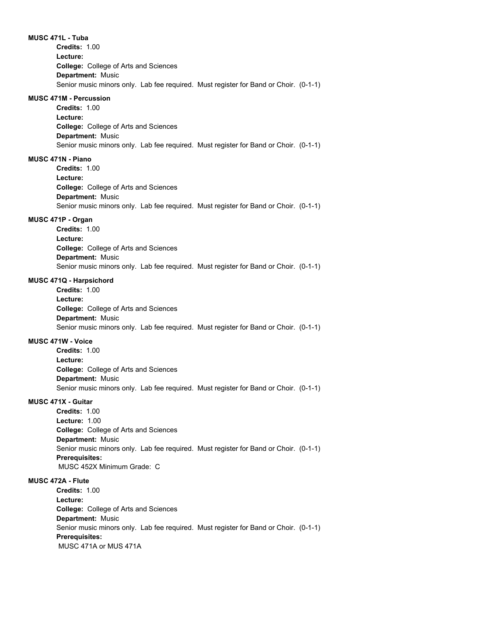#### **MUSC 471L - Tuba**

**College:** College of Arts and Sciences **Department:** Music **Credits:** 1.00 **Lecture:** Senior music minors only. Lab fee required. Must register for Band or Choir. (0-1-1)

#### **MUSC 471M - Percussion**

**College:** College of Arts and Sciences **Department:** Music **Credits:** 1.00 **Lecture:** Senior music minors only. Lab fee required. Must register for Band or Choir. (0-1-1)

### **MUSC 471N - Piano**

**College:** College of Arts and Sciences **Department:** Music **Credits:** 1.00 **Lecture:** Senior music minors only. Lab fee required. Must register for Band or Choir. (0-1-1)

### **MUSC 471P - Organ**

**College:** College of Arts and Sciences **Department:** Music **Credits:** 1.00 **Lecture:** Senior music minors only. Lab fee required. Must register for Band or Choir. (0-1-1)

### **MUSC 471Q - Harpsichord**

**College:** College of Arts and Sciences **Department:** Music **Credits:** 1.00 **Lecture:** Senior music minors only. Lab fee required. Must register for Band or Choir. (0-1-1)

### **MUSC 471W - Voice**

**College:** College of Arts and Sciences **Department:** Music **Credits:** 1.00 **Lecture:** Senior music minors only. Lab fee required. Must register for Band or Choir. (0-1-1)

### **MUSC 471X - Guitar**

**College:** College of Arts and Sciences **Department:** Music **Credits:** 1.00 **Lecture:** 1.00 Senior music minors only. Lab fee required. Must register for Band or Choir. (0-1-1) **Prerequisites:**  MUSC 452X Minimum Grade: C

### **MUSC 472A - Flute**

**College:** College of Arts and Sciences **Department:** Music **Credits:** 1.00 **Lecture:** Senior music minors only. Lab fee required. Must register for Band or Choir. (0-1-1) **Prerequisites:**  MUSC 471A or MUS 471A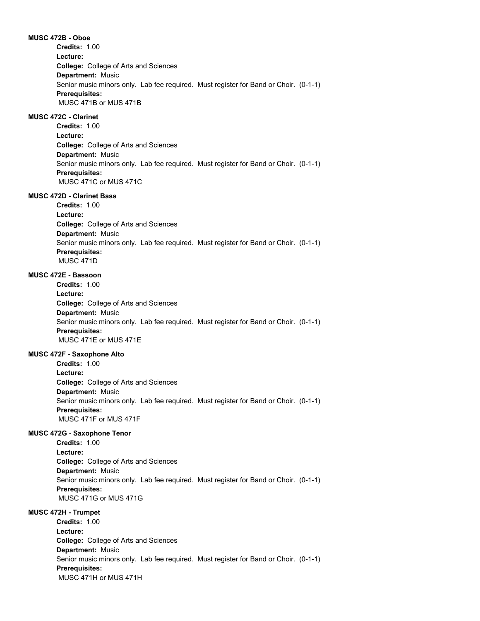**MUSC 472B - Oboe College:** College of Arts and Sciences **Department:** Music **Credits:** 1.00 **Lecture:** Senior music minors only. Lab fee required. Must register for Band or Choir. (0-1-1) **Prerequisites:**  MUSC 471B or MUS 471B

### **MUSC 472C - Clarinet**

**College:** College of Arts and Sciences **Department:** Music **Credits:** 1.00 **Lecture:** Senior music minors only. Lab fee required. Must register for Band or Choir. (0-1-1) **Prerequisites:**  MUSC 471C or MUS 471C

### **MUSC 472D - Clarinet Bass**

**College:** College of Arts and Sciences **Department:** Music **Credits:** 1.00 **Lecture:** Senior music minors only. Lab fee required. Must register for Band or Choir. (0-1-1) **Prerequisites:**  MUSC 471D

#### **MUSC 472E - Bassoon**

**College:** College of Arts and Sciences **Department:** Music **Credits:** 1.00 **Lecture:** Senior music minors only. Lab fee required. Must register for Band or Choir. (0-1-1) **Prerequisites:**  MUSC 471E or MUS 471E

### **MUSC 472F - Saxophone Alto**

**College:** College of Arts and Sciences **Department:** Music **Credits:** 1.00 **Lecture:** Senior music minors only. Lab fee required. Must register for Band or Choir. (0-1-1) **Prerequisites:**  MUSC 471F or MUS 471F

### **MUSC 472G - Saxophone Tenor**

**College:** College of Arts and Sciences **Department:** Music **Credits:** 1.00 **Lecture:** Senior music minors only. Lab fee required. Must register for Band or Choir. (0-1-1) **Prerequisites:**  MUSC 471G or MUS 471G

### **MUSC 472H - Trumpet**

**College:** College of Arts and Sciences **Department:** Music **Credits:** 1.00 **Lecture:** Senior music minors only. Lab fee required. Must register for Band or Choir. (0-1-1) **Prerequisites:**  MUSC 471H or MUS 471H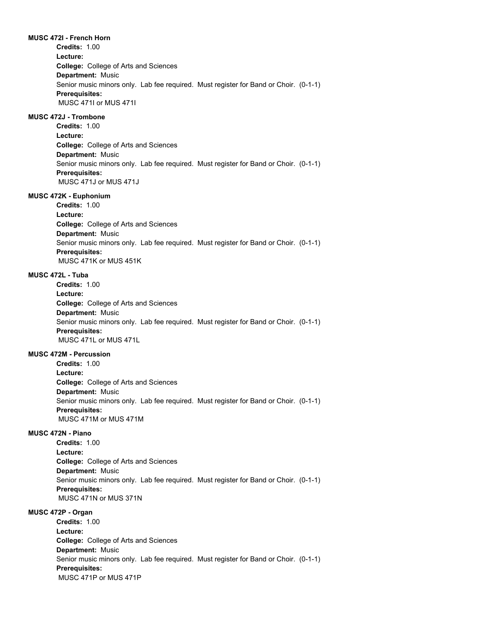**MUSC 472I - French Horn College:** College of Arts and Sciences **Department:** Music **Credits:** 1.00 **Lecture:** Senior music minors only. Lab fee required. Must register for Band or Choir. (0-1-1) **Prerequisites:**  MUSC 471I or MUS 471I **MUSC 472J - Trombone College:** College of Arts and Sciences **Department:** Music **Credits:** 1.00 **Lecture:** Senior music minors only. Lab fee required. Must register for Band or Choir. (0-1-1) **Prerequisites:**  MUSC 471J or MUS 471J **MUSC 472K - Euphonium College:** College of Arts and Sciences **Department:** Music **Credits:** 1.00 **Lecture:** Senior music minors only. Lab fee required. Must register for Band or Choir. (0-1-1) **Prerequisites:**  MUSC 471K or MUS 451K **MUSC 472L - Tuba College:** College of Arts and Sciences **Department:** Music **Credits:** 1.00 **Lecture:** Senior music minors only. Lab fee required. Must register for Band or Choir. (0-1-1) **Prerequisites:**  MUSC 471L or MUS 471L **MUSC 472M - Percussion College:** College of Arts and Sciences **Department:** Music **Credits:** 1.00 **Lecture:** Senior music minors only. Lab fee required. Must register for Band or Choir. (0-1-1) **Prerequisites:**  MUSC 471M or MUS 471M **MUSC 472N - Piano College:** College of Arts and Sciences **Department:** Music **Credits:** 1.00 **Lecture:** Senior music minors only. Lab fee required. Must register for Band or Choir. (0-1-1) **Prerequisites:** 

MUSC 471N or MUS 371N

### **MUSC 472P - Organ**

**College:** College of Arts and Sciences **Department:** Music **Credits:** 1.00 **Lecture:** Senior music minors only. Lab fee required. Must register for Band or Choir. (0-1-1) **Prerequisites:**  MUSC 471P or MUS 471P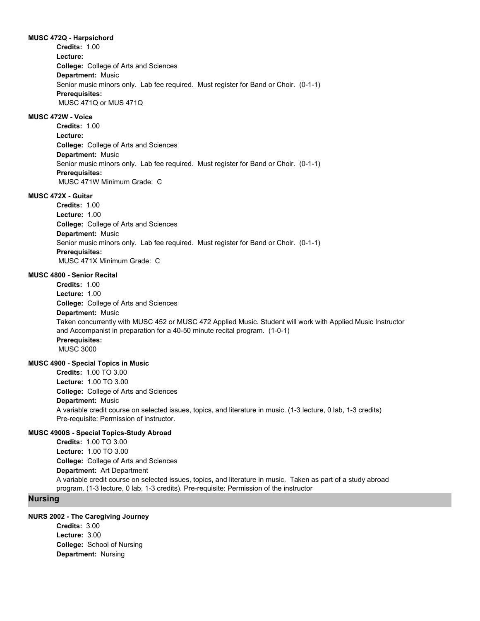#### **MUSC 472Q - Harpsichord**

**College:** College of Arts and Sciences **Department:** Music **Credits:** 1.00 **Lecture:** Senior music minors only. Lab fee required. Must register for Band or Choir. (0-1-1) **Prerequisites:**  MUSC 471Q or MUS 471Q

### **MUSC 472W - Voice**

**College:** College of Arts and Sciences **Department:** Music **Credits:** 1.00 **Lecture:** Senior music minors only. Lab fee required. Must register for Band or Choir. (0-1-1) **Prerequisites:**  MUSC 471W Minimum Grade: C

### **MUSC 472X - Guitar**

**College:** College of Arts and Sciences **Department:** Music **Credits:** 1.00 **Lecture:** 1.00 Senior music minors only. Lab fee required. Must register for Band or Choir. (0-1-1) **Prerequisites:**  MUSC 471X Minimum Grade: C

### **MUSC 4800 - Senior Recital**

**College:** College of Arts and Sciences **Department:** Music **Credits:** 1.00 **Lecture:** 1.00 Taken concurrently with MUSC 452 or MUSC 472 Applied Music. Student will work with Applied Music Instructor and Accompanist in preparation for a 40-50 minute recital program. (1-0-1) **Prerequisites:**  MUSC 3000

### **MUSC 4900 - Special Topics in Music**

**College:** College of Arts and Sciences **Department:** Music **Credits:** 1.00 TO 3.00 **Lecture:** 1.00 TO 3.00 A variable credit course on selected issues, topics, and literature in music. (1-3 lecture, 0 lab, 1-3 credits) Pre-requisite: Permission of instructor.

### **MUSC 4900S - Special Topics-Study Abroad**

**College:** College of Arts and Sciences **Department:** Art Department **Credits:** 1.00 TO 3.00 **Lecture:** 1.00 TO 3.00 A variable credit course on selected issues, topics, and literature in music. Taken as part of a study abroad program. (1-3 lecture, 0 lab, 1-3 credits). Pre-requisite: Permission of the instructor

### **Nursing**

#### **NURS 2002 - The Caregiving Journey**

**College:** School of Nursing **Department:** Nursing **Credits:** 3.00 **Lecture:** 3.00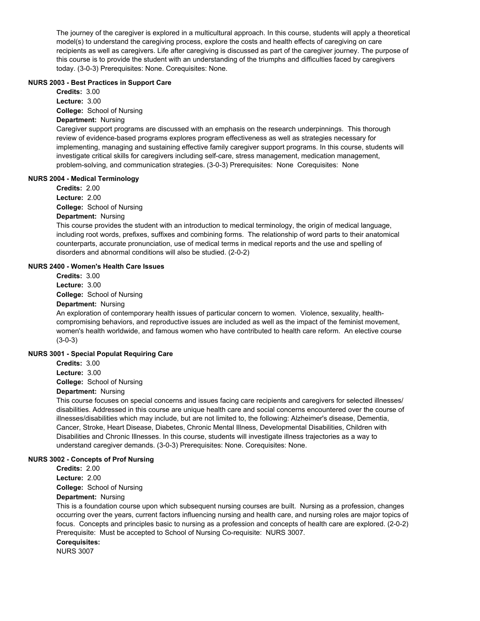The journey of the caregiver is explored in a multicultural approach. In this course, students will apply a theoretical model(s) to understand the caregiving process, explore the costs and health effects of caregiving on care recipients as well as caregivers. Life after caregiving is discussed as part of the caregiver journey. The purpose of this course is to provide the student with an understanding of the triumphs and difficulties faced by caregivers today. (3-0-3) Prerequisites: None. Corequisites: None.

### **NURS 2003 - Best Practices in Support Care**

**College:** School of Nursing **Credits:** 3.00 **Lecture:** 3.00

### **Department:** Nursing

Caregiver support programs are discussed with an emphasis on the research underpinnings. This thorough review of evidence-based programs explores program effectiveness as well as strategies necessary for implementing, managing and sustaining effective family caregiver support programs. In this course, students will investigate critical skills for caregivers including self-care, stress management, medication management, problem-solving, and communication strategies. (3-0-3) Prerequisites: None Corequisites: None

### **NURS 2004 - Medical Terminology**

**College:** School of Nursing **Department:** Nursing **Credits:** 2.00 **Lecture:** 2.00

This course provides the student with an introduction to medical terminology, the origin of medical language, including root words, prefixes, suffixes and combining forms. The relationship of word parts to their anatomical counterparts, accurate pronunciation, use of medical terms in medical reports and the use and spelling of disorders and abnormal conditions will also be studied. (2-0-2)

### **NURS 2400 - Women's Health Care Issues**

**College:** School of Nursing **Department:** Nursing **Credits:** 3.00 **Lecture:** 3.00

An exploration of contemporary health issues of particular concern to women. Violence, sexuality, healthcompromising behaviors, and reproductive issues are included as well as the impact of the feminist movement, women's health worldwide, and famous women who have contributed to health care reform. An elective course (3-0-3)

### **NURS 3001 - Special Populat Requiring Care**

**Credits:** 3.00

**Lecture:** 3.00

**College:** School of Nursing

### **Department:** Nursing

This course focuses on special concerns and issues facing care recipients and caregivers for selected illnesses/ disabilities. Addressed in this course are unique health care and social concerns encountered over the course of illnesses/disabilities which may include, but are not limited to, the following: Alzheimer's disease, Dementia, Cancer, Stroke, Heart Disease, Diabetes, Chronic Mental Illness, Developmental Disabilities, Children with Disabilities and Chronic Illnesses. In this course, students will investigate illness trajectories as a way to understand caregiver demands. (3-0-3) Prerequisites: None. Corequisites: None.

### **NURS 3002 - Concepts of Prof Nursing**

**Credits:** 2.00 **Lecture:** 2.00

**College:** School of Nursing

### **Department:** Nursing

This is a foundation course upon which subsequent nursing courses are built. Nursing as a profession, changes occurring over the years, current factors influencing nursing and health care, and nursing roles are major topics of focus. Concepts and principles basic to nursing as a profession and concepts of health care are explored. (2-0-2) Prerequisite: Must be accepted to School of Nursing Co-requisite: NURS 3007.

#### **Corequisites:**

NURS 3007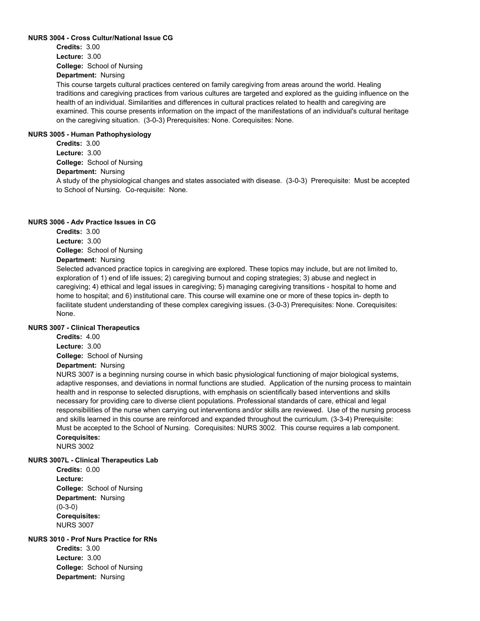### **NURS 3004 - Cross Cultur/National Issue CG**

**College:** School of Nursing **Credits:** 3.00 **Lecture:** 3.00

**Department:** Nursing

This course targets cultural practices centered on family caregiving from areas around the world. Healing traditions and caregiving practices from various cultures are targeted and explored as the guiding influence on the health of an individual. Similarities and differences in cultural practices related to health and caregiving are examined. This course presents information on the impact of the manifestations of an individual's cultural heritage on the caregiving situation. (3-0-3) Prerequisites: None. Corequisites: None.

### **NURS 3005 - Human Pathophysiology**

**College:** School of Nursing **Department:** Nursing **Credits:** 3.00 **Lecture:** 3.00

A study of the physiological changes and states associated with disease. (3-0-3) Prerequisite: Must be accepted to School of Nursing. Co-requisite: None.

### **NURS 3006 - Adv Practice Issues in CG**

**Credits:** 3.00 **Lecture:** 3.00

**College:** School of Nursing

### **Department:** Nursing

Selected advanced practice topics in caregiving are explored. These topics may include, but are not limited to, exploration of 1) end of life issues; 2) caregiving burnout and coping strategies; 3) abuse and neglect in caregiving; 4) ethical and legal issues in caregiving; 5) managing caregiving transitions - hospital to home and home to hospital; and 6) institutional care. This course will examine one or more of these topics in- depth to facilitate student understanding of these complex caregiving issues. (3-0-3) Prerequisites: None. Corequisites: None.

### **NURS 3007 - Clinical Therapeutics**

**College:** School of Nursing **Credits:** 4.00 **Lecture:** 3.00

### **Department:** Nursing

NURS 3007 is a beginning nursing course in which basic physiological functioning of major biological systems, adaptive responses, and deviations in normal functions are studied. Application of the nursing process to maintain health and in response to selected disruptions, with emphasis on scientifically based interventions and skills necessary for providing care to diverse client populations. Professional standards of care, ethical and legal responsibilities of the nurse when carrying out interventions and/or skills are reviewed. Use of the nursing process and skills learned in this course are reinforced and expanded throughout the curriculum. (3-3-4) Prerequisite: Must be accepted to the School of Nursing. Corequisites: NURS 3002. This course requires a lab component. **Corequisites:** 

NURS 3002

### **NURS 3007L - Clinical Therapeutics Lab**

**College:** School of Nursing **Department:** Nursing **Credits:** 0.00 **Lecture:** (0-3-0) **Corequisites:**  NURS 3007

### **NURS 3010 - Prof Nurs Practice for RNs**

**College:** School of Nursing **Department:** Nursing **Credits:** 3.00 **Lecture:** 3.00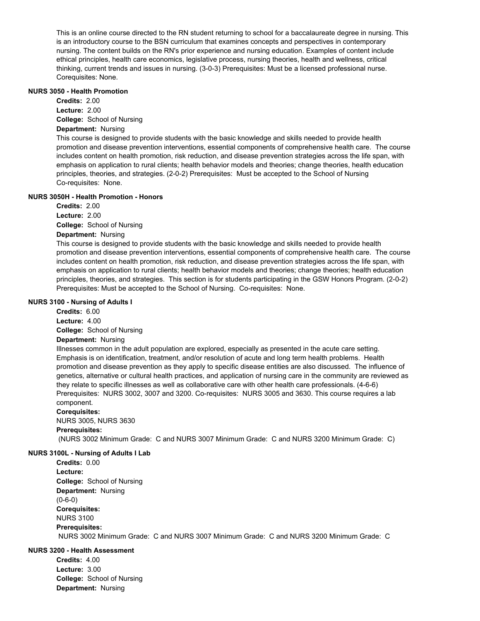This is an online course directed to the RN student returning to school for a baccalaureate degree in nursing. This is an introductory course to the BSN curriculum that examines concepts and perspectives in contemporary nursing. The content builds on the RN's prior experience and nursing education. Examples of content include ethical principles, health care economics, legislative process, nursing theories, health and wellness, critical thinking, current trends and issues in nursing. (3-0-3) Prerequisites: Must be a licensed professional nurse. Corequisites: None.

### **NURS 3050 - Health Promotion**

**College:** School of Nursing **Department:** Nursing **Credits:** 2.00 **Lecture:** 2.00

This course is designed to provide students with the basic knowledge and skills needed to provide health promotion and disease prevention interventions, essential components of comprehensive health care. The course includes content on health promotion, risk reduction, and disease prevention strategies across the life span, with emphasis on application to rural clients; health behavior models and theories; change theories, health education principles, theories, and strategies. (2-0-2) Prerequisites: Must be accepted to the School of Nursing Co-requisites: None.

### **NURS 3050H - Health Promotion - Honors**

**College:** School of Nursing **Credits:** 2.00 **Lecture:** 2.00

## **Department:** Nursing

This course is designed to provide students with the basic knowledge and skills needed to provide health promotion and disease prevention interventions, essential components of comprehensive health care. The course includes content on health promotion, risk reduction, and disease prevention strategies across the life span, with emphasis on application to rural clients; health behavior models and theories; change theories; health education principles, theories, and strategies. This section is for students participating in the GSW Honors Program. (2-0-2) Prerequisites: Must be accepted to the School of Nursing. Co-requisites: None.

### **NURS 3100 - Nursing of Adults I**

**College:** School of Nursing **Credits:** 6.00 **Lecture:** 4.00

### **Department:** Nursing

Illnesses common in the adult population are explored, especially as presented in the acute care setting. Emphasis is on identification, treatment, and/or resolution of acute and long term health problems. Health promotion and disease prevention as they apply to specific disease entities are also discussed. The influence of genetics, alternative or cultural health practices, and application of nursing care in the community are reviewed as they relate to specific illnesses as well as collaborative care with other health care professionals. (4-6-6) Prerequisites: NURS 3002, 3007 and 3200. Co-requisites: NURS 3005 and 3630. This course requires a lab component.

# **Corequisites:**

NURS 3005, NURS 3630 **Prerequisites:**  (NURS 3002 Minimum Grade: C and NURS 3007 Minimum Grade: C and NURS 3200 Minimum Grade: C)

### **NURS 3100L - Nursing of Adults I Lab**

**College:** School of Nursing **Department:** Nursing **Credits:** 0.00 **Lecture:** (0-6-0) **Corequisites:**  NURS 3100 **Prerequisites:**  NURS 3002 Minimum Grade: C and NURS 3007 Minimum Grade: C and NURS 3200 Minimum Grade: C

### **NURS 3200 - Health Assessment**

**College:** School of Nursing **Department:** Nursing **Credits:** 4.00 **Lecture:** 3.00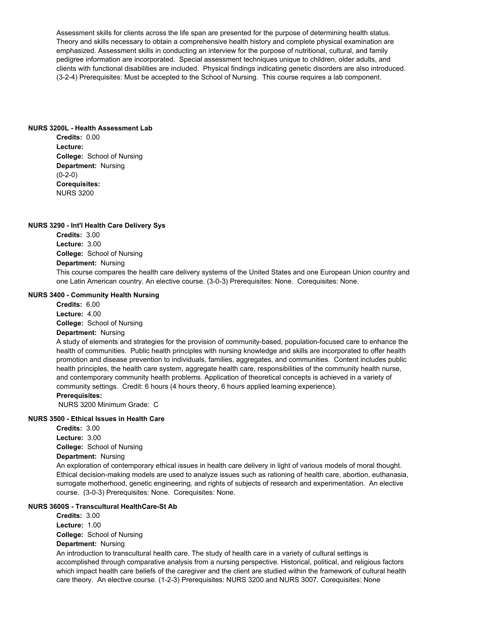Assessment skills for clients across the life span are presented for the purpose of determining health status. Theory and skills necessary to obtain a comprehensive health history and complete physical examination are emphasized. Assessment skills in conducting an interview for the purpose of nutritional, cultural, and family pedigree information are incorporated. Special assessment techniques unique to children, older adults, and clients with functional disabilities are included. Physical findings indicating genetic disorders are also introduced. (3-2-4) Prerequisites: Must be accepted to the School of Nursing. This course requires a lab component.

#### **NURS 3200L - Health Assessment Lab**

**College:** School of Nursing **Department:** Nursing **Credits:** 0.00 **Lecture:** (0-2-0) **Corequisites:**  NURS 3200

#### **NURS 3290 - Int'l Health Care Delivery Sys**

**College:** School of Nursing **Department:** Nursing **Credits:** 3.00 **Lecture:** 3.00 This course compares the health care delivery systems of the United States and one European Union country and one Latin American country. An elective course. (3-0-3) Prerequisites: None. Corequisites: None.

#### **NURS 3400 - Community Health Nursing**

**College:** School of Nursing **Department:** Nursing **Credits:** 6.00 **Lecture:** 4.00

A study of elements and strategies for the provision of community-based, population-focused care to enhance the health of communities. Public health principles with nursing knowledge and skills are incorporated to offer health promotion and disease prevention to individuals, families, aggregates, and communities. Content includes public health principles, the health care system, aggregate health care, responsibilities of the community health nurse, and contemporary community health problems. Application of theoretical concepts is achieved in a variety of community settings. Credit: 6 hours (4 hours theory, 6 hours applied learning experience).

### **Prerequisites:**

NURS 3200 Minimum Grade: C

### **NURS 3500 - Ethical Issues in Health Care**

**College:** School of Nursing **Credits:** 3.00 **Lecture:** 3.00

**Department:** Nursing

An exploration of contemporary ethical issues in health care delivery in light of various models of moral thought. Ethical decision-making models are used to analyze issues such as rationing of health care, abortion, euthanasia, surrogate motherhood, genetic engineering, and rights of subjects of research and experimentation. An elective course. (3-0-3) Prerequisites: None. Corequisites: None.

### **NURS 3600S - Transcultural HealthCare-St Ab**

**College:** School of Nursing **Department:** Nursing **Credits:** 3.00 **Lecture:** 1.00

An introduction to transcultural health care. The study of health care in a variety of cultural settings is accomplished through comparative analysis from a nursing perspective. Historical, political, and religious factors which impact health care beliefs of the caregiver and the client are studied within the framework of cultural health care theory. An elective course. (1-2-3) Prerequisites: NURS 3200 and NURS 3007. Corequisites: None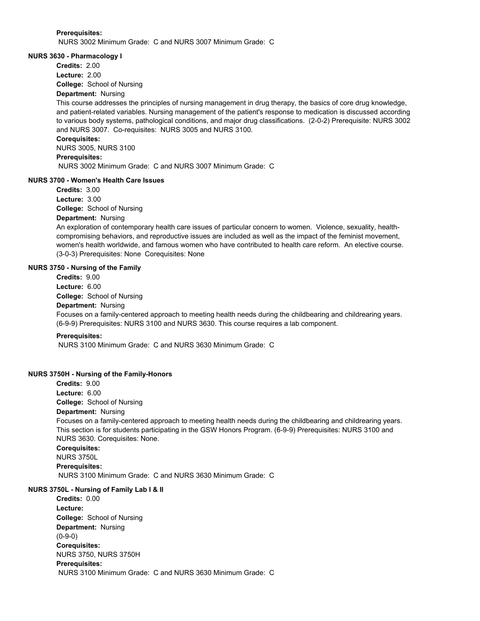#### **Prerequisites:**

NURS 3002 Minimum Grade: C and NURS 3007 Minimum Grade: C

### **NURS 3630 - Pharmacology I**

**Credits:** 2.00

**Lecture:** 2.00

**College:** School of Nursing

# **Department:** Nursing

This course addresses the principles of nursing management in drug therapy, the basics of core drug knowledge, and patient-related variables. Nursing management of the patient's response to medication is discussed according to various body systems, pathological conditions, and major drug classifications. (2-0-2) Prerequisite: NURS 3002 and NURS 3007. Co-requisites: NURS 3005 and NURS 3100.

### **Corequisites:**

NURS 3005, NURS 3100 **Prerequisites:**  NURS 3002 Minimum Grade: C and NURS 3007 Minimum Grade: C

### **NURS 3700 - Women's Health Care Issues**

**College:** School of Nursing **Credits:** 3.00 **Lecture:** 3.00

### **Department:** Nursing

An exploration of contemporary health care issues of particular concern to women. Violence, sexuality, healthcompromising behaviors, and reproductive issues are included as well as the impact of the feminist movement, women's health worldwide, and famous women who have contributed to health care reform. An elective course. (3-0-3) Prerequisites: None Corequisites: None

### **NURS 3750 - Nursing of the Family**

**Credits:** 9.00 **Lecture:** 6.00

**College:** School of Nursing

# **Department:** Nursing

Focuses on a family-centered approach to meeting health needs during the childbearing and childrearing years. (6-9-9) Prerequisites: NURS 3100 and NURS 3630. This course requires a lab component.

### **Prerequisites:**

NURS 3100 Minimum Grade: C and NURS 3630 Minimum Grade: C

### **NURS 3750H - Nursing of the Family-Honors**

**College:** School of Nursing **Department:** Nursing **Credits:** 9.00 **Lecture:** 6.00

Focuses on a family-centered approach to meeting health needs during the childbearing and childrearing years. This section is for students participating in the GSW Honors Program. (6-9-9) Prerequisites: NURS 3100 and NURS 3630. Corequisites: None.

**Corequisites:** 

NURS 3750L **Prerequisites:** 

NURS 3100 Minimum Grade: C and NURS 3630 Minimum Grade: C

### **NURS 3750L - Nursing of Family Lab I & II**

**College:** School of Nursing **Department:** Nursing **Credits:** 0.00 **Lecture:** (0-9-0) **Corequisites:**  NURS 3750, NURS 3750H **Prerequisites:**  NURS 3100 Minimum Grade: C and NURS 3630 Minimum Grade: C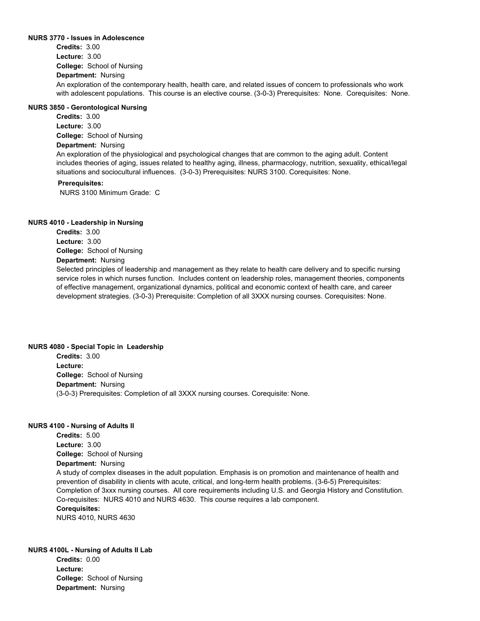#### **NURS 3770 - Issues in Adolescence**

**College:** School of Nursing **Department:** Nursing **Credits:** 3.00 **Lecture:** 3.00 An exploration of the contemporary health, health care, and related issues of concern to professionals who work with adolescent populations. This course is an elective course. (3-0-3) Prerequisites: None. Corequisites: None.

### **NURS 3850 - Gerontological Nursing**

**College:** School of Nursing **Department:** Nursing **Credits:** 3.00 **Lecture:** 3.00 An exploration of the physiological and psychological changes that are common to the aging adult. Content includes theories of aging, issues related to healthy aging, illness, pharmacology, nutrition, sexuality, ethical/legal

### situations and sociocultural influences. (3-0-3) Prerequisites: NURS 3100. Corequisites: None. **Prerequisites:**

NURS 3100 Minimum Grade: C

#### **NURS 4010 - Leadership in Nursing**

**College:** School of Nursing **Department:** Nursing **Credits:** 3.00 **Lecture:** 3.00 Selected principles of leadership and management as they relate to health care delivery and to specific nursing service roles in which nurses function. Includes content on leadership roles, management theories, components of effective management, organizational dynamics, political and economic context of health care, and career development strategies. (3-0-3) Prerequisite: Completion of all 3XXX nursing courses. Corequisites: None.

#### **NURS 4080 - Special Topic in Leadership**

**College:** School of Nursing **Department:** Nursing **Credits:** 3.00 **Lecture:** (3-0-3) Prerequisites: Completion of all 3XXX nursing courses. Corequisite: None.

#### **NURS 4100 - Nursing of Adults II**

**College:** School of Nursing **Department:** Nursing **Credits:** 5.00 **Lecture:** 3.00 A study of complex diseases in the adult population. Emphasis is on promotion and maintenance of health and prevention of disability in clients with acute, critical, and long-term health problems. (3-6-5) Prerequisites: Completion of 3xxx nursing courses. All core requirements including U.S. and Georgia History and Constitution. Co-requisites: NURS 4010 and NURS 4630. This course requires a lab component. **Corequisites:**  NURS 4010, NURS 4630

### **NURS 4100L - Nursing of Adults II Lab**

**College:** School of Nursing **Department:** Nursing **Credits:** 0.00 **Lecture:**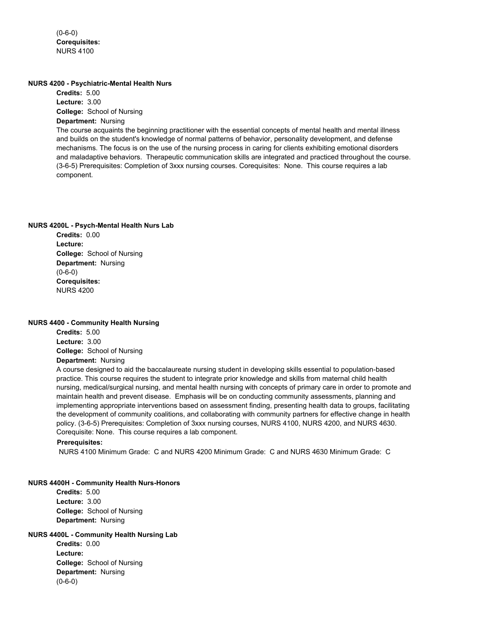$(0-6-0)$ **Corequisites:**  NURS 4100

#### **NURS 4200 - Psychiatric-Mental Health Nurs**

**College:** School of Nursing **Department:** Nursing **Credits:** 5.00 **Lecture:** 3.00 The course acquaints the beginning practitioner with the essential concepts of mental health and mental illness and builds on the student's knowledge of normal patterns of behavior, personality development, and defense mechanisms. The focus is on the use of the nursing process in caring for clients exhibiting emotional disorders and maladaptive behaviors. Therapeutic communication skills are integrated and practiced throughout the course. (3-6-5) Prerequisites: Completion of 3xxx nursing courses. Corequisites: None. This course requires a lab component.

### **NURS 4200L - Psych-Mental Health Nurs Lab**

**College:** School of Nursing **Department:** Nursing **Credits:** 0.00 **Lecture:** (0-6-0) **Corequisites:**  NURS 4200

#### **NURS 4400 - Community Health Nursing**

**College:** School of Nursing **Department:** Nursing **Credits:** 5.00 **Lecture:** 3.00

A course designed to aid the baccalaureate nursing student in developing skills essential to population-based practice. This course requires the student to integrate prior knowledge and skills from maternal child health nursing, medical/surgical nursing, and mental health nursing with concepts of primary care in order to promote and maintain health and prevent disease. Emphasis will be on conducting community assessments, planning and implementing appropriate interventions based on assessment finding, presenting health data to groups, facilitating the development of community coalitions, and collaborating with community partners for effective change in health policy. (3-6-5) Prerequisites: Completion of 3xxx nursing courses, NURS 4100, NURS 4200, and NURS 4630. Corequisite: None. This course requires a lab component.

#### **Prerequisites:**

NURS 4100 Minimum Grade: C and NURS 4200 Minimum Grade: C and NURS 4630 Minimum Grade: C

### **NURS 4400H - Community Health Nurs-Honors**

**College:** School of Nursing **Department:** Nursing **Credits:** 5.00 **Lecture:** 3.00

## **NURS 4400L - Community Health Nursing Lab**

**College:** School of Nursing **Department:** Nursing **Credits:** 0.00 **Lecture:** (0-6-0)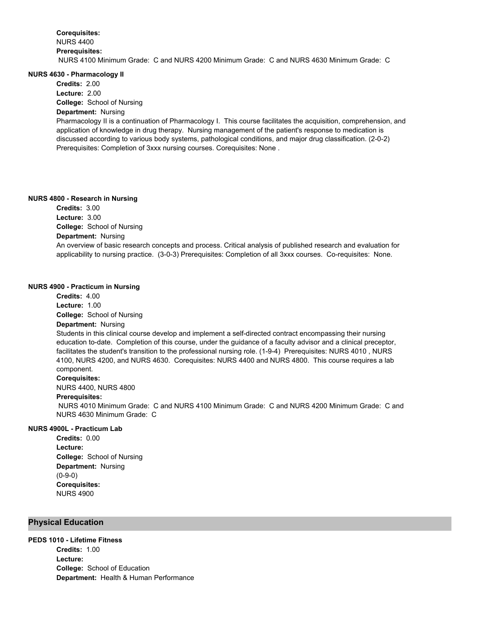#### **NURS 4630 - Pharmacology II**

**Credits:** 2.00

**College:** School of Nursing **Lecture:** 2.00

# **Department:** Nursing

Pharmacology II is a continuation of Pharmacology I. This course facilitates the acquisition, comprehension, and application of knowledge in drug therapy. Nursing management of the patient's response to medication is discussed according to various body systems, pathological conditions, and major drug classification. (2-0-2) Prerequisites: Completion of 3xxx nursing courses. Corequisites: None .

### **NURS 4800 - Research in Nursing**

**College:** School of Nursing **Department:** Nursing **Credits:** 3.00 **Lecture:** 3.00 An overview of basic research concepts and process. Critical analysis of published research and evaluation for applicability to nursing practice. (3-0-3) Prerequisites: Completion of all 3xxx courses. Co-requisites: None.

### **NURS 4900 - Practicum in Nursing**

**Credits:** 4.00 **Lecture:** 1.00

**College:** School of Nursing

#### **Department:** Nursing

Students in this clinical course develop and implement a self-directed contract encompassing their nursing education to-date. Completion of this course, under the guidance of a faculty advisor and a clinical preceptor, facilitates the student's transition to the professional nursing role. (1-9-4) Prerequisites: NURS 4010 , NURS 4100, NURS 4200, and NURS 4630. Corequisites: NURS 4400 and NURS 4800. This course requires a lab component.

#### **Corequisites:**

NURS 4400, NURS 4800

### **Prerequisites:**

 NURS 4010 Minimum Grade: C and NURS 4100 Minimum Grade: C and NURS 4200 Minimum Grade: C and NURS 4630 Minimum Grade: C

### **NURS 4900L - Practicum Lab**

**College:** School of Nursing **Department:** Nursing **Credits:** 0.00 **Lecture:** (0-9-0) **Corequisites:**  NURS 4900

### **Physical Education**

### **PEDS 1010 - Lifetime Fitness**

**College:** School of Education **Department:** Health & Human Performance **Credits:** 1.00 **Lecture:**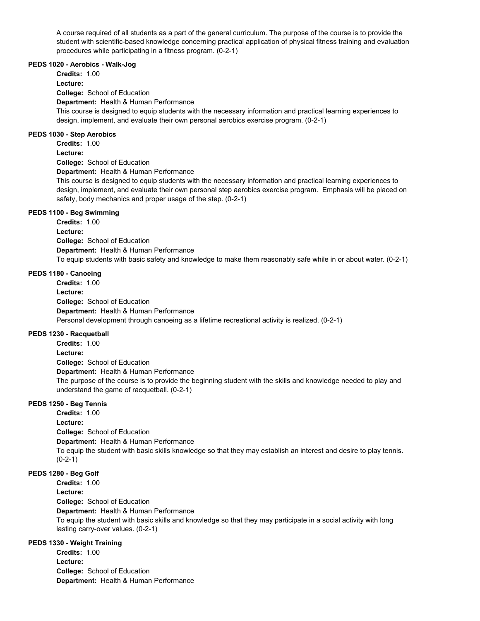A course required of all students as a part of the general curriculum. The purpose of the course is to provide the student with scientific-based knowledge concerning practical application of physical fitness training and evaluation procedures while participating in a fitness program. (0-2-1)

#### **PEDS 1020 - Aerobics - Walk-Jog**

**Credits:** 1.00

**Lecture:**

**College:** School of Education

**Department:** Health & Human Performance

This course is designed to equip students with the necessary information and practical learning experiences to design, implement, and evaluate their own personal aerobics exercise program. (0-2-1)

### **PEDS 1030 - Step Aerobics**

**Credits:** 1.00

### **Lecture:**

**College:** School of Education

**Department:** Health & Human Performance

This course is designed to equip students with the necessary information and practical learning experiences to design, implement, and evaluate their own personal step aerobics exercise program. Emphasis will be placed on safety, body mechanics and proper usage of the step. (0-2-1)

### **PEDS 1100 - Beg Swimming**

**College:** School of Education **Department:** Health & Human Performance **Credits:** 1.00 **Lecture:** To equip students with basic safety and knowledge to make them reasonably safe while in or about water. (0-2-1)

### **PEDS 1180 - Canoeing**

**College:** School of Education **Department:** Health & Human Performance **Credits:** 1.00 **Lecture:** Personal development through canoeing as a lifetime recreational activity is realized. (0-2-1)

### **PEDS 1230 - Racquetball**

**College:** School of Education **Department:** Health & Human Performance **Credits:** 1.00 **Lecture:** The purpose of the course is to provide the beginning student with the skills and knowledge needed to play and understand the game of racquetball. (0-2-1)

### **PEDS 1250 - Beg Tennis**

**College:** School of Education **Department:** Health & Human Performance **Credits:** 1.00 **Lecture:** To equip the student with basic skills knowledge so that they may establish an interest and desire to play tennis.  $(0-2-1)$ 

### **PEDS 1280 - Beg Golf**

**College:** School of Education **Credits:** 1.00 **Lecture:**

**Department:** Health & Human Performance

To equip the student with basic skills and knowledge so that they may participate in a social activity with long lasting carry-over values. (0-2-1)

### **PEDS 1330 - Weight Training**

**College:** School of Education **Department:** Health & Human Performance **Credits:** 1.00 **Lecture:**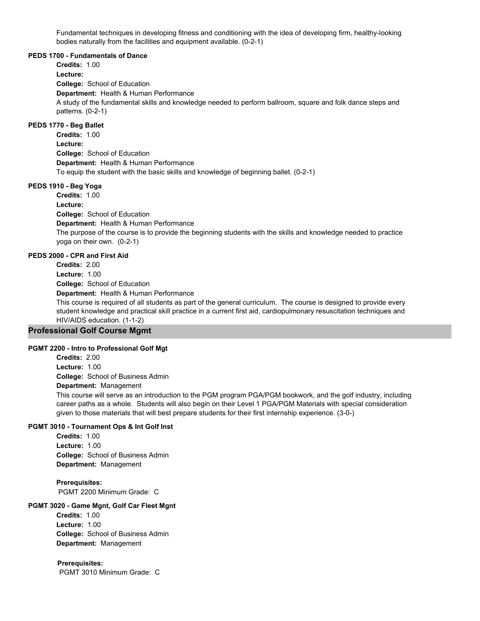Fundamental techniques in developing fitness and conditioning with the idea of developing firm, healthy-looking bodies naturally from the facilities and equipment available. (0-2-1)

#### **PEDS 1700 - Fundamentals of Dance**

**College:** School of Education **Department:** Health & Human Performance **Credits:** 1.00 **Lecture:** A study of the fundamental skills and knowledge needed to perform ballroom, square and folk dance steps and patterns. (0-2-1)

### **PEDS 1770 - Beg Ballet**

**College:** School of Education **Department:** Health & Human Performance **Credits:** 1.00 **Lecture:** To equip the student with the basic skills and knowledge of beginning ballet. (0-2-1)

### **PEDS 1910 - Beg Yoga**

**College:** School of Education **Department:** Health & Human Performance **Credits:** 1.00 **Lecture:** The purpose of the course is to provide the beginning students with the skills and knowledge needed to practice yoga on their own. (0-2-1)

### **PEDS 2000 - CPR and First Aid**

**College:** School of Education **Department:** Health & Human Performance **Credits:** 2.00 **Lecture:** 1.00 This course is required of all students as part of the general curriculum. The course is designed to provide every student knowledge and practical skill practice in a current first aid, cardiopulmonary resuscitation techniques and HIV/AIDS education. (1-1-2)

### **Professional Golf Course Mgmt**

#### **PGMT 2200 - Intro to Professional Golf Mgt**

**College:** School of Business Admin **Department:** Management **Credits:** 2.00 **Lecture:** 1.00

This course will serve as an introduction to the PGM program PGA/PGM bookwork, and the golf industry, including career paths as a whole. Students will also begin on their Level 1 PGA/PGM Materials with special consideration given to those materials that will best prepare students for their first internship experience. (3-0-)

### **PGMT 3010 - Tournament Ops & Int Golf Inst**

**College:** School of Business Admin **Department:** Management **Credits:** 1.00 **Lecture:** 1.00

**Prerequisites:**  PGMT 2200 Minimum Grade: C

### **PGMT 3020 - Game Mgnt, Golf Car Fleet Mgnt**

**College:** School of Business Admin **Department:** Management **Credits:** 1.00 **Lecture:** 1.00

**Prerequisites:**  PGMT 3010 Minimum Grade: C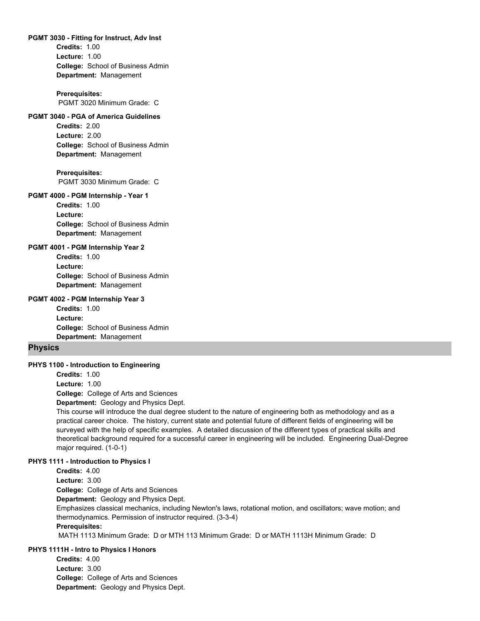#### **PGMT 3030 - Fitting for Instruct, Adv Inst**

**College:** School of Business Admin **Department:** Management **Credits:** 1.00 **Lecture:** 1.00

#### **Prerequisites:**

PGMT 3020 Minimum Grade: C

### **PGMT 3040 - PGA of America Guidelines**

**College:** School of Business Admin **Department:** Management **Credits:** 2.00 **Lecture:** 2.00

**Prerequisites:**  PGMT 3030 Minimum Grade: C

#### **PGMT 4000 - PGM Internship - Year 1**

**College:** School of Business Admin **Department:** Management **Credits:** 1.00 **Lecture:**

#### **PGMT 4001 - PGM Internship Year 2**

**College:** School of Business Admin **Department:** Management **Credits:** 1.00 **Lecture:**

#### **PGMT 4002 - PGM Internship Year 3**

**College:** School of Business Admin **Department:** Management **Credits:** 1.00 **Lecture:**

#### **Physics**

#### **PHYS 1100 - Introduction to Engineering**

**Credits:** 1.00

**Lecture:** 1.00

**College:** College of Arts and Sciences

**Department:** Geology and Physics Dept.

This course will introduce the dual degree student to the nature of engineering both as methodology and as a practical career choice. The history, current state and potential future of different fields of engineering will be surveyed with the help of specific examples. A detailed discussion of the different types of practical skills and theoretical background required for a successful career in engineering will be included. Engineering Dual-Degree major required. (1-0-1)

### **PHYS 1111 - Introduction to Physics I**

**Credits:** 4.00

**College:** College of Arts and Sciences **Lecture:** 3.00

**Department:** Geology and Physics Dept.

Emphasizes classical mechanics, including Newton's laws, rotational motion, and oscillators; wave motion; and thermodynamics. Permission of instructor required. (3-3-4)

#### **Prerequisites:**

MATH 1113 Minimum Grade: D or MTH 113 Minimum Grade: D or MATH 1113H Minimum Grade: D

### **PHYS 1111H - Intro to Physics I Honors**

**College:** College of Arts and Sciences **Department:** Geology and Physics Dept. **Credits:** 4.00 **Lecture:** 3.00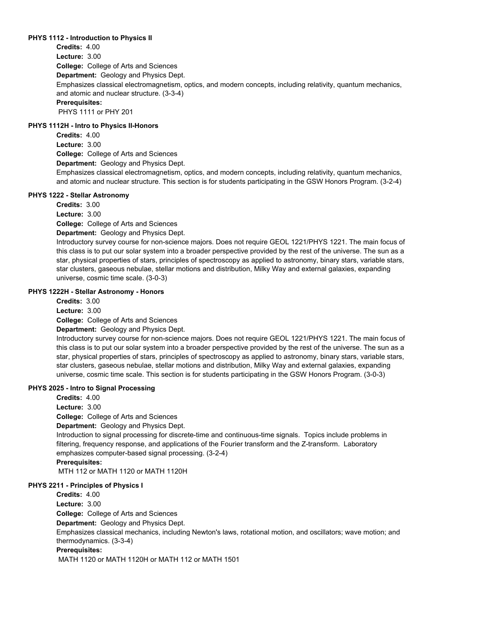### **PHYS 1112 - Introduction to Physics II**

**College:** College of Arts and Sciences **Department:** Geology and Physics Dept. **Credits:** 4.00 **Lecture:** 3.00 Emphasizes classical electromagnetism, optics, and modern concepts, including relativity, quantum mechanics, and atomic and nuclear structure. (3-3-4) **Prerequisites:**  PHYS 1111 or PHY 201

### **PHYS 1112H - Intro to Physics II-Honors**

**College:** College of Arts and Sciences **Department:** Geology and Physics Dept. **Credits:** 4.00 **Lecture:** 3.00 Emphasizes classical electromagnetism, optics, and modern concepts, including relativity, quantum mechanics, and atomic and nuclear structure. This section is for students participating in the GSW Honors Program. (3-2-4)

### **PHYS 1222 - Stellar Astronomy**

**Credits:** 3.00

**Lecture:** 3.00

**College:** College of Arts and Sciences

**Department:** Geology and Physics Dept.

Introductory survey course for non-science majors. Does not require GEOL 1221/PHYS 1221. The main focus of this class is to put our solar system into a broader perspective provided by the rest of the universe. The sun as a star, physical properties of stars, principles of spectroscopy as applied to astronomy, binary stars, variable stars, star clusters, gaseous nebulae, stellar motions and distribution, Milky Way and external galaxies, expanding universe, cosmic time scale. (3-0-3)

### **PHYS 1222H - Stellar Astronomy - Honors**

**College:** College of Arts and Sciences **Credits:** 3.00 **Lecture:** 3.00

**Department:** Geology and Physics Dept.

Introductory survey course for non-science majors. Does not require GEOL 1221/PHYS 1221. The main focus of this class is to put our solar system into a broader perspective provided by the rest of the universe. The sun as a star, physical properties of stars, principles of spectroscopy as applied to astronomy, binary stars, variable stars, star clusters, gaseous nebulae, stellar motions and distribution, Milky Way and external galaxies, expanding universe, cosmic time scale. This section is for students participating in the GSW Honors Program. (3-0-3)

### **PHYS 2025 - Intro to Signal Processing**

**College:** College of Arts and Sciences **Department:** Geology and Physics Dept. **Credits:** 4.00 **Lecture:** 3.00 Introduction to signal processing for discrete-time and continuous-time signals. Topics include problems in filtering, frequency response, and applications of the Fourier transform and the Z-transform. Laboratory emphasizes computer-based signal processing. (3-2-4) **Prerequisites:** 

MTH 112 or MATH 1120 or MATH 1120H

### **PHYS 2211 - Principles of Physics I**

**College:** College of Arts and Sciences **Department:** Geology and Physics Dept. **Credits:** 4.00 **Lecture:** 3.00 Emphasizes classical mechanics, including Newton's laws, rotational motion, and oscillators; wave motion; and thermodynamics. (3-3-4) **Prerequisites:**  MATH 1120 or MATH 1120H or MATH 112 or MATH 1501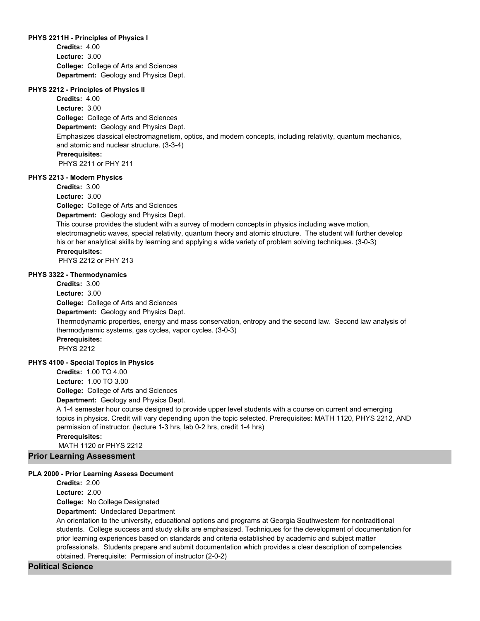#### **PHYS 2211H - Principles of Physics I**

**College:** College of Arts and Sciences **Department:** Geology and Physics Dept. **Credits:** 4.00 **Lecture:** 3.00

### **PHYS 2212 - Principles of Physics II**

**College:** College of Arts and Sciences **Department:** Geology and Physics Dept. **Credits:** 4.00 **Lecture:** 3.00 Emphasizes classical electromagnetism, optics, and modern concepts, including relativity, quantum mechanics, and atomic and nuclear structure. (3-3-4) **Prerequisites:**  PHYS 2211 or PHY 211

### **PHYS 2213 - Modern Physics**

**College:** College of Arts and Sciences **Department:** Geology and Physics Dept. **Credits:** 3.00 **Lecture:** 3.00

This course provides the student with a survey of modern concepts in physics including wave motion, electromagnetic waves, special relativity, quantum theory and atomic structure. The student will further develop his or her analytical skills by learning and applying a wide variety of problem solving techniques. (3-0-3) **Prerequisites:** 

PHYS 2212 or PHY 213

#### **PHYS 3322 - Thermodynamics**

**College:** College of Arts and Sciences **Department:** Geology and Physics Dept. **Credits:** 3.00 **Lecture:** 3.00 Thermodynamic properties, energy and mass conservation, entropy and the second law. Second law analysis of thermodynamic systems, gas cycles, vapor cycles. (3-0-3) **Prerequisites:**  PHYS 2212 **PHYS 4100 - Special Topics in Physics**

**College:** College of Arts and Sciences **Credits:** 1.00 TO 4.00 **Lecture:** 1.00 TO 3.00

**Department:** Geology and Physics Dept.

A 1-4 semester hour course designed to provide upper level students with a course on current and emerging topics in physics. Credit will vary depending upon the topic selected. Prerequisites: MATH 1120, PHYS 2212, AND permission of instructor. (lecture 1-3 hrs, lab 0-2 hrs, credit 1-4 hrs) **Prerequisites:** 

MATH 1120 or PHYS 2212

**Prior Learning Assessment**

#### **PLA 2000 - Prior Learning Assess Document**

**College:** No College Designated **Department:** Undeclared Department **Credits:** 2.00 **Lecture:** 2.00 An orientation to the university, educational options and programs at Georgia Southwestern for nontraditional students. College success and study skills are emphasized. Techniques for the development of documentation for prior learning experiences based on standards and criteria established by academic and subject matter professionals. Students prepare and submit documentation which provides a clear description of competencies obtained. Prerequisite: Permission of instructor (2-0-2)

### **Political Science**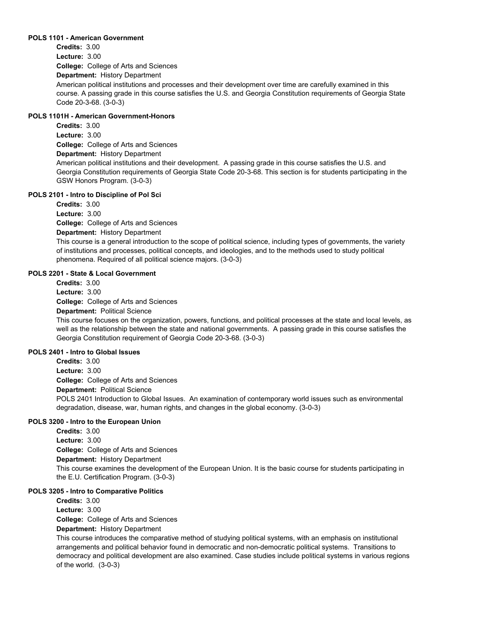### **POLS 1101 - American Government**

**College:** College of Arts and Sciences **Department:** History Department **Credits:** 3.00 **Lecture:** 3.00 American political institutions and processes and their development over time are carefully examined in this course. A passing grade in this course satisfies the U.S. and Georgia Constitution requirements of Georgia State Code 20-3-68. (3-0-3)

### **POLS 1101H - American Government-Honors**

**College:** College of Arts and Sciences **Department:** History Department **Credits:** 3.00 **Lecture:** 3.00 American political institutions and their development. A passing grade in this course satisfies the U.S. and Georgia Constitution requirements of Georgia State Code 20-3-68. This section is for students participating in the GSW Honors Program. (3-0-3)

### **POLS 2101 - Intro to Discipline of Pol Sci**

**College:** College of Arts and Sciences **Department:** History Department **Credits:** 3.00 **Lecture:** 3.00 This course is a general introduction to the scope of political science, including types of governments, the variety of institutions and processes, political concepts, and ideologies, and to the methods used to study political phenomena. Required of all political science majors. (3-0-3)

### **POLS 2201 - State & Local Government**

**College:** College of Arts and Sciences **Department:** Political Science **Credits:** 3.00 **Lecture:** 3.00

This course focuses on the organization, powers, functions, and political processes at the state and local levels, as well as the relationship between the state and national governments. A passing grade in this course satisfies the Georgia Constitution requirement of Georgia Code 20-3-68. (3-0-3)

### **POLS 2401 - Intro to Global Issues**

**College:** College of Arts and Sciences **Department:** Political Science **Credits:** 3.00 **Lecture:** 3.00 POLS 2401 Introduction to Global Issues. An examination of contemporary world issues such as environmental degradation, disease, war, human rights, and changes in the global economy. (3-0-3)

### **POLS 3200 - Intro to the European Union**

**College:** College of Arts and Sciences **Department:** History Department **Credits:** 3.00 **Lecture:** 3.00 This course examines the development of the European Union. It is the basic course for students participating in the E.U. Certification Program. (3-0-3)

### **POLS 3205 - Intro to Comparative Politics**

**College:** College of Arts and Sciences **Department:** History Department **Credits:** 3.00 **Lecture:** 3.00

This course introduces the comparative method of studying political systems, with an emphasis on institutional arrangements and political behavior found in democratic and non-democratic political systems. Transitions to democracy and political development are also examined. Case studies include political systems in various regions of the world. (3-0-3)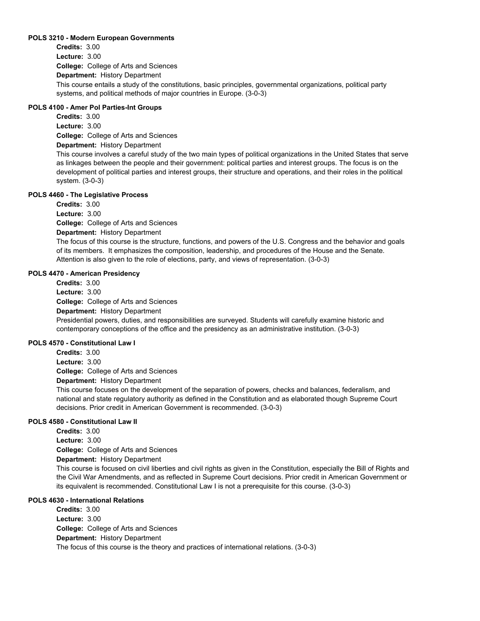### **POLS 3210 - Modern European Governments**

**College:** College of Arts and Sciences **Department:** History Department **Credits:** 3.00 **Lecture:** 3.00 This course entails a study of the constitutions, basic principles, governmental organizations, political party systems, and political methods of major countries in Europe. (3-0-3)

### **POLS 4100 - Amer Pol Parties-Int Groups**

**College:** College of Arts and Sciences **Department:** History Department **Credits:** 3.00 **Lecture:** 3.00

This course involves a careful study of the two main types of political organizations in the United States that serve as linkages between the people and their government: political parties and interest groups. The focus is on the development of political parties and interest groups, their structure and operations, and their roles in the political system. (3-0-3)

### **POLS 4460 - The Legislative Process**

**College:** College of Arts and Sciences **Department:** History Department **Credits:** 3.00 **Lecture:** 3.00

The focus of this course is the structure, functions, and powers of the U.S. Congress and the behavior and goals of its members. It emphasizes the composition, leadership, and procedures of the House and the Senate. Attention is also given to the role of elections, party, and views of representation. (3-0-3)

### **POLS 4470 - American Presidency**

**College:** College of Arts and Sciences **Department:** History Department **Credits:** 3.00 **Lecture:** 3.00 Presidential powers, duties, and responsibilities are surveyed. Students will carefully examine historic and contemporary conceptions of the office and the presidency as an administrative institution. (3-0-3)

### **POLS 4570 - Constitutional Law I**

**College:** College of Arts and Sciences **Credits:** 3.00 **Lecture:** 3.00

**Department:** History Department

This course focuses on the development of the separation of powers, checks and balances, federalism, and national and state regulatory authority as defined in the Constitution and as elaborated though Supreme Court decisions. Prior credit in American Government is recommended. (3-0-3)

### **POLS 4580 - Constitutional Law II**

**College:** College of Arts and Sciences **Department:** History Department **Credits:** 3.00 **Lecture:** 3.00

This course is focused on civil liberties and civil rights as given in the Constitution, especially the Bill of Rights and the Civil War Amendments, and as reflected in Supreme Court decisions. Prior credit in American Government or its equivalent is recommended. Constitutional Law I is not a prerequisite for this course. (3-0-3)

### **POLS 4630 - International Relations**

**College:** College of Arts and Sciences **Department:** History Department **Credits:** 3.00 **Lecture:** 3.00 The focus of this course is the theory and practices of international relations. (3-0-3)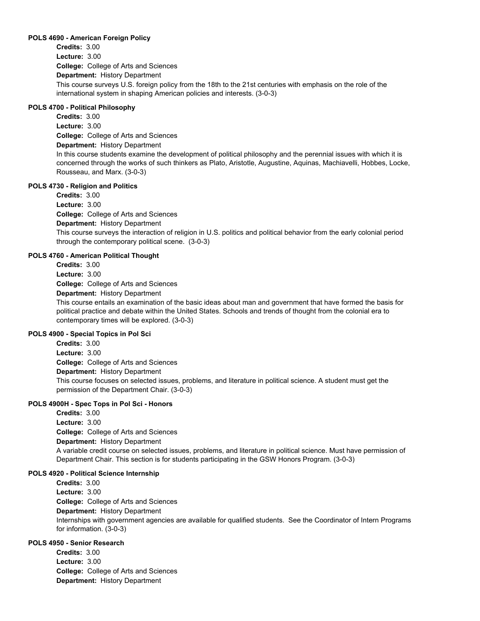### **POLS 4690 - American Foreign Policy**

**College:** College of Arts and Sciences **Department:** History Department **Credits:** 3.00 **Lecture:** 3.00 This course surveys U.S. foreign policy from the 18th to the 21st centuries with emphasis on the role of the international system in shaping American policies and interests. (3-0-3)

### **POLS 4700 - Political Philosophy**

**College:** College of Arts and Sciences **Department:** History Department **Credits:** 3.00 **Lecture:** 3.00 In this course students examine the development of political philosophy and the perennial issues with which it is concerned through the works of such thinkers as Plato, Aristotle, Augustine, Aquinas, Machiavelli, Hobbes, Locke, Rousseau, and Marx. (3-0-3)

### **POLS 4730 - Religion and Politics**

**College:** College of Arts and Sciences **Department:** History Department **Credits:** 3.00 **Lecture:** 3.00 This course surveys the interaction of religion in U.S. politics and political behavior from the early colonial period through the contemporary political scene. (3-0-3)

### **POLS 4760 - American Political Thought**

**Credits:** 3.00

**Lecture:** 3.00

**College:** College of Arts and Sciences

**Department:** History Department

This course entails an examination of the basic ideas about man and government that have formed the basis for political practice and debate within the United States. Schools and trends of thought from the colonial era to contemporary times will be explored. (3-0-3)

### **POLS 4900 - Special Topics in Pol Sci**

**College:** College of Arts and Sciences **Department:** History Department **Credits:** 3.00 **Lecture:** 3.00 This course focuses on selected issues, problems, and literature in political science. A student must get the permission of the Department Chair. (3-0-3)

### **POLS 4900H - Spec Tops in Pol Sci - Honors**

**College:** College of Arts and Sciences **Department:** History Department **Credits:** 3.00 **Lecture:** 3.00 A variable credit course on selected issues, problems, and literature in political science. Must have permission of Department Chair. This section is for students participating in the GSW Honors Program. (3-0-3)

### **POLS 4920 - Political Science Internship**

**College:** College of Arts and Sciences **Department:** History Department **Credits:** 3.00 **Lecture:** 3.00 Internships with government agencies are available for qualified students. See the Coordinator of Intern Programs for information. (3-0-3)

### **POLS 4950 - Senior Research**

**College:** College of Arts and Sciences **Department:** History Department **Credits:** 3.00 **Lecture:** 3.00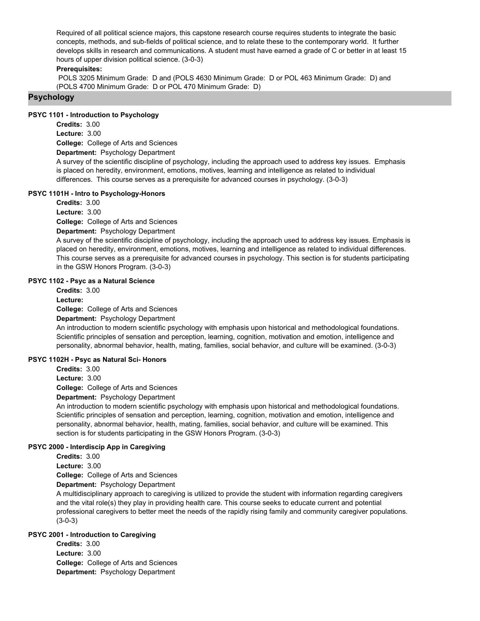Required of all political science majors, this capstone research course requires students to integrate the basic concepts, methods, and sub-fields of political science, and to relate these to the contemporary world. It further develops skills in research and communications. A student must have earned a grade of C or better in at least 15 hours of upper division political science. (3-0-3)

### **Prerequisites:**

 POLS 3205 Minimum Grade: D and (POLS 4630 Minimum Grade: D or POL 463 Minimum Grade: D) and (POLS 4700 Minimum Grade: D or POL 470 Minimum Grade: D)

### **Psychology**

### **PSYC 1101 - Introduction to Psychology**

**Credits:** 3.00 **Lecture:** 3.00

**College:** College of Arts and Sciences

**Department:** Psychology Department

A survey of the scientific discipline of psychology, including the approach used to address key issues. Emphasis is placed on heredity, environment, emotions, motives, learning and intelligence as related to individual differences. This course serves as a prerequisite for advanced courses in psychology. (3-0-3)

### **PSYC 1101H - Intro to Psychology-Honors**

**Credits:** 3.00

**Lecture:** 3.00

**College:** College of Arts and Sciences

**Department:** Psychology Department

A survey of the scientific discipline of psychology, including the approach used to address key issues. Emphasis is placed on heredity, environment, emotions, motives, learning and intelligence as related to individual differences. This course serves as a prerequisite for advanced courses in psychology. This section is for students participating in the GSW Honors Program. (3-0-3)

### **PSYC 1102 - Psyc as a Natural Science**

**College:** College of Arts and Sciences **Department:** Psychology Department **Credits:** 3.00 **Lecture:**

An introduction to modern scientific psychology with emphasis upon historical and methodological foundations. Scientific principles of sensation and perception, learning, cognition, motivation and emotion, intelligence and personality, abnormal behavior, health, mating, families, social behavior, and culture will be examined. (3-0-3)

### **PSYC 1102H - Psyc as Natural Sci- Honors**

**Credits:** 3.00

**Lecture:** 3.00

**College:** College of Arts and Sciences

**Department:** Psychology Department

An introduction to modern scientific psychology with emphasis upon historical and methodological foundations. Scientific principles of sensation and perception, learning, cognition, motivation and emotion, intelligence and personality, abnormal behavior, health, mating, families, social behavior, and culture will be examined. This section is for students participating in the GSW Honors Program. (3-0-3)

### **PSYC 2000 - Interdiscip App in Caregiving**

**Credits:** 3.00

**Lecture:** 3.00

**College:** College of Arts and Sciences

**Department:** Psychology Department

A multidisciplinary approach to caregiving is utilized to provide the student with information regarding caregivers and the vital role(s) they play in providing health care. This course seeks to educate current and potential professional caregivers to better meet the needs of the rapidly rising family and community caregiver populations. (3-0-3)

# **PSYC 2001 - Introduction to Caregiving**

**College:** College of Arts and Sciences **Department:** Psychology Department **Credits:** 3.00 **Lecture:** 3.00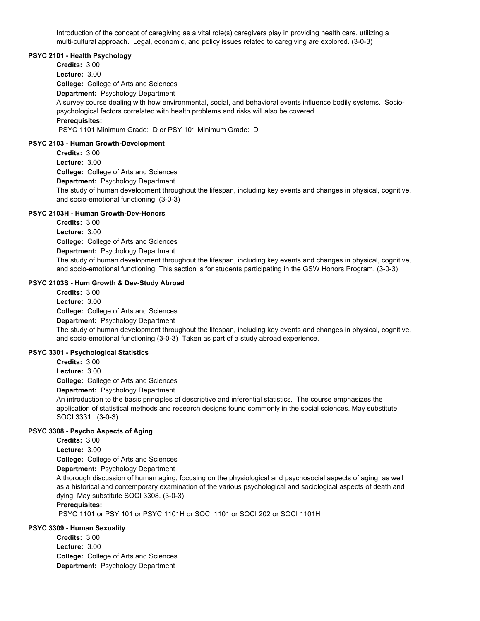Introduction of the concept of caregiving as a vital role(s) caregivers play in providing health care, utilizing a multi-cultural approach. Legal, economic, and policy issues related to caregiving are explored. (3-0-3)

### **PSYC 2101 - Health Psychology**

**College:** College of Arts and Sciences **Department:** Psychology Department **Credits:** 3.00 **Lecture:** 3.00 A survey course dealing with how environmental, social, and behavioral events influence bodily systems. Sociopsychological factors correlated with health problems and risks will also be covered. **Prerequisites:**  PSYC 1101 Minimum Grade: D or PSY 101 Minimum Grade: D **PSYC 2103 - Human Growth-Development**

**College:** College of Arts and Sciences **Department:** Psychology Department **Credits:** 3.00 **Lecture:** 3.00 The study of human development throughout the lifespan, including key events and changes in physical, cognitive, and socio-emotional functioning. (3-0-3)

### **PSYC 2103H - Human Growth-Dev-Honors**

**College:** College of Arts and Sciences **Department:** Psychology Department **Credits:** 3.00 **Lecture:** 3.00 The study of human development throughout the lifespan, including key events and changes in physical, cognitive, and socio-emotional functioning. This section is for students participating in the GSW Honors Program. (3-0-3)

### **PSYC 2103S - Hum Growth & Dev-Study Abroad**

**College:** College of Arts and Sciences **Department:** Psychology Department **Credits:** 3.00 **Lecture:** 3.00 The study of human development throughout the lifespan, including key events and changes in physical, cognitive, and socio-emotional functioning (3-0-3) Taken as part of a study abroad experience.

# **PSYC 3301 - Psychological Statistics**

**College:** College of Arts and Sciences **Credits:** 3.00 **Lecture:** 3.00

**Department:** Psychology Department

An introduction to the basic principles of descriptive and inferential statistics. The course emphasizes the application of statistical methods and research designs found commonly in the social sciences. May substitute SOCI 3331. (3-0-3)

## **PSYC 3308 - Psycho Aspects of Aging**

**Credits:** 3.00 **Lecture:** 3.00

**College:** College of Arts and Sciences

**Department:** Psychology Department

A thorough discussion of human aging, focusing on the physiological and psychosocial aspects of aging, as well as a historical and contemporary examination of the various psychological and sociological aspects of death and dying. May substitute SOCI 3308. (3-0-3)

### **Prerequisites:**

PSYC 1101 or PSY 101 or PSYC 1101H or SOCI 1101 or SOCI 202 or SOCI 1101H

### **PSYC 3309 - Human Sexuality**

**College:** College of Arts and Sciences **Department:** Psychology Department **Credits:** 3.00 **Lecture:** 3.00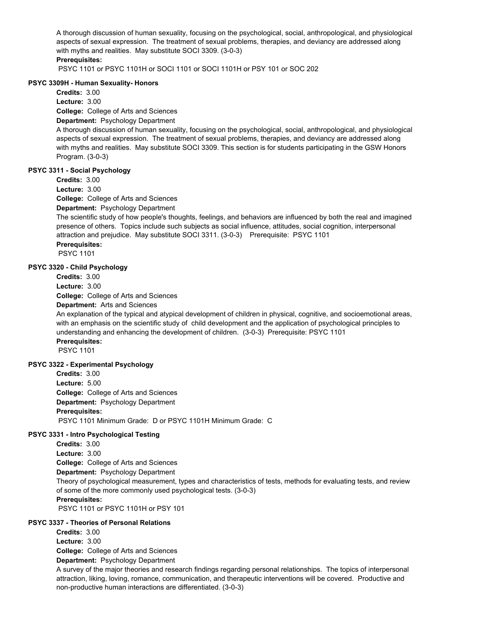A thorough discussion of human sexuality, focusing on the psychological, social, anthropological, and physiological aspects of sexual expression. The treatment of sexual problems, therapies, and deviancy are addressed along with myths and realities. May substitute SOCI 3309. (3-0-3)

## **Prerequisites:**

PSYC 1101 or PSYC 1101H or SOCI 1101 or SOCI 1101H or PSY 101 or SOC 202

### **PSYC 3309H - Human Sexuality- Honors**

**Credits:** 3.00

**Lecture:** 3.00

**College:** College of Arts and Sciences

### **Department:** Psychology Department

A thorough discussion of human sexuality, focusing on the psychological, social, anthropological, and physiological aspects of sexual expression. The treatment of sexual problems, therapies, and deviancy are addressed along with myths and realities. May substitute SOCI 3309. This section is for students participating in the GSW Honors Program. (3-0-3)

### **PSYC 3311 - Social Psychology**

**Credits:** 3.00

**Lecture:** 3.00

**College:** College of Arts and Sciences

**Department:** Psychology Department

The scientific study of how people's thoughts, feelings, and behaviors are influenced by both the real and imagined presence of others. Topics include such subjects as social influence, attitudes, social cognition, interpersonal attraction and prejudice. May substitute SOCI 3311. (3-0-3) Prerequisite: PSYC 1101 **Prerequisites:** 

PSYC 1101

### **PSYC 3320 - Child Psychology**

**Credits:** 3.00

**Lecture:** 3.00

**College:** College of Arts and Sciences

**Department:** Arts and Sciences

An explanation of the typical and atypical development of children in physical, cognitive, and socioemotional areas, with an emphasis on the scientific study of child development and the application of psychological principles to understanding and enhancing the development of children. (3-0-3) Prerequisite: PSYC 1101

# **Prerequisites:**

PSYC 1101

### **PSYC 3322 - Experimental Psychology**

**College:** College of Arts and Sciences **Department:** Psychology Department **Credits:** 3.00 **Lecture:** 5.00 **Prerequisites:**  PSYC 1101 Minimum Grade: D or PSYC 1101H Minimum Grade: C

### **PSYC 3331 - Intro Psychological Testing**

**Credits:** 3.00

**Lecture:** 3.00

**College:** College of Arts and Sciences

**Department:** Psychology Department

Theory of psychological measurement, types and characteristics of tests, methods for evaluating tests, and review of some of the more commonly used psychological tests. (3-0-3)

### **Prerequisites:**

PSYC 1101 or PSYC 1101H or PSY 101

### **PSYC 3337 - Theories of Personal Relations**

**Credits:** 3.00

**Lecture:** 3.00

**College:** College of Arts and Sciences

**Department:** Psychology Department

A survey of the major theories and research findings regarding personal relationships. The topics of interpersonal attraction, liking, loving, romance, communication, and therapeutic interventions will be covered. Productive and non-productive human interactions are differentiated. (3-0-3)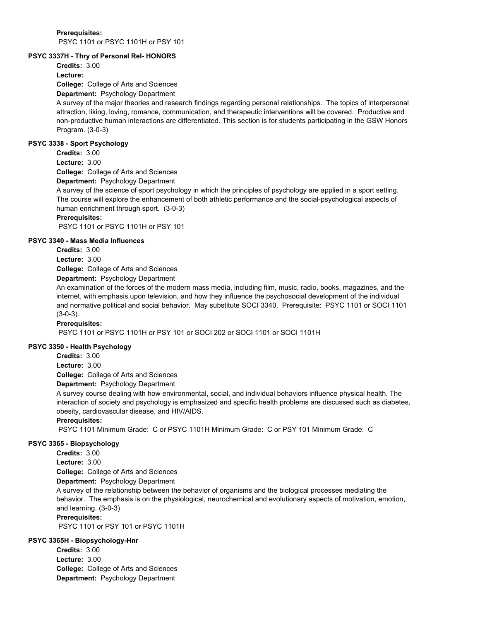### **Prerequisites:**  PSYC 1101 or PSYC 1101H or PSY 101

### **PSYC 3337H - Thry of Personal Rel- HONORS**

**Credits:** 3.00

**Lecture:**

**College:** College of Arts and Sciences

### **Department:** Psychology Department

A survey of the major theories and research findings regarding personal relationships. The topics of interpersonal attraction, liking, loving, romance, communication, and therapeutic interventions will be covered. Productive and non-productive human interactions are differentiated. This section is for students participating in the GSW Honors Program. (3-0-3)

### **PSYC 3338 - Sport Psychology**

**College:** College of Arts and Sciences **Credits:** 3.00 **Lecture:** 3.00

**Department:** Psychology Department

A survey of the science of sport psychology in which the principles of psychology are applied in a sport setting. The course will explore the enhancement of both athletic performance and the social-psychological aspects of human enrichment through sport. (3-0-3)

### **Prerequisites:**

PSYC 1101 or PSYC 1101H or PSY 101

### **PSYC 3340 - Mass Media Influences**

**Credits:** 3.00 **Lecture:** 3.00

**College:** College of Arts and Sciences

**Department:** Psychology Department

An examination of the forces of the modern mass media, including film, music, radio, books, magazines, and the internet, with emphasis upon television, and how they influence the psychosocial development of the individual and normative political and social behavior. May substitute SOCI 3340. Prerequisite: PSYC 1101 or SOCI 1101 (3-0-3).

### **Prerequisites:**

PSYC 1101 or PSYC 1101H or PSY 101 or SOCI 202 or SOCI 1101 or SOCI 1101H

### **PSYC 3350 - Health Psychology**

**Credits:** 3.00

**Lecture:** 3.00

**College:** College of Arts and Sciences

### **Department:** Psychology Department

A survey course dealing with how environmental, social, and individual behaviors influence physical health. The interaction of society and psychology is emphasized and specific health problems are discussed such as diabetes, obesity, cardiovascular disease, and HIV/AIDS.

### **Prerequisites:**

PSYC 1101 Minimum Grade: C or PSYC 1101H Minimum Grade: C or PSY 101 Minimum Grade: C

### **PSYC 3365 - Biopsychology**

**College:** College of Arts and Sciences **Credits:** 3.00 **Lecture:** 3.00

**Department:** Psychology Department

A survey of the relationship between the behavior of organisms and the biological processes mediating the behavior. The emphasis is on the physiological, neurochemical and evolutionary aspects of motivation, emotion, and learning. (3-0-3)

### **Prerequisites:**

PSYC 1101 or PSY 101 or PSYC 1101H

### **PSYC 3365H - Biopsychology-Hnr**

**College:** College of Arts and Sciences **Department:** Psychology Department **Credits:** 3.00 **Lecture:** 3.00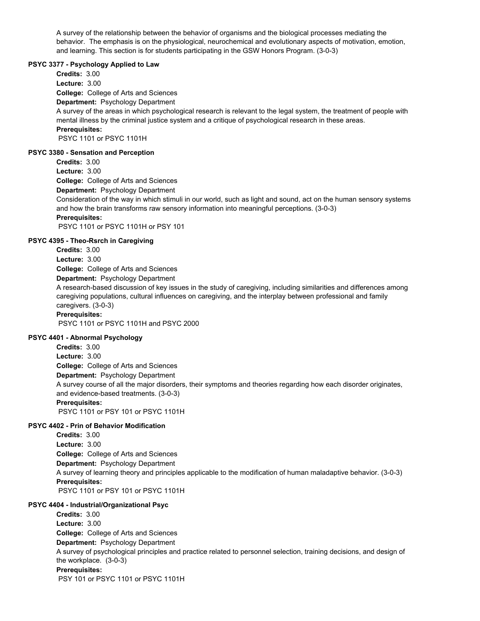A survey of the relationship between the behavior of organisms and the biological processes mediating the behavior. The emphasis is on the physiological, neurochemical and evolutionary aspects of motivation, emotion, and learning. This section is for students participating in the GSW Honors Program. (3-0-3)

### **PSYC 3377 - Psychology Applied to Law**

**College:** College of Arts and Sciences **Department:** Psychology Department **Credits:** 3.00 **Lecture:** 3.00 A survey of the areas in which psychological research is relevant to the legal system, the treatment of people with mental illness by the criminal justice system and a critique of psychological research in these areas. **Prerequisites:**  PSYC 1101 or PSYC 1101H

#### **PSYC 3380 - Sensation and Perception**

**Credits:** 3.00

**Lecture:** 3.00

**College:** College of Arts and Sciences

**Department:** Psychology Department

Consideration of the way in which stimuli in our world, such as light and sound, act on the human sensory systems and how the brain transforms raw sensory information into meaningful perceptions. (3-0-3) **Prerequisites:** 

PSYC 1101 or PSYC 1101H or PSY 101

### **PSYC 4395 - Theo-Rsrch in Caregiving**

**College:** College of Arts and Sciences **Department:** Psychology Department **Credits:** 3.00 **Lecture:** 3.00

A research-based discussion of key issues in the study of caregiving, including similarities and differences among caregiving populations, cultural influences on caregiving, and the interplay between professional and family caregivers. (3-0-3)

### **Prerequisites:**

PSYC 1101 or PSYC 1101H and PSYC 2000

### **PSYC 4401 - Abnormal Psychology**

**College:** College of Arts and Sciences **Department:** Psychology Department **Credits:** 3.00 **Lecture:** 3.00 A survey course of all the major disorders, their symptoms and theories regarding how each disorder originates, and evidence-based treatments. (3-0-3) **Prerequisites:**  PSYC 1101 or PSY 101 or PSYC 1101H

### **PSYC 4402 - Prin of Behavior Modification**

**College:** College of Arts and Sciences **Department:** Psychology Department **Credits:** 3.00 **Lecture:** 3.00 A survey of learning theory and principles applicable to the modification of human maladaptive behavior. (3-0-3) **Prerequisites:**  PSYC 1101 or PSY 101 or PSYC 1101H

### **PSYC 4404 - Industrial/Organizational Psyc**

**College:** College of Arts and Sciences **Department:** Psychology Department **Credits:** 3.00 **Lecture:** 3.00 A survey of psychological principles and practice related to personnel selection, training decisions, and design of the workplace. (3-0-3) **Prerequisites:**  PSY 101 or PSYC 1101 or PSYC 1101H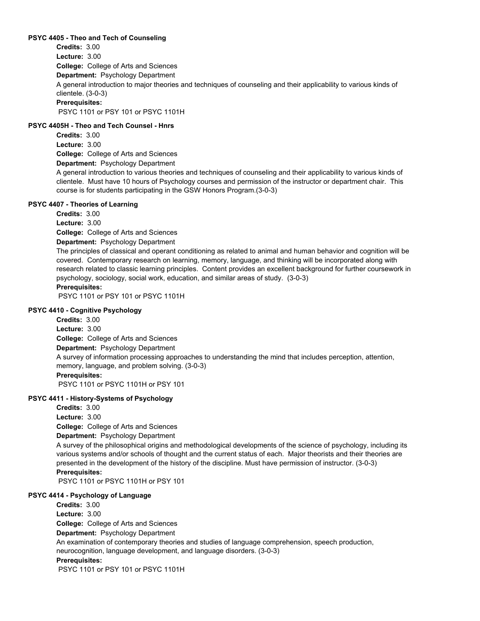### **PSYC 4405 - Theo and Tech of Counseling**

**College:** College of Arts and Sciences **Department:** Psychology Department **Credits:** 3.00 **Lecture:** 3.00 A general introduction to major theories and techniques of counseling and their applicability to various kinds of clientele. (3-0-3) **Prerequisites:**  PSYC 1101 or PSY 101 or PSYC 1101H

### **PSYC 4405H - Theo and Tech Counsel - Hnrs**

**College:** College of Arts and Sciences **Department:** Psychology Department **Credits:** 3.00 **Lecture:** 3.00

A general introduction to various theories and techniques of counseling and their applicability to various kinds of clientele. Must have 10 hours of Psychology courses and permission of the instructor or department chair. This course is for students participating in the GSW Honors Program.(3-0-3)

### **PSYC 4407 - Theories of Learning**

**Credits:** 3.00

**Lecture:** 3.00

**College:** College of Arts and Sciences

**Department:** Psychology Department

The principles of classical and operant conditioning as related to animal and human behavior and cognition will be covered. Contemporary research on learning, memory, language, and thinking will be incorporated along with research related to classic learning principles. Content provides an excellent background for further coursework in psychology, sociology, social work, education, and similar areas of study. (3-0-3) **Prerequisites:** 

PSYC 1101 or PSY 101 or PSYC 1101H

### **PSYC 4410 - Cognitive Psychology**

**College:** College of Arts and Sciences **Department:** Psychology Department **Credits:** 3.00 **Lecture:** 3.00 A survey of information processing approaches to understanding the mind that includes perception, attention, memory, language, and problem solving. (3-0-3) **Prerequisites:**  PSYC 1101 or PSYC 1101H or PSY 101

### **PSYC 4411 - History-Systems of Psychology**

**College:** College of Arts and Sciences **Department:** Psychology Department **Credits:** 3.00 **Lecture:** 3.00

A survey of the philosophical origins and methodological developments of the science of psychology, including its various systems and/or schools of thought and the current status of each. Major theorists and their theories are presented in the development of the history of the discipline. Must have permission of instructor. (3-0-3) **Prerequisites:** 

PSYC 1101 or PSYC 1101H or PSY 101

### **PSYC 4414 - Psychology of Language**

**College:** College of Arts and Sciences **Department:** Psychology Department **Credits:** 3.00 **Lecture:** 3.00 An examination of contemporary theories and studies of language comprehension, speech production, neurocognition, language development, and language disorders. (3-0-3) **Prerequisites:**  PSYC 1101 or PSY 101 or PSYC 1101H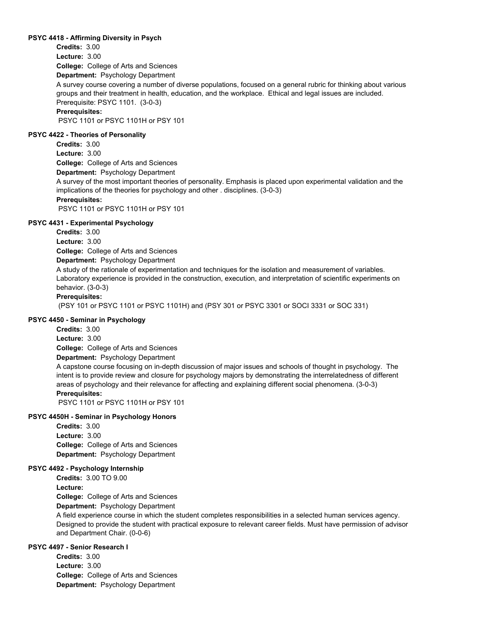## **PSYC 4418 - Affirming Diversity in Psych**

**College:** College of Arts and Sciences **Department:** Psychology Department **Credits:** 3.00 **Lecture:** 3.00

A survey course covering a number of diverse populations, focused on a general rubric for thinking about various groups and their treatment in health, education, and the workplace. Ethical and legal issues are included. Prerequisite: PSYC 1101. (3-0-3)

## **Prerequisites:**

PSYC 1101 or PSYC 1101H or PSY 101

#### **PSYC 4422 - Theories of Personality**

**College:** College of Arts and Sciences **Credits:** 3.00 **Lecture:** 3.00

**Department:** Psychology Department

A survey of the most important theories of personality. Emphasis is placed upon experimental validation and the implications of the theories for psychology and other . disciplines. (3-0-3)

#### **Prerequisites:**

PSYC 1101 or PSYC 1101H or PSY 101

#### **PSYC 4431 - Experimental Psychology**

**Credits:** 3.00

**Lecture:** 3.00

**College:** College of Arts and Sciences

**Department:** Psychology Department

A study of the rationale of experimentation and techniques for the isolation and measurement of variables. Laboratory experience is provided in the construction, execution, and interpretation of scientific experiments on behavior. (3-0-3)

# **Prerequisites:**

(PSY 101 or PSYC 1101 or PSYC 1101H) and (PSY 301 or PSYC 3301 or SOCI 3331 or SOC 331)

# **PSYC 4450 - Seminar in Psychology**

**Credits:** 3.00

**Lecture:** 3.00

**College:** College of Arts and Sciences

**Department:** Psychology Department

A capstone course focusing on in-depth discussion of major issues and schools of thought in psychology. The intent is to provide review and closure for psychology majors by demonstrating the interrelatedness of different areas of psychology and their relevance for affecting and explaining different social phenomena. (3-0-3)

# **Prerequisites:**

PSYC 1101 or PSYC 1101H or PSY 101

# **PSYC 4450H - Seminar in Psychology Honors**

**College:** College of Arts and Sciences **Department:** Psychology Department **Credits:** 3.00 **Lecture:** 3.00

#### **PSYC 4492 - Psychology Internship**

**Credits:** 3.00 TO 9.00

**Lecture:**

**College:** College of Arts and Sciences

**Department:** Psychology Department

A field experience course in which the student completes responsibilities in a selected human services agency. Designed to provide the student with practical exposure to relevant career fields. Must have permission of advisor and Department Chair. (0-0-6)

# **PSYC 4497 - Senior Research I**

**College:** College of Arts and Sciences **Department:** Psychology Department **Credits:** 3.00 **Lecture:** 3.00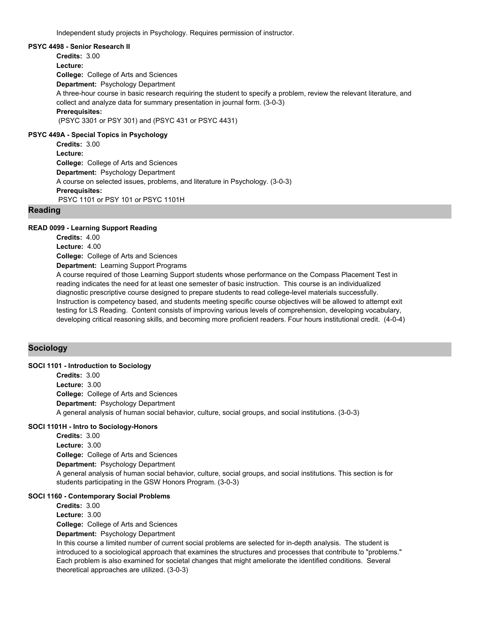Independent study projects in Psychology. Requires permission of instructor.

#### **PSYC 4498 - Senior Research II**

**College:** College of Arts and Sciences **Department:** Psychology Department **Credits:** 3.00 **Lecture:** A three-hour course in basic research requiring the student to specify a problem, review the relevant literature, and collect and analyze data for summary presentation in journal form. (3-0-3) **Prerequisites:**  (PSYC 3301 or PSY 301) and (PSYC 431 or PSYC 4431) **PSYC 449A - Special Topics in Psychology**

**College:** College of Arts and Sciences **Department:** Psychology Department **Credits:** 3.00 **Lecture:** A course on selected issues, problems, and literature in Psychology. (3-0-3) **Prerequisites:**  PSYC 1101 or PSY 101 or PSYC 1101H

#### **Reading**

#### **READ 0099 - Learning Support Reading**

**College:** College of Arts and Sciences **Department:** Learning Support Programs **Credits:** 4.00 **Lecture:** 4.00 A course required of those Learning Support students whose performance on the Compass Placement Test in reading indicates the need for at least one semester of basic instruction. This course is an individualized diagnostic prescriptive course designed to prepare students to read college-level materials successfully. Instruction is competency based, and students meeting specific course objectives will be allowed to attempt exit testing for LS Reading. Content consists of improving various levels of comprehension, developing vocabulary,

developing critical reasoning skills, and becoming more proficient readers. Four hours institutional credit. (4-0-4)

# **Sociology**

# **SOCI 1101 - Introduction to Sociology**

**College:** College of Arts and Sciences **Department:** Psychology Department **Credits:** 3.00 **Lecture:** 3.00 A general analysis of human social behavior, culture, social groups, and social institutions. (3-0-3)

# **SOCI 1101H - Intro to Sociology-Honors**

**College:** College of Arts and Sciences **Department:** Psychology Department **Credits:** 3.00 **Lecture:** 3.00 A general analysis of human social behavior, culture, social groups, and social institutions. This section is for students participating in the GSW Honors Program. (3-0-3)

## **SOCI 1160 - Contemporary Social Problems**

**College:** College of Arts and Sciences **Department:** Psychology Department **Credits:** 3.00 **Lecture:** 3.00 In this course a limited number of current social problems are selected for in-depth analysis. The student is introduced to a sociological approach that examines the structures and processes that contribute to "problems." Each problem is also examined for societal changes that might ameliorate the identified conditions. Several theoretical approaches are utilized. (3-0-3)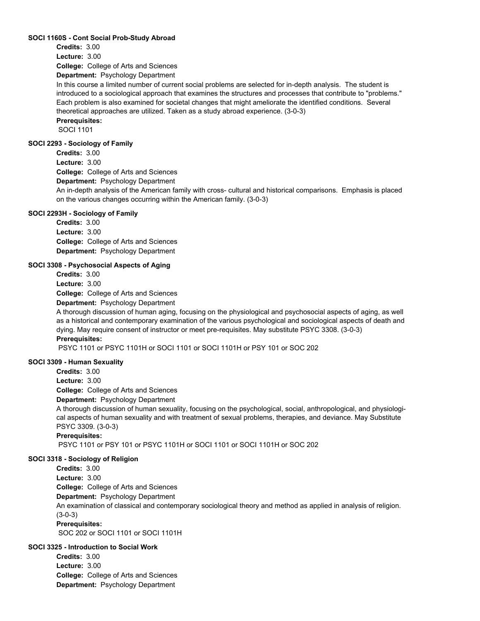#### **SOCI 1160S - Cont Social Prob-Study Abroad**

**Credits:** 3.00

**Lecture:** 3.00

**College:** College of Arts and Sciences

**Department:** Psychology Department

In this course a limited number of current social problems are selected for in-depth analysis. The student is introduced to a sociological approach that examines the structures and processes that contribute to "problems." Each problem is also examined for societal changes that might ameliorate the identified conditions. Several theoretical approaches are utilized. Taken as a study abroad experience. (3-0-3)

# **Prerequisites:**

SOCI 1101

# **SOCI 2293 - Sociology of Family**

**College:** College of Arts and Sciences **Department:** Psychology Department **Credits:** 3.00 **Lecture:** 3.00 An in-depth analysis of the American family with cross- cultural and historical comparisons. Emphasis is placed on the various changes occurring within the American family. (3-0-3)

#### **SOCI 2293H - Sociology of Family**

**College:** College of Arts and Sciences **Department:** Psychology Department **Credits:** 3.00 **Lecture:** 3.00

### **SOCI 3308 - Psychosocial Aspects of Aging**

**College:** College of Arts and Sciences **Department:** Psychology Department **Credits:** 3.00 **Lecture:** 3.00

A thorough discussion of human aging, focusing on the physiological and psychosocial aspects of aging, as well as a historical and contemporary examination of the various psychological and sociological aspects of death and dying. May require consent of instructor or meet pre-requisites. May substitute PSYC 3308. (3-0-3) **Prerequisites:** 

PSYC 1101 or PSYC 1101H or SOCI 1101 or SOCI 1101H or PSY 101 or SOC 202

#### **SOCI 3309 - Human Sexuality**

**College:** College of Arts and Sciences **Credits:** 3.00 **Lecture:** 3.00

**Department:** Psychology Department

A thorough discussion of human sexuality, focusing on the psychological, social, anthropological, and physiological aspects of human sexuality and with treatment of sexual problems, therapies, and deviance. May Substitute PSYC 3309. (3-0-3)

**Prerequisites:** 

PSYC 1101 or PSY 101 or PSYC 1101H or SOCI 1101 or SOCI 1101H or SOC 202

# **SOCI 3318 - Sociology of Religion**

**Credits:** 3.00

**College:** College of Arts and Sciences **Lecture:** 3.00

**Department:** Psychology Department

An examination of classical and contemporary sociological theory and method as applied in analysis of religion. (3-0-3)

# **Prerequisites:**

SOC 202 or SOCI 1101 or SOCI 1101H

# **SOCI 3325 - Introduction to Social Work**

**College:** College of Arts and Sciences **Department:** Psychology Department **Credits:** 3.00 **Lecture:** 3.00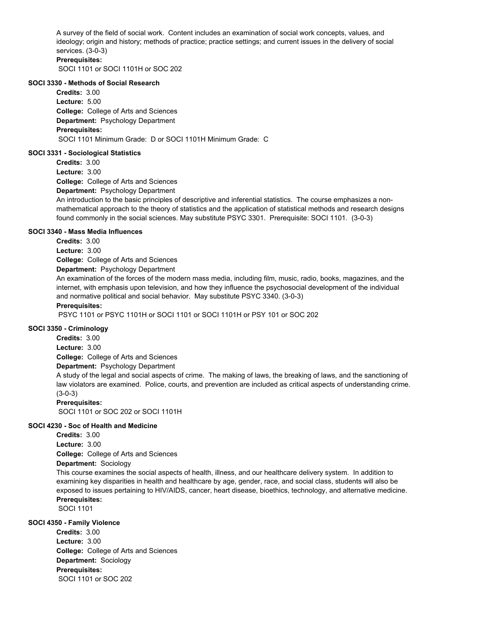A survey of the field of social work. Content includes an examination of social work concepts, values, and ideology; origin and history; methods of practice; practice settings; and current issues in the delivery of social services. (3-0-3)

# **Prerequisites:**

SOCI 1101 or SOCI 1101H or SOC 202

#### **SOCI 3330 - Methods of Social Research**

**College:** College of Arts and Sciences **Department:** Psychology Department **Credits:** 3.00 **Lecture:** 5.00 **Prerequisites:**  SOCI 1101 Minimum Grade: D or SOCI 1101H Minimum Grade: C

#### **SOCI 3331 - Sociological Statistics**

**Credits:** 3.00 **Lecture:** 3.00

**College:** College of Arts and Sciences

**Department:** Psychology Department

An introduction to the basic principles of descriptive and inferential statistics. The course emphasizes a nonmathematical approach to the theory of statistics and the application of statistical methods and research designs found commonly in the social sciences. May substitute PSYC 3301. Prerequisite: SOCI 1101. (3-0-3)

#### **SOCI 3340 - Mass Media Influences**

**Credits:** 3.00

**Lecture:** 3.00

**College:** College of Arts and Sciences

# **Department:** Psychology Department

An examination of the forces of the modern mass media, including film, music, radio, books, magazines, and the internet, with emphasis upon television, and how they influence the psychosocial development of the individual and normative political and social behavior. May substitute PSYC 3340. (3-0-3)

#### **Prerequisites:**

PSYC 1101 or PSYC 1101H or SOCI 1101 or SOCI 1101H or PSY 101 or SOC 202

# **SOCI 3350 - Criminology**

**College:** College of Arts and Sciences **Department:** Psychology Department **Credits:** 3.00 **Lecture:** 3.00

A study of the legal and social aspects of crime. The making of laws, the breaking of laws, and the sanctioning of law violators are examined. Police, courts, and prevention are included as critical aspects of understanding crime. (3-0-3)

#### **Prerequisites:**

SOCI 1101 or SOC 202 or SOCI 1101H

## **SOCI 4230 - Soc of Health and Medicine**

- **Credits:** 3.00
- **Lecture:** 3.00

**College:** College of Arts and Sciences

#### **Department:** Sociology

This course examines the social aspects of health, illness, and our healthcare delivery system. In addition to examining key disparities in health and healthcare by age, gender, race, and social class, students will also be exposed to issues pertaining to HIV/AIDS, cancer, heart disease, bioethics, technology, and alternative medicine. **Prerequisites:** 

SOCI 1101

# **SOCI 4350 - Family Violence**

**College:** College of Arts and Sciences **Department:** Sociology **Credits:** 3.00 **Lecture:** 3.00 **Prerequisites:**  SOCI 1101 or SOC 202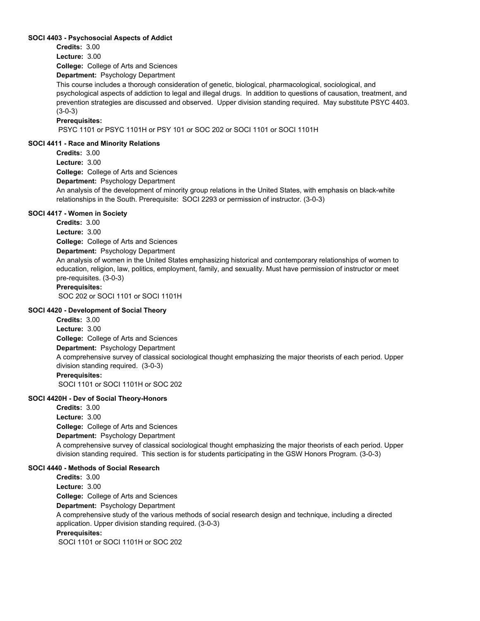#### **SOCI 4403 - Psychosocial Aspects of Addict**

**Credits:** 3.00

**Lecture:** 3.00

**College:** College of Arts and Sciences

**Department:** Psychology Department

This course includes a thorough consideration of genetic, biological, pharmacological, sociological, and psychological aspects of addiction to legal and illegal drugs. In addition to questions of causation, treatment, and prevention strategies are discussed and observed. Upper division standing required. May substitute PSYC 4403. (3-0-3)

## **Prerequisites:**

PSYC 1101 or PSYC 1101H or PSY 101 or SOC 202 or SOCI 1101 or SOCI 1101H

# **SOCI 4411 - Race and Minority Relations**

**College:** College of Arts and Sciences **Department:** Psychology Department **Credits:** 3.00 **Lecture:** 3.00 An analysis of the development of minority group relations in the United States, with emphasis on black-white relationships in the South. Prerequisite: SOCI 2293 or permission of instructor. (3-0-3)

# **SOCI 4417 - Women in Society**

**College:** College of Arts and Sciences **Department:** Psychology Department **Credits:** 3.00 **Lecture:** 3.00 An analysis of women in the United States emphasizing historical and contemporary relationships of women to education, religion, law, politics, employment, family, and sexuality. Must have permission of instructor or meet pre-requisites. (3-0-3) **Prerequisites:**  SOC 202 or SOCI 1101 or SOCI 1101H

## **SOCI 4420 - Development of Social Theory**

**College:** College of Arts and Sciences **Department:** Psychology Department **Credits:** 3.00 **Lecture:** 3.00 A comprehensive survey of classical sociological thought emphasizing the major theorists of each period. Upper division standing required. (3-0-3) **Prerequisites:**  SOCI 1101 or SOCI 1101H or SOC 202

# **SOCI 4420H - Dev of Social Theory-Honors**

**College:** College of Arts and Sciences **Department:** Psychology Department **Credits:** 3.00 **Lecture:** 3.00 A comprehensive survey of classical sociological thought emphasizing the major theorists of each period. Upper division standing required. This section is for students participating in the GSW Honors Program. (3-0-3)

# **SOCI 4440 - Methods of Social Research**

**College:** College of Arts and Sciences **Department:** Psychology Department **Credits:** 3.00 **Lecture:** 3.00 A comprehensive study of the various methods of social research design and technique, including a directed application. Upper division standing required. (3-0-3) **Prerequisites:**  SOCI 1101 or SOCI 1101H or SOC 202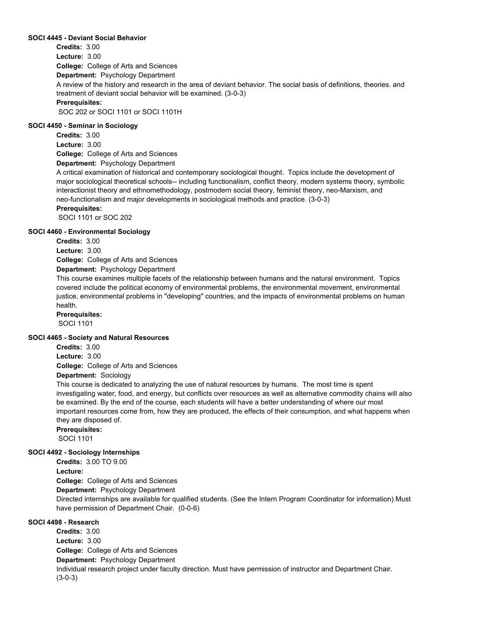## **SOCI 4445 - Deviant Social Behavior**

**College:** College of Arts and Sciences **Department:** Psychology Department **Credits:** 3.00 **Lecture:** 3.00 A review of the history and research in the area of deviant behavior. The social basis of definitions, theories. and treatment of deviant social behavior will be examined. (3-0-3) **Prerequisites:**  SOC 202 or SOCI 1101 or SOCI 1101H

#### **SOCI 4450 - Seminar in Sociology**

**College:** College of Arts and Sciences **Department:** Psychology Department **Credits:** 3.00 **Lecture:** 3.00

A critical examination of historical and contemporary sociological thought. Topics include the development of major sociological theoretical schools-- including functionalism, conflict theory, modern systems theory, symbolic interactionist theory and ethnomethodology, postmodern social theory, feminist theory, neo-Marxism, and neo-functionalism and major developments in sociological methods and practice. (3-0-3)

## **Prerequisites:**

SOCI 1101 or SOC 202

#### **SOCI 4460 - Environmental Sociology**

**Credits:** 3.00

**Lecture:** 3.00

**College:** College of Arts and Sciences

# **Department:** Psychology Department

This course examines multiple facets of the relationship between humans and the natural environment. Topics covered include the political economy of environmental problems, the environmental movement, environmental justice, environmental problems in "developing" countries, and the impacts of environmental problems on human health.

#### **Prerequisites:**

SOCI 1101

#### **SOCI 4465 - Society and Natural Resources**

**Credits:** 3.00

**Lecture:** 3.00

**College:** College of Arts and Sciences

#### **Department:** Sociology

This course is dedicated to analyzing the use of natural resources by humans. The most time is spent investigating water, food, and energy, but conflicts over resources as well as alternative commodity chains will also be examined. By the end of the course, each students will have a better understanding of where our most important resources come from, how they are produced, the effects of their consumption, and what happens when they are disposed of.

**Prerequisites:**  SOCI 1101

#### **SOCI 4492 - Sociology Internships**

**College:** College of Arts and Sciences **Department:** Psychology Department **Credits:** 3.00 TO 9.00 **Lecture:** Directed internships are available for qualified students. (See the Intern Program Coordinator for information) Must have permission of Department Chair. (0-0-6)

# **SOCI 4498 - Research**

**College:** College of Arts and Sciences **Department:** Psychology Department **Credits:** 3.00 **Lecture:** 3.00 Individual research project under faculty direction. Must have permission of instructor and Department Chair. (3-0-3)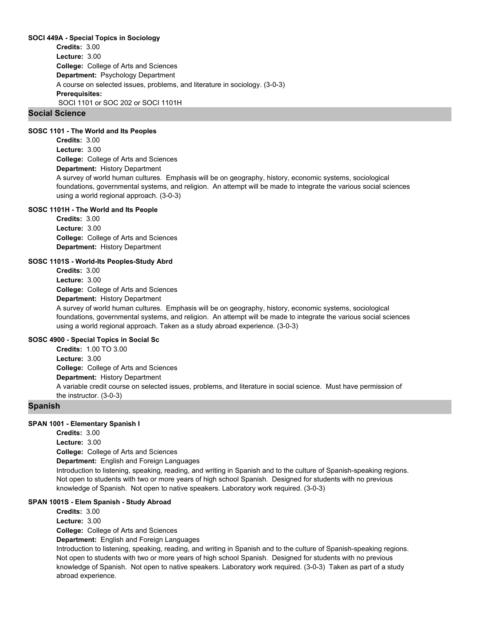## **SOCI 449A - Special Topics in Sociology**

**College:** College of Arts and Sciences **Department:** Psychology Department **Credits:** 3.00 **Lecture:** 3.00 A course on selected issues, problems, and literature in sociology. (3-0-3) **Prerequisites:**  SOCI 1101 or SOC 202 or SOCI 1101H

# **Social Science**

#### **SOSC 1101 - The World and Its Peoples**

**College:** College of Arts and Sciences **Department:** History Department **Credits:** 3.00 **Lecture:** 3.00 A survey of world human cultures. Emphasis will be on geography, history, economic systems, sociological foundations, governmental systems, and religion. An attempt will be made to integrate the various social sciences using a world regional approach. (3-0-3)

# **SOSC 1101H - The World and Its People**

**College:** College of Arts and Sciences **Department:** History Department **Credits:** 3.00 **Lecture:** 3.00

#### **SOSC 1101S - World-Its Peoples-Study Abrd**

**College:** College of Arts and Sciences **Department:** History Department **Credits:** 3.00 **Lecture:** 3.00

A survey of world human cultures. Emphasis will be on geography, history, economic systems, sociological foundations, governmental systems, and religion. An attempt will be made to integrate the various social sciences using a world regional approach. Taken as a study abroad experience. (3-0-3)

# **SOSC 4900 - Special Topics in Social Sc**

**College:** College of Arts and Sciences **Department:** History Department **Credits:** 1.00 TO 3.00 **Lecture:** 3.00 A variable credit course on selected issues, problems, and literature in social science. Must have permission of the instructor. (3-0-3)

# **Spanish**

#### **SPAN 1001 - Elementary Spanish I**

**College:** College of Arts and Sciences **Department:** English and Foreign Languages **Credits:** 3.00 **Lecture:** 3.00 Introduction to listening, speaking, reading, and writing in Spanish and to the culture of Spanish-speaking regions. Not open to students with two or more years of high school Spanish. Designed for students with no previous knowledge of Spanish. Not open to native speakers. Laboratory work required. (3-0-3)

#### **SPAN 1001S - Elem Spanish - Study Abroad**

**Credits:** 3.00 **Lecture:** 3.00

**College:** College of Arts and Sciences

**Department:** English and Foreign Languages

Introduction to listening, speaking, reading, and writing in Spanish and to the culture of Spanish-speaking regions. Not open to students with two or more years of high school Spanish. Designed for students with no previous knowledge of Spanish. Not open to native speakers. Laboratory work required. (3-0-3) Taken as part of a study abroad experience.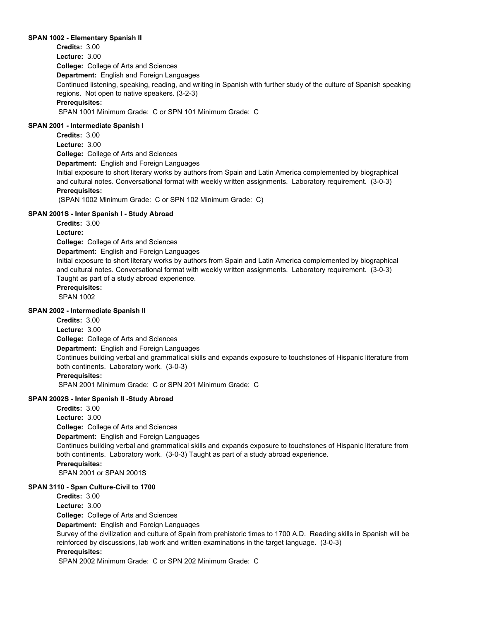#### **SPAN 1002 - Elementary Spanish II**

**College:** College of Arts and Sciences **Department:** English and Foreign Languages **Credits:** 3.00 **Lecture:** 3.00 Continued listening, speaking, reading, and writing in Spanish with further study of the culture of Spanish speaking regions. Not open to native speakers. (3-2-3) **Prerequisites:**  SPAN 1001 Minimum Grade: C or SPN 101 Minimum Grade: C

#### **SPAN 2001 - Intermediate Spanish I**

**College:** College of Arts and Sciences **Department:** English and Foreign Languages **Credits:** 3.00 **Lecture:** 3.00 Initial exposure to short literary works by authors from Spain and Latin America complemented by biographical and cultural notes. Conversational format with weekly written assignments. Laboratory requirement. (3-0-3) **Prerequisites:**  (SPAN 1002 Minimum Grade: C or SPN 102 Minimum Grade: C)

# **SPAN 2001S - Inter Spanish I - Study Abroad**

**Credits:** 3.00

**Lecture:**

**College:** College of Arts and Sciences

**Department:** English and Foreign Languages

Initial exposure to short literary works by authors from Spain and Latin America complemented by biographical and cultural notes. Conversational format with weekly written assignments. Laboratory requirement. (3-0-3) Taught as part of a study abroad experience.

**Prerequisites:** 

SPAN 1002

# **SPAN 2002 - Intermediate Spanish II**

**College:** College of Arts and Sciences **Department:** English and Foreign Languages **Credits:** 3.00 **Lecture:** 3.00 Continues building verbal and grammatical skills and expands exposure to touchstones of Hispanic literature from both continents. Laboratory work. (3-0-3) **Prerequisites:**  SPAN 2001 Minimum Grade: C or SPN 201 Minimum Grade: C

# **SPAN 2002S - Inter Spanish II -Study Abroad**

**College:** College of Arts and Sciences **Department:** English and Foreign Languages **Credits:** 3.00 **Lecture:** 3.00 Continues building verbal and grammatical skills and expands exposure to touchstones of Hispanic literature from both continents. Laboratory work. (3-0-3) Taught as part of a study abroad experience. **Prerequisites:**  SPAN 2001 or SPAN 2001S

# **SPAN 3110 - Span Culture-Civil to 1700**

**College:** College of Arts and Sciences **Department:** English and Foreign Languages **Credits:** 3.00 **Lecture:** 3.00 Survey of the civilization and culture of Spain from prehistoric times to 1700 A.D. Reading skills in Spanish will be reinforced by discussions, lab work and written examinations in the target language. (3-0-3) **Prerequisites:** 

SPAN 2002 Minimum Grade: C or SPN 202 Minimum Grade: C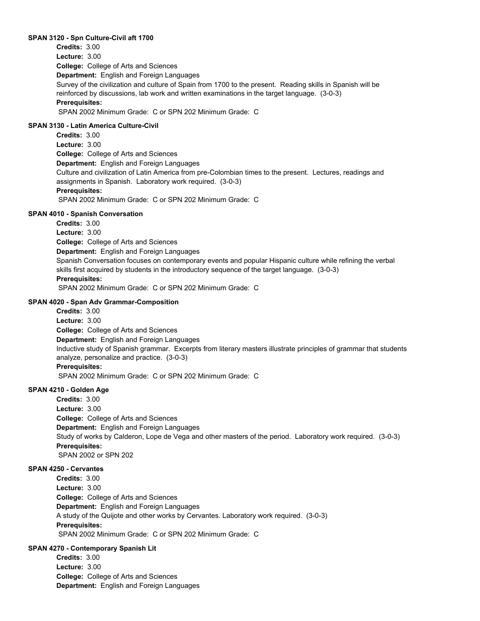## **SPAN 3120 - Spn Culture-Civil aft 1700**

**College:** College of Arts and Sciences **Department:** English and Foreign Languages **Credits:** 3.00 **Lecture:** 3.00 Survey of the civilization and culture of Spain from 1700 to the present. Reading skills in Spanish will be reinforced by discussions, lab work and written examinations in the target language. (3-0-3) **Prerequisites:**  SPAN 2002 Minimum Grade: C or SPN 202 Minimum Grade: C

#### **SPAN 3130 - Latin America Culture-Civil**

**College:** College of Arts and Sciences **Department:** English and Foreign Languages **Credits:** 3.00 **Lecture:** 3.00 Culture and civilization of Latin America from pre-Colombian times to the present. Lectures, readings and assignments in Spanish. Laboratory work required. (3-0-3) **Prerequisites:**  SPAN 2002 Minimum Grade: C or SPN 202 Minimum Grade: C

#### **SPAN 4010 - Spanish Conversation**

**College:** College of Arts and Sciences **Department:** English and Foreign Languages **Credits:** 3.00 **Lecture:** 3.00 Spanish Conversation focuses on contemporary events and popular Hispanic culture while refining the verbal skills first acquired by students in the introductory sequence of the target language. (3-0-3) **Prerequisites:**  SPAN 2002 Minimum Grade: C or SPN 202 Minimum Grade: C

#### **SPAN 4020 - Span Adv Grammar-Composition**

**College:** College of Arts and Sciences **Department:** English and Foreign Languages **Credits:** 3.00 **Lecture:** 3.00 Inductive study of Spanish grammar. Excerpts from literary masters illustrate principles of grammar that students analyze, personalize and practice. (3-0-3) **Prerequisites:**  SPAN 2002 Minimum Grade: C or SPN 202 Minimum Grade: C

# **SPAN 4210 - Golden Age**

**College:** College of Arts and Sciences **Department:** English and Foreign Languages **Credits:** 3.00 **Lecture:** 3.00 Study of works by Calderon, Lope de Vega and other masters of the period. Laboratory work required. (3-0-3) **Prerequisites:**  SPAN 2002 or SPN 202

# **SPAN 4250 - Cervantes**

**College:** College of Arts and Sciences **Department:** English and Foreign Languages **Credits:** 3.00 **Lecture:** 3.00 A study of the Quijote and other works by Cervantes. Laboratory work required. (3-0-3) **Prerequisites:**  SPAN 2002 Minimum Grade: C or SPN 202 Minimum Grade: C

#### **SPAN 4270 - Contemporary Spanish Lit**

**College:** College of Arts and Sciences **Department:** English and Foreign Languages **Credits:** 3.00 **Lecture:** 3.00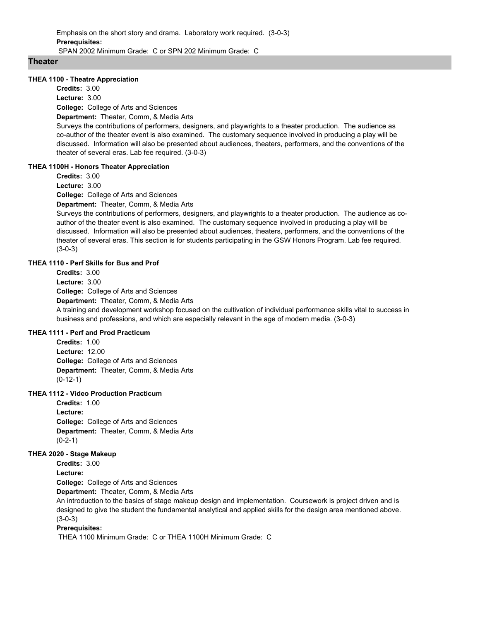**Theater**

#### **THEA 1100 - Theatre Appreciation**

**College:** College of Arts and Sciences **Department:** Theater, Comm, & Media Arts **Credits:** 3.00 **Lecture:** 3.00

Surveys the contributions of performers, designers, and playwrights to a theater production. The audience as co-author of the theater event is also examined. The customary sequence involved in producing a play will be discussed. Information will also be presented about audiences, theaters, performers, and the conventions of the theater of several eras. Lab fee required. (3-0-3)

# **THEA 1100H - Honors Theater Appreciation**

**Credits:** 3.00

**Lecture:** 3.00

**College:** College of Arts and Sciences

**Department:** Theater, Comm, & Media Arts

Surveys the contributions of performers, designers, and playwrights to a theater production. The audience as coauthor of the theater event is also examined. The customary sequence involved in producing a play will be discussed. Information will also be presented about audiences, theaters, performers, and the conventions of the theater of several eras. This section is for students participating in the GSW Honors Program. Lab fee required. (3-0-3)

# **THEA 1110 - Perf Skills for Bus and Prof**

**College:** College of Arts and Sciences **Department:** Theater, Comm, & Media Arts **Credits:** 3.00 **Lecture:** 3.00 A training and development workshop focused on the cultivation of individual performance skills vital to success in business and professions, and which are especially relevant in the age of modern media. (3-0-3)

# **THEA 1111 - Perf and Prod Practicum**

**College:** College of Arts and Sciences **Department:** Theater, Comm, & Media Arts **Credits:** 1.00 **Lecture:** 12.00 (0-12-1)

# **THEA 1112 - Video Production Practicum**

**College:** College of Arts and Sciences **Department:** Theater, Comm, & Media Arts **Credits:** 1.00 **Lecture:**  $(0-2-1)$ 

#### **THEA 2020 - Stage Makeup**

**Credits:** 3.00

**Lecture:**

**College:** College of Arts and Sciences

**Department:** Theater, Comm, & Media Arts

An introduction to the basics of stage makeup design and implementation. Coursework is project driven and is designed to give the student the fundamental analytical and applied skills for the design area mentioned above. (3-0-3)

#### **Prerequisites:**

THEA 1100 Minimum Grade: C or THEA 1100H Minimum Grade: C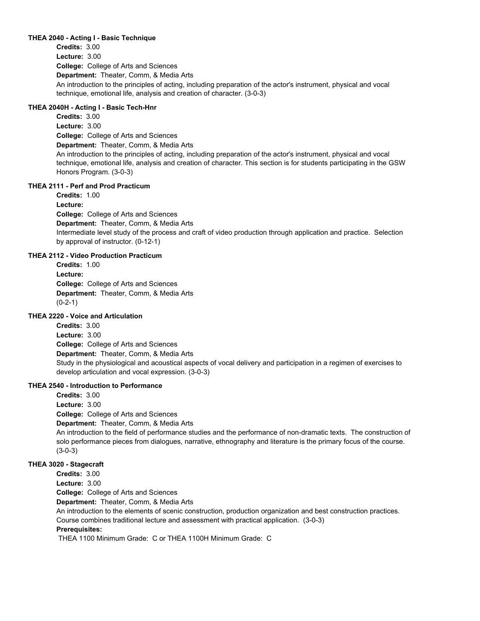## **THEA 2040 - Acting I - Basic Technique**

**College:** College of Arts and Sciences **Department:** Theater, Comm, & Media Arts **Credits:** 3.00 **Lecture:** 3.00 An introduction to the principles of acting, including preparation of the actor's instrument, physical and vocal technique, emotional life, analysis and creation of character. (3-0-3)

# **THEA 2040H - Acting I - Basic Tech-Hnr**

**College:** College of Arts and Sciences **Department:** Theater, Comm, & Media Arts **Credits:** 3.00 **Lecture:** 3.00 An introduction to the principles of acting, including preparation of the actor's instrument, physical and vocal technique, emotional life, analysis and creation of character. This section is for students participating in the GSW Honors Program. (3-0-3)

#### **THEA 2111 - Perf and Prod Practicum**

**College:** College of Arts and Sciences **Department:** Theater, Comm, & Media Arts **Credits:** 1.00 **Lecture:** Intermediate level study of the process and craft of video production through application and practice. Selection by approval of instructor. (0-12-1)

# **THEA 2112 - Video Production Practicum**

**College:** College of Arts and Sciences **Department:** Theater, Comm, & Media Arts **Credits:** 1.00 **Lecture:**  $(0-2-1)$ 

# **THEA 2220 - Voice and Articulation**

**College:** College of Arts and Sciences **Department:** Theater, Comm, & Media Arts **Credits:** 3.00 **Lecture:** 3.00 Study in the physiological and acoustical aspects of vocal delivery and participation in a regimen of exercises to develop articulation and vocal expression. (3-0-3)

# **THEA 2540 - Introduction to Performance**

**Credits:** 3.00

**Lecture:** 3.00

**College:** College of Arts and Sciences

**Department:** Theater, Comm, & Media Arts

An introduction to the field of performance studies and the performance of non-dramatic texts. The construction of solo performance pieces from dialogues, narrative, ethnography and literature is the primary focus of the course. (3-0-3)

# **THEA 3020 - Stagecraft**

**Credits:** 3.00

**Lecture:** 3.00

**College:** College of Arts and Sciences

**Department:** Theater, Comm, & Media Arts

An introduction to the elements of scenic construction, production organization and best construction practices. Course combines traditional lecture and assessment with practical application. (3-0-3)

# **Prerequisites:**

THEA 1100 Minimum Grade: C or THEA 1100H Minimum Grade: C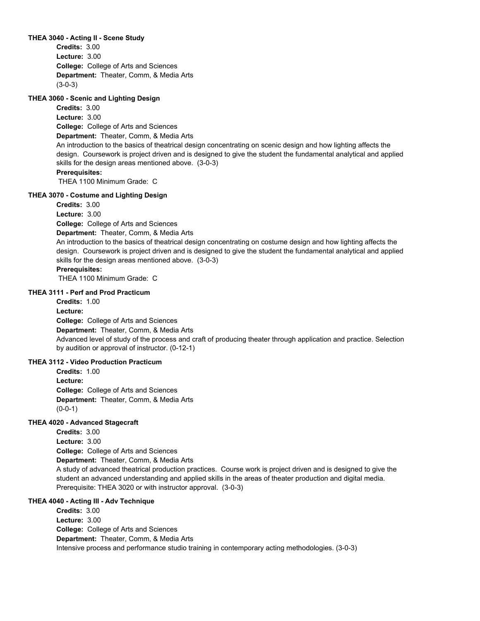#### **THEA 3040 - Acting II - Scene Study**

**College:** College of Arts and Sciences **Department:** Theater, Comm, & Media Arts **Credits:** 3.00 **Lecture:** 3.00 (3-0-3)

## **THEA 3060 - Scenic and Lighting Design**

**College:** College of Arts and Sciences **Department:** Theater, Comm, & Media Arts **Credits:** 3.00 **Lecture:** 3.00 An introduction to the basics of theatrical design concentrating on scenic design and how lighting affects the design. Coursework is project driven and is designed to give the student the fundamental analytical and applied skills for the design areas mentioned above. (3-0-3) **Prerequisites:**  THEA 1100 Minimum Grade: C

#### **THEA 3070 - Costume and Lighting Design**

**Credits:** 3.00

**College:** College of Arts and Sciences **Lecture:** 3.00

**Department:** Theater, Comm, & Media Arts

An introduction to the basics of theatrical design concentrating on costume design and how lighting affects the design. Coursework is project driven and is designed to give the student the fundamental analytical and applied skills for the design areas mentioned above. (3-0-3)

# **Prerequisites:**

THEA 1100 Minimum Grade: C

#### **THEA 3111 - Perf and Prod Practicum**

**College:** College of Arts and Sciences **Department:** Theater, Comm, & Media Arts **Credits:** 1.00 **Lecture:** Advanced level of study of the process and craft of producing theater through application and practice. Selection by audition or approval of instructor. (0-12-1)

# **THEA 3112 - Video Production Practicum**

**College:** College of Arts and Sciences **Department:** Theater, Comm, & Media Arts **Credits:** 1.00 **Lecture:**  $(0-0-1)$ 

# **THEA 4020 - Advanced Stagecraft**

**College:** College of Arts and Sciences **Department:** Theater, Comm, & Media Arts **Credits:** 3.00 **Lecture:** 3.00

A study of advanced theatrical production practices. Course work is project driven and is designed to give the student an advanced understanding and applied skills in the areas of theater production and digital media. Prerequisite: THEA 3020 or with instructor approval. (3-0-3)

# **THEA 4040 - Acting III - Adv Technique**

**College:** College of Arts and Sciences **Department:** Theater, Comm, & Media Arts **Credits:** 3.00 **Lecture:** 3.00 Intensive process and performance studio training in contemporary acting methodologies. (3-0-3)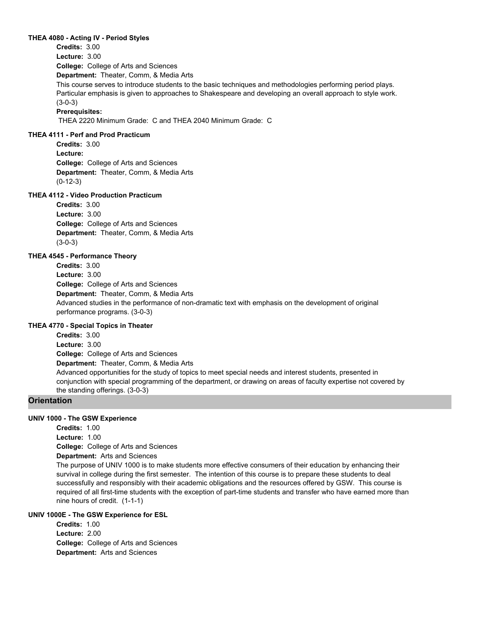#### **THEA 4080 - Acting IV - Period Styles**

**College:** College of Arts and Sciences **Department:** Theater, Comm, & Media Arts **Credits:** 3.00 **Lecture:** 3.00 This course serves to introduce students to the basic techniques and methodologies performing period plays. Particular emphasis is given to approaches to Shakespeare and developing an overall approach to style work. (3-0-3)

# **Prerequisites:**

THEA 2220 Minimum Grade: C and THEA 2040 Minimum Grade: C

#### **THEA 4111 - Perf and Prod Practicum**

**College:** College of Arts and Sciences **Department:** Theater, Comm, & Media Arts **Credits:** 3.00 **Lecture:** (0-12-3)

# **THEA 4112 - Video Production Practicum**

**College:** College of Arts and Sciences **Department:** Theater, Comm, & Media Arts **Credits:** 3.00 **Lecture:** 3.00 (3-0-3)

# **THEA 4545 - Performance Theory**

**College:** College of Arts and Sciences **Department:** Theater, Comm, & Media Arts **Credits:** 3.00 **Lecture:** 3.00 Advanced studies in the performance of non-dramatic text with emphasis on the development of original performance programs. (3-0-3)

# **THEA 4770 - Special Topics in Theater**

**College:** College of Arts and Sciences **Department:** Theater, Comm, & Media Arts **Credits:** 3.00 **Lecture:** 3.00 Advanced opportunities for the study of topics to meet special needs and interest students, presented in conjunction with special programming of the department, or drawing on areas of faculty expertise not covered by the standing offerings. (3-0-3)

# **Orientation**

# **UNIV 1000 - The GSW Experience**

**College:** College of Arts and Sciences **Department:** Arts and Sciences **Credits:** 1.00 **Lecture:** 1.00 The purpose of UNIV 1000 is to make students more effective consumers of their education by enhancing their survival in college during the first semester. The intention of this course is to prepare these students to deal successfully and responsibly with their academic obligations and the resources offered by GSW. This course is required of all first-time students with the exception of part-time students and transfer who have earned more than nine hours of credit. (1-1-1)

# **UNIV 1000E - The GSW Experience for ESL**

**College:** College of Arts and Sciences **Department:** Arts and Sciences **Credits:** 1.00 **Lecture:** 2.00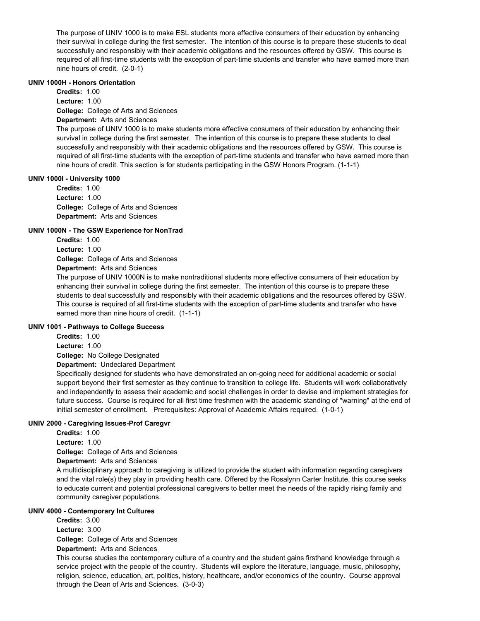The purpose of UNIV 1000 is to make ESL students more effective consumers of their education by enhancing their survival in college during the first semester. The intention of this course is to prepare these students to deal successfully and responsibly with their academic obligations and the resources offered by GSW. This course is required of all first-time students with the exception of part-time students and transfer who have earned more than nine hours of credit. (2-0-1)

# **UNIV 1000H - Honors Orientation**

**College:** College of Arts and Sciences **Department:** Arts and Sciences **Credits:** 1.00 **Lecture:** 1.00

The purpose of UNIV 1000 is to make students more effective consumers of their education by enhancing their survival in college during the first semester. The intention of this course is to prepare these students to deal successfully and responsibly with their academic obligations and the resources offered by GSW. This course is required of all first-time students with the exception of part-time students and transfer who have earned more than nine hours of credit. This section is for students participating in the GSW Honors Program. (1-1-1)

#### **UNIV 1000I - University 1000**

**College:** College of Arts and Sciences **Department:** Arts and Sciences **Credits:** 1.00 **Lecture:** 1.00

#### **UNIV 1000N - The GSW Experience for NonTrad**

**Credits:** 1.00

**Lecture:** 1.00

**College:** College of Arts and Sciences

**Department:** Arts and Sciences

The purpose of UNIV 1000N is to make nontraditional students more effective consumers of their education by enhancing their survival in college during the first semester. The intention of this course is to prepare these students to deal successfully and responsibly with their academic obligations and the resources offered by GSW. This course is required of all first-time students with the exception of part-time students and transfer who have earned more than nine hours of credit. (1-1-1)

# **UNIV 1001 - Pathways to College Success**

**Credits:** 1.00 **Lecture:** 1.00

**College:** No College Designated

**Department:** Undeclared Department

Specifically designed for students who have demonstrated an on-going need for additional academic or social support beyond their first semester as they continue to transition to college life. Students will work collaboratively and independently to assess their academic and social challenges in order to devise and implement strategies for future success. Course is required for all first time freshmen with the academic standing of "warning" at the end of initial semester of enrollment. Prerequisites: Approval of Academic Affairs required. (1-0-1)

# **UNIV 2000 - Caregiving Issues-Prof Caregvr**

**Credits:** 1.00 **Lecture:** 1.00

**College:** College of Arts and Sciences

**Department:** Arts and Sciences

A multidisciplinary approach to caregiving is utilized to provide the student with information regarding caregivers and the vital role(s) they play in providing health care. Offered by the Rosalynn Carter Institute, this course seeks to educate current and potential professional caregivers to better meet the needs of the rapidly rising family and community caregiver populations.

#### **UNIV 4000 - Contemporary Int Cultures**

**College:** College of Arts and Sciences **Department:** Arts and Sciences **Credits:** 3.00 **Lecture:** 3.00

This course studies the contemporary culture of a country and the student gains firsthand knowledge through a service project with the people of the country. Students will explore the literature, language, music, philosophy, religion, science, education, art, politics, history, healthcare, and/or economics of the country. Course approval through the Dean of Arts and Sciences. (3-0-3)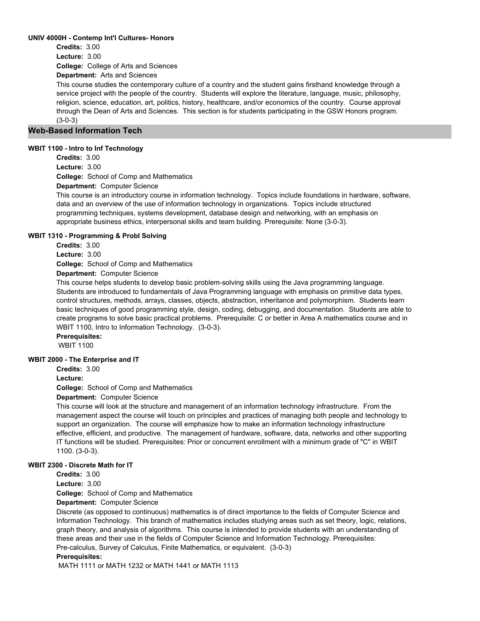## **UNIV 4000H - Contemp Int'l Cultures- Honors**

**Credits:** 3.00

**College:** College of Arts and Sciences **Lecture:** 3.00

**Department:** Arts and Sciences

This course studies the contemporary culture of a country and the student gains firsthand knowledge through a service project with the people of the country. Students will explore the literature, language, music, philosophy, religion, science, education, art, politics, history, healthcare, and/or economics of the country. Course approval through the Dean of Arts and Sciences. This section is for students participating in the GSW Honors program. (3-0-3)

# **Web-Based Information Tech**

# **WBIT 1100 - Intro to Inf Technology**

**Credits:** 3.00

**Lecture:** 3.00

**College:** School of Comp and Mathematics

**Department:** Computer Science

This course is an introductory course in information technology. Topics include foundations in hardware, software, data and an overview of the use of information technology in organizations. Topics include structured programming techniques, systems development, database design and networking, with an emphasis on appropriate business ethics, interpersonal skills and team building. Prerequisite: None (3-0-3).

#### **WBIT 1310 - Programming & Probl Solving**

**Credits:** 3.00

**Lecture:** 3.00

**College:** School of Comp and Mathematics

**Department:** Computer Science

This course helps students to develop basic problem-solving skills using the Java programming language. Students are introduced to fundamentals of Java Programming language with emphasis on primitive data types, control structures, methods, arrays, classes, objects, abstraction, inheritance and polymorphism. Students learn basic techniques of good programming style, design, coding, debugging, and documentation. Students are able to create programs to solve basic practical problems. Prerequisite: C or better in Area A mathematics course and in WBIT 1100, Intro to Information Technology. (3-0-3).

**Prerequisites:** 

WBIT 1100

# **WBIT 2000 - The Enterprise and IT**

**Credits:** 3.00

**Lecture:**

**College:** School of Comp and Mathematics

**Department:** Computer Science

This course will look at the structure and management of an information technology infrastructure. From the management aspect the course will touch on principles and practices of managing both people and technology to support an organization. The course will emphasize how to make an information technology infrastructure effective, efficient, and productive. The management of hardware, software, data, networks and other supporting IT functions will be studied. Prerequisites: Prior or concurrent enrollment with a minimum grade of "C" in WBIT 1100. (3-0-3).

# **WBIT 2300 - Discrete Math for IT**

**Credits:** 3.00

**Lecture:** 3.00

**College:** School of Comp and Mathematics

**Department:** Computer Science

Discrete (as opposed to continuous) mathematics is of direct importance to the fields of Computer Science and Information Technology. This branch of mathematics includes studying areas such as set theory, logic, relations, graph theory, and analysis of algorithms. This course is intended to provide students with an understanding of these areas and their use in the fields of Computer Science and Information Technology. Prerequisites: Pre-calculus, Survey of Calculus, Finite Mathematics, or equivalent. (3-0-3)

# **Prerequisites:**

MATH 1111 or MATH 1232 or MATH 1441 or MATH 1113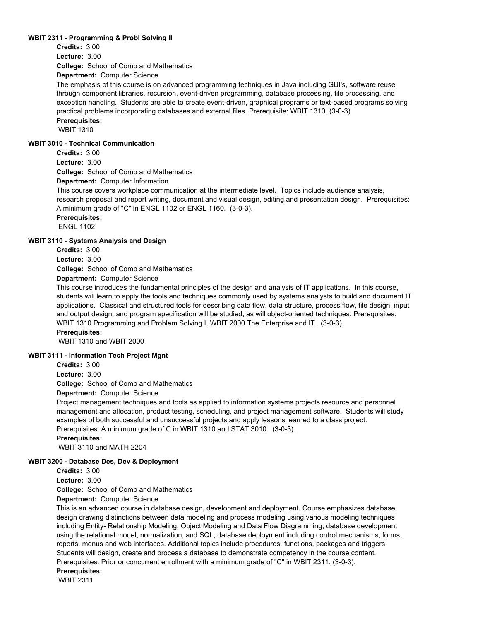## **WBIT 2311 - Programming & Probl Solving II**

**Credits:** 3.00

**Lecture:** 3.00

**College:** School of Comp and Mathematics

**Department:** Computer Science

The emphasis of this course is on advanced programming techniques in Java including GUI's, software reuse through component libraries, recursion, event-driven programming, database processing, file processing, and exception handling. Students are able to create event-driven, graphical programs or text-based programs solving practical problems incorporating databases and external files. Prerequisite: WBIT 1310. (3-0-3)

**Prerequisites:** 

WBIT 1310

# **WBIT 3010 - Technical Communication**

**Credits:** 3.00

**Lecture:** 3.00

**College:** School of Comp and Mathematics

**Department:** Computer Information

This course covers workplace communication at the intermediate level. Topics include audience analysis, research proposal and report writing, document and visual design, editing and presentation design. Prerequisites: A minimum grade of "C" in ENGL 1102 or ENGL 1160. (3-0-3).

**Prerequisites:** 

ENGL 1102

# **WBIT 3110 - Systems Analysis and Design**

**Credits:** 3.00

**Lecture:** 3.00

**College:** School of Comp and Mathematics

**Department:** Computer Science

This course introduces the fundamental principles of the design and analysis of IT applications. In this course, students will learn to apply the tools and techniques commonly used by systems analysts to build and document IT applications. Classical and structured tools for describing data flow, data structure, process flow, file design, input and output design, and program specification will be studied, as will object-oriented techniques. Prerequisites: WBIT 1310 Programming and Problem Solving I, WBIT 2000 The Enterprise and IT. (3-0-3).

**Prerequisites:** 

WBIT 1310 and WBIT 2000

# **WBIT 3111 - Information Tech Project Mgnt**

**Credits:** 3.00

**Lecture:** 3.00

**College:** School of Comp and Mathematics

**Department:** Computer Science

Project management techniques and tools as applied to information systems projects resource and personnel management and allocation, product testing, scheduling, and project management software. Students will study examples of both successful and unsuccessful projects and apply lessons learned to a class project. Prerequisites: A minimum grade of C in WBIT 1310 and STAT 3010. (3-0-3).

**Prerequisites:** 

WBIT 3110 and MATH 2204

#### **WBIT 3200 - Database Des, Dev & Deployment**

**Credits:** 3.00

**Lecture:** 3.00

**College:** School of Comp and Mathematics

**Department:** Computer Science

This is an advanced course in database design, development and deployment. Course emphasizes database design drawing distinctions between data modeling and process modeling using various modeling techniques including Entity- Relationship Modeling, Object Modeling and Data Flow Diagramming; database development using the relational model, normalization, and SQL; database deployment including control mechanisms, forms, reports, menus and web interfaces. Additional topics include procedures, functions, packages and triggers. Students will design, create and process a database to demonstrate competency in the course content. Prerequisites: Prior or concurrent enrollment with a minimum grade of "C" in WBIT 2311. (3-0-3). **Prerequisites:** 

WBIT 2311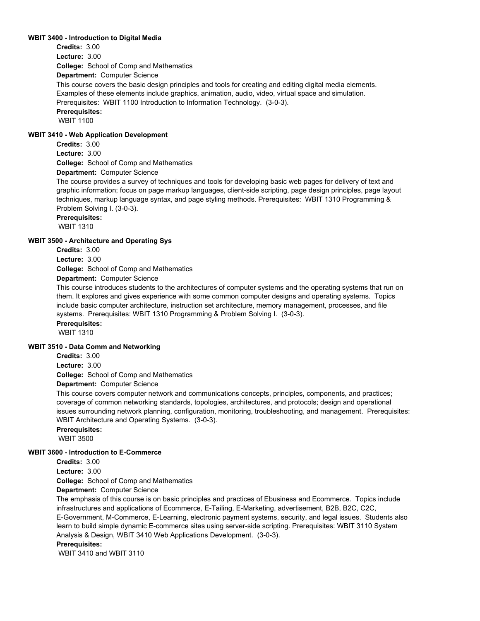## **WBIT 3400 - Introduction to Digital Media**

**Credits:** 3.00

**Lecture:** 3.00

**College:** School of Comp and Mathematics

**Department:** Computer Science

This course covers the basic design principles and tools for creating and editing digital media elements. Examples of these elements include graphics, animation, audio, video, virtual space and simulation. Prerequisites: WBIT 1100 Introduction to Information Technology. (3-0-3).

# **Prerequisites:**

WBIT 1100

## **WBIT 3410 - Web Application Development**

**Credits:** 3.00

**Lecture:** 3.00

**College:** School of Comp and Mathematics

**Department:** Computer Science

The course provides a survey of techniques and tools for developing basic web pages for delivery of text and graphic information; focus on page markup languages, client-side scripting, page design principles, page layout techniques, markup language syntax, and page styling methods. Prerequisites: WBIT 1310 Programming & Problem Solving I. (3-0-3).

**Prerequisites:** 

WBIT 1310

## **WBIT 3500 - Architecture and Operating Sys**

**Credits:** 3.00

**Lecture:** 3.00

**College:** School of Comp and Mathematics

**Department:** Computer Science

This course introduces students to the architectures of computer systems and the operating systems that run on them. It explores and gives experience with some common computer designs and operating systems. Topics include basic computer architecture, instruction set architecture, memory management, processes, and file systems. Prerequisites: WBIT 1310 Programming & Problem Solving I. (3-0-3). **Prerequisites:**  WBIT 1310

## **WBIT 3510 - Data Comm and Networking**

**Credits:** 3.00

**Lecture:** 3.00

**College:** School of Comp and Mathematics

**Department:** Computer Science

This course covers computer network and communications concepts, principles, components, and practices; coverage of common networking standards, topologies, architectures, and protocols; design and operational issues surrounding network planning, configuration, monitoring, troubleshooting, and management. Prerequisites: WBIT Architecture and Operating Systems. (3-0-3).

**Prerequisites:** 

WBIT 3500

# **WBIT 3600 - Introduction to E-Commerce**

**Credits:** 3.00

**Lecture:** 3.00

**College:** School of Comp and Mathematics

**Department:** Computer Science

The emphasis of this course is on basic principles and practices of Ebusiness and Ecommerce. Topics include infrastructures and applications of Ecommerce, E-Tailing, E-Marketing, advertisement, B2B, B2C, C2C, E-Government, M-Commerce, E-Learning, electronic payment systems, security, and legal issues. Students also learn to build simple dynamic E-commerce sites using server-side scripting. Prerequisites: WBIT 3110 System Analysis & Design, WBIT 3410 Web Applications Development. (3-0-3).

**Prerequisites:** 

WBIT 3410 and WBIT 3110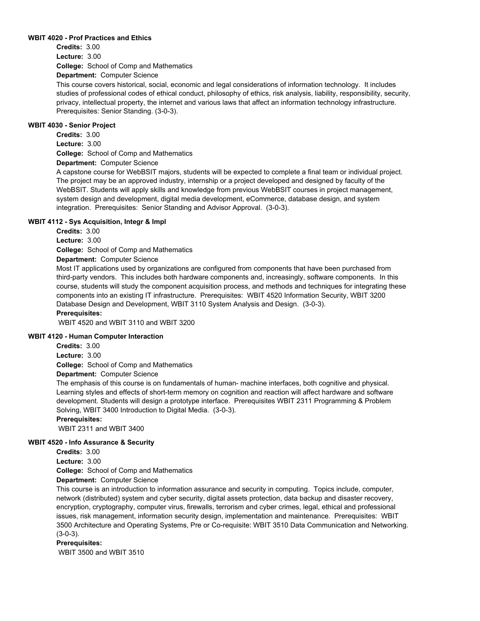### **WBIT 4020 - Prof Practices and Ethics**

**College:** School of Comp and Mathematics **Credits:** 3.00 **Lecture:** 3.00

**Department:** Computer Science

This course covers historical, social, economic and legal considerations of information technology. It includes studies of professional codes of ethical conduct, philosophy of ethics, risk analysis, liability, responsibility, security, privacy, intellectual property, the internet and various laws that affect an information technology infrastructure. Prerequisites: Senior Standing. (3-0-3).

#### **WBIT 4030 - Senior Project**

**College:** School of Comp and Mathematics **Department:** Computer Science **Credits:** 3.00 **Lecture:** 3.00

A capstone course for WebBSIT majors, students will be expected to complete a final team or individual project. The project may be an approved industry, internship or a project developed and designed by faculty of the WebBSIT. Students will apply skills and knowledge from previous WebBSIT courses in project management, system design and development, digital media development, eCommerce, database design, and system integration. Prerequisites: Senior Standing and Advisor Approval. (3-0-3).

# **WBIT 4112 - Sys Acquisition, Integr & Impl**

**Credits:** 3.00

**Lecture:** 3.00

**College:** School of Comp and Mathematics

**Department:** Computer Science

Most IT applications used by organizations are configured from components that have been purchased from third-party vendors. This includes both hardware components and, increasingly, software components. In this course, students will study the component acquisition process, and methods and techniques for integrating these components into an existing IT infrastructure. Prerequisites: WBIT 4520 Information Security, WBIT 3200 Database Design and Development, WBIT 3110 System Analysis and Design. (3-0-3).

# **Prerequisites:**

WBIT 4520 and WBIT 3110 and WBIT 3200

#### **WBIT 4120 - Human Computer Interaction**

**Credits:** 3.00

**Lecture:** 3.00

**College:** School of Comp and Mathematics

**Department:** Computer Science

The emphasis of this course is on fundamentals of human- machine interfaces, both cognitive and physical. Learning styles and effects of short-term memory on cognition and reaction will affect hardware and software development. Students will design a prototype interface. Prerequisites WBIT 2311 Programming & Problem Solving, WBIT 3400 Introduction to Digital Media. (3-0-3).

# **Prerequisites:**

WBIT 2311 and WBIT 3400

# **WBIT 4520 - Info Assurance & Security**

**Credits:** 3.00

**Lecture:** 3.00

**College:** School of Comp and Mathematics

**Department:** Computer Science

This course is an introduction to information assurance and security in computing. Topics include, computer, network (distributed) system and cyber security, digital assets protection, data backup and disaster recovery, encryption, cryptography, computer virus, firewalls, terrorism and cyber crimes, legal, ethical and professional issues, risk management, information security design, implementation and maintenance. Prerequisites: WBIT 3500 Architecture and Operating Systems, Pre or Co-requisite: WBIT 3510 Data Communication and Networking. (3-0-3).

# **Prerequisites:**

WBIT 3500 and WBIT 3510